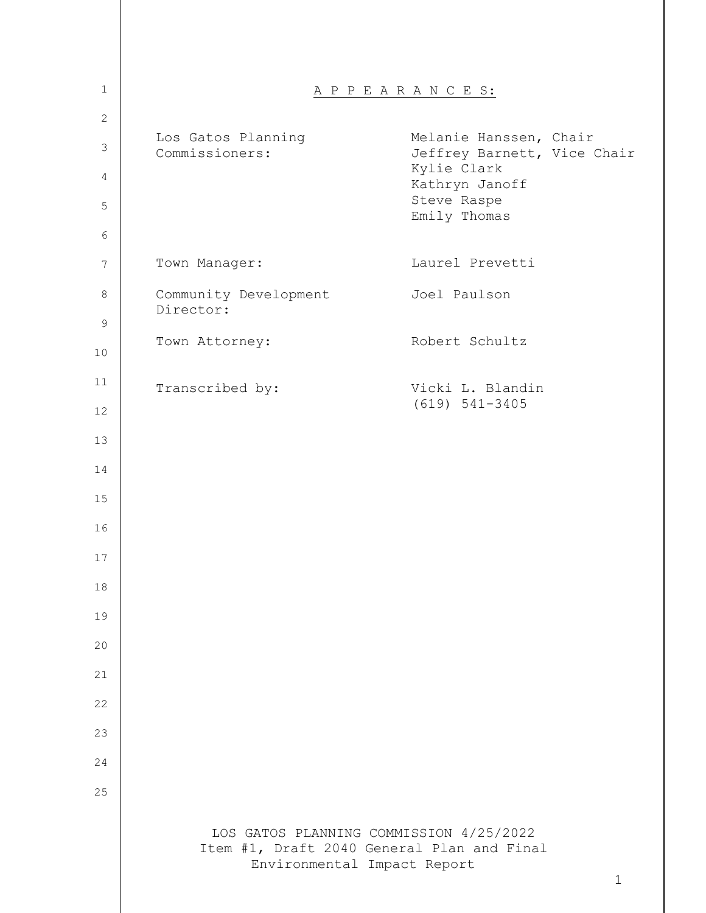| $\mathbf{1}$ |                                      | A P P E A R A N C E S:                                                                               |
|--------------|--------------------------------------|------------------------------------------------------------------------------------------------------|
| 2            |                                      |                                                                                                      |
| $\mathsf 3$  | Los Gatos Planning<br>Commissioners: | Melanie Hanssen, Chair<br>Jeffrey Barnett, Vice Chair                                                |
| 4            |                                      | Kylie Clark<br>Kathryn Janoff<br>Steve Raspe                                                         |
| 5<br>6       |                                      | Emily Thomas                                                                                         |
| 7            | Town Manager:                        | Laurel Prevetti                                                                                      |
| 8            | Community Development<br>Director:   | Joel Paulson                                                                                         |
| $\mathsf 9$  |                                      | Robert Schultz                                                                                       |
| 10           | Town Attorney:                       |                                                                                                      |
| 11           | Transcribed by:                      | Vicki L. Blandin<br>$(619) 541-3405$                                                                 |
| 12           |                                      |                                                                                                      |
| 13           |                                      |                                                                                                      |
| 14           |                                      |                                                                                                      |
| 15           |                                      |                                                                                                      |
| 16           |                                      |                                                                                                      |
| 17           |                                      |                                                                                                      |
| 18           |                                      |                                                                                                      |
| 19           |                                      |                                                                                                      |
| 20           |                                      |                                                                                                      |
| 21           |                                      |                                                                                                      |
| 22           |                                      |                                                                                                      |
| 23           |                                      |                                                                                                      |
| 24           |                                      |                                                                                                      |
| 25           |                                      |                                                                                                      |
|              | Environmental Impact Report          | LOS GATOS PLANNING COMMISSION 4/25/2022<br>Item #1, Draft 2040 General Plan and Final<br>$\mathbf 1$ |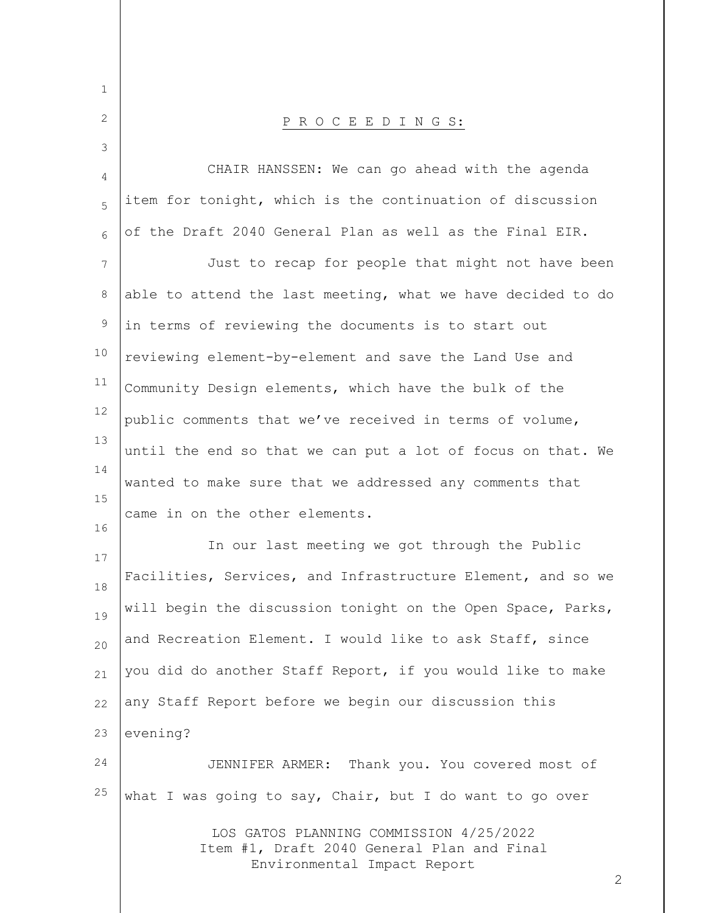| $\mathbf 1$ |                                                                                                                      |
|-------------|----------------------------------------------------------------------------------------------------------------------|
| 2           | PROCEEDINGS:                                                                                                         |
| 3           |                                                                                                                      |
| 4           | CHAIR HANSSEN: We can go ahead with the agenda                                                                       |
| 5           | item for tonight, which is the continuation of discussion                                                            |
| 6           | of the Draft 2040 General Plan as well as the Final EIR.                                                             |
| 7           | Just to recap for people that might not have been                                                                    |
| 8           | able to attend the last meeting, what we have decided to do                                                          |
| 9           | in terms of reviewing the documents is to start out                                                                  |
| 10          | reviewing element-by-element and save the Land Use and                                                               |
| 11          | Community Design elements, which have the bulk of the                                                                |
| 12          | public comments that we've received in terms of volume,                                                              |
| 13          | until the end so that we can put a lot of focus on that. We                                                          |
| 14<br>15    | wanted to make sure that we addressed any comments that                                                              |
| 16          | came in on the other elements.                                                                                       |
| 17          | In our last meeting we got through the Public                                                                        |
| 18          | Facilities, Services, and Infrastructure Element, and so we                                                          |
| 19          | will begin the discussion tonight on the Open Space, Parks,                                                          |
| 20          | and Recreation Element. I would like to ask Staff, since                                                             |
| 21          | you did do another Staff Report, if you would like to make                                                           |
| 22          | any Staff Report before we begin our discussion this                                                                 |
| 23          | evening?                                                                                                             |
| 24          | JENNIFER ARMER: Thank you. You covered most of                                                                       |
| $25$        | what I was going to say, Chair, but I do want to go over                                                             |
|             | LOS GATOS PLANNING COMMISSION 4/25/2022<br>Item #1, Draft 2040 General Plan and Final<br>Environmental Impact Report |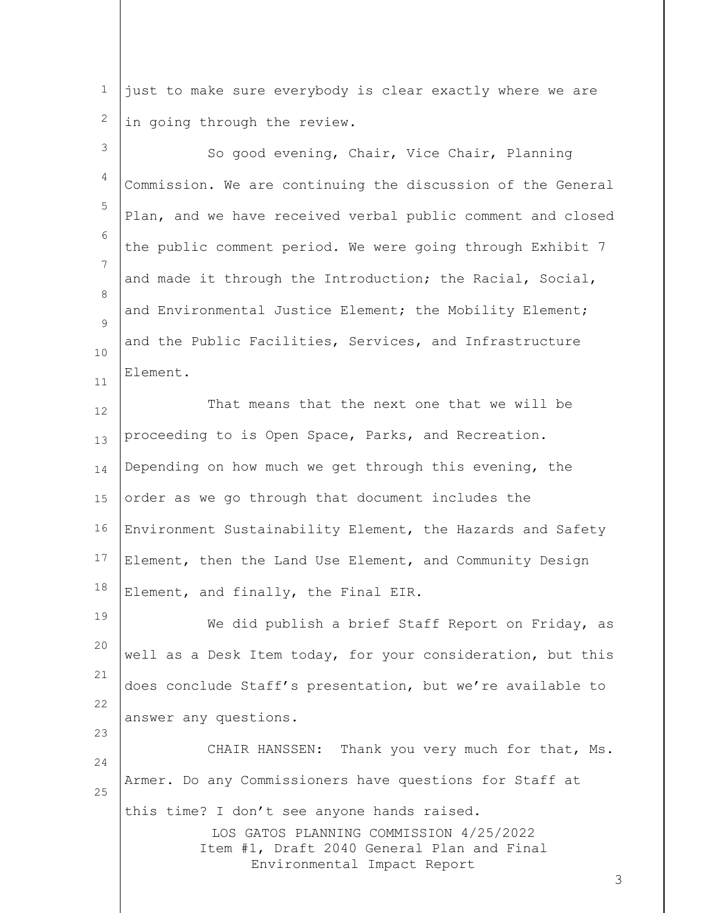1 2 just to make sure everybody is clear exactly where we are in going through the review.

LOS GATOS PLANNING COMMISSION 4/25/2022 Item #1, Draft 2040 General Plan and Final Environmental Impact Report 3 4 5 6 7 8  $\circ$ 10 11 12 13 14 15 16 17 18 19 20 21 22 23 24 25 So good evening, Chair, Vice Chair, Planning Commission. We are continuing the discussion of the General Plan, and we have received verbal public comment and closed the public comment period. We were going through Exhibit 7 and made it through the Introduction; the Racial, Social, and Environmental Justice Element; the Mobility Element; and the Public Facilities, Services, and Infrastructure Element. That means that the next one that we will be proceeding to is Open Space, Parks, and Recreation. Depending on how much we get through this evening, the order as we go through that document includes the Environment Sustainability Element, the Hazards and Safety Element, then the Land Use Element, and Community Design Element, and finally, the Final EIR. We did publish a brief Staff Report on Friday, as well as a Desk Item today, for your consideration, but this does conclude Staff's presentation, but we're available to answer any questions. CHAIR HANSSEN: Thank you very much for that, Ms. Armer. Do any Commissioners have questions for Staff at this time? I don't see anyone hands raised.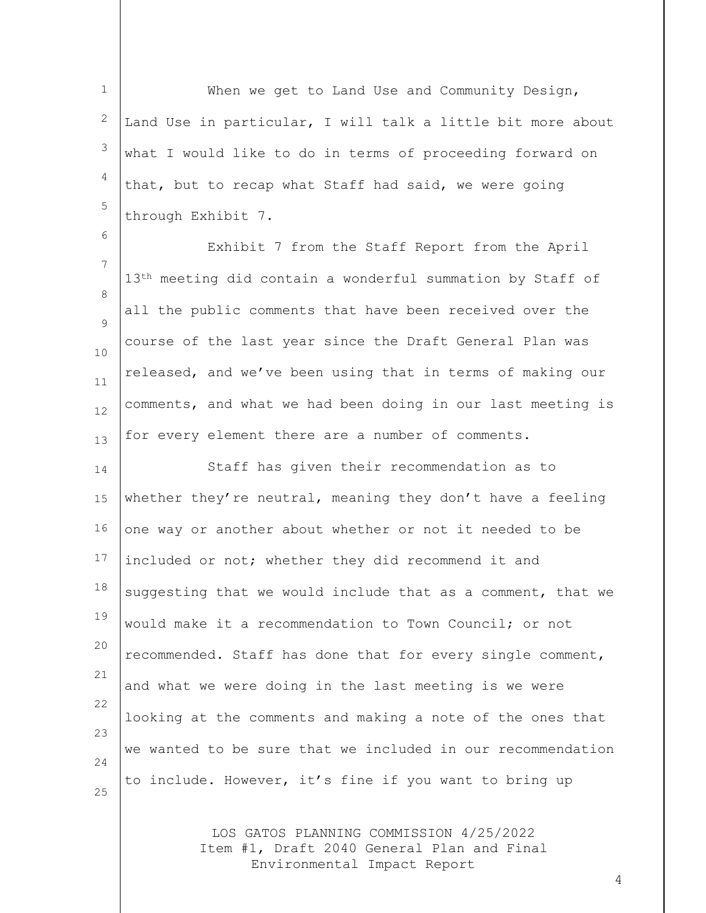1 2 3 4 5 When we get to Land Use and Community Design, Land Use in particular, I will talk a little bit more about what I would like to do in terms of proceeding forward on that, but to recap what Staff had said, we were going through Exhibit 7.

6

7 8  $\circ$ 10 11 12 13 Exhibit 7 from the Staff Report from the April 13<sup>th</sup> meeting did contain a wonderful summation by Staff of all the public comments that have been received over the course of the last year since the Draft General Plan was released, and we've been using that in terms of making our comments, and what we had been doing in our last meeting is for every element there are a number of comments.

14 15 16 17 18 19 20 21 22 23 24 25 Staff has given their recommendation as to whether they're neutral, meaning they don't have a feeling one way or another about whether or not it needed to be included or not; whether they did recommend it and suggesting that we would include that as a comment, that we would make it a recommendation to Town Council; or not recommended. Staff has done that for every single comment, and what we were doing in the last meeting is we were looking at the comments and making a note of the ones that we wanted to be sure that we included in our recommendation to include. However, it's fine if you want to bring up

> LOS GATOS PLANNING COMMISSION 4/25/2022 Item #1, Draft 2040 General Plan and Final Environmental Impact Report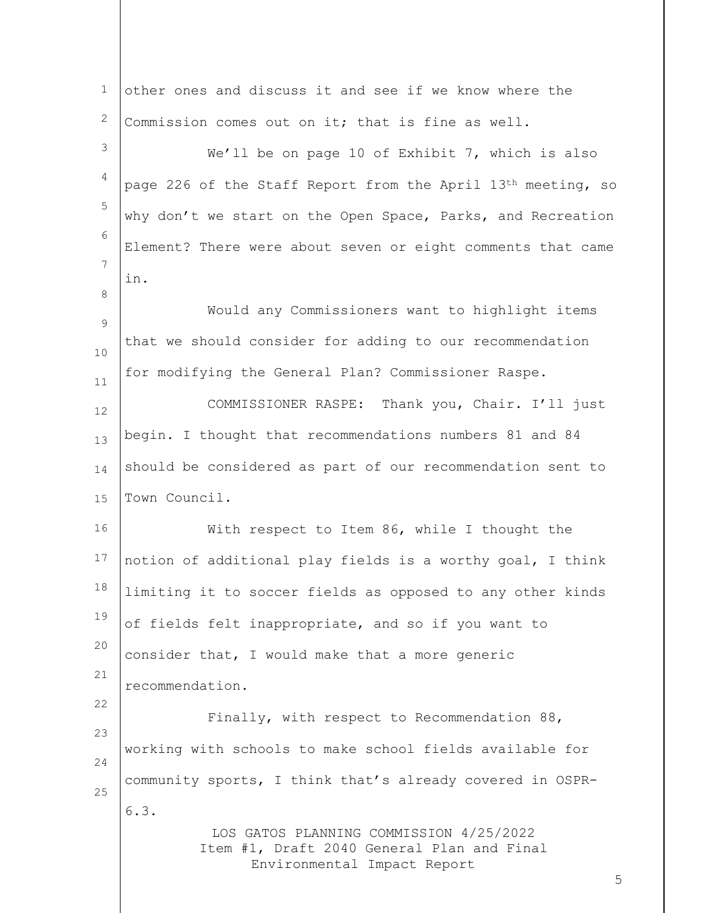| $\mathbf{1}$   | other ones and discuss it and see if we know where the                                                               |   |
|----------------|----------------------------------------------------------------------------------------------------------------------|---|
| $\mathbf{2}$   | Commission comes out on it; that is fine as well.                                                                    |   |
| 3              | We'll be on page 10 of Exhibit 7, which is also                                                                      |   |
| $\overline{4}$ | page 226 of the Staff Report from the April 13th meeting, so                                                         |   |
| 5              | why don't we start on the Open Space, Parks, and Recreation                                                          |   |
| 6              | Element? There were about seven or eight comments that came                                                          |   |
| 7              | in.                                                                                                                  |   |
| 8              | Would any Commissioners want to highlight items                                                                      |   |
| $\overline{9}$ | that we should consider for adding to our recommendation                                                             |   |
| 10             | for modifying the General Plan? Commissioner Raspe.                                                                  |   |
| 11             | COMMISSIONER RASPE: Thank you, Chair. I'll just                                                                      |   |
| 12             | begin. I thought that recommendations numbers 81 and 84                                                              |   |
| 13             | should be considered as part of our recommendation sent to                                                           |   |
| 14             | Town Council.                                                                                                        |   |
| 15             |                                                                                                                      |   |
| 16             | With respect to Item 86, while I thought the                                                                         |   |
| $17$           | notion of additional play fields is a worthy goal, I think                                                           |   |
| 18             | limiting it to soccer fields as opposed to any other kinds                                                           |   |
| 19             | of fields felt inappropriate, and so if you want to                                                                  |   |
| 20             | consider that, I would make that a more generic                                                                      |   |
| 21             | recommendation.                                                                                                      |   |
| 22             | Finally, with respect to Recommendation 88,                                                                          |   |
| 23             | working with schools to make school fields available for                                                             |   |
| 24             | community sports, I think that's already covered in OSPR-                                                            |   |
| 25             | 6.3.                                                                                                                 |   |
|                | LOS GATOS PLANNING COMMISSION 4/25/2022<br>Item #1, Draft 2040 General Plan and Final<br>Environmental Impact Report | 5 |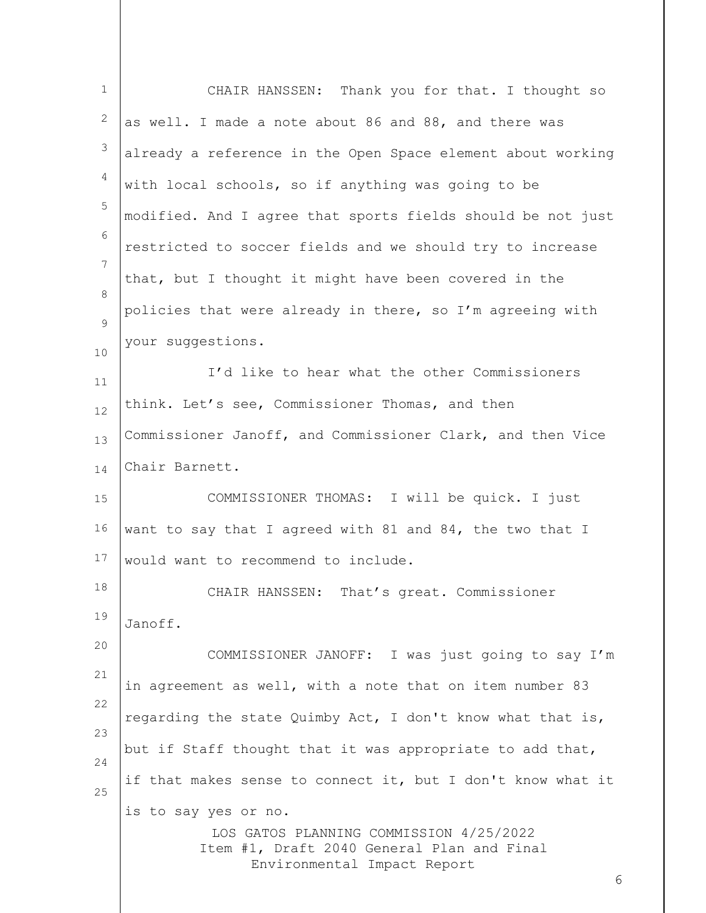| $\mathbf 1$ | CHAIR HANSSEN: Thank you for that. I thought so                                                                                                   |
|-------------|---------------------------------------------------------------------------------------------------------------------------------------------------|
| 2           | as well. I made a note about 86 and 88, and there was                                                                                             |
| 3           | already a reference in the Open Space element about working                                                                                       |
| 4           | with local schools, so if anything was going to be                                                                                                |
| 5           | modified. And I agree that sports fields should be not just                                                                                       |
| 6           | restricted to soccer fields and we should try to increase                                                                                         |
| 7           | that, but I thought it might have been covered in the                                                                                             |
| 8<br>9      | policies that were already in there, so I'm agreeing with                                                                                         |
| $10$        | your suggestions.                                                                                                                                 |
| 11          | I'd like to hear what the other Commissioners                                                                                                     |
| 12          | think. Let's see, Commissioner Thomas, and then                                                                                                   |
| 13          | Commissioner Janoff, and Commissioner Clark, and then Vice                                                                                        |
| 14          | Chair Barnett.                                                                                                                                    |
| 15          | COMMISSIONER THOMAS: I will be quick. I just                                                                                                      |
| 16          | want to say that I agreed with 81 and 84, the two that I                                                                                          |
| 17          | would want to recommend to include.                                                                                                               |
| 18          | CHAIR HANSSEN:<br>That's great. Commissioner                                                                                                      |
| 19          | Janoff.                                                                                                                                           |
| 20          | COMMISSIONER JANOFF: I was just going to say I'm                                                                                                  |
| 21          | in agreement as well, with a note that on item number 83                                                                                          |
| 22          | regarding the state Quimby Act, I don't know what that is,                                                                                        |
| 23<br>24    | but if Staff thought that it was appropriate to add that,                                                                                         |
| 25          | if that makes sense to connect it, but I don't know what it                                                                                       |
|             | is to say yes or no.<br>LOS GATOS PLANNING COMMISSION 4/25/2022<br>Item #1, Draft 2040 General Plan and Final<br>Environmental Impact Report<br>6 |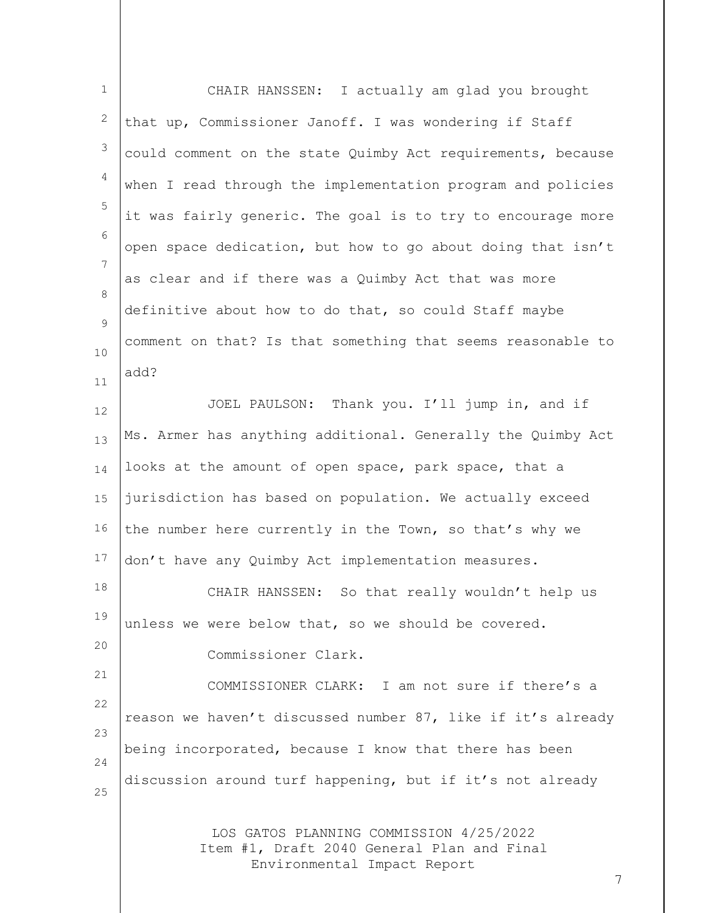| $\mathbf{1}$ | CHAIR HANSSEN: I actually am glad you brought                                                                        |
|--------------|----------------------------------------------------------------------------------------------------------------------|
| 2            | that up, Commissioner Janoff. I was wondering if Staff                                                               |
| 3            | could comment on the state Quimby Act requirements, because                                                          |
| 4            | when I read through the implementation program and policies                                                          |
| 5            | it was fairly generic. The goal is to try to encourage more                                                          |
| 6            | open space dedication, but how to go about doing that isn't                                                          |
| 7            | as clear and if there was a Quimby Act that was more                                                                 |
| 8<br>9       | definitive about how to do that, so could Staff maybe                                                                |
| 10           | comment on that? Is that something that seems reasonable to                                                          |
| 11           | add?                                                                                                                 |
| 12           | JOEL PAULSON: Thank you. I'll jump in, and if                                                                        |
| 13           | Ms. Armer has anything additional. Generally the Quimby Act                                                          |
| 14           | looks at the amount of open space, park space, that a                                                                |
| 15           | jurisdiction has based on population. We actually exceed                                                             |
| 16           | the number here currently in the Town, so that's why we                                                              |
| 17           | don't have any Quimby Act implementation measures.                                                                   |
| 18           | CHAIR HANSSEN: So that really wouldn't help us                                                                       |
| 19           | unless we were below that, so we should be covered.                                                                  |
| 20           | Commissioner Clark.                                                                                                  |
| 21           | COMMISSIONER CLARK: I am not sure if there's a                                                                       |
| 22           | reason we haven't discussed number 87, like if it's already                                                          |
| 23<br>24     | being incorporated, because I know that there has been                                                               |
| 25           | discussion around turf happening, but if it's not already                                                            |
|              | LOS GATOS PLANNING COMMISSION 4/25/2022<br>Item #1, Draft 2040 General Plan and Final<br>Environmental Impact Report |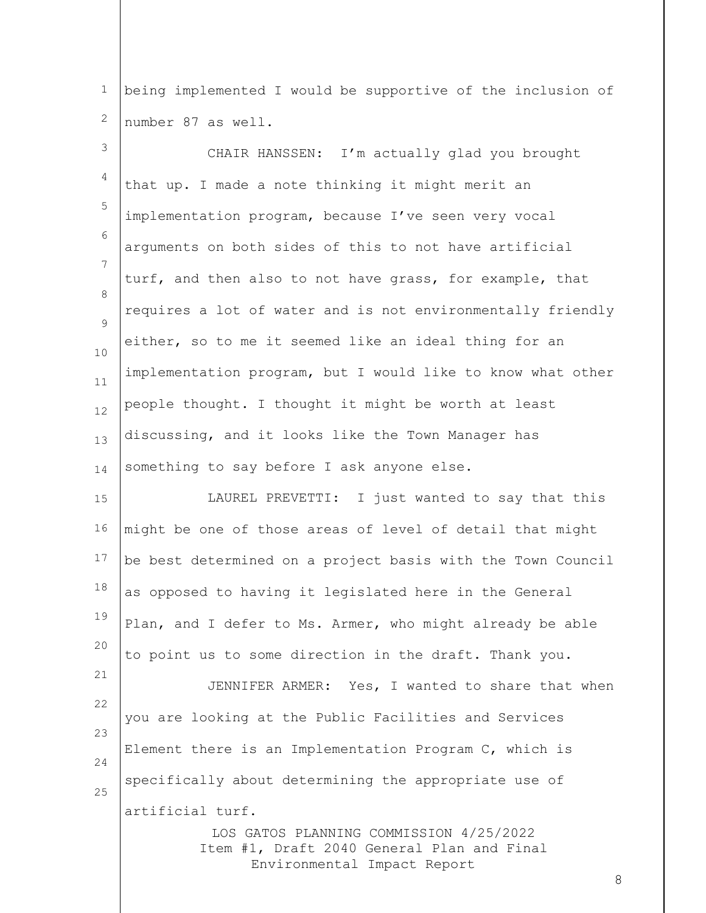1 2 being implemented I would be supportive of the inclusion of number 87 as well.

LOS GATOS PLANNING COMMISSION 4/25/2022 3 4 5 6 7 8  $\circ$ 10 11 12 13 14 15 16 17 18 19 20 21 22 23 24 25 CHAIR HANSSEN: I'm actually glad you brought that up. I made a note thinking it might merit an implementation program, because I've seen very vocal arguments on both sides of this to not have artificial turf, and then also to not have grass, for example, that requires a lot of water and is not environmentally friendly either, so to me it seemed like an ideal thing for an implementation program, but I would like to know what other people thought. I thought it might be worth at least discussing, and it looks like the Town Manager has something to say before I ask anyone else. LAUREL PREVETTI: I just wanted to say that this might be one of those areas of level of detail that might be best determined on a project basis with the Town Council as opposed to having it legislated here in the General Plan, and I defer to Ms. Armer, who might already be able to point us to some direction in the draft. Thank you. JENNIFER ARMER: Yes, I wanted to share that when you are looking at the Public Facilities and Services Element there is an Implementation Program C, which is specifically about determining the appropriate use of artificial turf.

Item #1, Draft 2040 General Plan and Final Environmental Impact Report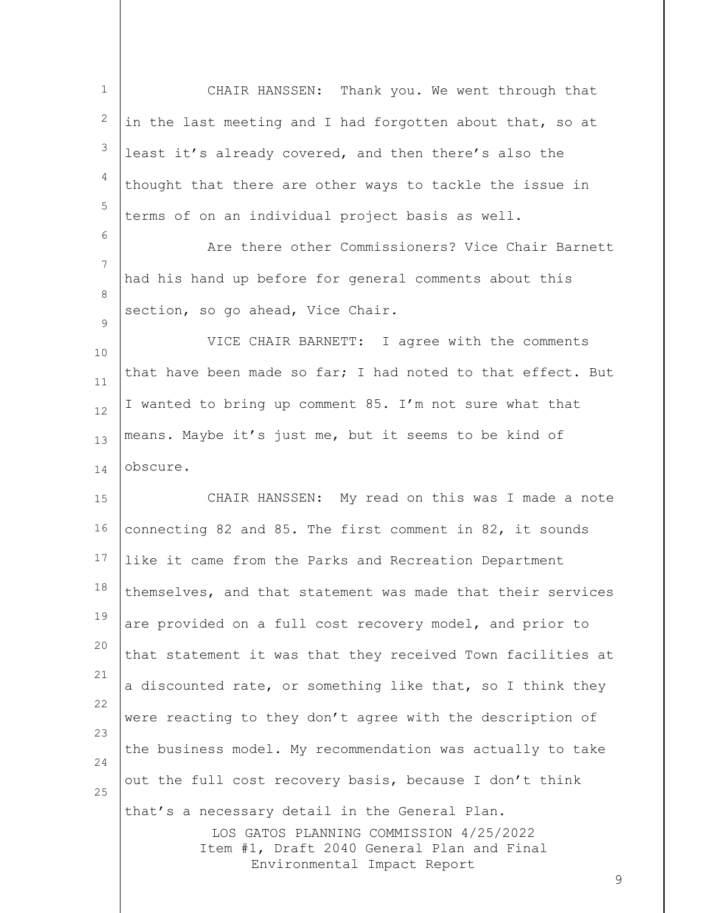| $\mathbf 1$    | CHAIR HANSSEN: Thank you. We went through that                                                                                                                              |
|----------------|-----------------------------------------------------------------------------------------------------------------------------------------------------------------------------|
| $\overline{c}$ | in the last meeting and I had forgotten about that, so at                                                                                                                   |
| 3              | least it's already covered, and then there's also the                                                                                                                       |
| 4              | thought that there are other ways to tackle the issue in                                                                                                                    |
| 5              | terms of on an individual project basis as well.                                                                                                                            |
| 6              | Are there other Commissioners? Vice Chair Barnett                                                                                                                           |
| 7              | had his hand up before for general comments about this                                                                                                                      |
| 8              | section, so go ahead, Vice Chair.                                                                                                                                           |
| 9<br>10        | VICE CHAIR BARNETT: I agree with the comments                                                                                                                               |
| 11             | that have been made so far; I had noted to that effect. But                                                                                                                 |
| 12             | I wanted to bring up comment 85. I'm not sure what that                                                                                                                     |
| 13             | means. Maybe it's just me, but it seems to be kind of                                                                                                                       |
| 14             | obscure.                                                                                                                                                                    |
| 15             | CHAIR HANSSEN: My read on this was I made a note                                                                                                                            |
| 16             | connecting 82 and 85. The first comment in 82, it sounds                                                                                                                    |
| 17             | like it came from the Parks and Recreation Department                                                                                                                       |
| 18             | themselves, and that statement was made that their services                                                                                                                 |
| 19             | are provided on a full cost recovery model, and prior to                                                                                                                    |
| 20             | that statement it was that they received Town facilities at                                                                                                                 |
| 21             | a discounted rate, or something like that, so I think they                                                                                                                  |
| 22             | were reacting to they don't agree with the description of                                                                                                                   |
| 23<br>24       | the business model. My recommendation was actually to take                                                                                                                  |
| 25             | out the full cost recovery basis, because I don't think                                                                                                                     |
|                | that's a necessary detail in the General Plan.<br>LOS GATOS PLANNING COMMISSION 4/25/2022<br>Item #1, Draft 2040 General Plan and Final<br>Environmental Impact Report<br>9 |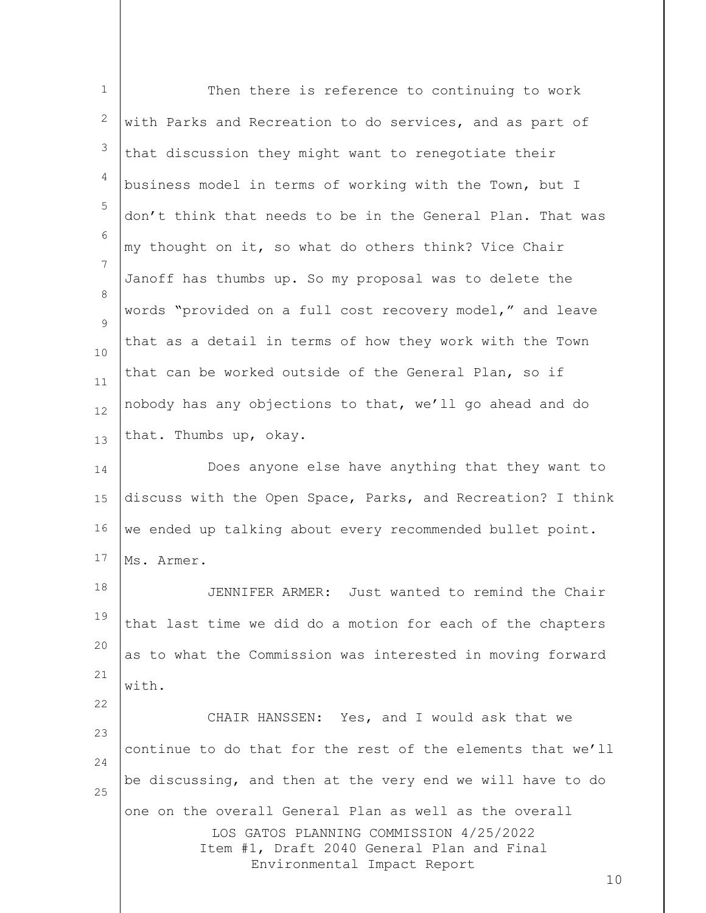| $\mathbf{1}$ | Then there is reference to continuing to work                                                                                                                                        |
|--------------|--------------------------------------------------------------------------------------------------------------------------------------------------------------------------------------|
| 2            | with Parks and Recreation to do services, and as part of                                                                                                                             |
| 3            | that discussion they might want to renegotiate their                                                                                                                                 |
| 4            | business model in terms of working with the Town, but I                                                                                                                              |
| 5            | don't think that needs to be in the General Plan. That was                                                                                                                           |
| 6            | my thought on it, so what do others think? Vice Chair                                                                                                                                |
| 7            | Janoff has thumbs up. So my proposal was to delete the                                                                                                                               |
| 8<br>9       | words "provided on a full cost recovery model," and leave                                                                                                                            |
| 10           | that as a detail in terms of how they work with the Town                                                                                                                             |
| 11           | that can be worked outside of the General Plan, so if                                                                                                                                |
| 12           | nobody has any objections to that, we'll go ahead and do                                                                                                                             |
| 13           | that. Thumbs up, okay.                                                                                                                                                               |
| 14           | Does anyone else have anything that they want to                                                                                                                                     |
| 15           | discuss with the Open Space, Parks, and Recreation? I think                                                                                                                          |
| 16           | we ended up talking about every recommended bullet point.                                                                                                                            |
| 17           | Ms. Armer.                                                                                                                                                                           |
| 18           | JENNIFER ARMER: Just wanted to remind the Chair                                                                                                                                      |
| 19           | that last time we did do a motion for each of the chapters                                                                                                                           |
| 20           | as to what the Commission was interested in moving forward                                                                                                                           |
| 21           | with.                                                                                                                                                                                |
| 22           | CHAIR HANSSEN: Yes, and I would ask that we                                                                                                                                          |
| 23<br>24     | continue to do that for the rest of the elements that we'll                                                                                                                          |
| 25           | be discussing, and then at the very end we will have to do                                                                                                                           |
|              | one on the overall General Plan as well as the overall<br>LOS GATOS PLANNING COMMISSION 4/25/2022<br>Item #1, Draft 2040 General Plan and Final<br>Environmental Impact Report<br>10 |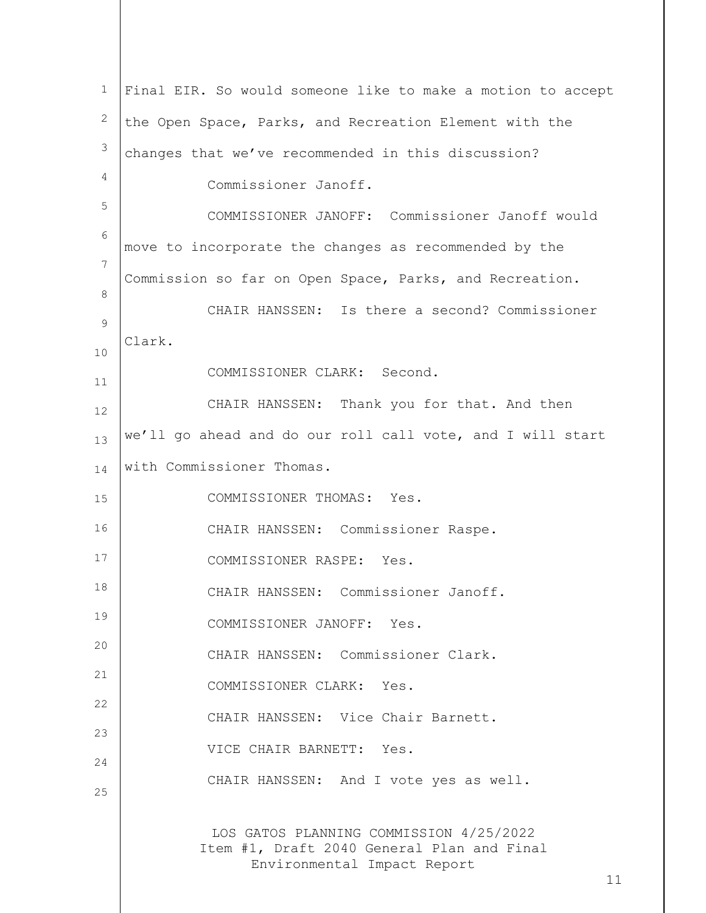| $\mathbf{1}$   | Final EIR. So would someone like to make a motion to accept                                                          |
|----------------|----------------------------------------------------------------------------------------------------------------------|
| 2              | the Open Space, Parks, and Recreation Element with the                                                               |
| $\mathfrak{Z}$ | changes that we've recommended in this discussion?                                                                   |
| 4              | Commissioner Janoff.                                                                                                 |
| 5              | COMMISSIONER JANOFF: Commissioner Janoff would                                                                       |
| $\epsilon$     | move to incorporate the changes as recommended by the                                                                |
| 7              | Commission so far on Open Space, Parks, and Recreation.                                                              |
| 8              | CHAIR HANSSEN: Is there a second? Commissioner                                                                       |
| 9              | Clark.                                                                                                               |
| 10<br>11       | COMMISSIONER CLARK: Second.                                                                                          |
| 12             | CHAIR HANSSEN: Thank you for that. And then                                                                          |
| 13             | we'll go ahead and do our roll call vote, and I will start                                                           |
| 14             | with Commissioner Thomas.                                                                                            |
| 15             | COMMISSIONER THOMAS: Yes.                                                                                            |
| 16             | CHAIR HANSSEN: Commissioner Raspe.                                                                                   |
| 17             | COMMISSIONER RASPE: Yes.                                                                                             |
| 18             | CHAIR HANSSEN: Commissioner Janoff                                                                                   |
| 19             | COMMISSIONER JANOFF: Yes.                                                                                            |
| 20             | CHAIR HANSSEN: Commissioner Clark.                                                                                   |
| 21             | COMMISSIONER CLARK: Yes.                                                                                             |
| 22             | CHAIR HANSSEN: Vice Chair Barnett.                                                                                   |
| 23             | VICE CHAIR BARNETT: Yes.                                                                                             |
| 24<br>25       | CHAIR HANSSEN: And I vote yes as well.                                                                               |
|                |                                                                                                                      |
|                | LOS GATOS PLANNING COMMISSION 4/25/2022<br>Item #1, Draft 2040 General Plan and Final<br>Environmental Impact Report |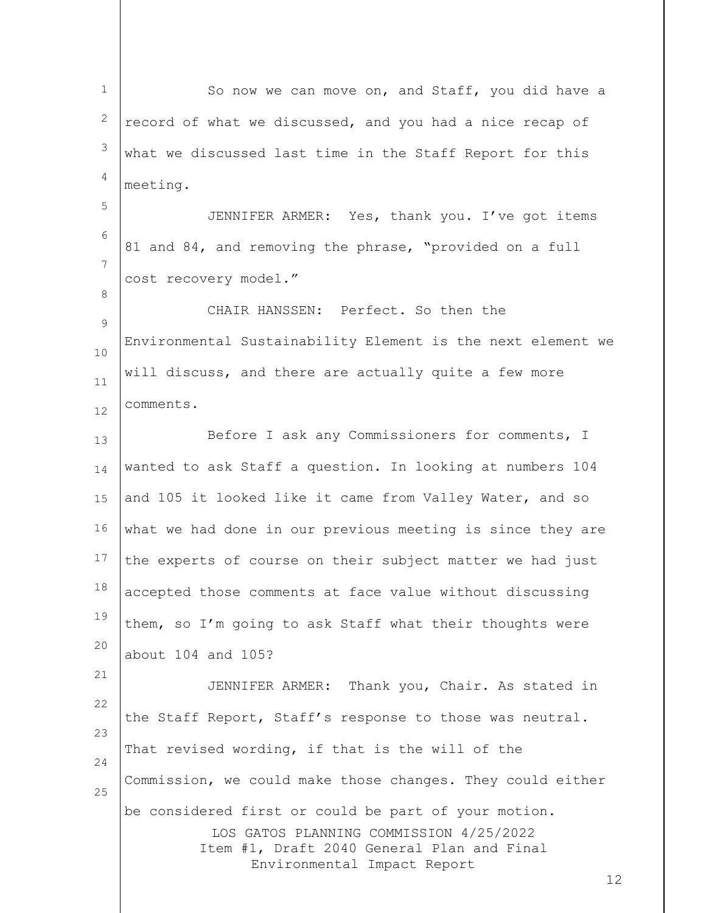LOS GATOS PLANNING COMMISSION 4/25/2022 Item #1, Draft 2040 General Plan and Final Environmental Impact Report 12 1 2 3 4 5 6 7 8 9 10 11 12 13 14 15 16 17 18 19 20 21 22 23 24 25 So now we can move on, and Staff, you did have a record of what we discussed, and you had a nice recap of what we discussed last time in the Staff Report for this meeting. JENNIFER ARMER: Yes, thank you. I've got items 81 and 84, and removing the phrase, "provided on a full cost recovery model." CHAIR HANSSEN: Perfect. So then the Environmental Sustainability Element is the next element we will discuss, and there are actually quite a few more comments. Before I ask any Commissioners for comments, I wanted to ask Staff a question. In looking at numbers 104 and 105 it looked like it came from Valley Water, and so what we had done in our previous meeting is since they are the experts of course on their subject matter we had just accepted those comments at face value without discussing them, so I'm going to ask Staff what their thoughts were about 104 and 105? JENNIFER ARMER: Thank you, Chair. As stated in the Staff Report, Staff's response to those was neutral. That revised wording, if that is the will of the Commission, we could make those changes. They could either be considered first or could be part of your motion.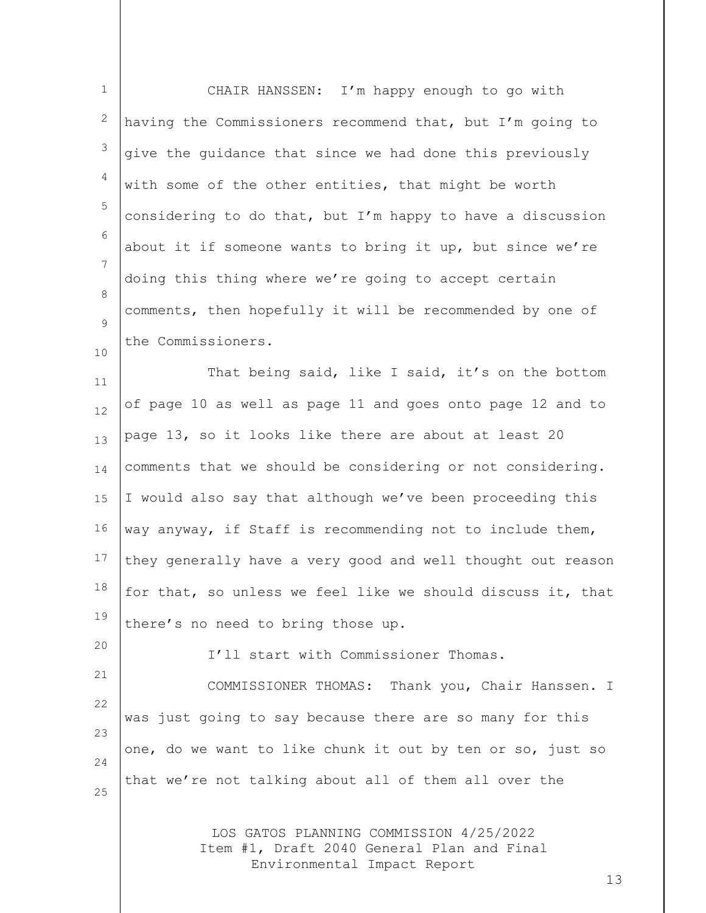| $\mathbf 1$  | CHAIR HANSSEN: I'm happy enough to go with                                                                           |
|--------------|----------------------------------------------------------------------------------------------------------------------|
| $\mathbf{2}$ | having the Commissioners recommend that, but I'm going to                                                            |
| 3            | give the guidance that since we had done this previously                                                             |
| 4            | with some of the other entities, that might be worth                                                                 |
| 5            | considering to do that, but I'm happy to have a discussion                                                           |
| 6            | about it if someone wants to bring it up, but since we're                                                            |
| 7            | doing this thing where we're going to accept certain                                                                 |
| 8<br>9       | comments, then hopefully it will be recommended by one of                                                            |
| 10           | the Commissioners.                                                                                                   |
| 11           | That being said, like I said, it's on the bottom                                                                     |
| 12           | of page 10 as well as page 11 and goes onto page 12 and to                                                           |
| 13           | page 13, so it looks like there are about at least 20                                                                |
| 14           | comments that we should be considering or not considering.                                                           |
| 15           | I would also say that although we've been proceeding this                                                            |
| 16           | way anyway, if Staff is recommending not to include them,                                                            |
| 17           | they generally have a very good and well thought out reason                                                          |
| 18           | for that, so unless we feel like we should discuss it, that                                                          |
| 19           | there's no need to bring those up.                                                                                   |
| 20           | I'll start with Commissioner Thomas.                                                                                 |
| 21           | COMMISSIONER THOMAS: Thank you, Chair Hanssen. I                                                                     |
| 22<br>23     | was just going to say because there are so many for this                                                             |
| 24           | one, do we want to like chunk it out by ten or so, just so                                                           |
| 25           | that we're not talking about all of them all over the                                                                |
|              | LOS GATOS PLANNING COMMISSION 4/25/2022<br>Item #1, Draft 2040 General Plan and Final<br>Environmental Impact Report |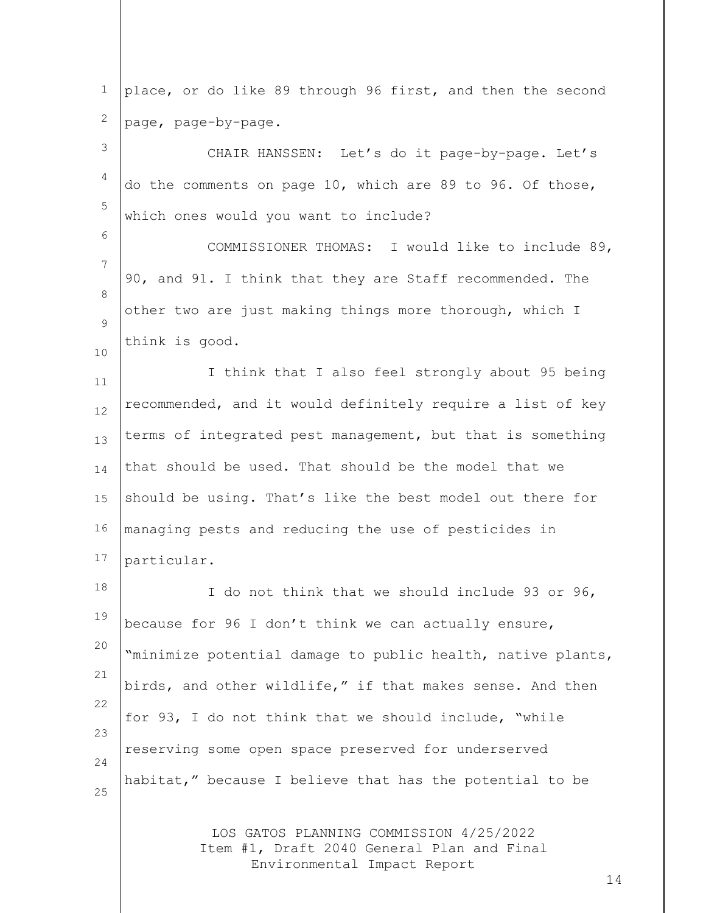1 2 place, or do like 89 through 96 first, and then the second page, page-by-page.

3 4 5 CHAIR HANSSEN: Let's do it page-by-page. Let's do the comments on page 10, which are 89 to 96. Of those, which ones would you want to include?

6

7 8  $\circ$ 10 COMMISSIONER THOMAS: I would like to include 89, 90, and 91. I think that they are Staff recommended. The other two are just making things more thorough, which I think is good.

11 12 13 14 15 16 17 I think that I also feel strongly about 95 being recommended, and it would definitely require a list of key terms of integrated pest management, but that is something that should be used. That should be the model that we should be using. That's like the best model out there for managing pests and reducing the use of pesticides in particular.

18 19 20 21 22 23 24 25 I do not think that we should include 93 or 96, because for 96 I don't think we can actually ensure, "minimize potential damage to public health, native plants, birds, and other wildlife," if that makes sense. And then for 93, I do not think that we should include, "while reserving some open space preserved for underserved habitat," because I believe that has the potential to be

> LOS GATOS PLANNING COMMISSION 4/25/2022 Item #1, Draft 2040 General Plan and Final Environmental Impact Report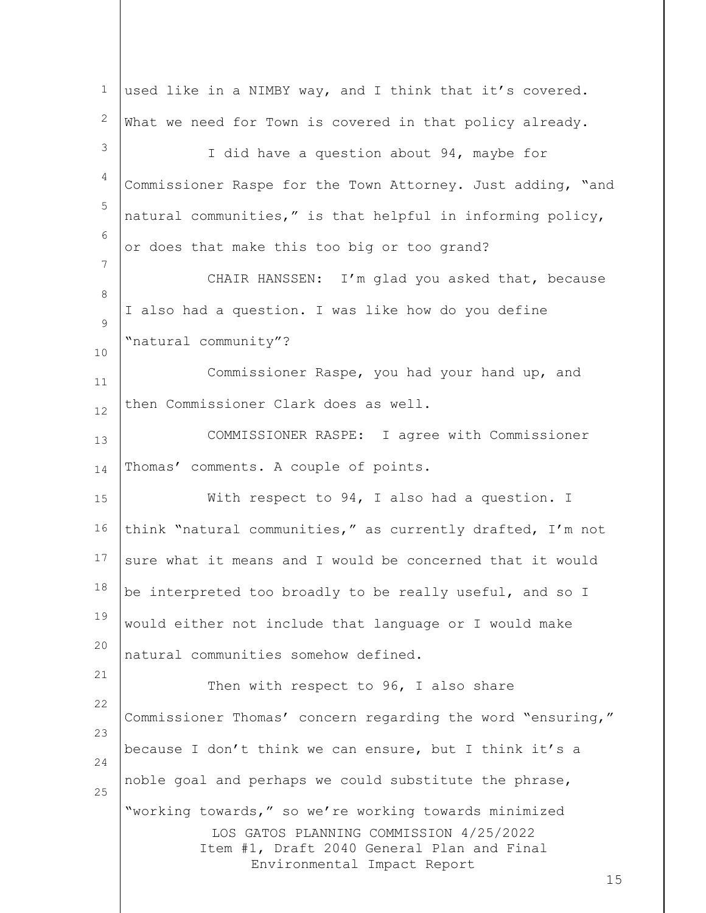| $\mathbf{1}$ | used like in a NIMBY way, and I think that it's covered.                                                                                                                            |
|--------------|-------------------------------------------------------------------------------------------------------------------------------------------------------------------------------------|
| 2            | What we need for Town is covered in that policy already.                                                                                                                            |
| 3            | I did have a question about 94, maybe for                                                                                                                                           |
| 4            | Commissioner Raspe for the Town Attorney. Just adding, "and                                                                                                                         |
| 5            | natural communities," is that helpful in informing policy,                                                                                                                          |
| 6            | or does that make this too big or too grand?                                                                                                                                        |
| 7            | CHAIR HANSSEN: I'm glad you asked that, because                                                                                                                                     |
| 8            | I also had a question. I was like how do you define                                                                                                                                 |
| 9            | "natural community"?                                                                                                                                                                |
| 10<br>11     | Commissioner Raspe, you had your hand up, and                                                                                                                                       |
| 12           | then Commissioner Clark does as well.                                                                                                                                               |
| 13           | COMMISSIONER RASPE: I agree with Commissioner                                                                                                                                       |
| 14           | Thomas' comments. A couple of points.                                                                                                                                               |
| 15           | With respect to 94, I also had a question. I                                                                                                                                        |
| 16           | think "natural communities," as currently drafted, I'm not                                                                                                                          |
| 17           | sure what it means and I would be concerned that it would                                                                                                                           |
| 18           | be interpreted too broadly to be really useful, and so I                                                                                                                            |
| 19           | would either not include that language or I would make                                                                                                                              |
| 20           | natural communities somehow defined.                                                                                                                                                |
| 21           | Then with respect to 96, I also share                                                                                                                                               |
| 22           | Commissioner Thomas' concern regarding the word "ensuring,"                                                                                                                         |
| 23           | because I don't think we can ensure, but I think it's a                                                                                                                             |
| 24           | noble goal and perhaps we could substitute the phrase,                                                                                                                              |
| 25           | "working towards," so we're working towards minimized<br>LOS GATOS PLANNING COMMISSION 4/25/2022<br>Item #1, Draft 2040 General Plan and Final<br>Environmental Impact Report<br>15 |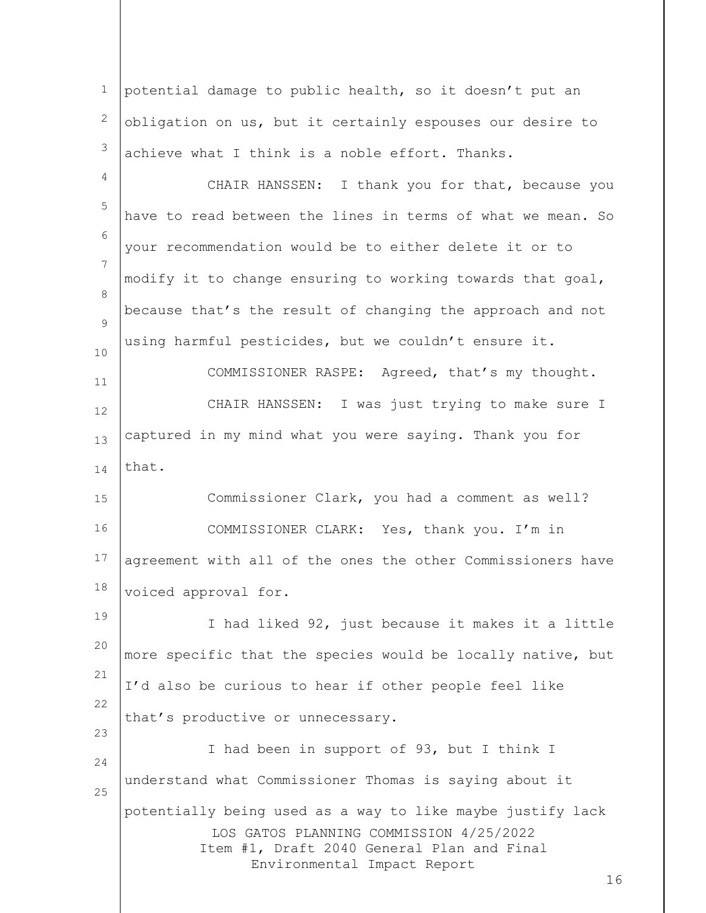LOS GATOS PLANNING COMMISSION 4/25/2022 Item #1, Draft 2040 General Plan and Final Environmental Impact Report 16 1 2 3 4 5 6 7 8  $\circ$ 10 11 12 13 14 15 16 17 18 19 20 21 22 23 24 25 potential damage to public health, so it doesn't put an obligation on us, but it certainly espouses our desire to achieve what I think is a noble effort. Thanks. CHAIR HANSSEN: I thank you for that, because you have to read between the lines in terms of what we mean. So your recommendation would be to either delete it or to modify it to change ensuring to working towards that goal, because that's the result of changing the approach and not using harmful pesticides, but we couldn't ensure it. COMMISSIONER RASPE: Agreed, that's my thought. CHAIR HANSSEN: I was just trying to make sure I captured in my mind what you were saying. Thank you for that. Commissioner Clark, you had a comment as well? COMMISSIONER CLARK: Yes, thank you. I'm in agreement with all of the ones the other Commissioners have voiced approval for. I had liked 92, just because it makes it a little more specific that the species would be locally native, but I'd also be curious to hear if other people feel like that's productive or unnecessary. I had been in support of 93, but I think I understand what Commissioner Thomas is saying about it potentially being used as a way to like maybe justify lack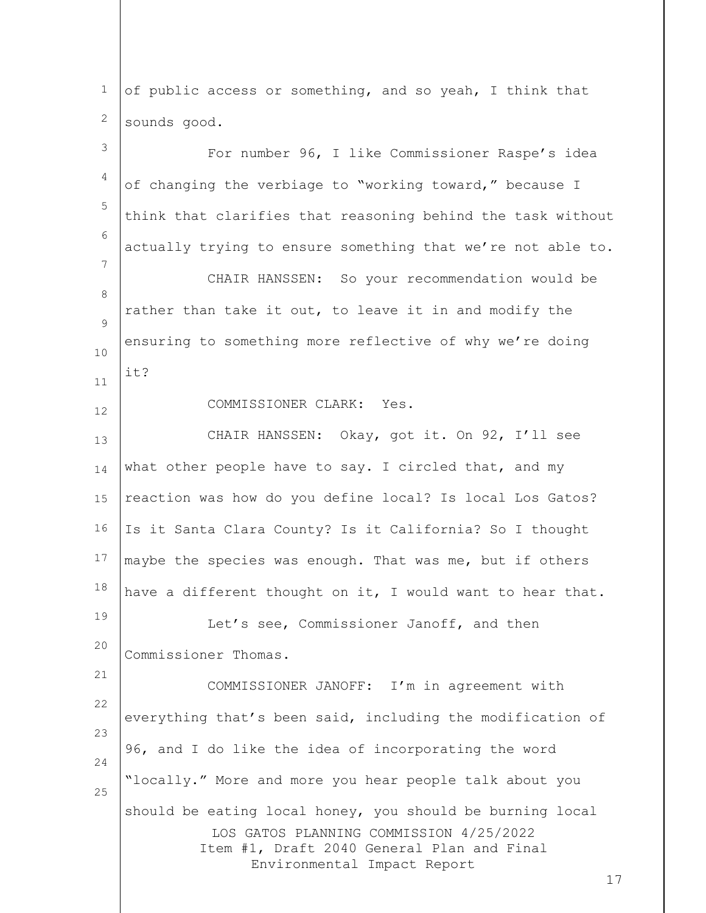LOS GATOS PLANNING COMMISSION 4/25/2022 Item #1, Draft 2040 General Plan and Final Environmental Impact Report 17 1 2 3 4 5 6 7 8  $\circ$ 10 11 12 13 14 15 16 17 18 19 20 21 22 23 24 25 of public access or something, and so yeah, I think that sounds good. For number 96, I like Commissioner Raspe's idea of changing the verbiage to "working toward," because I think that clarifies that reasoning behind the task without actually trying to ensure something that we're not able to. CHAIR HANSSEN: So your recommendation would be rather than take it out, to leave it in and modify the ensuring to something more reflective of why we're doing it? COMMISSIONER CLARK: Yes. CHAIR HANSSEN: Okay, got it. On 92, I'll see what other people have to say. I circled that, and my reaction was how do you define local? Is local Los Gatos? Is it Santa Clara County? Is it California? So I thought maybe the species was enough. That was me, but if others have a different thought on it, I would want to hear that. Let's see, Commissioner Janoff, and then Commissioner Thomas. COMMISSIONER JANOFF: I'm in agreement with everything that's been said, including the modification of 96, and I do like the idea of incorporating the word "locally." More and more you hear people talk about you should be eating local honey, you should be burning local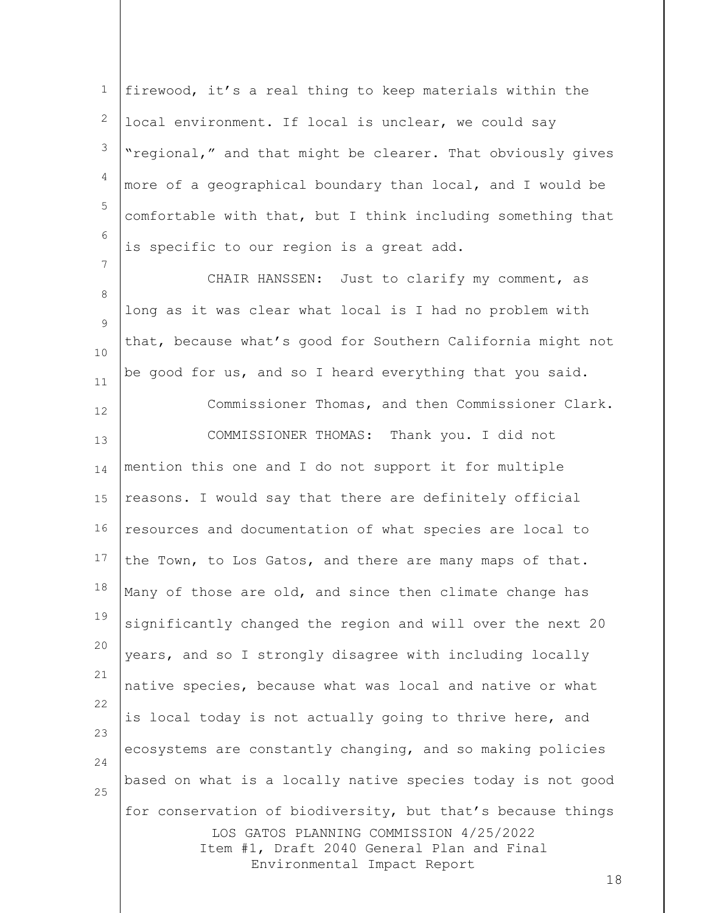1 2 3 4 5 6 firewood, it's a real thing to keep materials within the local environment. If local is unclear, we could say "regional," and that might be clearer. That obviously gives more of a geographical boundary than local, and I would be comfortable with that, but I think including something that is specific to our region is a great add.

8  $\circ$ 10 11 CHAIR HANSSEN: Just to clarify my comment, as long as it was clear what local is I had no problem with that, because what's good for Southern California might not be good for us, and so I heard everything that you said.

Commissioner Thomas, and then Commissioner Clark.

7

LOS GATOS PLANNING COMMISSION 4/25/2022 Item #1, Draft 2040 General Plan and Final Environmental Impact Report 12 13 14 15 16 17 18 19 20 21 22 23 24 25 COMMISSIONER THOMAS: Thank you. I did not mention this one and I do not support it for multiple reasons. I would say that there are definitely official resources and documentation of what species are local to the Town, to Los Gatos, and there are many maps of that. Many of those are old, and since then climate change has significantly changed the region and will over the next 20 years, and so I strongly disagree with including locally native species, because what was local and native or what is local today is not actually going to thrive here, and ecosystems are constantly changing, and so making policies based on what is a locally native species today is not good for conservation of biodiversity, but that's because things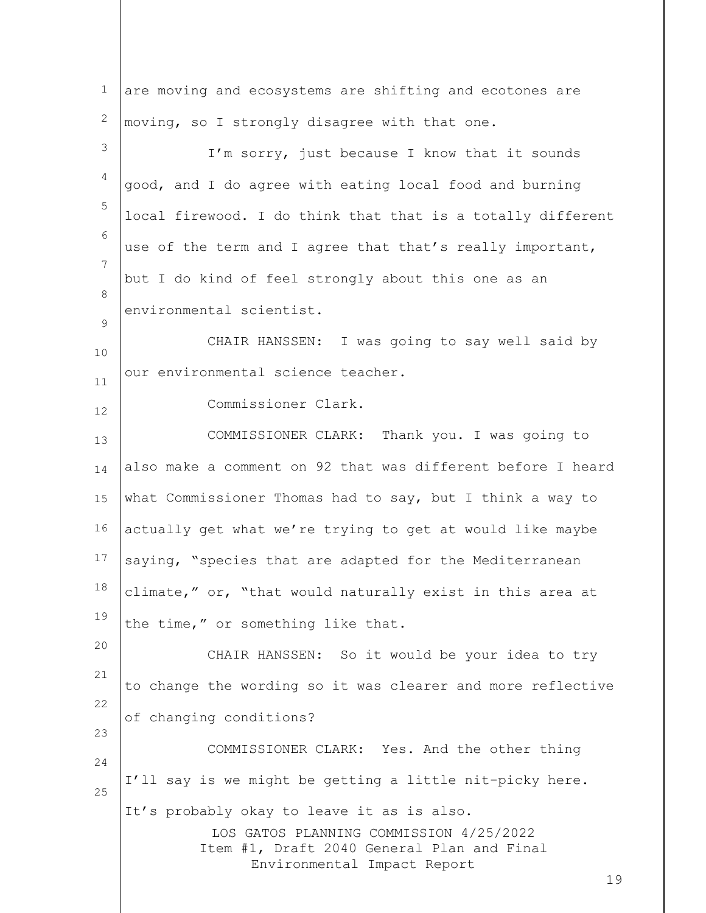| $\mathbf 1$ | are moving and ecosystems are shifting and ecotones are                                                                                                                  |
|-------------|--------------------------------------------------------------------------------------------------------------------------------------------------------------------------|
| 2           | moving, so I strongly disagree with that one.                                                                                                                            |
| 3           | I'm sorry, just because I know that it sounds                                                                                                                            |
| 4           | good, and I do agree with eating local food and burning                                                                                                                  |
| 5           | local firewood. I do think that that is a totally different                                                                                                              |
| 6           | use of the term and I agree that that's really important,                                                                                                                |
| 7           | but I do kind of feel strongly about this one as an                                                                                                                      |
| 8           | environmental scientist.                                                                                                                                                 |
| 9           | CHAIR HANSSEN: I was going to say well said by                                                                                                                           |
| 10          | our environmental science teacher.                                                                                                                                       |
| 11          | Commissioner Clark.                                                                                                                                                      |
| 12<br>13    | COMMISSIONER CLARK: Thank you. I was going to                                                                                                                            |
| 14          | also make a comment on 92 that was different before I heard                                                                                                              |
| 15          | what Commissioner Thomas had to say, but I think a way to                                                                                                                |
| 16          | actually get what we're trying to get at would like maybe                                                                                                                |
| 17          | saying, "species that are adapted for the Mediterranean                                                                                                                  |
| 18          | climate," or, "that would naturally exist in this area at                                                                                                                |
| 19          | the time," or something like that.                                                                                                                                       |
| 20          |                                                                                                                                                                          |
| 21          | CHAIR HANSSEN: So it would be your idea to try                                                                                                                           |
| 22          | to change the wording so it was clearer and more reflective                                                                                                              |
| 23          | of changing conditions?                                                                                                                                                  |
| 24          | COMMISSIONER CLARK: Yes. And the other thing                                                                                                                             |
| 25          | I'll say is we might be getting a little nit-picky here.                                                                                                                 |
|             | It's probably okay to leave it as is also.<br>LOS GATOS PLANNING COMMISSION 4/25/2022<br>Item #1, Draft 2040 General Plan and Final<br>Environmental Impact Report<br>19 |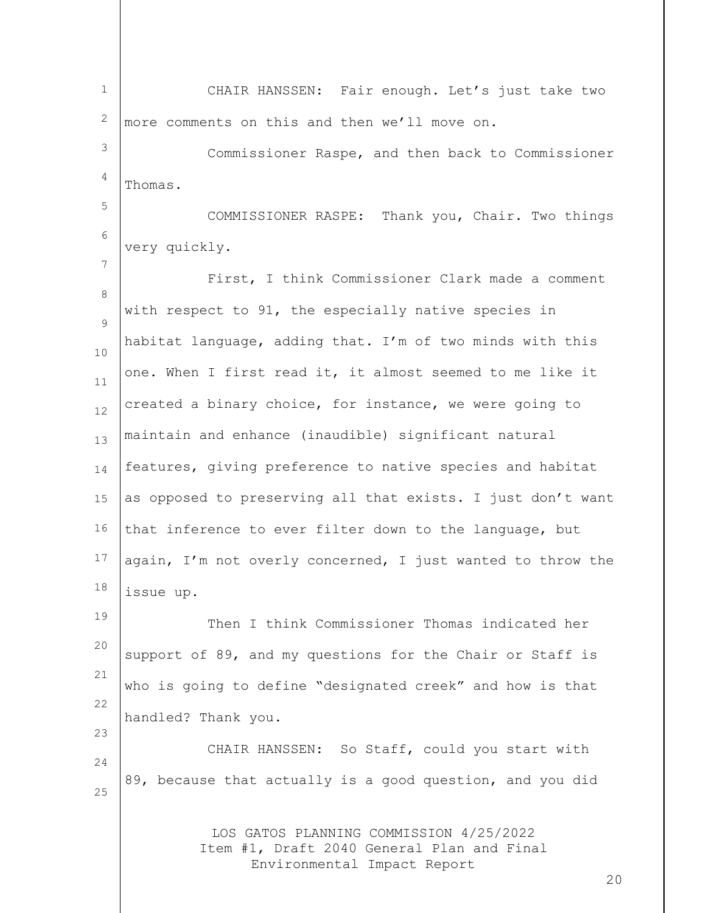LOS GATOS PLANNING COMMISSION 4/25/2022 Item #1, Draft 2040 General Plan and Final Environmental Impact Report 20 1 2 3 4 5 6 7 8  $\circ$ 10 11 12 13 14 15 16 17 18 19 20 21 22 23 24 25 CHAIR HANSSEN: Fair enough. Let's just take two more comments on this and then we'll move on. Commissioner Raspe, and then back to Commissioner Thomas. COMMISSIONER RASPE: Thank you, Chair. Two things very quickly. First, I think Commissioner Clark made a comment with respect to 91, the especially native species in habitat language, adding that. I'm of two minds with this one. When I first read it, it almost seemed to me like it created a binary choice, for instance, we were going to maintain and enhance (inaudible) significant natural features, giving preference to native species and habitat as opposed to preserving all that exists. I just don't want that inference to ever filter down to the language, but again, I'm not overly concerned, I just wanted to throw the issue up. Then I think Commissioner Thomas indicated her support of 89, and my questions for the Chair or Staff is who is going to define "designated creek" and how is that handled? Thank you. CHAIR HANSSEN: So Staff, could you start with 89, because that actually is a good question, and you did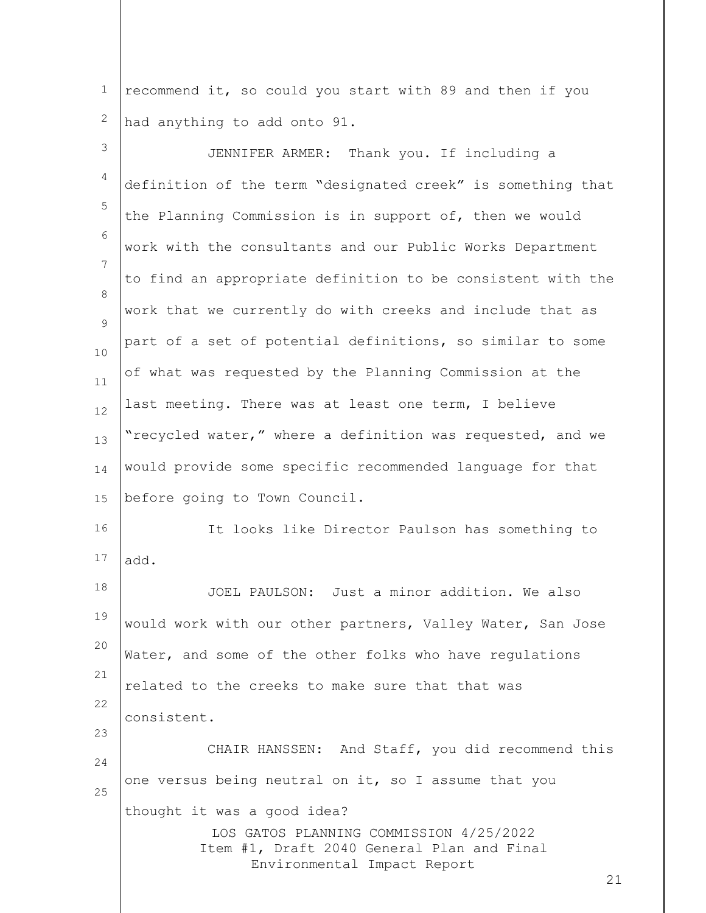1 2 recommend it, so could you start with 89 and then if you had anything to add onto 91.

LOS GATOS PLANNING COMMISSION 4/25/2022 Item #1, Draft 2040 General Plan and Final Environmental Impact Report 21 3 4 5 6 7 8  $\circ$ 10 11 12 13 14 15 16 17 18 19 20 21 22 23 24 25 JENNIFER ARMER: Thank you. If including a definition of the term "designated creek" is something that the Planning Commission is in support of, then we would work with the consultants and our Public Works Department to find an appropriate definition to be consistent with the work that we currently do with creeks and include that as part of a set of potential definitions, so similar to some of what was requested by the Planning Commission at the last meeting. There was at least one term, I believe "recycled water," where a definition was requested, and we would provide some specific recommended language for that before going to Town Council. It looks like Director Paulson has something to add. JOEL PAULSON: Just a minor addition. We also would work with our other partners, Valley Water, San Jose Water, and some of the other folks who have regulations related to the creeks to make sure that that was consistent. CHAIR HANSSEN: And Staff, you did recommend this one versus being neutral on it, so I assume that you thought it was a good idea?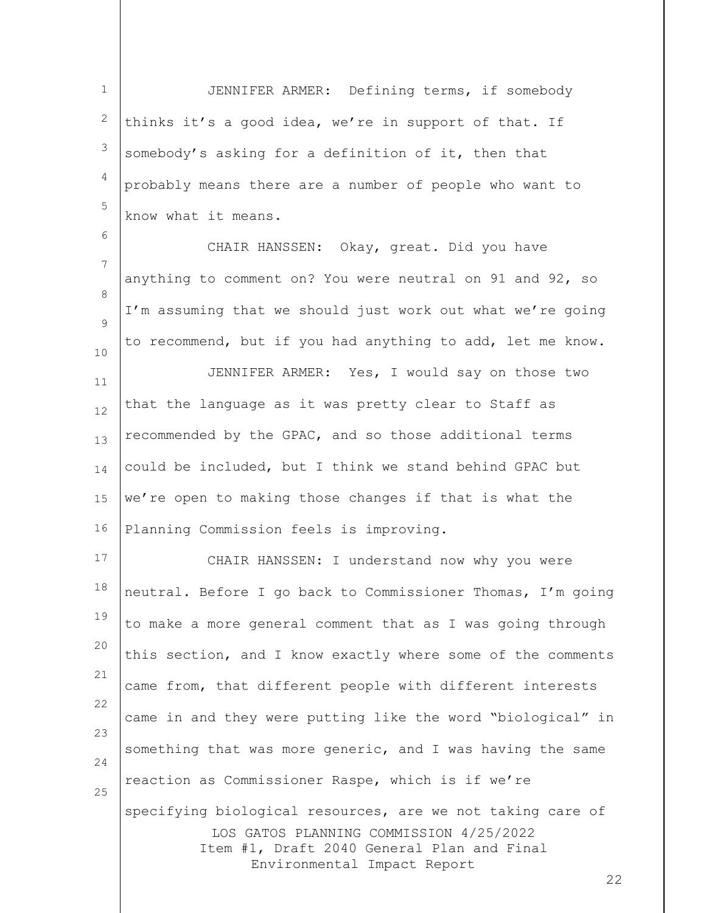1 2 3 4 5 JENNIFER ARMER: Defining terms, if somebody thinks it's a good idea, we're in support of that. If somebody's asking for a definition of it, then that probably means there are a number of people who want to know what it means.

6 7 8  $\circ$ 10 11 12 13 14 15 16 CHAIR HANSSEN: Okay, great. Did you have anything to comment on? You were neutral on 91 and 92, so I'm assuming that we should just work out what we're going to recommend, but if you had anything to add, let me know. JENNIFER ARMER: Yes, I would say on those two that the language as it was pretty clear to Staff as recommended by the GPAC, and so those additional terms could be included, but I think we stand behind GPAC but we're open to making those changes if that is what the Planning Commission feels is improving.

LOS GATOS PLANNING COMMISSION 4/25/2022 Item #1, Draft 2040 General Plan and Final Environmental Impact Report 17 18 19 20 21 22 23 24 25 CHAIR HANSSEN: I understand now why you were neutral. Before I go back to Commissioner Thomas, I'm going to make a more general comment that as I was going through this section, and I know exactly where some of the comments came from, that different people with different interests came in and they were putting like the word "biological" in something that was more generic, and I was having the same reaction as Commissioner Raspe, which is if we're specifying biological resources, are we not taking care of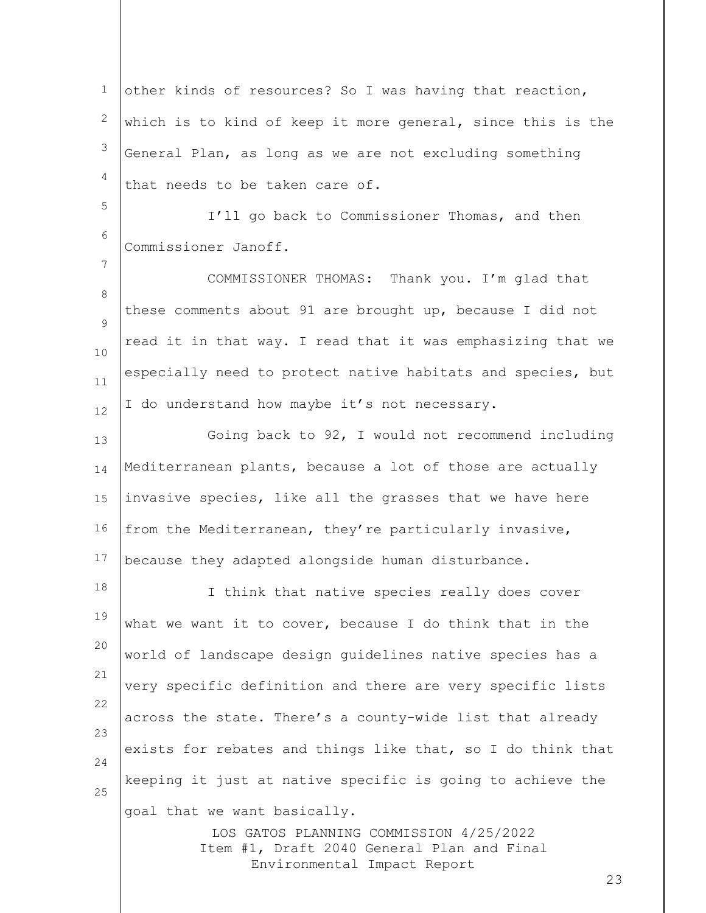1 2 3 4 other kinds of resources? So I was having that reaction, which is to kind of keep it more general, since this is the General Plan, as long as we are not excluding something that needs to be taken care of.

6 I'll go back to Commissioner Thomas, and then Commissioner Janoff.

5

7

8  $\circ$ 10 11 12 COMMISSIONER THOMAS: Thank you. I'm glad that these comments about 91 are brought up, because I did not read it in that way. I read that it was emphasizing that we especially need to protect native habitats and species, but I do understand how maybe it's not necessary.

13 14 15 16 17 Going back to 92, I would not recommend including Mediterranean plants, because a lot of those are actually invasive species, like all the grasses that we have here from the Mediterranean, they're particularly invasive, because they adapted alongside human disturbance.

18 19 20 21 22 23 24 25 I think that native species really does cover what we want it to cover, because I do think that in the world of landscape design guidelines native species has a very specific definition and there are very specific lists across the state. There's a county-wide list that already exists for rebates and things like that, so I do think that keeping it just at native specific is going to achieve the goal that we want basically.

LOS GATOS PLANNING COMMISSION 4/25/2022 Item #1, Draft 2040 General Plan and Final Environmental Impact Report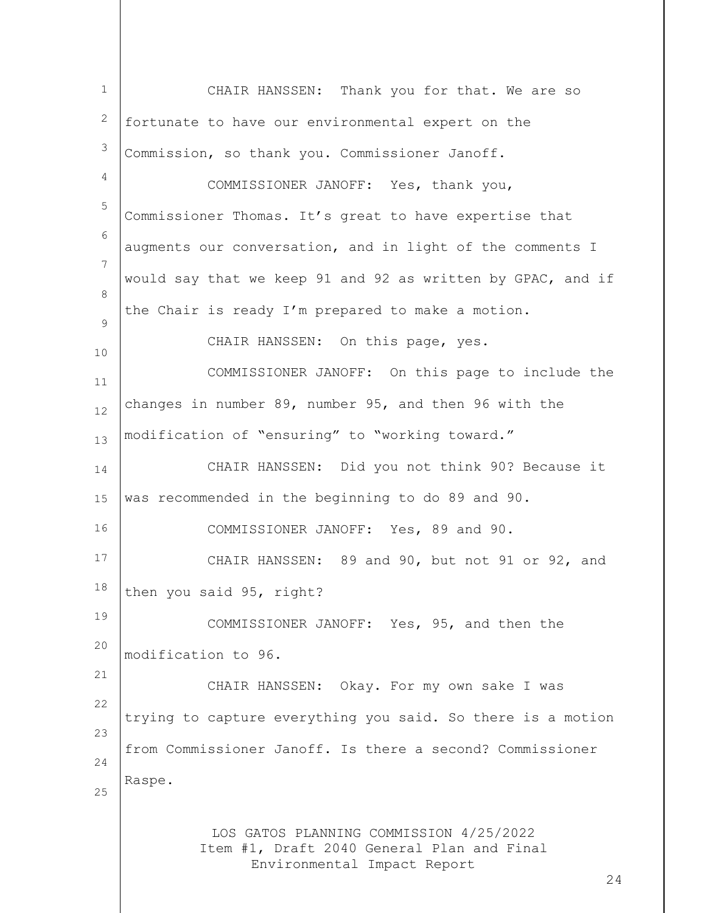LOS GATOS PLANNING COMMISSION 4/25/2022 Item #1, Draft 2040 General Plan and Final Environmental Impact Report 24 1 2 3 4 5 6 7 8  $\circ$ 10 11 12 13 14 15 16 17 18 19 20 21 22 23 24 25 CHAIR HANSSEN: Thank you for that. We are so fortunate to have our environmental expert on the Commission, so thank you. Commissioner Janoff. COMMISSIONER JANOFF: Yes, thank you, Commissioner Thomas. It's great to have expertise that augments our conversation, and in light of the comments I would say that we keep 91 and 92 as written by GPAC, and if the Chair is ready I'm prepared to make a motion. CHAIR HANSSEN: On this page, yes. COMMISSIONER JANOFF: On this page to include the changes in number 89, number 95, and then 96 with the modification of "ensuring" to "working toward." CHAIR HANSSEN: Did you not think 90? Because it was recommended in the beginning to do 89 and 90. COMMISSIONER JANOFF: Yes, 89 and 90. CHAIR HANSSEN: 89 and 90, but not 91 or 92, and then you said 95, right? COMMISSIONER JANOFF: Yes, 95, and then the modification to 96. CHAIR HANSSEN: Okay. For my own sake I was trying to capture everything you said. So there is a motion from Commissioner Janoff. Is there a second? Commissioner Raspe.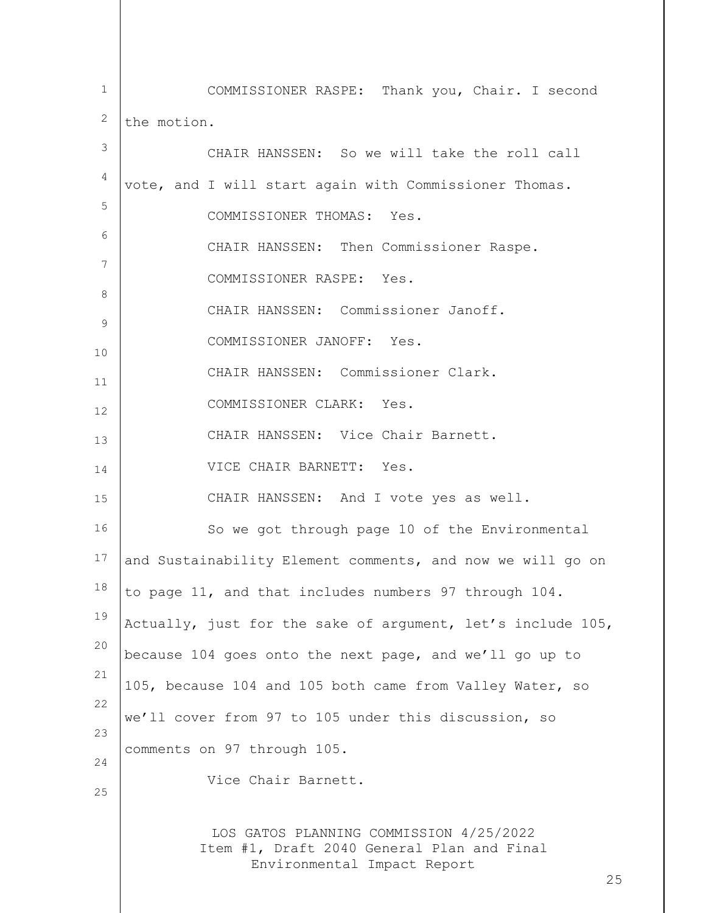LOS GATOS PLANNING COMMISSION 4/25/2022 Item #1, Draft 2040 General Plan and Final Environmental Impact Report 25 1 2 3 4 5 6 7 8 9 10 11 12 13 14 15 16 17 18 19 20 21 22 23 24 25 COMMISSIONER RASPE: Thank you, Chair. I second the motion. CHAIR HANSSEN: So we will take the roll call vote, and I will start again with Commissioner Thomas. COMMISSIONER THOMAS: Yes. CHAIR HANSSEN: Then Commissioner Raspe. COMMISSIONER RASPE: Yes. CHAIR HANSSEN: Commissioner Janoff. COMMISSIONER JANOFF: Yes. CHAIR HANSSEN: Commissioner Clark. COMMISSIONER CLARK: Yes. CHAIR HANSSEN: Vice Chair Barnett. VICE CHAIR BARNETT: Yes. CHAIR HANSSEN: And I vote yes as well. So we got through page 10 of the Environmental and Sustainability Element comments, and now we will go on to page 11, and that includes numbers 97 through 104. Actually, just for the sake of argument, let's include 105, because 104 goes onto the next page, and we'll go up to 105, because 104 and 105 both came from Valley Water, so we'll cover from 97 to 105 under this discussion, so comments on 97 through 105. Vice Chair Barnett.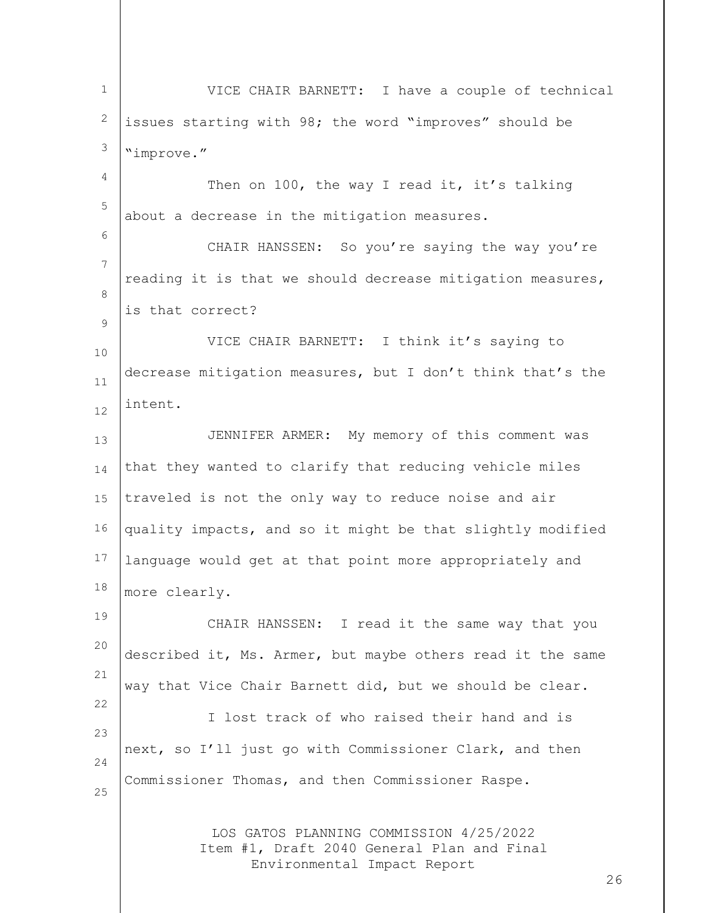LOS GATOS PLANNING COMMISSION 4/25/2022 Item #1, Draft 2040 General Plan and Final Environmental Impact Report 1 2 3 4 5 6 7 8  $\circ$ 10 11 12 13 14 15 16 17 18 19 20 21 22 23 24 25 VICE CHAIR BARNETT: I have a couple of technical issues starting with 98; the word "improves" should be "improve." Then on 100, the way I read it, it's talking about a decrease in the mitigation measures. CHAIR HANSSEN: So you're saying the way you're reading it is that we should decrease mitigation measures, is that correct? VICE CHAIR BARNETT: I think it's saying to decrease mitigation measures, but I don't think that's the intent. JENNIFER ARMER: My memory of this comment was that they wanted to clarify that reducing vehicle miles traveled is not the only way to reduce noise and air quality impacts, and so it might be that slightly modified language would get at that point more appropriately and more clearly. CHAIR HANSSEN: I read it the same way that you described it, Ms. Armer, but maybe others read it the same way that Vice Chair Barnett did, but we should be clear. I lost track of who raised their hand and is next, so I'll just go with Commissioner Clark, and then Commissioner Thomas, and then Commissioner Raspe.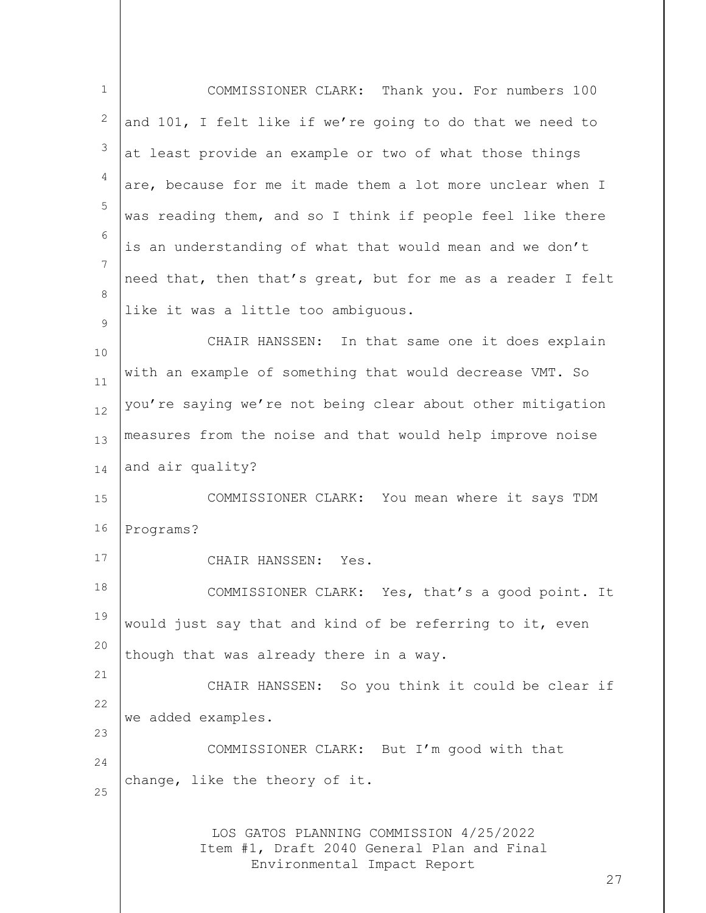| $\mathbf{1}$ | COMMISSIONER CLARK: Thank you. For numbers 100                                                                             |
|--------------|----------------------------------------------------------------------------------------------------------------------------|
| 2            | and 101, I felt like if we're going to do that we need to                                                                  |
| 3            | at least provide an example or two of what those things                                                                    |
| 4            | are, because for me it made them a lot more unclear when I                                                                 |
| 5            | was reading them, and so I think if people feel like there                                                                 |
| 6            | is an understanding of what that would mean and we don't                                                                   |
| 7            | need that, then that's great, but for me as a reader I felt                                                                |
| 8<br>9       | like it was a little too ambiquous.                                                                                        |
| 10           | CHAIR HANSSEN: In that same one it does explain                                                                            |
| 11           | with an example of something that would decrease VMT. So                                                                   |
| 12           | you're saying we're not being clear about other mitigation                                                                 |
| 13           | measures from the noise and that would help improve noise                                                                  |
| 14           | and air quality?                                                                                                           |
| 15           | COMMISSIONER CLARK: You mean where it says TDM                                                                             |
| 16           | Programs?                                                                                                                  |
| 17           | CHAIR HANSSEN: Yes.                                                                                                        |
| 18           | COMMISSIONER CLARK: Yes, that's a good point. It                                                                           |
| 19           | would just say that and kind of be referring to it, even                                                                   |
| 20           | though that was already there in a way.                                                                                    |
| 21<br>22     | CHAIR HANSSEN: So you think it could be clear if                                                                           |
| 23           | we added examples.                                                                                                         |
| 24           | COMMISSIONER CLARK: But I'm good with that                                                                                 |
| 25           | change, like the theory of it.                                                                                             |
|              | LOS GATOS PLANNING COMMISSION 4/25/2022<br>Item #1, Draft 2040 General Plan and Final<br>Environmental Impact Report<br>27 |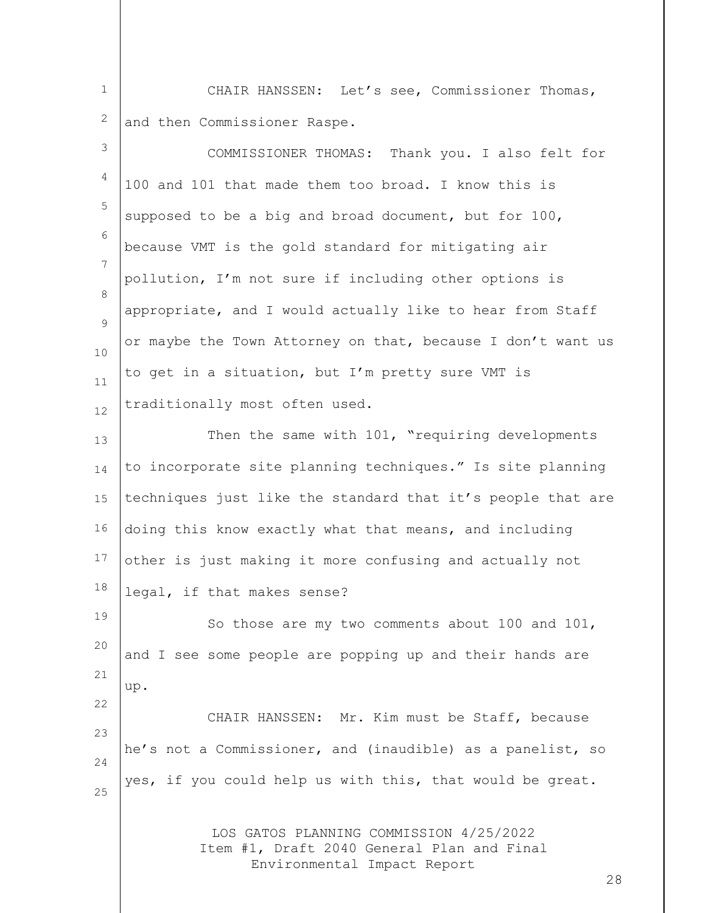1 2 CHAIR HANSSEN: Let's see, Commissioner Thomas, and then Commissioner Raspe.

| $\mathfrak{Z}$ | COMMISSIONER THOMAS: Thank you. I also felt for                                                                            |
|----------------|----------------------------------------------------------------------------------------------------------------------------|
| 4              | 100 and 101 that made them too broad. I know this is                                                                       |
| $\mathsf S$    | supposed to be a big and broad document, but for 100,                                                                      |
| 6              | because VMT is the gold standard for mitigating air                                                                        |
| 7              | pollution, I'm not sure if including other options is                                                                      |
| 8<br>9         | appropriate, and I would actually like to hear from Staff                                                                  |
| 10             | or maybe the Town Attorney on that, because I don't want us                                                                |
| 11             | to get in a situation, but I'm pretty sure VMT is                                                                          |
| 12             | traditionally most often used.                                                                                             |
| 13             | Then the same with 101, "requiring developments                                                                            |
| 14             | to incorporate site planning techniques." Is site planning                                                                 |
| 15             | techniques just like the standard that it's people that are                                                                |
| 16             | doing this know exactly what that means, and including                                                                     |
| 17             | other is just making it more confusing and actually not                                                                    |
| 18             | legal, if that makes sense?                                                                                                |
| 19             | So those are my two comments about 100 and 101,                                                                            |
| 20             | and I see some people are popping up and their hands are                                                                   |
| 21<br>22       | up.                                                                                                                        |
| 23             | CHAIR HANSSEN: Mr. Kim must be Staff, because                                                                              |
| 24             | he's not a Commissioner, and (inaudible) as a panelist, so                                                                 |
| 25             | yes, if you could help us with this, that would be great.                                                                  |
|                | LOS GATOS PLANNING COMMISSION 4/25/2022<br>Item #1, Draft 2040 General Plan and Final<br>Environmental Impact Report<br>28 |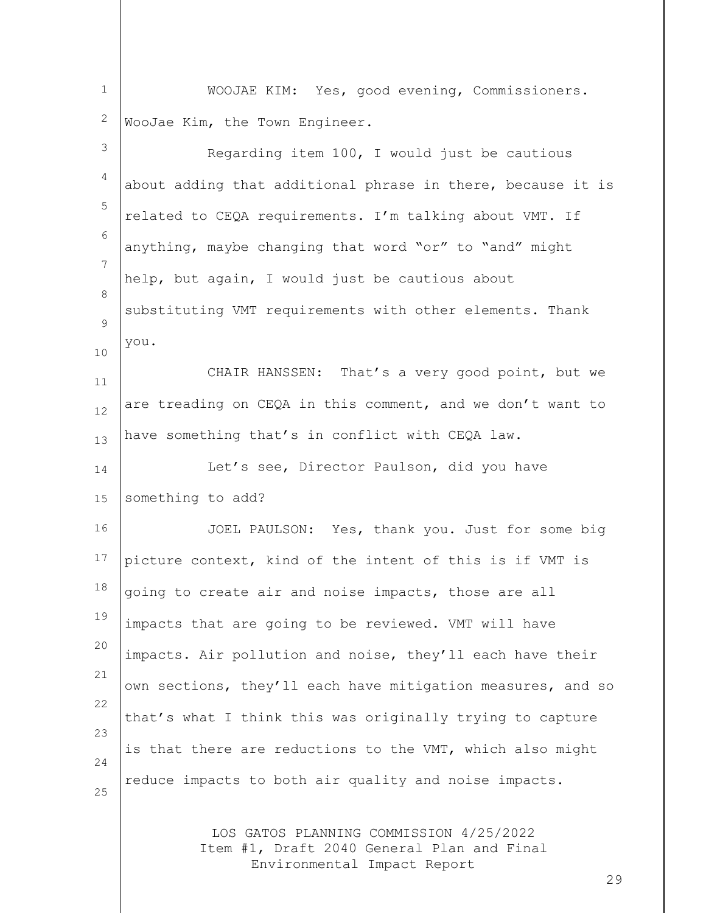1 2 WOOJAE KIM: Yes, good evening, Commissioners. WooJae Kim, the Town Engineer.

| 3        | Regarding item 100, I would just be cautious                                                                         |
|----------|----------------------------------------------------------------------------------------------------------------------|
| 4        | about adding that additional phrase in there, because it is                                                          |
| 5        | related to CEQA requirements. I'm talking about VMT. If                                                              |
| 6        | anything, maybe changing that word "or" to "and" might                                                               |
| 7<br>8   | help, but again, I would just be cautious about                                                                      |
| 9        | substituting VMT requirements with other elements. Thank                                                             |
| 10       | you.                                                                                                                 |
| 11       | CHAIR HANSSEN: That's a very good point, but we                                                                      |
| 12       | are treading on CEQA in this comment, and we don't want to                                                           |
| 13       | have something that's in conflict with CEQA law.                                                                     |
| 14       | Let's see, Director Paulson, did you have                                                                            |
| 15       | something to add?                                                                                                    |
| 16       | JOEL PAULSON: Yes, thank you. Just for some big                                                                      |
| 17       | picture context, kind of the intent of this is if VMT is                                                             |
| 18       | going to create air and noise impacts, those are all                                                                 |
| 19       | impacts that are going to be reviewed. VMT will have                                                                 |
| 20       | impacts. Air pollution and noise, they'll each have their                                                            |
| 21       | own sections, they'll each have mitigation measures, and so                                                          |
| 22<br>23 | that's what I think this was originally trying to capture                                                            |
| 24       | is that there are reductions to the VMT, which also might                                                            |
| 25       | reduce impacts to both air quality and noise impacts.                                                                |
|          | LOS GATOS PLANNING COMMISSION 4/25/2022<br>Item #1, Draft 2040 General Plan and Final<br>Environmental Impact Report |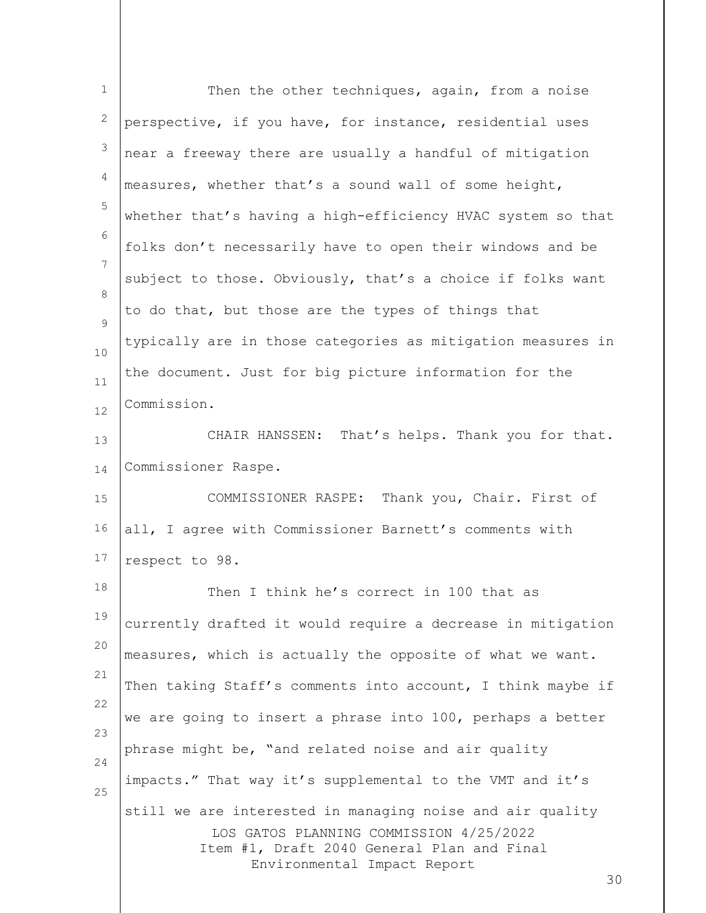| $\mathbf{1}$ | Then the other techniques, again, from a noise                                                                                                                                          |
|--------------|-----------------------------------------------------------------------------------------------------------------------------------------------------------------------------------------|
| 2            | perspective, if you have, for instance, residential uses                                                                                                                                |
| 3            | near a freeway there are usually a handful of mitigation                                                                                                                                |
| 4            | measures, whether that's a sound wall of some height,                                                                                                                                   |
| 5            | whether that's having a high-efficiency HVAC system so that                                                                                                                             |
| 6            | folks don't necessarily have to open their windows and be                                                                                                                               |
| 7<br>8       | subject to those. Obviously, that's a choice if folks want                                                                                                                              |
| 9            | to do that, but those are the types of things that                                                                                                                                      |
| 10           | typically are in those categories as mitigation measures in                                                                                                                             |
| 11           | the document. Just for big picture information for the                                                                                                                                  |
| 12           | Commission.                                                                                                                                                                             |
| 13           | CHAIR HANSSEN: That's helps. Thank you for that.                                                                                                                                        |
| 14           | Commissioner Raspe.                                                                                                                                                                     |
| 15           | COMMISSIONER RASPE: Thank you, Chair. First of                                                                                                                                          |
| 16           | all, I agree with Commissioner Barnett's comments with                                                                                                                                  |
| 17           | respect to 98.                                                                                                                                                                          |
| 18           | Then I think he's correct in 100 that as                                                                                                                                                |
| 19           | currently drafted it would require a decrease in mitigation                                                                                                                             |
| 20           | measures, which is actually the opposite of what we want.                                                                                                                               |
| 21<br>22     | Then taking Staff's comments into account, I think maybe if                                                                                                                             |
| 23           | we are going to insert a phrase into 100, perhaps a better                                                                                                                              |
| 24           | phrase might be, "and related noise and air quality                                                                                                                                     |
| 25           | impacts." That way it's supplemental to the VMT and it's                                                                                                                                |
|              | still we are interested in managing noise and air quality<br>LOS GATOS PLANNING COMMISSION 4/25/2022<br>Item #1, Draft 2040 General Plan and Final<br>Environmental Impact Report<br>30 |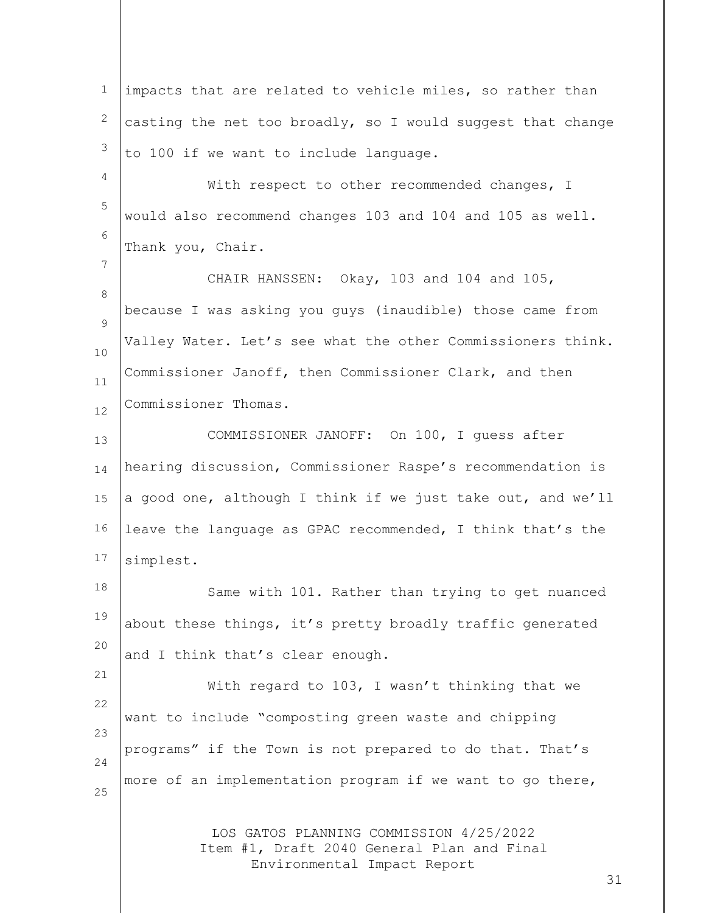LOS GATOS PLANNING COMMISSION 4/25/2022 Item #1, Draft 2040 General Plan and Final Environmental Impact Report 1 2 3 4 5 6 7 8  $\circ$ 10 11 12 13 14 15 16 17 18 19 20 21 22 23 24 25 impacts that are related to vehicle miles, so rather than casting the net too broadly, so I would suggest that change to 100 if we want to include language. With respect to other recommended changes, I would also recommend changes 103 and 104 and 105 as well. Thank you, Chair. CHAIR HANSSEN: Okay, 103 and 104 and 105, because I was asking you guys (inaudible) those came from Valley Water. Let's see what the other Commissioners think. Commissioner Janoff, then Commissioner Clark, and then Commissioner Thomas. COMMISSIONER JANOFF: On 100, I guess after hearing discussion, Commissioner Raspe's recommendation is a good one, although I think if we just take out, and we'll leave the language as GPAC recommended, I think that's the simplest. Same with 101. Rather than trying to get nuanced about these things, it's pretty broadly traffic generated and I think that's clear enough. With regard to 103, I wasn't thinking that we want to include "composting green waste and chipping programs" if the Town is not prepared to do that. That's more of an implementation program if we want to go there,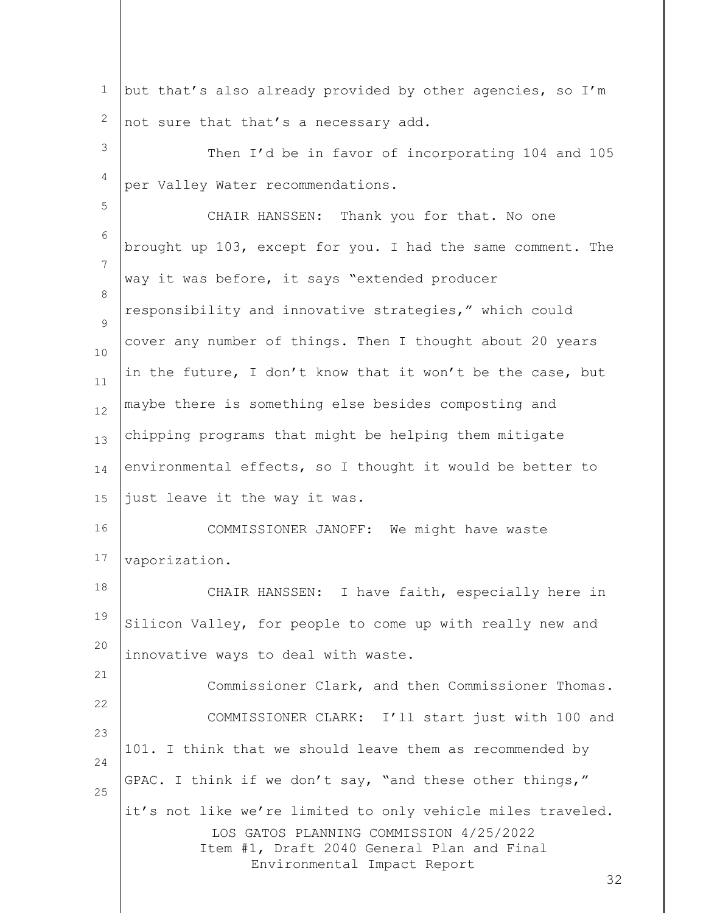LOS GATOS PLANNING COMMISSION 4/25/2022 Item #1, Draft 2040 General Plan and Final Environmental Impact Report 32 1 2 3 4 5 6 7 8  $\circ$ 10 11 12 13 14 15 16 17 18 19 20 21 22 23 24 25 but that's also already provided by other agencies, so I'm not sure that that's a necessary add. Then I'd be in favor of incorporating 104 and 105 per Valley Water recommendations. CHAIR HANSSEN: Thank you for that. No one brought up 103, except for you. I had the same comment. The way it was before, it says "extended producer responsibility and innovative strategies," which could cover any number of things. Then I thought about 20 years in the future, I don't know that it won't be the case, but maybe there is something else besides composting and chipping programs that might be helping them mitigate environmental effects, so I thought it would be better to just leave it the way it was. COMMISSIONER JANOFF: We might have waste vaporization. CHAIR HANSSEN: I have faith, especially here in Silicon Valley, for people to come up with really new and innovative ways to deal with waste. Commissioner Clark, and then Commissioner Thomas. COMMISSIONER CLARK: I'll start just with 100 and 101. I think that we should leave them as recommended by GPAC. I think if we don't say, "and these other things," it's not like we're limited to only vehicle miles traveled.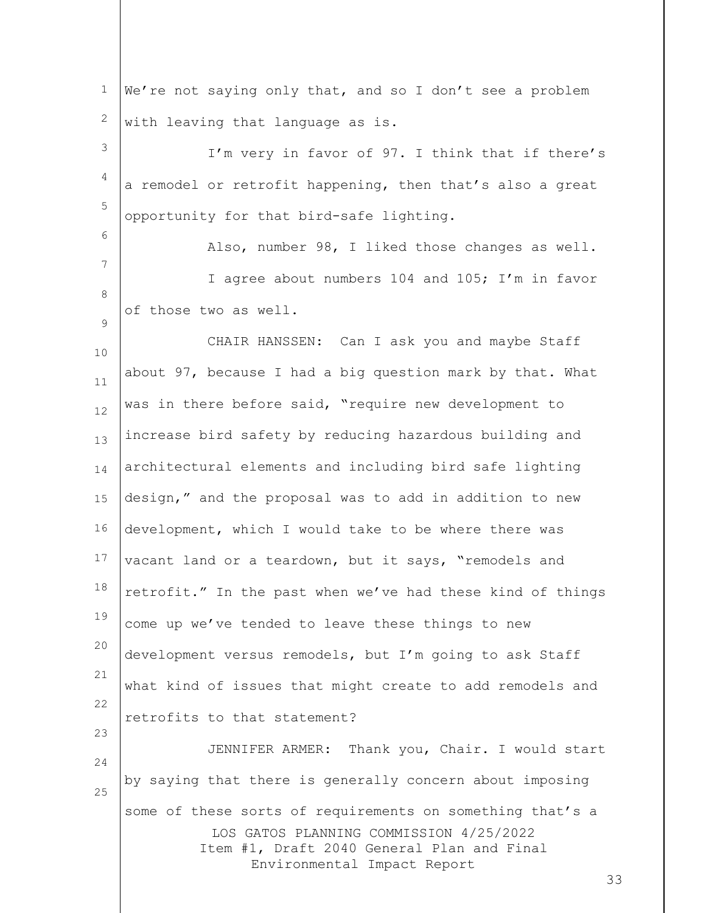| $\mathbf 1$ | We're not saying only that, and so I don't see a problem                                                                                                                                |
|-------------|-----------------------------------------------------------------------------------------------------------------------------------------------------------------------------------------|
| 2           | with leaving that language as is.                                                                                                                                                       |
| 3           | I'm very in favor of 97. I think that if there's                                                                                                                                        |
| 4           | a remodel or retrofit happening, then that's also a great                                                                                                                               |
| 5           | opportunity for that bird-safe lighting.                                                                                                                                                |
| 6           | Also, number 98, I liked those changes as well.                                                                                                                                         |
| 7           | I agree about numbers 104 and 105; I'm in favor                                                                                                                                         |
| 8<br>9      | of those two as well.                                                                                                                                                                   |
| 10          | CHAIR HANSSEN: Can I ask you and maybe Staff                                                                                                                                            |
| 11          | about 97, because I had a big question mark by that. What                                                                                                                               |
| 12          | was in there before said, "require new development to                                                                                                                                   |
| 13          | increase bird safety by reducing hazardous building and                                                                                                                                 |
| 14          | architectural elements and including bird safe lighting                                                                                                                                 |
| 15          | design," and the proposal was to add in addition to new                                                                                                                                 |
| 16          | development, which I would take to be where there was                                                                                                                                   |
| 17          | vacant land or a teardown, but it says, "remodels and                                                                                                                                   |
| 18          | retrofit." In the past when we've had these kind of things                                                                                                                              |
| 19          | come up we've tended to leave these things to new                                                                                                                                       |
| 20          | development versus remodels, but I'm going to ask Staff                                                                                                                                 |
| 21          | what kind of issues that might create to add remodels and                                                                                                                               |
| 22<br>23    | retrofits to that statement?                                                                                                                                                            |
| 24          | JENNIFER ARMER: Thank you, Chair. I would start                                                                                                                                         |
| 25          | by saying that there is generally concern about imposing                                                                                                                                |
|             | some of these sorts of requirements on something that's a<br>LOS GATOS PLANNING COMMISSION 4/25/2022<br>Item #1, Draft 2040 General Plan and Final<br>Environmental Impact Report<br>33 |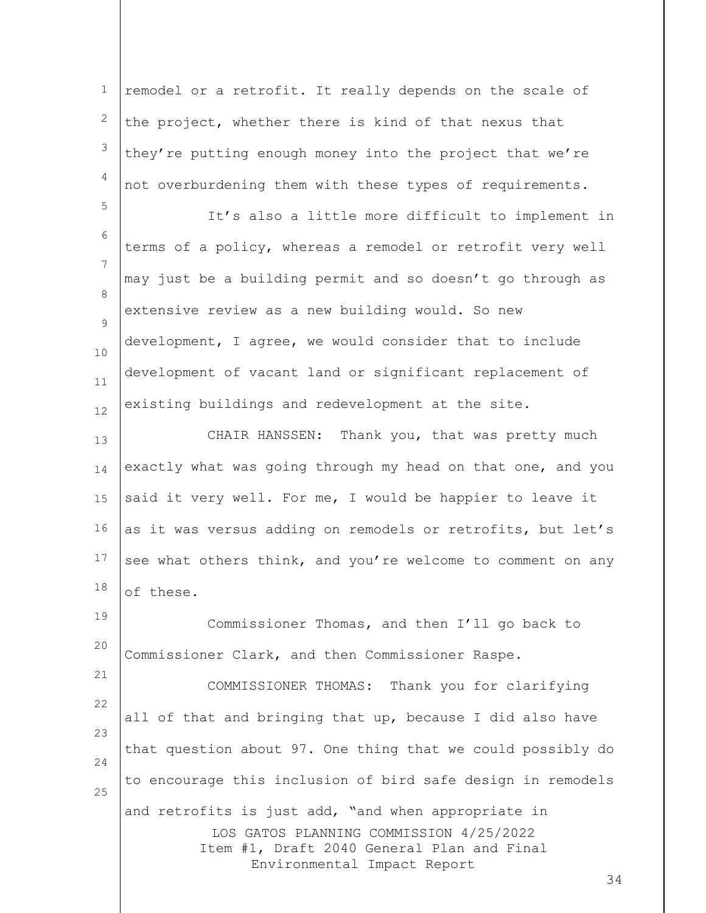LOS GATOS PLANNING COMMISSION 4/25/2022 Item #1, Draft 2040 General Plan and Final Environmental Impact Report 1 2 3 4 5 6 7 8  $\circ$ 10 11 12 13 14 15 16 17 18 19 20 21 22 23 24 25 remodel or a retrofit. It really depends on the scale of the project, whether there is kind of that nexus that they're putting enough money into the project that we're not overburdening them with these types of requirements. It's also a little more difficult to implement in terms of a policy, whereas a remodel or retrofit very well may just be a building permit and so doesn't go through as extensive review as a new building would. So new development, I agree, we would consider that to include development of vacant land or significant replacement of existing buildings and redevelopment at the site. CHAIR HANSSEN: Thank you, that was pretty much exactly what was going through my head on that one, and you said it very well. For me, I would be happier to leave it as it was versus adding on remodels or retrofits, but let's see what others think, and you're welcome to comment on any of these. Commissioner Thomas, and then I'll go back to Commissioner Clark, and then Commissioner Raspe. COMMISSIONER THOMAS: Thank you for clarifying all of that and bringing that up, because I did also have that question about 97. One thing that we could possibly do to encourage this inclusion of bird safe design in remodels and retrofits is just add, "and when appropriate in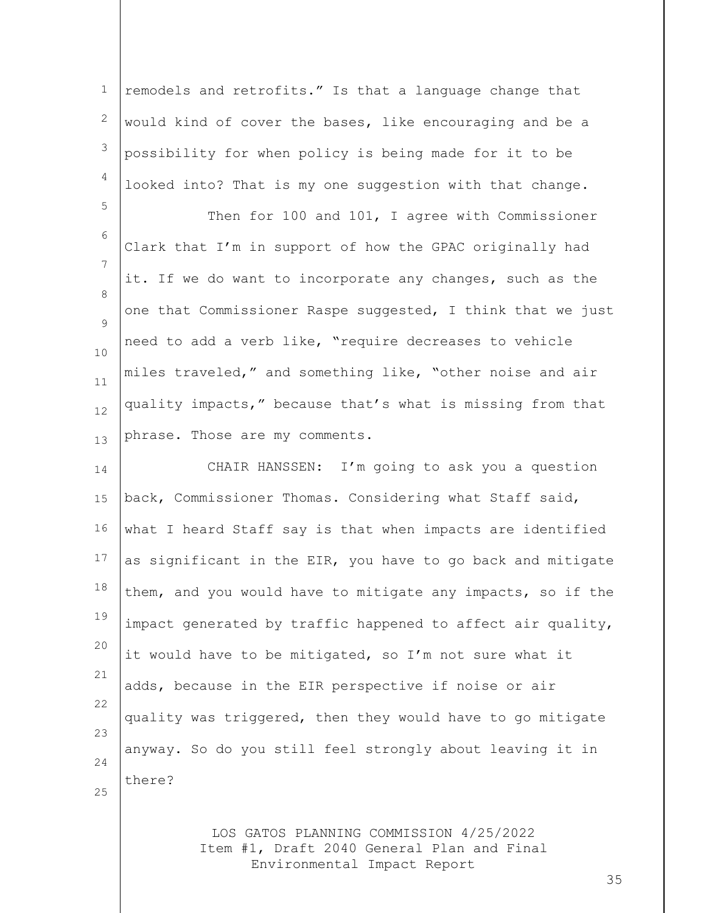1 2 3 4 remodels and retrofits." Is that a language change that would kind of cover the bases, like encouraging and be a possibility for when policy is being made for it to be looked into? That is my one suggestion with that change.

5 6 7 8  $\circ$ 10 11 12 13 Then for 100 and 101, I agree with Commissioner Clark that I'm in support of how the GPAC originally had it. If we do want to incorporate any changes, such as the one that Commissioner Raspe suggested, I think that we just need to add a verb like, "require decreases to vehicle miles traveled," and something like, "other noise and air quality impacts," because that's what is missing from that phrase. Those are my comments.

14 15 16 17 18 19 20 21 22 23 24 CHAIR HANSSEN: I'm going to ask you a question back, Commissioner Thomas. Considering what Staff said, what I heard Staff say is that when impacts are identified as significant in the EIR, you have to go back and mitigate them, and you would have to mitigate any impacts, so if the impact generated by traffic happened to affect air quality, it would have to be mitigated, so I'm not sure what it adds, because in the EIR perspective if noise or air quality was triggered, then they would have to go mitigate anyway. So do you still feel strongly about leaving it in there?

25

LOS GATOS PLANNING COMMISSION 4/25/2022 Item #1, Draft 2040 General Plan and Final Environmental Impact Report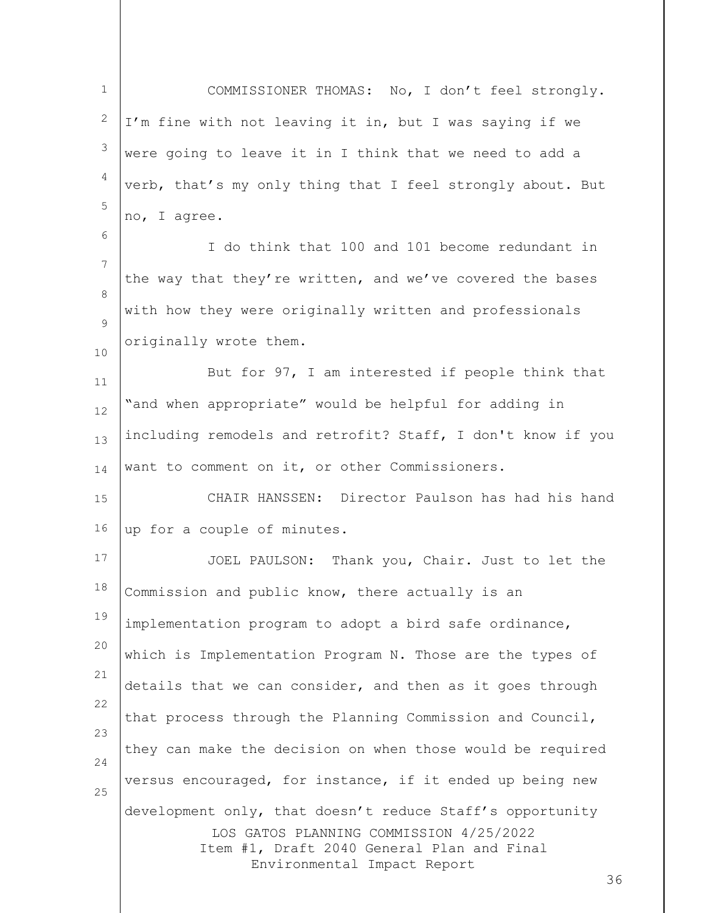1 2 3 4 5 COMMISSIONER THOMAS: No, I don't feel strongly. I'm fine with not leaving it in, but I was saying if we were going to leave it in I think that we need to add a verb, that's my only thing that I feel strongly about. But no, I agree.

7 8  $\circ$ I do think that 100 and 101 become redundant in the way that they're written, and we've covered the bases with how they were originally written and professionals originally wrote them.

6

10

11 12 13 14 But for 97, I am interested if people think that "and when appropriate" would be helpful for adding in including remodels and retrofit? Staff, I don't know if you want to comment on it, or other Commissioners.

15 16 CHAIR HANSSEN: Director Paulson has had his hand up for a couple of minutes.

LOS GATOS PLANNING COMMISSION 4/25/2022 Item #1, Draft 2040 General Plan and Final Environmental Impact Report 17 18 19 20 21 22 23 24 25 JOEL PAULSON: Thank you, Chair. Just to let the Commission and public know, there actually is an implementation program to adopt a bird safe ordinance, which is Implementation Program N. Those are the types of details that we can consider, and then as it goes through that process through the Planning Commission and Council, they can make the decision on when those would be required versus encouraged, for instance, if it ended up being new development only, that doesn't reduce Staff's opportunity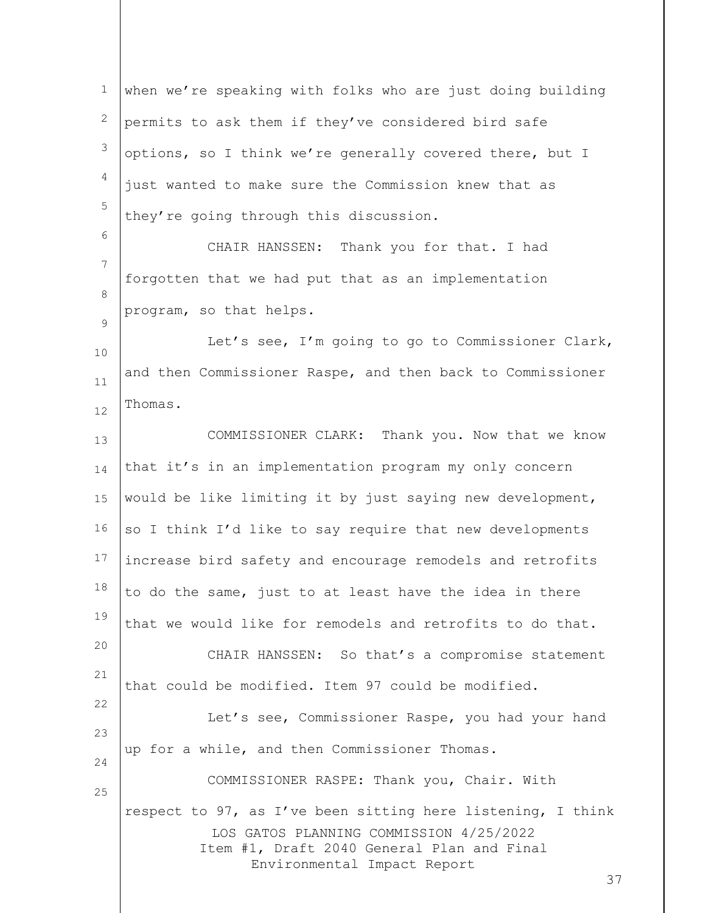LOS GATOS PLANNING COMMISSION 4/25/2022 Item #1, Draft 2040 General Plan and Final Environmental Impact Report 37 1 2 3 4 5 6 7 8  $\circ$ 10 11 12 13 14 15 16 17 18 19 20 21 22 23 24 25 when we're speaking with folks who are just doing building permits to ask them if they've considered bird safe options, so I think we're generally covered there, but I just wanted to make sure the Commission knew that as they're going through this discussion. CHAIR HANSSEN: Thank you for that. I had forgotten that we had put that as an implementation program, so that helps. Let's see, I'm going to go to Commissioner Clark, and then Commissioner Raspe, and then back to Commissioner Thomas. COMMISSIONER CLARK: Thank you. Now that we know that it's in an implementation program my only concern would be like limiting it by just saying new development, so I think I'd like to say require that new developments increase bird safety and encourage remodels and retrofits to do the same, just to at least have the idea in there that we would like for remodels and retrofits to do that. CHAIR HANSSEN: So that's a compromise statement that could be modified. Item 97 could be modified. Let's see, Commissioner Raspe, you had your hand up for a while, and then Commissioner Thomas. COMMISSIONER RASPE: Thank you, Chair. With respect to 97, as I've been sitting here listening, I think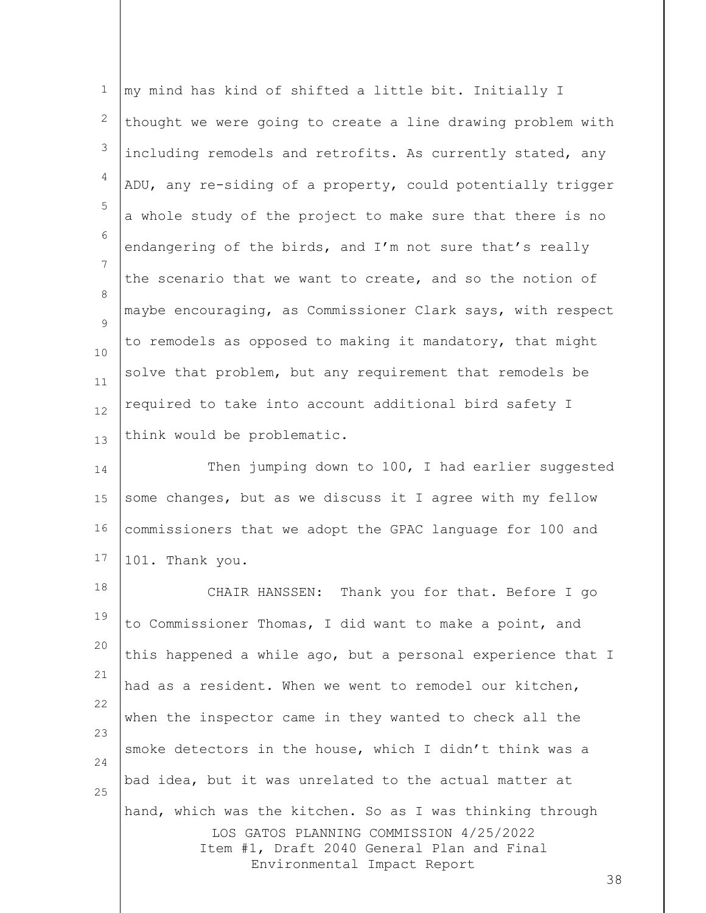1 2 3 4 5 6 7 8  $\circ$ 10 11 12 13 my mind has kind of shifted a little bit. Initially I thought we were going to create a line drawing problem with including remodels and retrofits. As currently stated, any ADU, any re-siding of a property, could potentially trigger a whole study of the project to make sure that there is no endangering of the birds, and I'm not sure that's really the scenario that we want to create, and so the notion of maybe encouraging, as Commissioner Clark says, with respect to remodels as opposed to making it mandatory, that might solve that problem, but any requirement that remodels be required to take into account additional bird safety I think would be problematic.

14 15 16 17 Then jumping down to 100, I had earlier suggested some changes, but as we discuss it I agree with my fellow commissioners that we adopt the GPAC language for 100 and 101. Thank you.

LOS GATOS PLANNING COMMISSION 4/25/2022 Item #1, Draft 2040 General Plan and Final Environmental Impact Report 18 19 20 21 22 23 24 25 CHAIR HANSSEN: Thank you for that. Before I go to Commissioner Thomas, I did want to make a point, and this happened a while ago, but a personal experience that I had as a resident. When we went to remodel our kitchen, when the inspector came in they wanted to check all the smoke detectors in the house, which I didn't think was a bad idea, but it was unrelated to the actual matter at hand, which was the kitchen. So as I was thinking through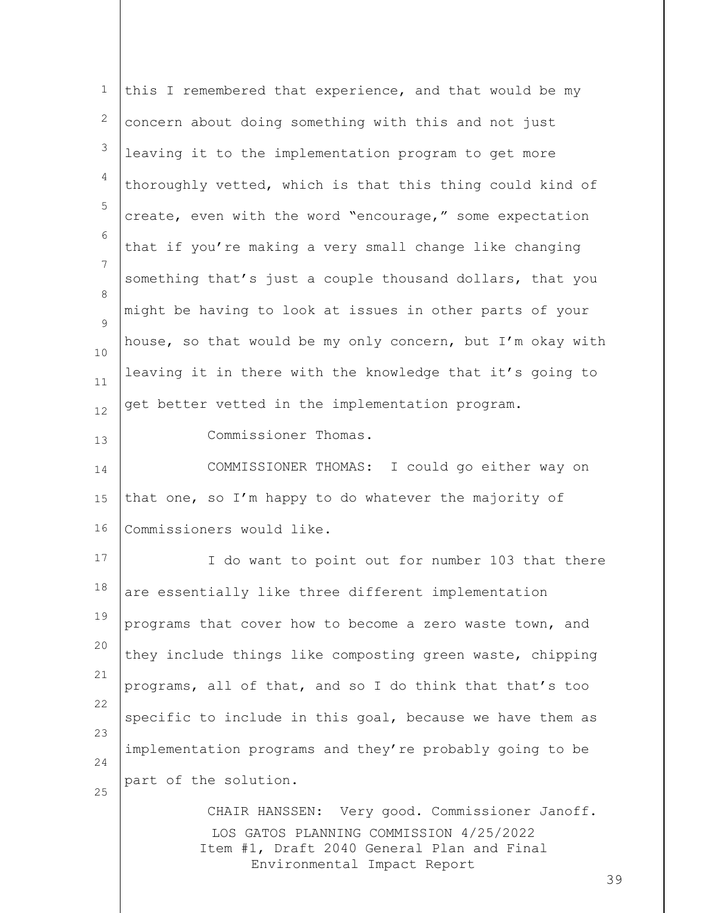| 1            | this I remembered that experience, and that would be my                                                                                                                |    |
|--------------|------------------------------------------------------------------------------------------------------------------------------------------------------------------------|----|
| $\mathbf{2}$ | concern about doing something with this and not just                                                                                                                   |    |
| 3            | leaving it to the implementation program to get more                                                                                                                   |    |
| 4            | thoroughly vetted, which is that this thing could kind of                                                                                                              |    |
| 5            | create, even with the word "encourage," some expectation                                                                                                               |    |
| 6            | that if you're making a very small change like changing                                                                                                                |    |
| 7            | something that's just a couple thousand dollars, that you                                                                                                              |    |
| 8<br>9       | might be having to look at issues in other parts of your                                                                                                               |    |
| 10           | house, so that would be my only concern, but I'm okay with                                                                                                             |    |
| 11           | leaving it in there with the knowledge that it's going to                                                                                                              |    |
| 12           | get better vetted in the implementation program.                                                                                                                       |    |
| 13           | Commissioner Thomas.                                                                                                                                                   |    |
| 14           | COMMISSIONER THOMAS: I could go either way on                                                                                                                          |    |
| 15           | that one, so I'm happy to do whatever the majority of                                                                                                                  |    |
| 16           | Commissioners would like.                                                                                                                                              |    |
| 17           | I do want to point out for number 103 that there                                                                                                                       |    |
| 18           | are essentially like three different implementation                                                                                                                    |    |
| 19           | programs that cover how to become a zero waste town, and                                                                                                               |    |
| 20           | they include things like composting green waste, chipping                                                                                                              |    |
| 21<br>22     | programs, all of that, and so I do think that that's too                                                                                                               |    |
| 23           | specific to include in this goal, because we have them as                                                                                                              |    |
| 24           | implementation programs and they're probably going to be                                                                                                               |    |
| 25           | part of the solution.                                                                                                                                                  |    |
|              | CHAIR HANSSEN: Very good. Commissioner Janoff.<br>LOS GATOS PLANNING COMMISSION 4/25/2022<br>Item #1, Draft 2040 General Plan and Final<br>Environmental Impact Report | 39 |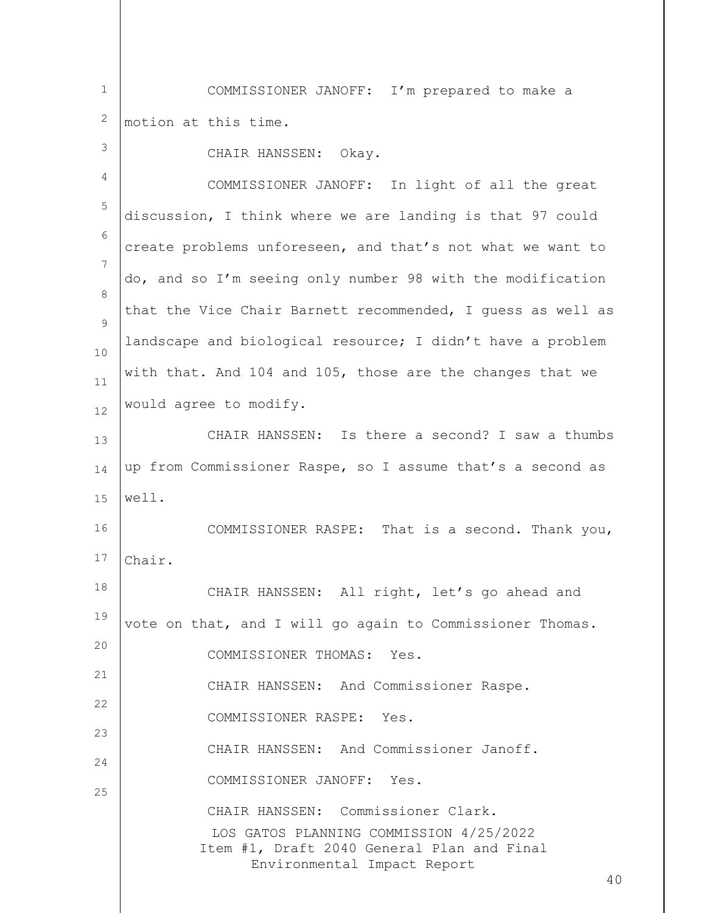1 2 COMMISSIONER JANOFF: I'm prepared to make a motion at this time.

| $\mathcal{S}$ | CHAIR HANSSEN: Okay.                                                                                                                                             |  |
|---------------|------------------------------------------------------------------------------------------------------------------------------------------------------------------|--|
| 4             | COMMISSIONER JANOFF: In light of all the great                                                                                                                   |  |
| 5             | discussion, I think where we are landing is that 97 could                                                                                                        |  |
| 6             | create problems unforeseen, and that's not what we want to                                                                                                       |  |
| 7             | do, and so I'm seeing only number 98 with the modification                                                                                                       |  |
| 8<br>9        | that the Vice Chair Barnett recommended, I quess as well as                                                                                                      |  |
| 10            | landscape and biological resource; I didn't have a problem                                                                                                       |  |
| $11\,$        | with that. And 104 and 105, those are the changes that we                                                                                                        |  |
| 12            | would agree to modify.                                                                                                                                           |  |
| 13            | CHAIR HANSSEN: Is there a second? I saw a thumbs                                                                                                                 |  |
| 14            | up from Commissioner Raspe, so I assume that's a second as                                                                                                       |  |
| 15            | well.                                                                                                                                                            |  |
| 16            | COMMISSIONER RASPE: That is a second. Thank you,                                                                                                                 |  |
| 17            | Chair.                                                                                                                                                           |  |
| 18            | CHAIR HANSSEN: All right, let's go ahead and                                                                                                                     |  |
| 19            | vote on that, and I will go again to Commissioner Thomas.                                                                                                        |  |
| 20            | COMMISSIONER THOMAS:<br>Yes.                                                                                                                                     |  |
| 21<br>22      | CHAIR HANSSEN: And Commissioner Raspe.                                                                                                                           |  |
| 23            | COMMISSIONER RASPE: Yes.                                                                                                                                         |  |
| 24            | CHAIR HANSSEN: And Commissioner Janoff.                                                                                                                          |  |
| 25            | COMMISSIONER JANOFF: Yes.                                                                                                                                        |  |
|               | CHAIR HANSSEN: Commissioner Clark.<br>LOS GATOS PLANNING COMMISSION 4/25/2022<br>Item #1, Draft 2040 General Plan and Final<br>Environmental Impact Report<br>40 |  |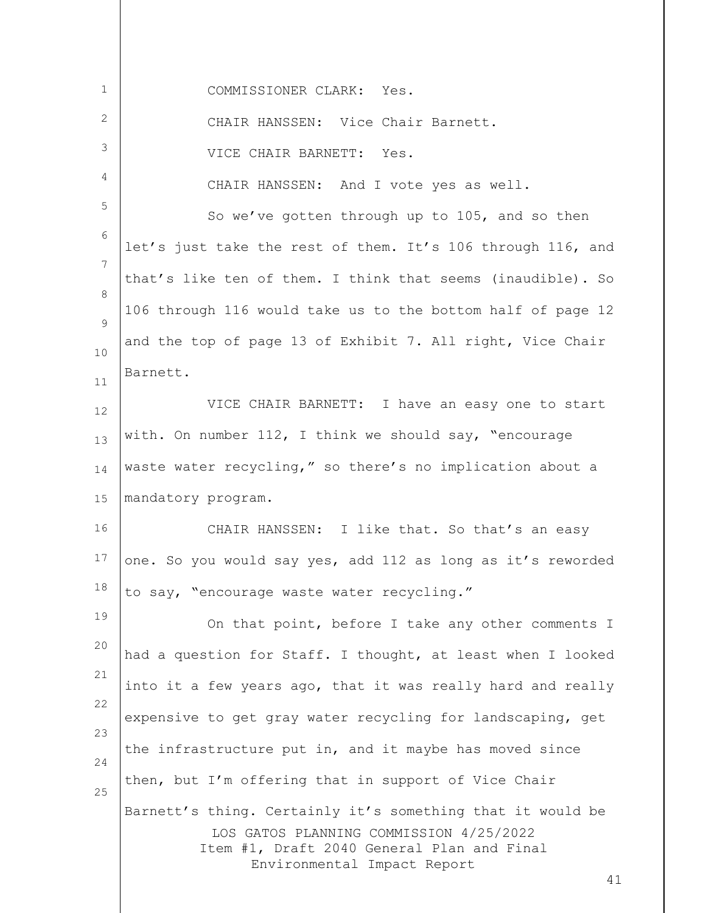| $\mathbf 1$ | COMMISSIONER CLARK: Yes.                                                        |
|-------------|---------------------------------------------------------------------------------|
| 2           | CHAIR HANSSEN: Vice Chair Barnett.                                              |
| 3           | VICE CHAIR BARNETT: Yes.                                                        |
| 4           | CHAIR HANSSEN: And I vote yes as well.                                          |
| 5           | So we've gotten through up to 105, and so then                                  |
| 6           | let's just take the rest of them. It's 106 through 116, and                     |
| 7           | that's like ten of them. I think that seems (inaudible). So                     |
| 8           | 106 through 116 would take us to the bottom half of page 12                     |
| 9           | and the top of page 13 of Exhibit 7. All right, Vice Chair                      |
| 10          | Barnett.                                                                        |
| 11<br>12    | VICE CHAIR BARNETT: I have an easy one to start                                 |
| 13          | with. On number 112, I think we should say, "encourage                          |
| 14          | waste water recycling," so there's no implication about a                       |
| 15          | mandatory program.                                                              |
| 16          | CHAIR HANSSEN: I like that. So that's an easy                                   |
| 17          | one. So you would say yes, add 112 as long as it's reworded                     |
| 18          | to say, "encourage waste water recycling."                                      |
| 19          | On that point, before I take any other comments I                               |
| 20          | had a question for Staff. I thought, at least when I looked                     |
| 21          | into it a few years ago, that it was really hard and really                     |
| 22          | expensive to get gray water recycling for landscaping, get                      |
| 23          | the infrastructure put in, and it maybe has moved since                         |
| 24          | then, but I'm offering that in support of Vice Chair                            |
| 25          | Barnett's thing. Certainly it's something that it would be                      |
|             | LOS GATOS PLANNING COMMISSION 4/25/2022                                         |
|             | Item #1, Draft 2040 General Plan and Final<br>Environmental Impact Report<br>41 |
|             |                                                                                 |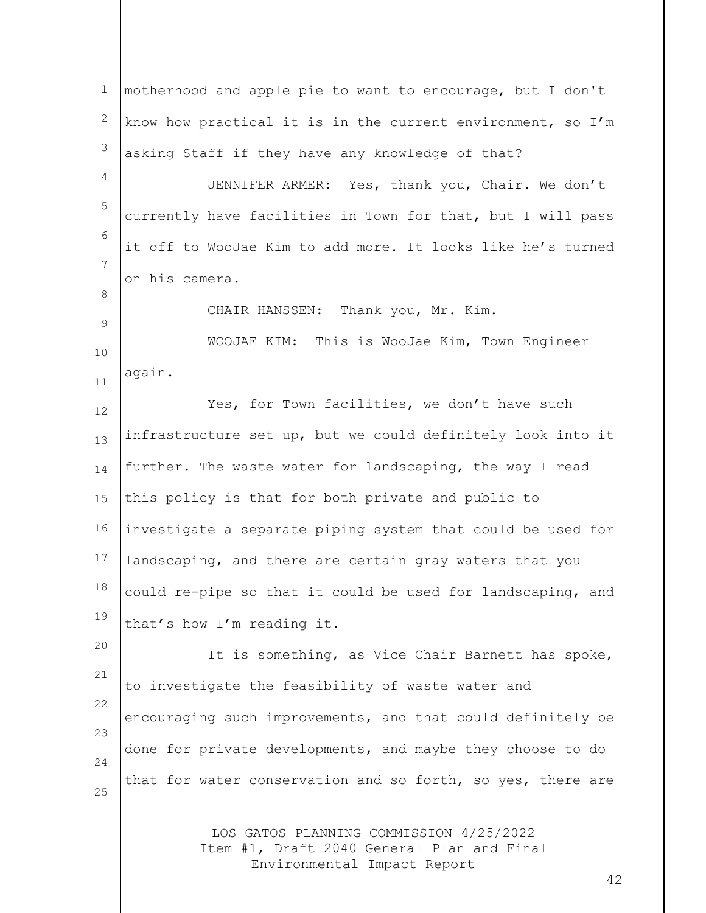LOS GATOS PLANNING COMMISSION 4/25/2022 Item #1, Draft 2040 General Plan and Final Environmental Impact Report 1 2 3 4 5 6 7 8 9 10 11 12 13 14 15 16 17 18 19 20 21 22 23 24 25 motherhood and apple pie to want to encourage, but I don't know how practical it is in the current environment, so I'm asking Staff if they have any knowledge of that? JENNIFER ARMER: Yes, thank you, Chair. We don't currently have facilities in Town for that, but I will pass it off to WooJae Kim to add more. It looks like he's turned on his camera. CHAIR HANSSEN: Thank you, Mr. Kim. WOOJAE KIM: This is WooJae Kim, Town Engineer again. Yes, for Town facilities, we don't have such infrastructure set up, but we could definitely look into it further. The waste water for landscaping, the way I read this policy is that for both private and public to investigate a separate piping system that could be used for landscaping, and there are certain gray waters that you could re-pipe so that it could be used for landscaping, and that's how I'm reading it. It is something, as Vice Chair Barnett has spoke, to investigate the feasibility of waste water and encouraging such improvements, and that could definitely be done for private developments, and maybe they choose to do that for water conservation and so forth, so yes, there are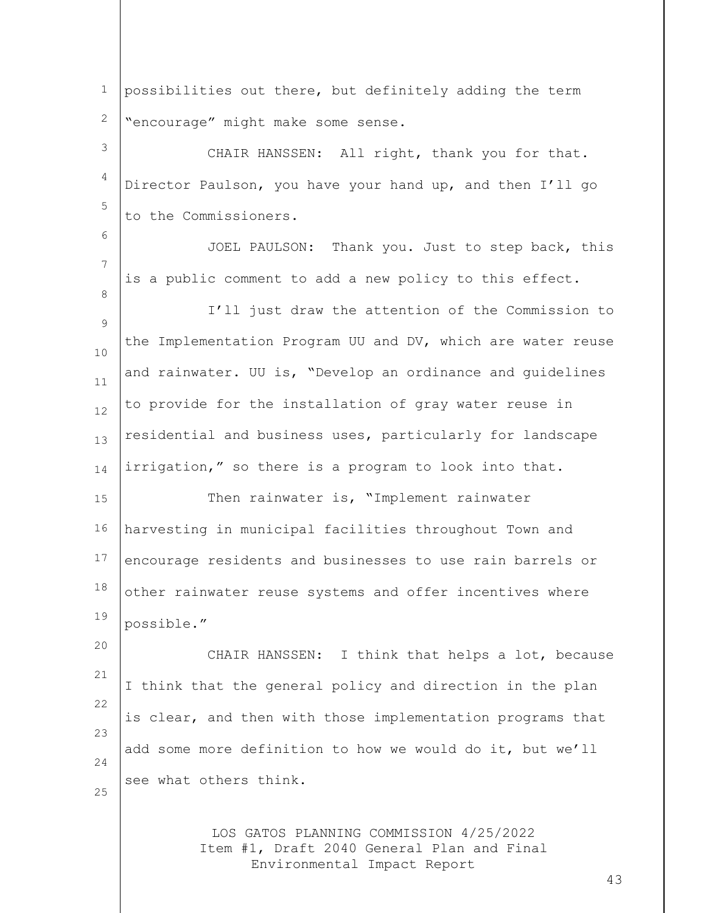1 2 possibilities out there, but definitely adding the term "encourage" might make some sense.

3 4 5 CHAIR HANSSEN: All right, thank you for that. Director Paulson, you have your hand up, and then I'll go to the Commissioners.

6

8

20

7 JOEL PAULSON: Thank you. Just to step back, this is a public comment to add a new policy to this effect.

9 10 11 12 13 14 I'll just draw the attention of the Commission to the Implementation Program UU and DV, which are water reuse and rainwater. UU is, "Develop an ordinance and guidelines to provide for the installation of gray water reuse in residential and business uses, particularly for landscape irrigation," so there is a program to look into that.

15 16 17 18 19 Then rainwater is, "Implement rainwater harvesting in municipal facilities throughout Town and encourage residents and businesses to use rain barrels or other rainwater reuse systems and offer incentives where possible."

21 22 23 24 25 CHAIR HANSSEN: I think that helps a lot, because I think that the general policy and direction in the plan is clear, and then with those implementation programs that add some more definition to how we would do it, but we'll see what others think.

> LOS GATOS PLANNING COMMISSION 4/25/2022 Item #1, Draft 2040 General Plan and Final Environmental Impact Report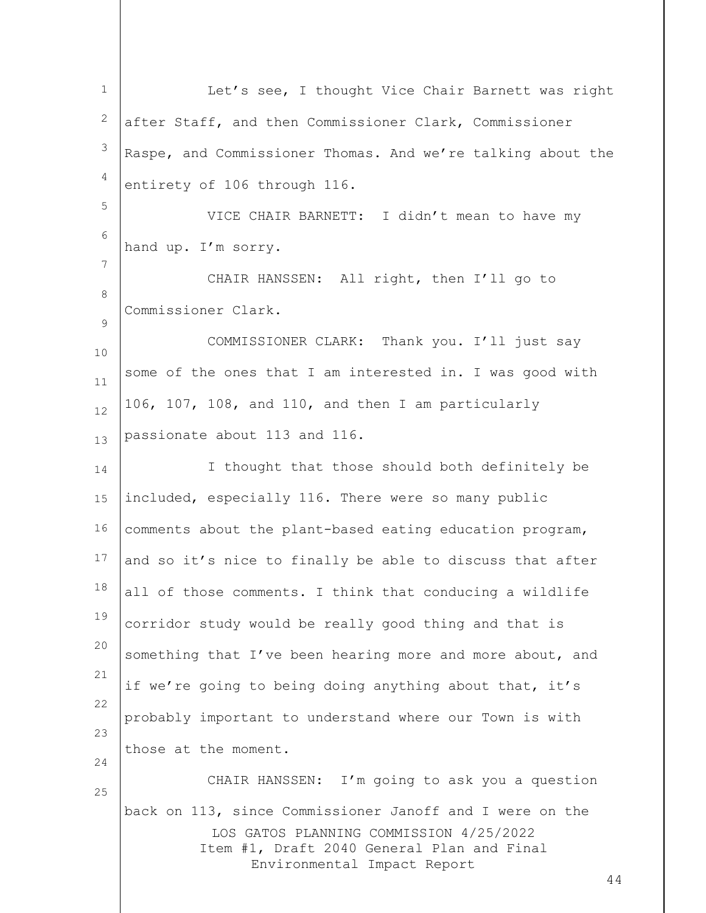LOS GATOS PLANNING COMMISSION 4/25/2022 Item #1, Draft 2040 General Plan and Final Environmental Impact Report 44 1 2 3 4 5 6 7 8  $\circ$ 10 11 12 13 14 15 16 17 18 19 20 21 22 23 24 25 Let's see, I thought Vice Chair Barnett was right after Staff, and then Commissioner Clark, Commissioner Raspe, and Commissioner Thomas. And we're talking about the entirety of 106 through 116. VICE CHAIR BARNETT: I didn't mean to have my hand up. I'm sorry. CHAIR HANSSEN: All right, then I'll go to Commissioner Clark. COMMISSIONER CLARK: Thank you. I'll just say some of the ones that I am interested in. I was good with 106, 107, 108, and 110, and then I am particularly passionate about 113 and 116. I thought that those should both definitely be included, especially 116. There were so many public comments about the plant-based eating education program, and so it's nice to finally be able to discuss that after all of those comments. I think that conducing a wildlife corridor study would be really good thing and that is something that I've been hearing more and more about, and if we're going to being doing anything about that, it's probably important to understand where our Town is with those at the moment. CHAIR HANSSEN: I'm going to ask you a question back on 113, since Commissioner Janoff and I were on the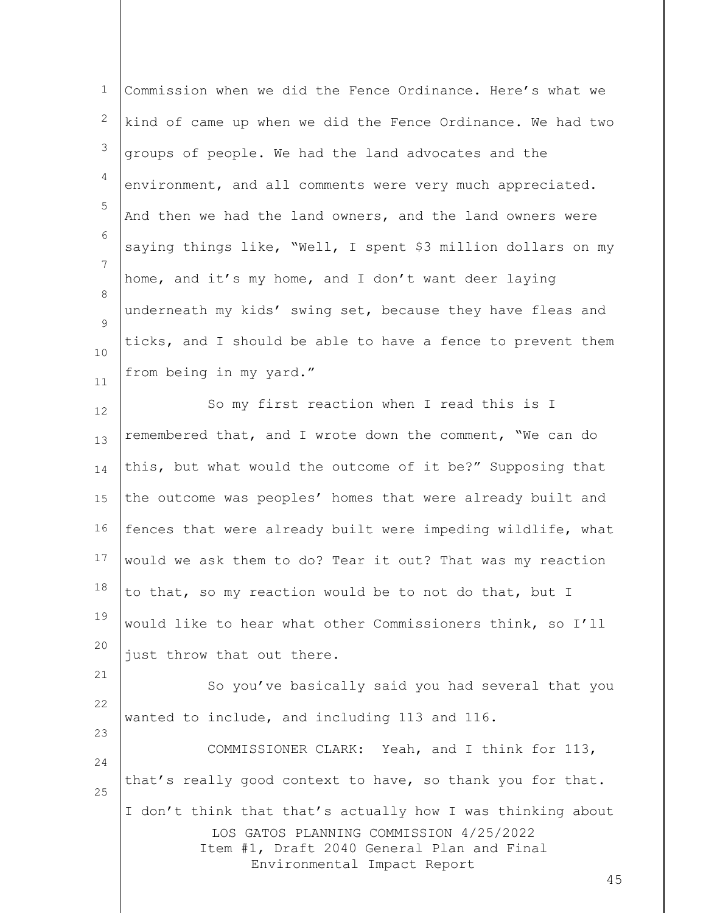| $\mathbf 1$  | Commission when we did the Fence Ordinance. Here's what we                                                                                                                          |
|--------------|-------------------------------------------------------------------------------------------------------------------------------------------------------------------------------------|
| $\mathbf{2}$ | kind of came up when we did the Fence Ordinance. We had two                                                                                                                         |
| $\mathsf 3$  | groups of people. We had the land advocates and the                                                                                                                                 |
| 4            | environment, and all comments were very much appreciated.                                                                                                                           |
| 5            | And then we had the land owners, and the land owners were                                                                                                                           |
| 6            | saying things like, "Well, I spent \$3 million dollars on my                                                                                                                        |
| 7            | home, and it's my home, and I don't want deer laying                                                                                                                                |
| 8            | underneath my kids' swing set, because they have fleas and                                                                                                                          |
| 9            | ticks, and I should be able to have a fence to prevent them                                                                                                                         |
| 10<br>11     | from being in my yard."                                                                                                                                                             |
| 12           | So my first reaction when I read this is I                                                                                                                                          |
| 13           | remembered that, and I wrote down the comment, "We can do                                                                                                                           |
| 14           | this, but what would the outcome of it be?" Supposing that                                                                                                                          |
| 15           | the outcome was peoples' homes that were already built and                                                                                                                          |
| 16           | fences that were already built were impeding wildlife, what                                                                                                                         |
| 17           | would we ask them to do? Tear it out? That was my reaction                                                                                                                          |
| 18           | to that, so my reaction would be to not do that, but I                                                                                                                              |
| 19           | would like to hear what other Commissioners think, so I'll                                                                                                                          |
| 20           | just throw that out there.                                                                                                                                                          |
| 21           | So you've basically said you had several that you                                                                                                                                   |
| 22           | wanted to include, and including 113 and 116.                                                                                                                                       |
| 23           | COMMISSIONER CLARK: Yeah, and I think for 113,                                                                                                                                      |
| 24           | that's really good context to have, so thank you for that.                                                                                                                          |
| 25           | I don't think that that's actually how I was thinking about<br>LOS GATOS PLANNING COMMISSION 4/25/2022<br>Item #1, Draft 2040 General Plan and Final<br>Environmental Impact Report |
|              | 45                                                                                                                                                                                  |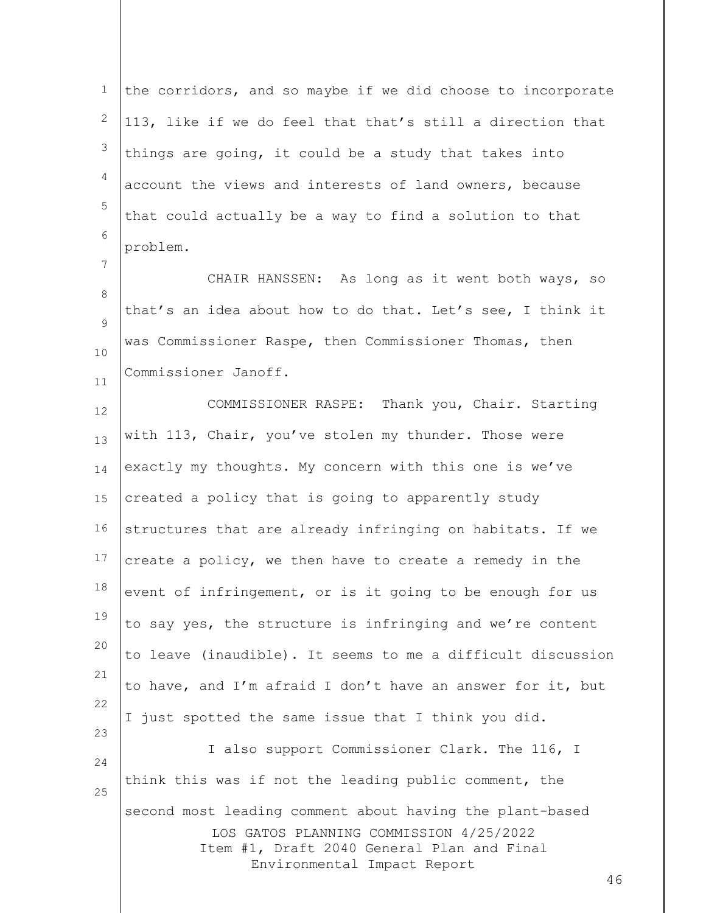1 2 3 4 5 6 the corridors, and so maybe if we did choose to incorporate 113, like if we do feel that that's still a direction that things are going, it could be a study that takes into account the views and interests of land owners, because that could actually be a way to find a solution to that problem.

8  $\circ$ 10 11 CHAIR HANSSEN: As long as it went both ways, so that's an idea about how to do that. Let's see, I think it was Commissioner Raspe, then Commissioner Thomas, then Commissioner Janoff.

7

LOS GATOS PLANNING COMMISSION 4/25/2022 Item #1, Draft 2040 General Plan and Final 12 13 14 15 16 17 18 19 20 21 22 23 24 25 COMMISSIONER RASPE: Thank you, Chair. Starting with 113, Chair, you've stolen my thunder. Those were exactly my thoughts. My concern with this one is we've created a policy that is going to apparently study structures that are already infringing on habitats. If we create a policy, we then have to create a remedy in the event of infringement, or is it going to be enough for us to say yes, the structure is infringing and we're content to leave (inaudible). It seems to me a difficult discussion to have, and I'm afraid I don't have an answer for it, but I just spotted the same issue that I think you did. I also support Commissioner Clark. The 116, I think this was if not the leading public comment, the second most leading comment about having the plant-based

Environmental Impact Report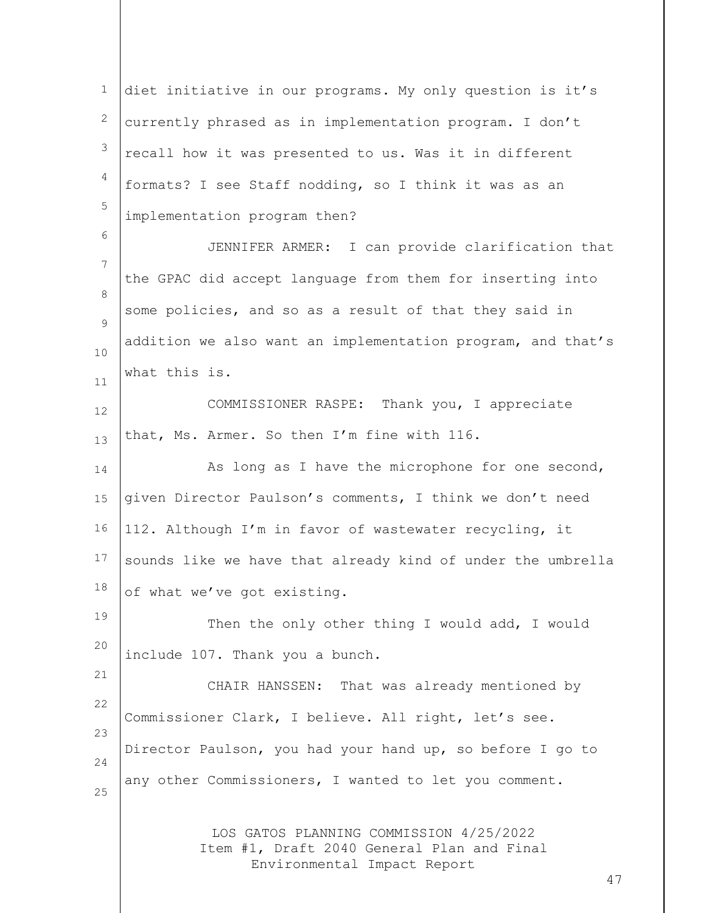LOS GATOS PLANNING COMMISSION 4/25/2022 Item #1, Draft 2040 General Plan and Final Environmental Impact Report 1 2 3 4 5 6 7 8  $\circ$ 10 11 12 13 14 15 16 17 18 19 20 21 22 23 24 25 diet initiative in our programs. My only question is it's currently phrased as in implementation program. I don't recall how it was presented to us. Was it in different formats? I see Staff nodding, so I think it was as an implementation program then? JENNIFER ARMER: I can provide clarification that the GPAC did accept language from them for inserting into some policies, and so as a result of that they said in addition we also want an implementation program, and that's what this is. COMMISSIONER RASPE: Thank you, I appreciate that, Ms. Armer. So then I'm fine with 116. As long as I have the microphone for one second, given Director Paulson's comments, I think we don't need 112. Although I'm in favor of wastewater recycling, it sounds like we have that already kind of under the umbrella of what we've got existing. Then the only other thing I would add, I would include 107. Thank you a bunch. CHAIR HANSSEN: That was already mentioned by Commissioner Clark, I believe. All right, let's see. Director Paulson, you had your hand up, so before I go to any other Commissioners, I wanted to let you comment.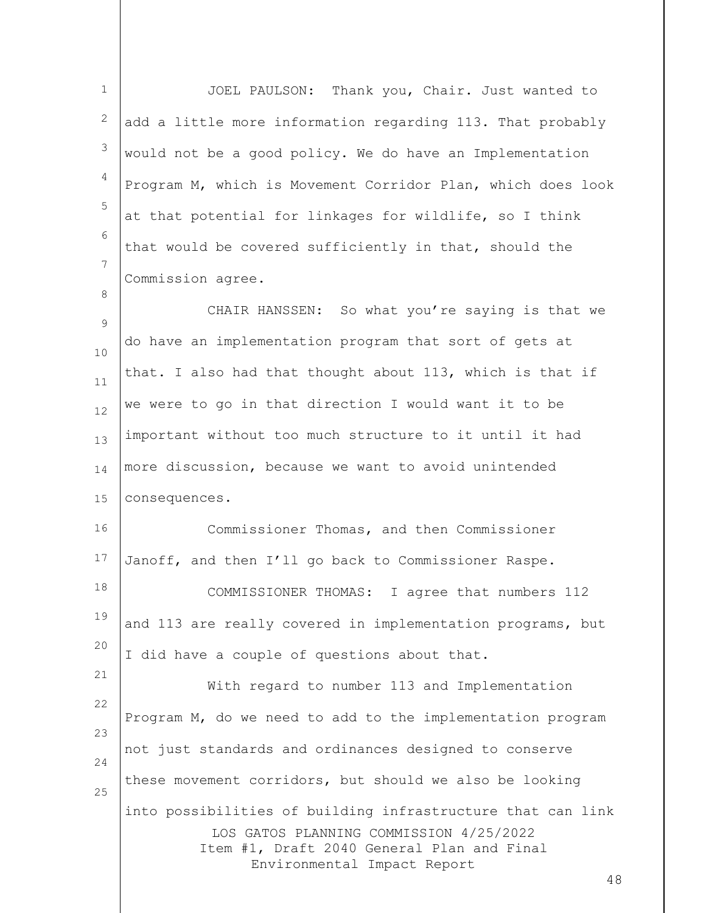| $\mathbf 1$      | JOEL PAULSON: Thank you, Chair. Just wanted to                                        |
|------------------|---------------------------------------------------------------------------------------|
| 2                | add a little more information regarding 113. That probably                            |
| 3                | would not be a good policy. We do have an Implementation                              |
| 4                | Program M, which is Movement Corridor Plan, which does look                           |
| 5                | at that potential for linkages for wildlife, so I think                               |
| 6                | that would be covered sufficiently in that, should the                                |
| 7                | Commission agree.                                                                     |
| 8<br>$\mathsf 9$ | CHAIR HANSSEN: So what you're saying is that we                                       |
| 10               | do have an implementation program that sort of gets at                                |
| 11               | that. I also had that thought about 113, which is that if                             |
| 12               | we were to go in that direction I would want it to be                                 |
| 13               | important without too much structure to it until it had                               |
| 14               | more discussion, because we want to avoid unintended                                  |
| 15               | consequences.                                                                         |
| 16               | Commissioner Thomas, and then Commissioner                                            |
| 17               | Janoff, and then I'll go back to Commissioner Raspe.                                  |
| 18               | COMMISSIONER THOMAS:<br>I agree that numbers 112                                      |
| 19               | and 113 are really covered in implementation programs, but                            |
| 20               | I did have a couple of questions about that.                                          |
| 21               | With regard to number 113 and Implementation                                          |
| 22               | Program M, do we need to add to the implementation program                            |
| 23<br>24         | not just standards and ordinances designed to conserve                                |
| 25               | these movement corridors, but should we also be looking                               |
|                  | into possibilities of building infrastructure that can link                           |
|                  | LOS GATOS PLANNING COMMISSION 4/25/2022<br>Item #1, Draft 2040 General Plan and Final |
|                  | Environmental Impact Report<br>48                                                     |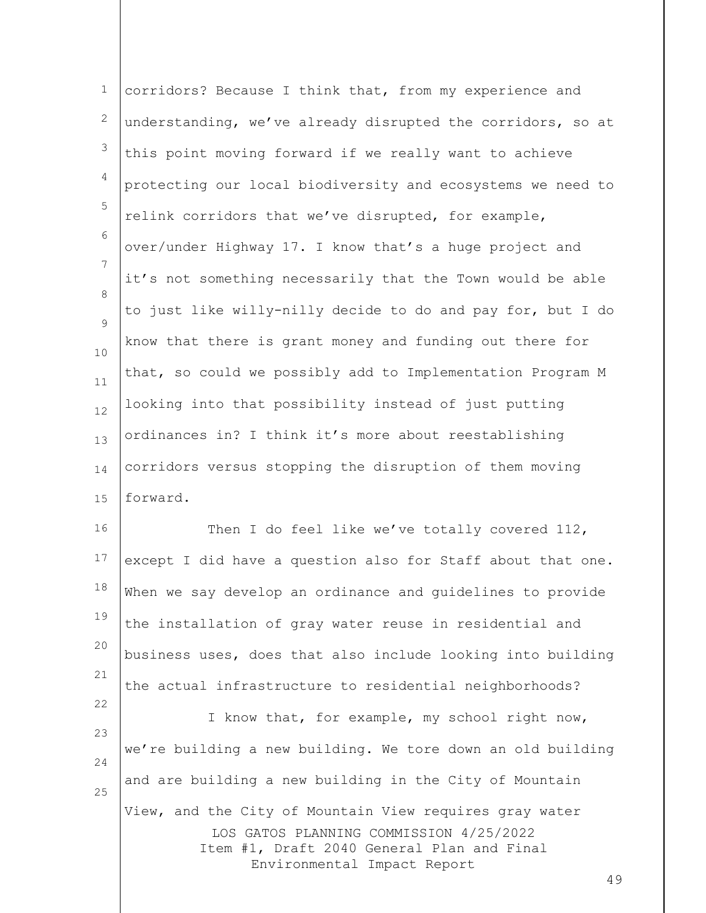| $\mathbf{1}$        | corridors? Because I think that, from my experience and                                                                                                                               |
|---------------------|---------------------------------------------------------------------------------------------------------------------------------------------------------------------------------------|
| $\mathbf{2}$        | understanding, we've already disrupted the corridors, so at                                                                                                                           |
| 3                   | this point moving forward if we really want to achieve                                                                                                                                |
| $\overline{4}$      | protecting our local biodiversity and ecosystems we need to                                                                                                                           |
| 5                   | relink corridors that we've disrupted, for example,                                                                                                                                   |
| 6                   | over/under Highway 17. I know that's a huge project and                                                                                                                               |
| 7                   | it's not something necessarily that the Town would be able                                                                                                                            |
| 8<br>$\overline{9}$ | to just like willy-nilly decide to do and pay for, but I do                                                                                                                           |
| 10                  | know that there is grant money and funding out there for                                                                                                                              |
| 11                  | that, so could we possibly add to Implementation Program M                                                                                                                            |
| 12                  | looking into that possibility instead of just putting                                                                                                                                 |
| 13                  | ordinances in? I think it's more about reestablishing                                                                                                                                 |
| 14                  | corridors versus stopping the disruption of them moving                                                                                                                               |
| 15                  | forward.                                                                                                                                                                              |
| 16                  | Then I do feel like we've totally covered 112,                                                                                                                                        |
| 17                  | except I did have a question also for Staff about that one.                                                                                                                           |
| 18                  | When we say develop an ordinance and guidelines to provide                                                                                                                            |
| 19                  | the installation of gray water reuse in residential and                                                                                                                               |
| 20                  | business uses, does that also include looking into building                                                                                                                           |
| 21                  | the actual infrastructure to residential neighborhoods?                                                                                                                               |
| 22<br>23            | I know that, for example, my school right now,                                                                                                                                        |
| 24                  | we're building a new building. We tore down an old building                                                                                                                           |
| 25                  | and are building a new building in the City of Mountain                                                                                                                               |
|                     | View, and the City of Mountain View requires gray water<br>LOS GATOS PLANNING COMMISSION 4/25/2022<br>Item #1, Draft 2040 General Plan and Final<br>Environmental Impact Report<br>49 |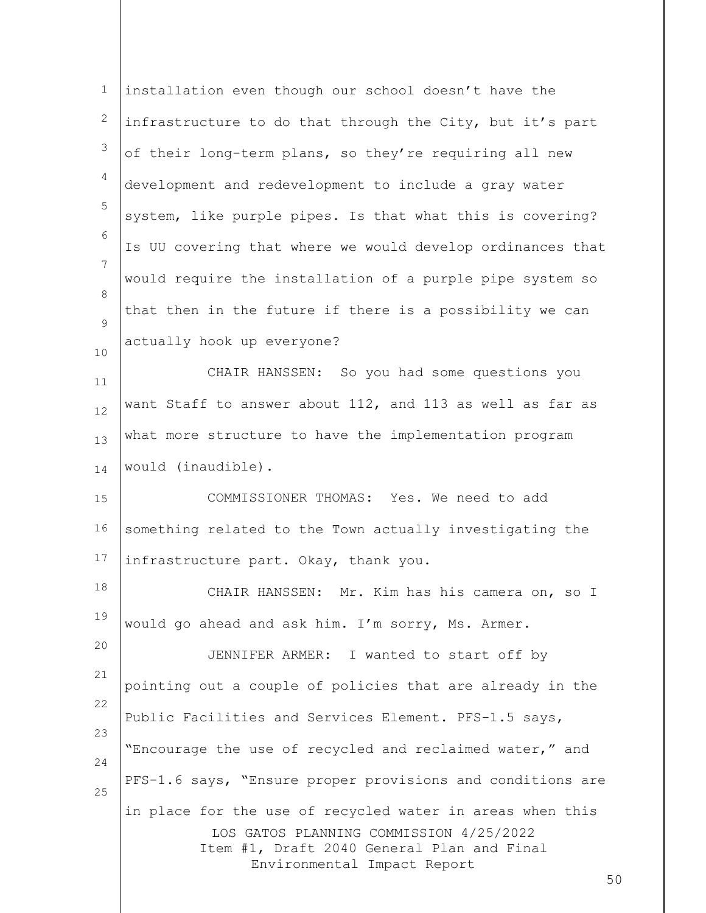| 1        | installation even though our school doesn't have the                                                                                                                                    |
|----------|-----------------------------------------------------------------------------------------------------------------------------------------------------------------------------------------|
| 2        | infrastructure to do that through the City, but it's part                                                                                                                               |
| 3        | of their long-term plans, so they're requiring all new                                                                                                                                  |
| 4        | development and redevelopment to include a gray water                                                                                                                                   |
| 5        | system, like purple pipes. Is that what this is covering?                                                                                                                               |
| 6        | Is UU covering that where we would develop ordinances that                                                                                                                              |
| 7        | would require the installation of a purple pipe system so                                                                                                                               |
| 8        | that then in the future if there is a possibility we can                                                                                                                                |
| 9<br>10  | actually hook up everyone?                                                                                                                                                              |
| 11       | CHAIR HANSSEN: So you had some questions you                                                                                                                                            |
| 12       | want Staff to answer about 112, and 113 as well as far as                                                                                                                               |
| 13       | what more structure to have the implementation program                                                                                                                                  |
| 14       | would (inaudible).                                                                                                                                                                      |
| 15       | COMMISSIONER THOMAS: Yes. We need to add                                                                                                                                                |
| 16       | something related to the Town actually investigating the                                                                                                                                |
| 17       | infrastructure part. Okay, thank you.                                                                                                                                                   |
| 18       | Mr. Kim has his camera on, so I<br>CHAIR HANSSEN:                                                                                                                                       |
| 19       | would go ahead and ask him. I'm sorry, Ms. Armer.                                                                                                                                       |
| 20       | JENNIFER ARMER: I wanted to start off by                                                                                                                                                |
| 21       | pointing out a couple of policies that are already in the                                                                                                                               |
| 22       | Public Facilities and Services Element. PFS-1.5 says,                                                                                                                                   |
| 23       | "Encourage the use of recycled and reclaimed water," and                                                                                                                                |
| 24<br>25 | PFS-1.6 says, "Ensure proper provisions and conditions are                                                                                                                              |
|          | in place for the use of recycled water in areas when this<br>LOS GATOS PLANNING COMMISSION 4/25/2022<br>Item #1, Draft 2040 General Plan and Final<br>Environmental Impact Report<br>50 |
|          |                                                                                                                                                                                         |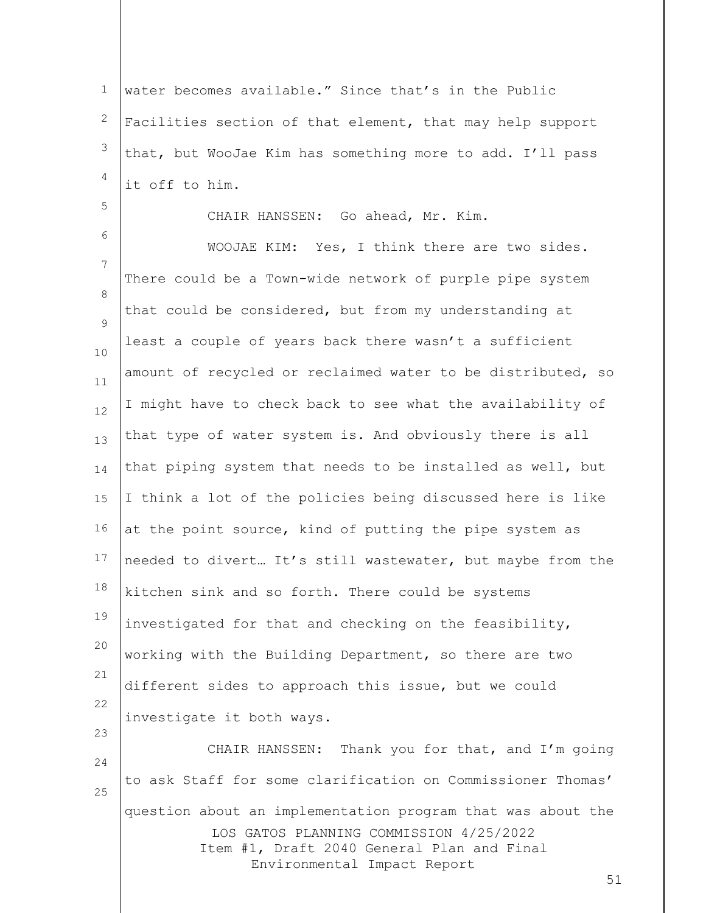1 2 3 4 water becomes available." Since that's in the Public Facilities section of that element, that may help support that, but WooJae Kim has something more to add. I'll pass it off to him.

CHAIR HANSSEN: Go ahead, Mr. Kim.

5

6 7 8  $\circ$ 10 11 12 13 14 15 16 17 18 19 20 21 22 23 WOOJAE KIM: Yes, I think there are two sides. There could be a Town-wide network of purple pipe system that could be considered, but from my understanding at least a couple of years back there wasn't a sufficient amount of recycled or reclaimed water to be distributed, so I might have to check back to see what the availability of that type of water system is. And obviously there is all that piping system that needs to be installed as well, but I think a lot of the policies being discussed here is like at the point source, kind of putting the pipe system as needed to divert… It's still wastewater, but maybe from the kitchen sink and so forth. There could be systems investigated for that and checking on the feasibility, working with the Building Department, so there are two different sides to approach this issue, but we could investigate it both ways.

LOS GATOS PLANNING COMMISSION 4/25/2022 Item #1, Draft 2040 General Plan and Final Environmental Impact Report 24 25 CHAIR HANSSEN: Thank you for that, and I'm going to ask Staff for some clarification on Commissioner Thomas' question about an implementation program that was about the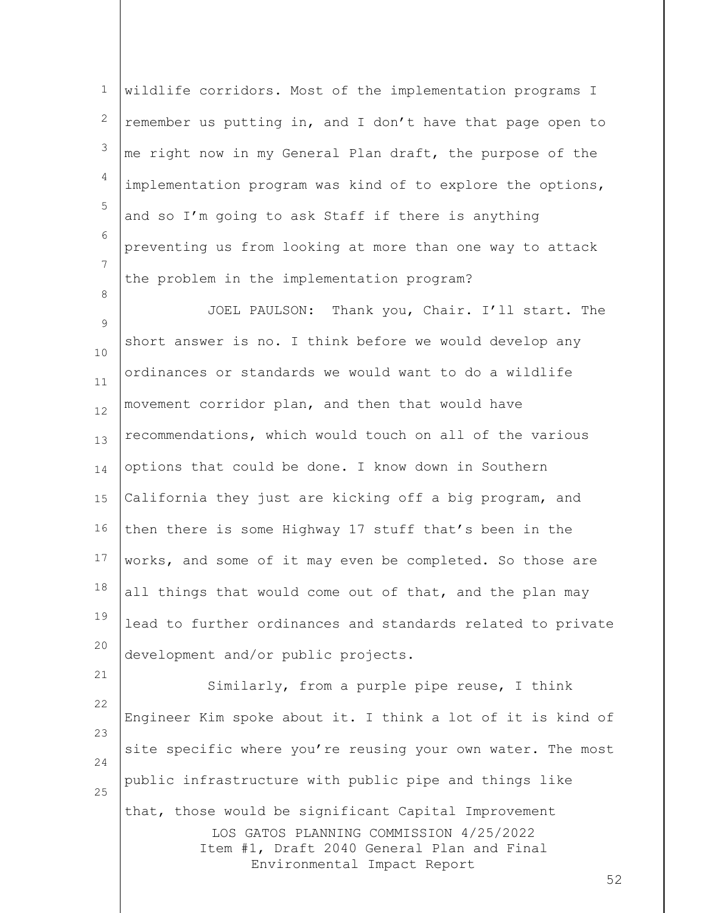1 2 3 4 5 6 7 wildlife corridors. Most of the implementation programs I remember us putting in, and I don't have that page open to me right now in my General Plan draft, the purpose of the implementation program was kind of to explore the options, and so I'm going to ask Staff if there is anything preventing us from looking at more than one way to attack the problem in the implementation program?

8

21

9 10 11 12 13 14 15 16 17 18 19 20 JOEL PAULSON: Thank you, Chair. I'll start. The short answer is no. I think before we would develop any ordinances or standards we would want to do a wildlife movement corridor plan, and then that would have recommendations, which would touch on all of the various options that could be done. I know down in Southern California they just are kicking off a big program, and then there is some Highway 17 stuff that's been in the works, and some of it may even be completed. So those are all things that would come out of that, and the plan may lead to further ordinances and standards related to private development and/or public projects.

LOS GATOS PLANNING COMMISSION 4/25/2022 Item #1, Draft 2040 General Plan and Final Environmental Impact Report 22 23 24 25 Similarly, from a purple pipe reuse, I think Engineer Kim spoke about it. I think a lot of it is kind of site specific where you're reusing your own water. The most public infrastructure with public pipe and things like that, those would be significant Capital Improvement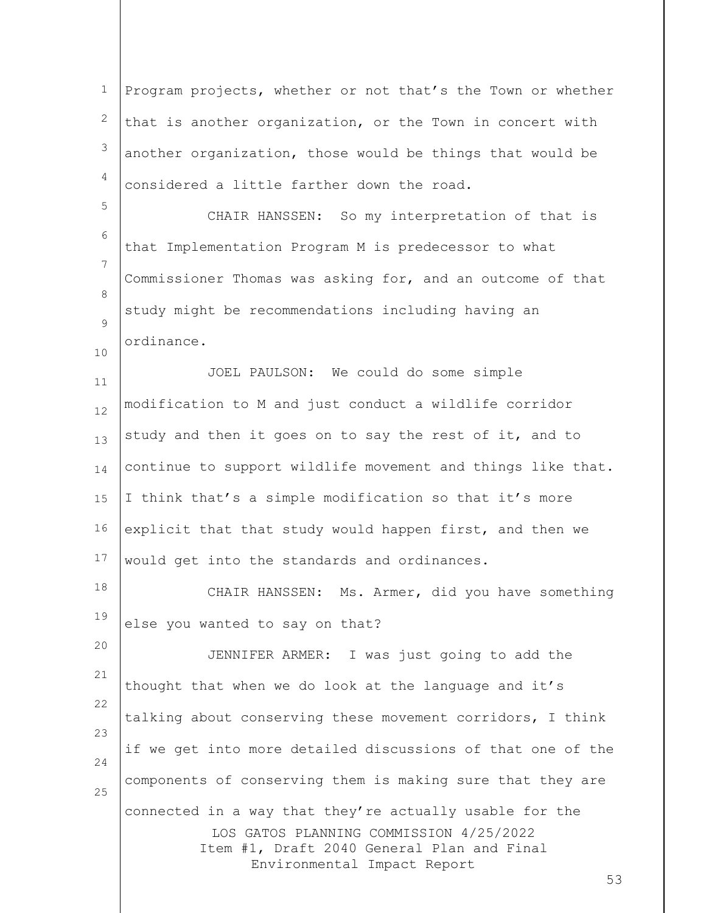1 2 3 4 5 Program projects, whether or not that's the Town or whether that is another organization, or the Town in concert with another organization, those would be things that would be considered a little farther down the road.

6 7 8  $\circ$ CHAIR HANSSEN: So my interpretation of that is that Implementation Program M is predecessor to what Commissioner Thomas was asking for, and an outcome of that study might be recommendations including having an ordinance.

10

20

11 12 13 14 15 16 17 JOEL PAULSON: We could do some simple modification to M and just conduct a wildlife corridor study and then it goes on to say the rest of it, and to continue to support wildlife movement and things like that. I think that's a simple modification so that it's more explicit that that study would happen first, and then we would get into the standards and ordinances.

18 19 CHAIR HANSSEN: Ms. Armer, did you have something else you wanted to say on that?

LOS GATOS PLANNING COMMISSION 4/25/2022 Item #1, Draft 2040 General Plan and Final Environmental Impact Report 21 22 23 24 25 JENNIFER ARMER: I was just going to add the thought that when we do look at the language and it's talking about conserving these movement corridors, I think if we get into more detailed discussions of that one of the components of conserving them is making sure that they are connected in a way that they're actually usable for the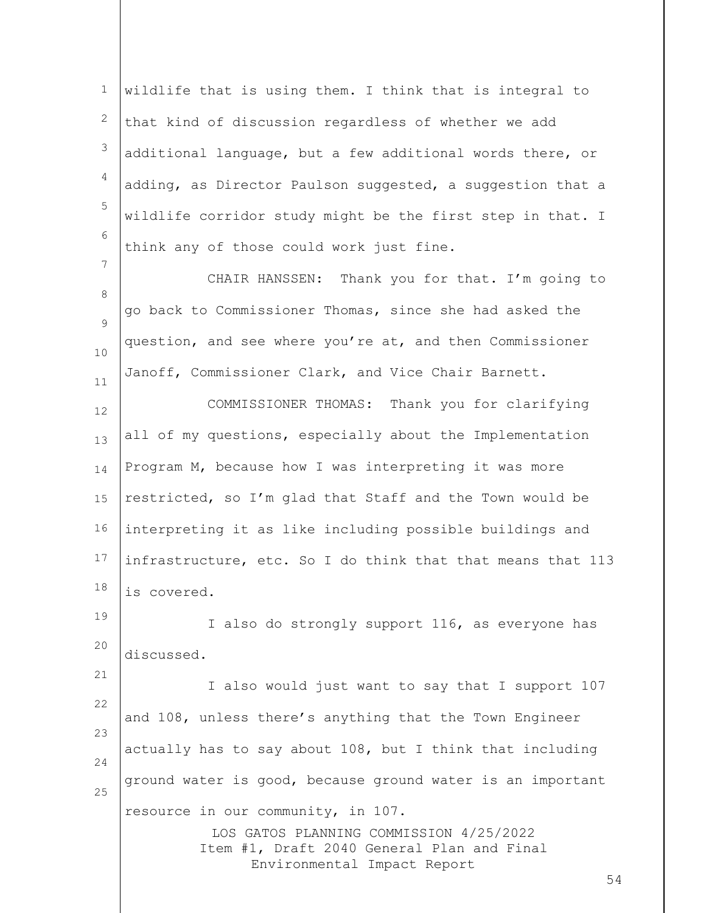1 2 3 4 5 6 wildlife that is using them. I think that is integral to that kind of discussion regardless of whether we add additional language, but a few additional words there, or adding, as Director Paulson suggested, a suggestion that a wildlife corridor study might be the first step in that. I think any of those could work just fine.

8  $\circ$ 10 11 CHAIR HANSSEN: Thank you for that. I'm going to go back to Commissioner Thomas, since she had asked the question, and see where you're at, and then Commissioner Janoff, Commissioner Clark, and Vice Chair Barnett.

7

21

12 13 14 15 16 17 18 COMMISSIONER THOMAS: Thank you for clarifying all of my questions, especially about the Implementation Program M, because how I was interpreting it was more restricted, so I'm glad that Staff and the Town would be interpreting it as like including possible buildings and infrastructure, etc. So I do think that that means that 113 is covered.

19 20 I also do strongly support 116, as everyone has discussed.

22 23 24 25 I also would just want to say that I support 107 and 108, unless there's anything that the Town Engineer actually has to say about 108, but I think that including ground water is good, because ground water is an important resource in our community, in 107.

LOS GATOS PLANNING COMMISSION 4/25/2022 Item #1, Draft 2040 General Plan and Final Environmental Impact Report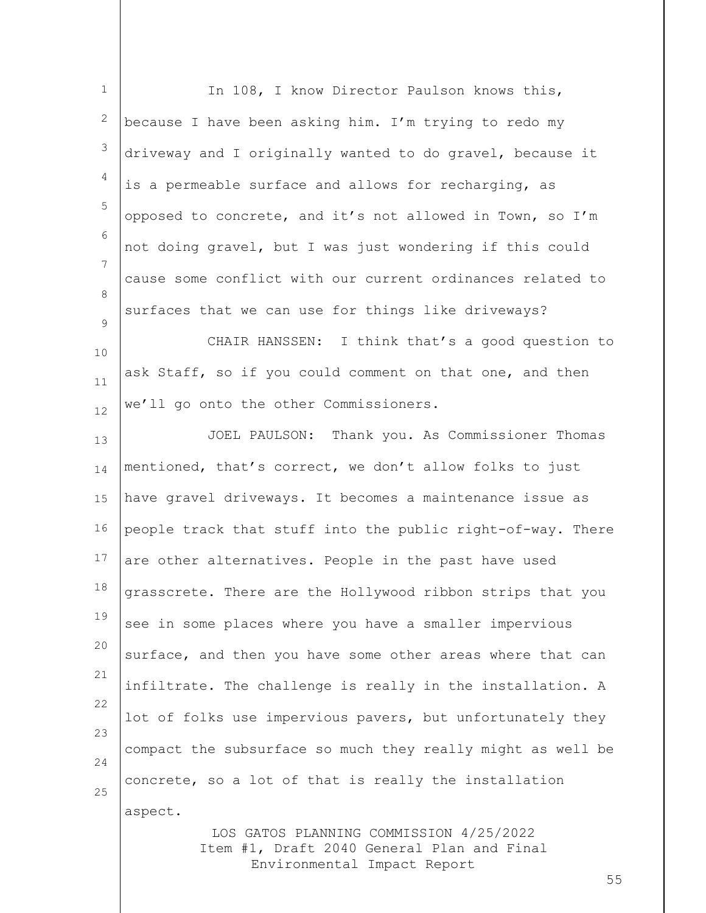| $\mathbf 1$ | In 108, I know Director Paulson knows this,                                                                          |
|-------------|----------------------------------------------------------------------------------------------------------------------|
| 2           | because I have been asking him. I'm trying to redo my                                                                |
| 3           | driveway and I originally wanted to do gravel, because it                                                            |
| 4           | is a permeable surface and allows for recharging, as                                                                 |
| 5           | opposed to concrete, and it's not allowed in Town, so I'm                                                            |
| 6           | not doing gravel, but I was just wondering if this could                                                             |
| 7           | cause some conflict with our current ordinances related to                                                           |
| 8           | surfaces that we can use for things like driveways?                                                                  |
| 9<br>10     | CHAIR HANSSEN: I think that's a good question to                                                                     |
| 11          | ask Staff, so if you could comment on that one, and then                                                             |
| 12          | we'll go onto the other Commissioners.                                                                               |
| 13          | JOEL PAULSON: Thank you. As Commissioner Thomas                                                                      |
| 14          | mentioned, that's correct, we don't allow folks to just                                                              |
| 15          | have gravel driveways. It becomes a maintenance issue as                                                             |
| 16          | people track that stuff into the public right-of-way. There                                                          |
| 17          | are other alternatives. People in the past have used                                                                 |
| 18          | grasscrete. There are the Hollywood ribbon strips that you                                                           |
| 19          | see in some places where you have a smaller impervious                                                               |
| 20          | surface, and then you have some other areas where that can                                                           |
| 21          | infiltrate. The challenge is really in the installation. A                                                           |
| 22          | lot of folks use impervious pavers, but unfortunately they                                                           |
| 23<br>24    | compact the subsurface so much they really might as well be                                                          |
| 25          | concrete, so a lot of that is really the installation                                                                |
|             | aspect.                                                                                                              |
|             | LOS GATOS PLANNING COMMISSION 4/25/2022<br>Item #1, Draft 2040 General Plan and Final<br>Environmental Impact Report |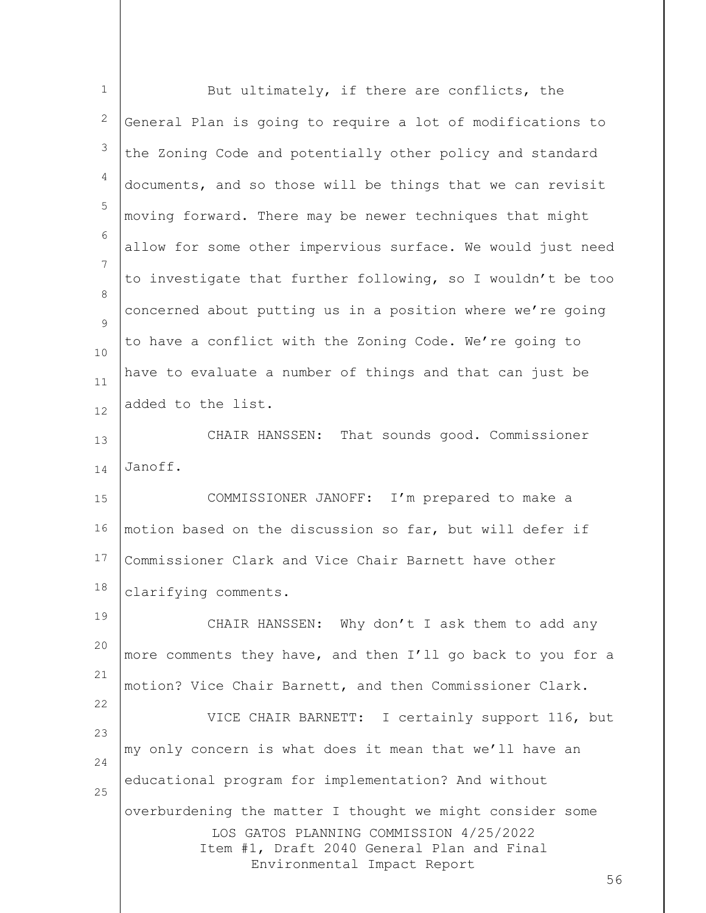| $\mathbf{1}$ | But ultimately, if there are conflicts, the                                                                                                                                             |
|--------------|-----------------------------------------------------------------------------------------------------------------------------------------------------------------------------------------|
| 2            | General Plan is going to require a lot of modifications to                                                                                                                              |
| 3            | the Zoning Code and potentially other policy and standard                                                                                                                               |
| 4            | documents, and so those will be things that we can revisit                                                                                                                              |
| 5            | moving forward. There may be newer techniques that might                                                                                                                                |
| 6            | allow for some other impervious surface. We would just need                                                                                                                             |
| 7            | to investigate that further following, so I wouldn't be too                                                                                                                             |
| 8<br>9       | concerned about putting us in a position where we're going                                                                                                                              |
| 10           | to have a conflict with the Zoning Code. We're going to                                                                                                                                 |
| 11           | have to evaluate a number of things and that can just be                                                                                                                                |
| 12           | added to the list.                                                                                                                                                                      |
| 13           | That sounds good. Commissioner<br>CHAIR HANSSEN:                                                                                                                                        |
| 14           | Janoff.                                                                                                                                                                                 |
| 15           | COMMISSIONER JANOFF: I'm prepared to make a                                                                                                                                             |
| 16           | motion based on the discussion so far, but will defer if                                                                                                                                |
| 17           | Commissioner Clark and Vice Chair Barnett have other                                                                                                                                    |
| 18           | clarifying comments.                                                                                                                                                                    |
| 19           | CHAIR HANSSEN: Why don't I ask them to add any                                                                                                                                          |
| 20           | more comments they have, and then I'll go back to you for a                                                                                                                             |
| 21           | motion? Vice Chair Barnett, and then Commissioner Clark.                                                                                                                                |
| 22<br>23     | VICE CHAIR BARNETT: I certainly support 116, but                                                                                                                                        |
| 24           | my only concern is what does it mean that we'll have an                                                                                                                                 |
| 25           | educational program for implementation? And without                                                                                                                                     |
|              | overburdening the matter I thought we might consider some<br>LOS GATOS PLANNING COMMISSION 4/25/2022<br>Item #1, Draft 2040 General Plan and Final<br>Environmental Impact Report<br>56 |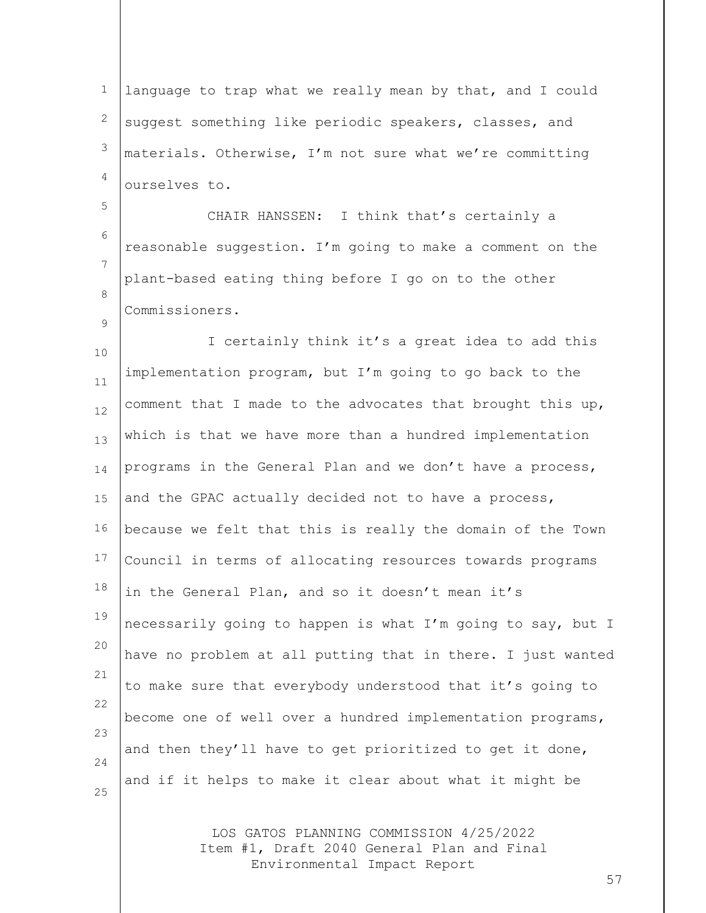LOS GATOS PLANNING COMMISSION 4/25/2022 Item #1, Draft 2040 General Plan and Final Environmental Impact Report 1 2 3 4 5 6 7 8  $\circ$ 10 11 12 13 14 15 16 17 18 19 20 21 22 23 24 25 language to trap what we really mean by that, and I could suggest something like periodic speakers, classes, and materials. Otherwise, I'm not sure what we're committing ourselves to. CHAIR HANSSEN: I think that's certainly a reasonable suggestion. I'm going to make a comment on the plant-based eating thing before I go on to the other Commissioners. I certainly think it's a great idea to add this implementation program, but I'm going to go back to the comment that I made to the advocates that brought this up, which is that we have more than a hundred implementation programs in the General Plan and we don't have a process, and the GPAC actually decided not to have a process, because we felt that this is really the domain of the Town Council in terms of allocating resources towards programs in the General Plan, and so it doesn't mean it's necessarily going to happen is what I'm going to say, but I have no problem at all putting that in there. I just wanted to make sure that everybody understood that it's going to become one of well over a hundred implementation programs, and then they'll have to get prioritized to get it done, and if it helps to make it clear about what it might be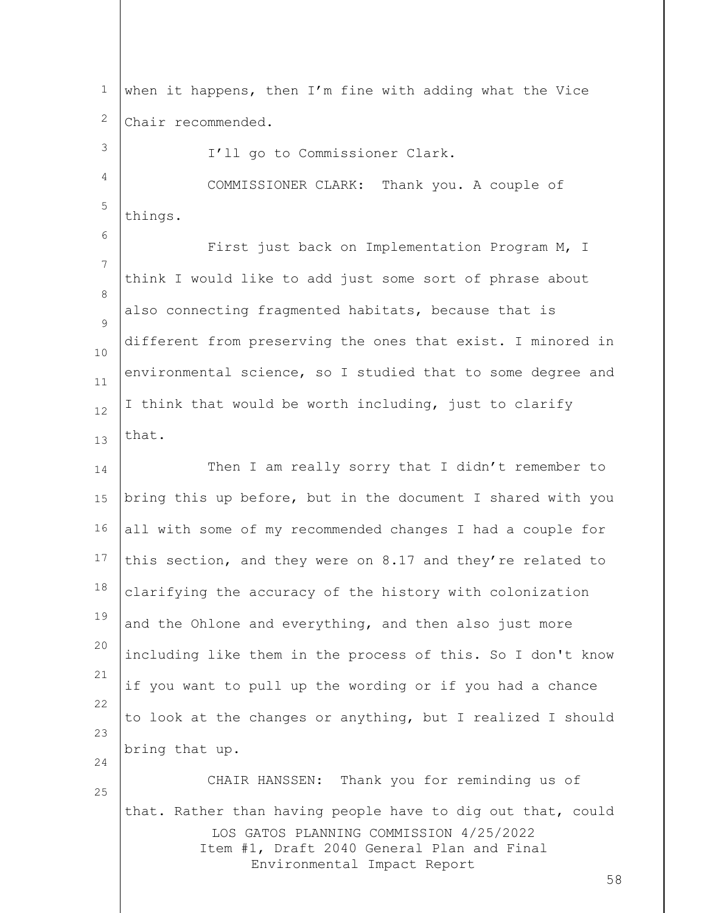LOS GATOS PLANNING COMMISSION 4/25/2022 Item #1, Draft 2040 General Plan and Final Environmental Impact Report 58 1 2 3 4 5 6 7 8  $\circ$ 10 11 12 13 14 15 16 17 18 19 20 21 22 23 24 25 when it happens, then I'm fine with adding what the Vice Chair recommended. I'll go to Commissioner Clark. COMMISSIONER CLARK: Thank you. A couple of things. First just back on Implementation Program M, I think I would like to add just some sort of phrase about also connecting fragmented habitats, because that is different from preserving the ones that exist. I minored in environmental science, so I studied that to some degree and I think that would be worth including, just to clarify that. Then I am really sorry that I didn't remember to bring this up before, but in the document I shared with you all with some of my recommended changes I had a couple for this section, and they were on 8.17 and they're related to clarifying the accuracy of the history with colonization and the Ohlone and everything, and then also just more including like them in the process of this. So I don't know if you want to pull up the wording or if you had a chance to look at the changes or anything, but I realized I should bring that up. CHAIR HANSSEN: Thank you for reminding us of that. Rather than having people have to dig out that, could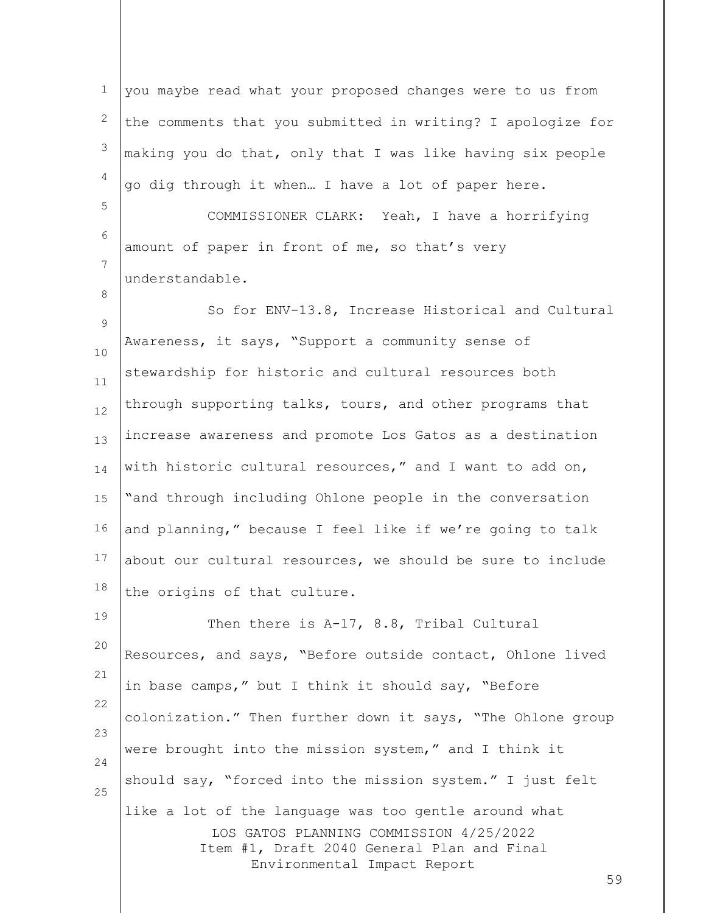LOS GATOS PLANNING COMMISSION 4/25/2022 Item #1, Draft 2040 General Plan and Final Environmental Impact Report 59 1 2 3 4 5 6 7 8 9 10 11 12 13 14 15 16 17 18 19 20 21 22 23 24 25 you maybe read what your proposed changes were to us from the comments that you submitted in writing? I apologize for making you do that, only that I was like having six people go dig through it when… I have a lot of paper here. COMMISSIONER CLARK: Yeah, I have a horrifying amount of paper in front of me, so that's very understandable. So for ENV-13.8, Increase Historical and Cultural Awareness, it says, "Support a community sense of stewardship for historic and cultural resources both through supporting talks, tours, and other programs that increase awareness and promote Los Gatos as a destination with historic cultural resources," and I want to add on, "and through including Ohlone people in the conversation and planning," because I feel like if we're going to talk about our cultural resources, we should be sure to include the origins of that culture. Then there is A-17, 8.8, Tribal Cultural Resources, and says, "Before outside contact, Ohlone lived in base camps," but I think it should say, "Before colonization." Then further down it says, "The Ohlone group were brought into the mission system," and I think it should say, "forced into the mission system." I just felt like a lot of the language was too gentle around what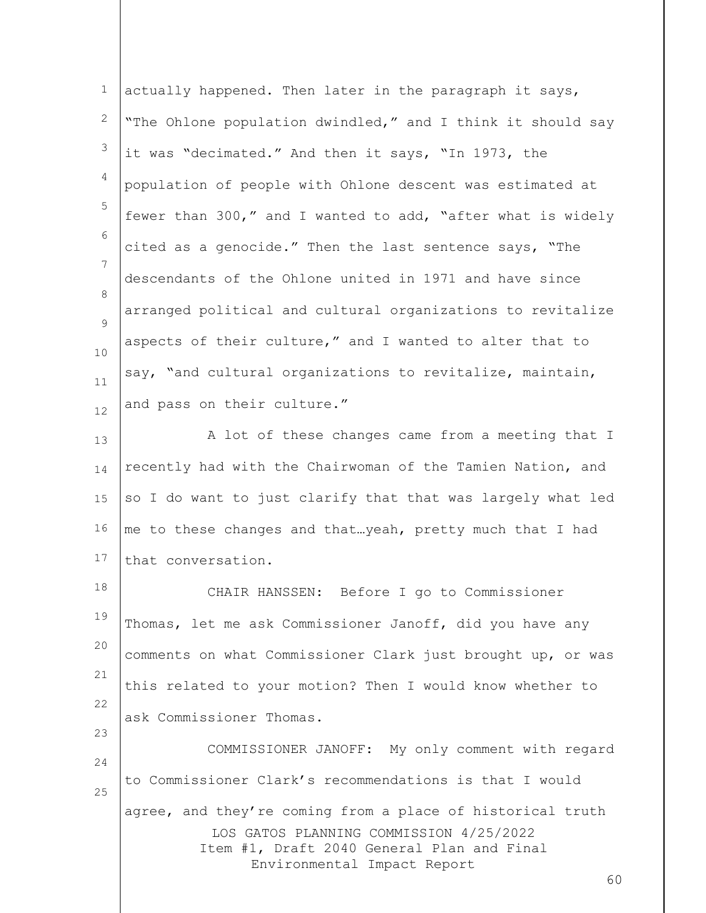| $\mathbf{1}$ | actually happened. Then later in the paragraph it says,                                                                                                                                  |
|--------------|------------------------------------------------------------------------------------------------------------------------------------------------------------------------------------------|
| 2            | "The Ohlone population dwindled," and I think it should say                                                                                                                              |
| 3            | it was "decimated." And then it says, "In 1973, the                                                                                                                                      |
| 4            | population of people with Ohlone descent was estimated at                                                                                                                                |
| 5            | fewer than 300," and I wanted to add, "after what is widely                                                                                                                              |
| 6            | cited as a genocide." Then the last sentence says, "The                                                                                                                                  |
| 7            | descendants of the Ohlone united in 1971 and have since                                                                                                                                  |
| 8<br>9       | arranged political and cultural organizations to revitalize                                                                                                                              |
| 10           | aspects of their culture," and I wanted to alter that to                                                                                                                                 |
| 11           | say, "and cultural organizations to revitalize, maintain,                                                                                                                                |
| 12           | and pass on their culture."                                                                                                                                                              |
| 13           | A lot of these changes came from a meeting that I                                                                                                                                        |
| 14           | recently had with the Chairwoman of the Tamien Nation, and                                                                                                                               |
| 15           | so I do want to just clarify that that was largely what led                                                                                                                              |
| 16           | me to these changes and thatyeah, pretty much that I had                                                                                                                                 |
| 17           | that conversation.                                                                                                                                                                       |
| 18           | CHAIR HANSSEN: Before I go to Commissioner                                                                                                                                               |
| 19           | Thomas, let me ask Commissioner Janoff, did you have any                                                                                                                                 |
| 20           | comments on what Commissioner Clark just brought up, or was                                                                                                                              |
| 21           | this related to your motion? Then I would know whether to                                                                                                                                |
| 22<br>23     | ask Commissioner Thomas.                                                                                                                                                                 |
| 24           | COMMISSIONER JANOFF: My only comment with regard                                                                                                                                         |
| 25           | to Commissioner Clark's recommendations is that I would                                                                                                                                  |
|              | agree, and they're coming from a place of historical truth<br>LOS GATOS PLANNING COMMISSION 4/25/2022<br>Item #1, Draft 2040 General Plan and Final<br>Environmental Impact Report<br>60 |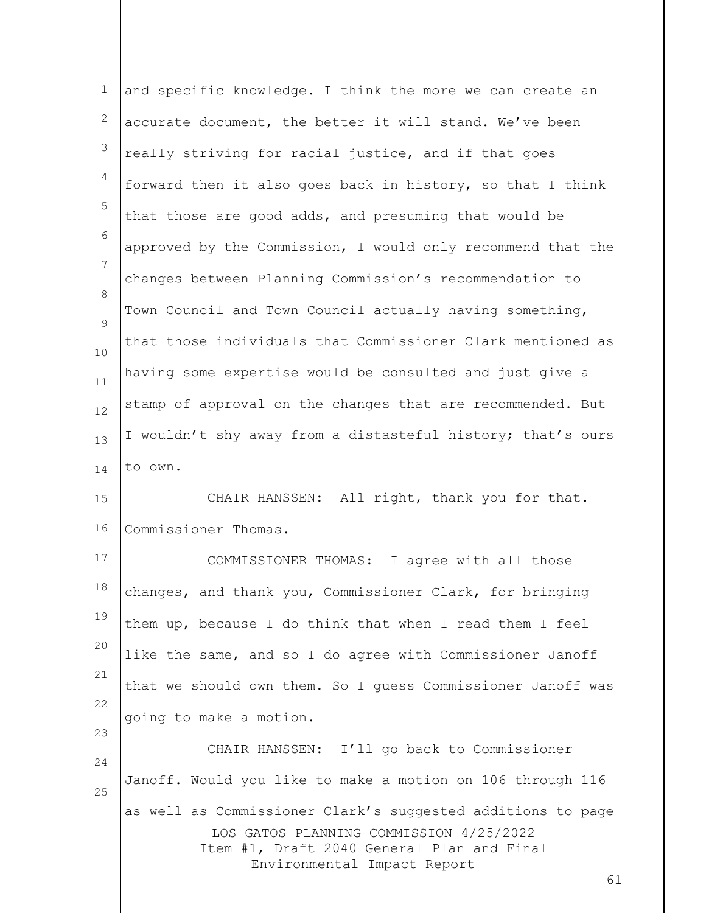| $\mathbf 1$     | and specific knowledge. I think the more we can create an                 |
|-----------------|---------------------------------------------------------------------------|
| 2               | accurate document, the better it will stand. We've been                   |
| 3               | really striving for racial justice, and if that goes                      |
| $\overline{4}$  | forward then it also goes back in history, so that I think                |
| 5               | that those are good adds, and presuming that would be                     |
| 6               | approved by the Commission, I would only recommend that the               |
| $7\phantom{.0}$ | changes between Planning Commission's recommendation to                   |
| 8               | Town Council and Town Council actually having something,                  |
| 9               | that those individuals that Commissioner Clark mentioned as               |
| 10<br>11        | having some expertise would be consulted and just give a                  |
| 12              | stamp of approval on the changes that are recommended. But                |
| 13              | I wouldn't shy away from a distasteful history; that's ours               |
| 14              | to own.                                                                   |
| 15              | CHAIR HANSSEN: All right, thank you for that.                             |
| 16              | Commissioner Thomas.                                                      |
| 17              | COMMISSIONER THOMAS: I agree with all those                               |
| 18              | changes, and thank you, Commissioner Clark, for bringing                  |
| 19              | them up, because I do think that when I read them I feel                  |
| 20              | like the same, and so I do agree with Commissioner Janoff                 |
| 21              | that we should own them. So I guess Commissioner Janoff was               |
| 22              | going to make a motion.                                                   |
| 23              | CHAIR HANSSEN: I'll go back to Commissioner                               |
| 24              | Janoff. Would you like to make a motion on 106 through 116                |
| 25              | as well as Commissioner Clark's suggested additions to page               |
|                 | LOS GATOS PLANNING COMMISSION 4/25/2022                                   |
|                 | Item #1, Draft 2040 General Plan and Final<br>Environmental Impact Report |
|                 | 61                                                                        |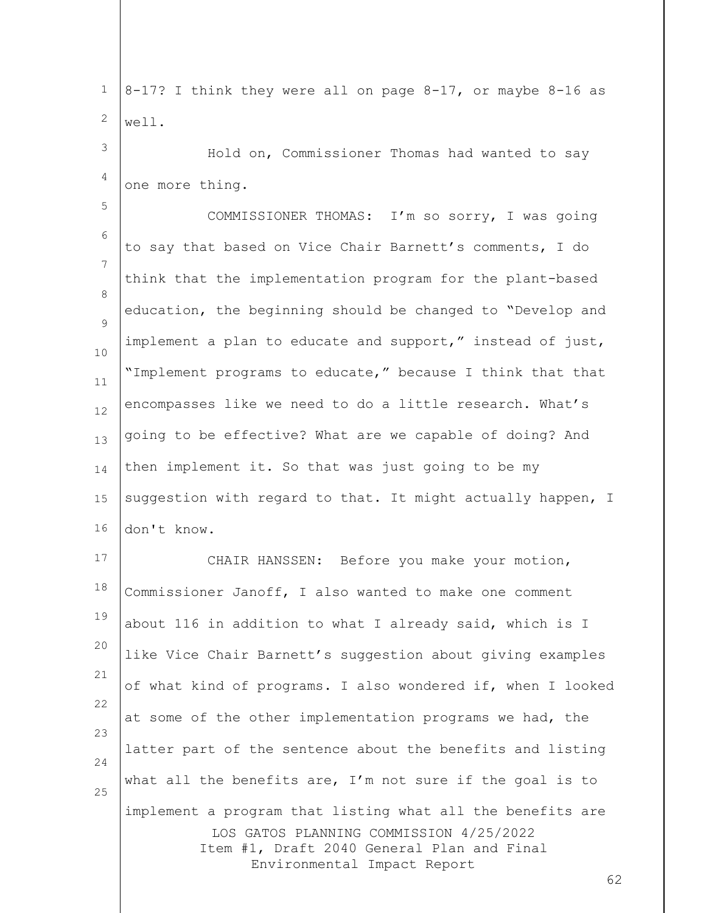| $\mathbf 1$    | 8-17? I think they were all on page 8-17, or maybe 8-16 as                                                                                                                               |
|----------------|------------------------------------------------------------------------------------------------------------------------------------------------------------------------------------------|
| 2              | well.                                                                                                                                                                                    |
| 3              | Hold on, Commissioner Thomas had wanted to say                                                                                                                                           |
| 4              | one more thing.                                                                                                                                                                          |
| 5              | COMMISSIONER THOMAS: I'm so sorry, I was going                                                                                                                                           |
| 6              | to say that based on Vice Chair Barnett's comments, I do                                                                                                                                 |
| $\overline{7}$ | think that the implementation program for the plant-based                                                                                                                                |
| 8<br>9         | education, the beginning should be changed to "Develop and                                                                                                                               |
| 10             | implement a plan to educate and support," instead of just,                                                                                                                               |
| 11             | "Implement programs to educate," because I think that that                                                                                                                               |
| 12             | encompasses like we need to do a little research. What's                                                                                                                                 |
| 13             | going to be effective? What are we capable of doing? And                                                                                                                                 |
| 14             | then implement it. So that was just going to be my                                                                                                                                       |
| 15             | suggestion with regard to that. It might actually happen, I                                                                                                                              |
| 16             | don't know.                                                                                                                                                                              |
| 17             | CHAIR HANSSEN: Before you make your motion,                                                                                                                                              |
| 18             | Commissioner Janoff, I also wanted to make one comment                                                                                                                                   |
| 19             | about 116 in addition to what I already said, which is I                                                                                                                                 |
| 20             | like Vice Chair Barnett's suggestion about giving examples                                                                                                                               |
| 21             | of what kind of programs. I also wondered if, when I looked                                                                                                                              |
| 22             | at some of the other implementation programs we had, the                                                                                                                                 |
| 23<br>24       | latter part of the sentence about the benefits and listing                                                                                                                               |
| 25             | what all the benefits are, $I'm$ not sure if the goal is to                                                                                                                              |
|                | implement a program that listing what all the benefits are<br>LOS GATOS PLANNING COMMISSION 4/25/2022<br>Item #1, Draft 2040 General Plan and Final<br>Environmental Impact Report<br>62 |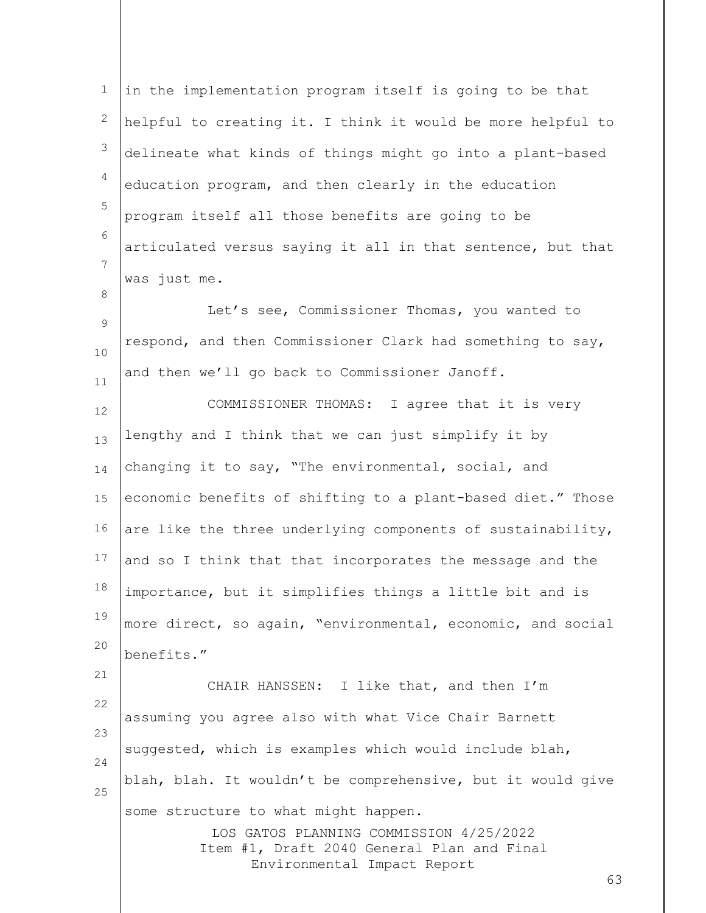| $\mathbf 1$    | in the implementation program itself is going to be that                  |
|----------------|---------------------------------------------------------------------------|
| $\mathbf{2}$   | helpful to creating it. I think it would be more helpful to               |
| 3              | delineate what kinds of things might go into a plant-based                |
| $\overline{4}$ | education program, and then clearly in the education                      |
| 5              | program itself all those benefits are going to be                         |
| 6              | articulated versus saying it all in that sentence, but that               |
| 7              | was just me.                                                              |
| 8              | Let's see, Commissioner Thomas, you wanted to                             |
| 9              | respond, and then Commissioner Clark had something to say,                |
| 10             | and then we'll go back to Commissioner Janoff.                            |
| 11<br>12       | COMMISSIONER THOMAS: I agree that it is very                              |
| 13             | lengthy and I think that we can just simplify it by                       |
| 14             | changing it to say, "The environmental, social, and                       |
| 15             | economic benefits of shifting to a plant-based diet." Those               |
| 16             | are like the three underlying components of sustainability,               |
| 17             | and so I think that that incorporates the message and the                 |
| 18             | importance, but it simplifies things a little bit and is                  |
| 19             | more direct, so again, "environmental, economic, and social               |
| 20             | benefits."                                                                |
| 21             | CHAIR HANSSEN: I like that, and then I'm                                  |
| 22             | assuming you agree also with what Vice Chair Barnett                      |
| 23             | suggested, which is examples which would include blah,                    |
| 24             | blah, blah. It wouldn't be comprehensive, but it would give               |
| 25             | some structure to what might happen.                                      |
|                | LOS GATOS PLANNING COMMISSION 4/25/2022                                   |
|                | Item #1, Draft 2040 General Plan and Final<br>Environmental Impact Report |
|                | 63                                                                        |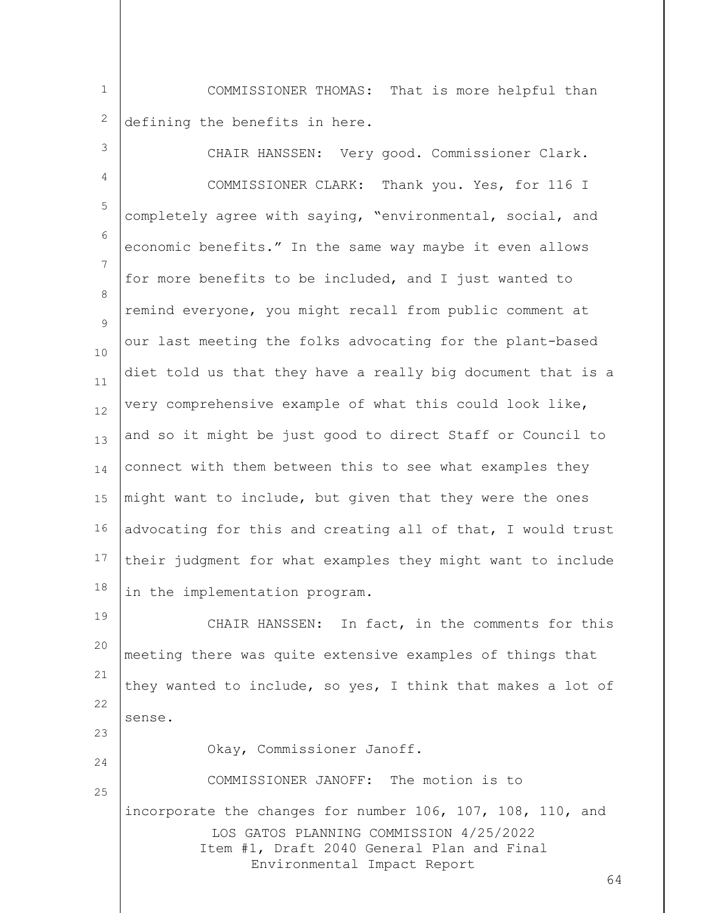1 2 COMMISSIONER THOMAS: That is more helpful than defining the benefits in here.

| 3        | CHAIR HANSSEN: Very good. Commissioner Clark.                                                                        |
|----------|----------------------------------------------------------------------------------------------------------------------|
| 4        | COMMISSIONER CLARK: Thank you. Yes, for 116 I                                                                        |
| 5        | completely agree with saying, "environmental, social, and                                                            |
| 6        | economic benefits." In the same way maybe it even allows                                                             |
| 7        | for more benefits to be included, and I just wanted to                                                               |
| 8        | remind everyone, you might recall from public comment at                                                             |
| 9        | our last meeting the folks advocating for the plant-based                                                            |
| 10<br>11 | diet told us that they have a really big document that is a                                                          |
| 12       | very comprehensive example of what this could look like,                                                             |
| 13       | and so it might be just good to direct Staff or Council to                                                           |
| 14       | connect with them between this to see what examples they                                                             |
| 15       | might want to include, but given that they were the ones                                                             |
| 16       | advocating for this and creating all of that, I would trust                                                          |
| 17       | their judgment for what examples they might want to include                                                          |
| 18       | in the implementation program.                                                                                       |
| 19       | CHAIR HANSSEN: In fact, in the comments for this                                                                     |
| 20       | meeting there was quite extensive examples of things that                                                            |
| 21       | they wanted to include, so yes, I think that makes a lot of                                                          |
| 22       | sense.                                                                                                               |
| 23       | Okay, Commissioner Janoff.                                                                                           |
| 24       | COMMISSIONER JANOFF: The motion is to                                                                                |
| 25       | incorporate the changes for number 106, 107, 108, 110, and                                                           |
|          | LOS GATOS PLANNING COMMISSION 4/25/2022<br>Item #1, Draft 2040 General Plan and Final<br>Environmental Impact Report |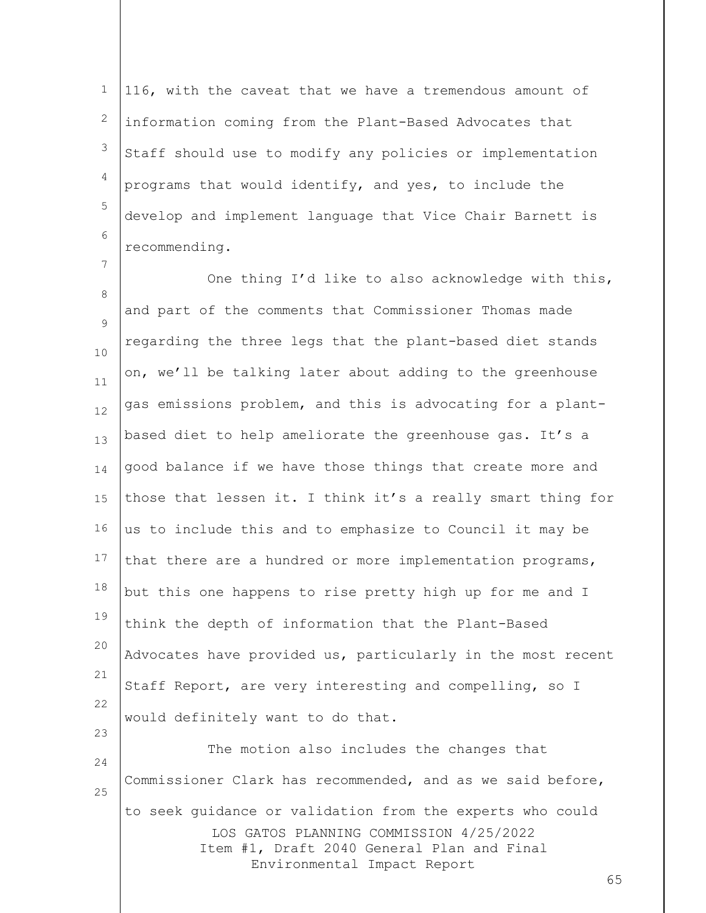1 2 3 4 5 6 116, with the caveat that we have a tremendous amount of information coming from the Plant-Based Advocates that Staff should use to modify any policies or implementation programs that would identify, and yes, to include the develop and implement language that Vice Chair Barnett is recommending.

7

25

8  $\circ$ 10 11 12 13 14 15 16 17 18 19 20 21 22 23 24 One thing I'd like to also acknowledge with this, and part of the comments that Commissioner Thomas made regarding the three legs that the plant-based diet stands on, we'll be talking later about adding to the greenhouse gas emissions problem, and this is advocating for a plantbased diet to help ameliorate the greenhouse gas. It's a good balance if we have those things that create more and those that lessen it. I think it's a really smart thing for us to include this and to emphasize to Council it may be that there are a hundred or more implementation programs, but this one happens to rise pretty high up for me and I think the depth of information that the Plant-Based Advocates have provided us, particularly in the most recent Staff Report, are very interesting and compelling, so I would definitely want to do that. The motion also includes the changes that Commissioner Clark has recommended, and as we said before,

LOS GATOS PLANNING COMMISSION 4/25/2022 Item #1, Draft 2040 General Plan and Final Environmental Impact Report to seek guidance or validation from the experts who could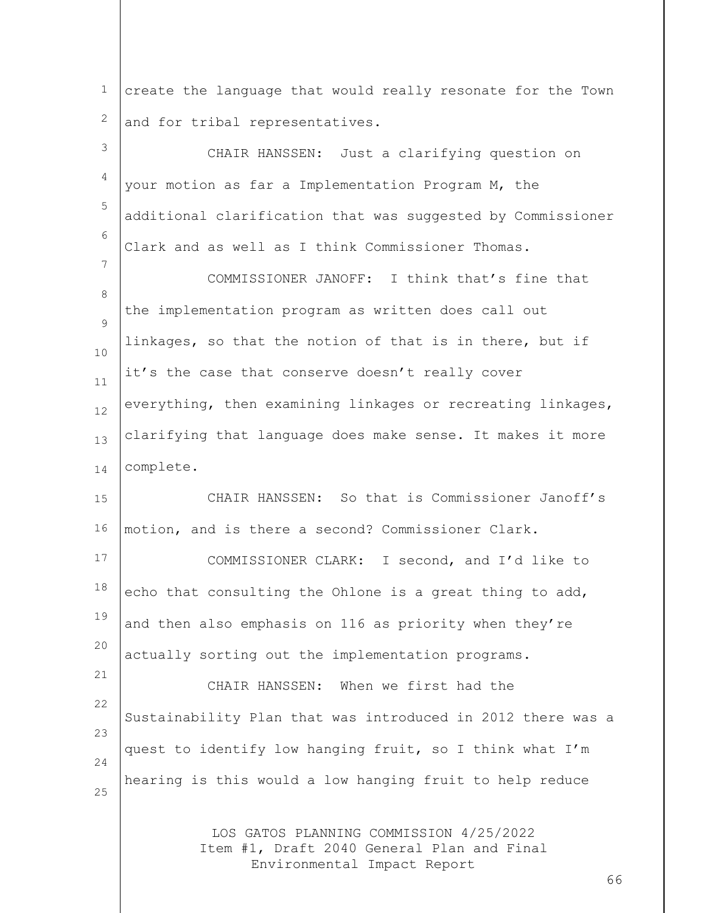1 2 create the language that would really resonate for the Town and for tribal representatives.

LOS GATOS PLANNING COMMISSION 4/25/2022 Item #1, Draft 2040 General Plan and Final 3 4 5 6 7 8  $\circ$ 10 11 12 13 14 15 16 17 18 19 20 21 22 23 24 25 CHAIR HANSSEN: Just a clarifying question on your motion as far a Implementation Program M, the additional clarification that was suggested by Commissioner Clark and as well as I think Commissioner Thomas. COMMISSIONER JANOFF: I think that's fine that the implementation program as written does call out linkages, so that the notion of that is in there, but if it's the case that conserve doesn't really cover everything, then examining linkages or recreating linkages, clarifying that language does make sense. It makes it more complete. CHAIR HANSSEN: So that is Commissioner Janoff's motion, and is there a second? Commissioner Clark. COMMISSIONER CLARK: I second, and I'd like to echo that consulting the Ohlone is a great thing to add, and then also emphasis on 116 as priority when they're actually sorting out the implementation programs. CHAIR HANSSEN: When we first had the Sustainability Plan that was introduced in 2012 there was a quest to identify low hanging fruit, so I think what I'm hearing is this would a low hanging fruit to help reduce

Environmental Impact Report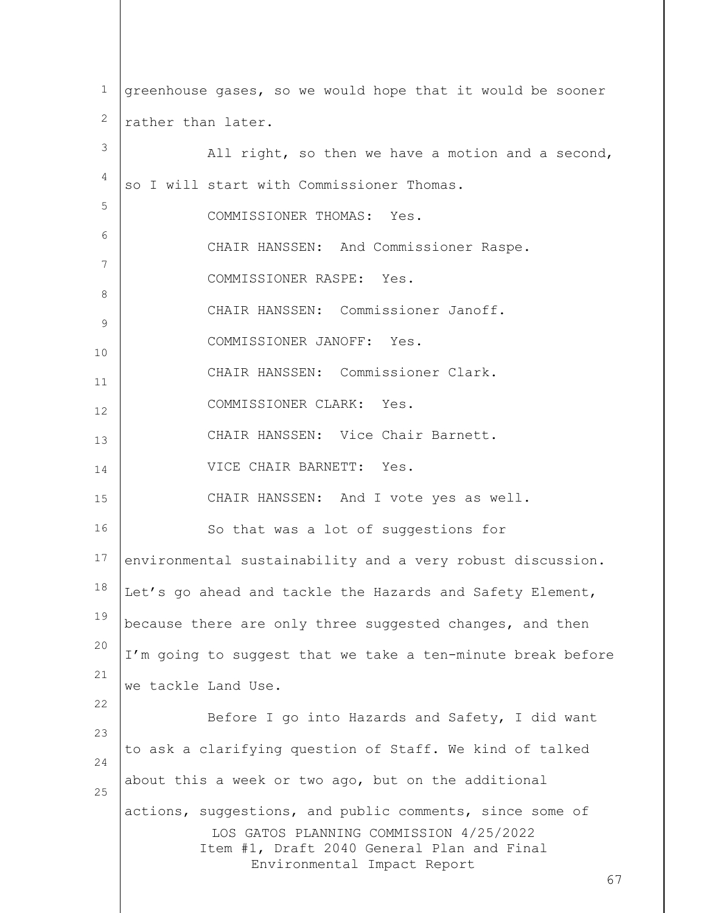| $\mathbf 1$    | greenhouse gases, so we would hope that it would be sooner                      |
|----------------|---------------------------------------------------------------------------------|
| 2              | rather than later.                                                              |
| 3              | All right, so then we have a motion and a second,                               |
| 4              | so I will start with Commissioner Thomas.                                       |
| 5              | COMMISSIONER THOMAS: Yes.                                                       |
| 6              | CHAIR HANSSEN: And Commissioner Raspe.                                          |
| 7              | COMMISSIONER RASPE: Yes.                                                        |
| 8              | CHAIR HANSSEN: Commissioner Janoff.                                             |
| $\overline{9}$ | COMMISSIONER JANOFF: Yes.                                                       |
| 10             | CHAIR HANSSEN: Commissioner Clark.                                              |
| 11<br>12       | COMMISSIONER CLARK: Yes.                                                        |
| 13             | CHAIR HANSSEN: Vice Chair Barnett.                                              |
| 14             | VICE CHAIR BARNETT: Yes.                                                        |
| 15             | CHAIR HANSSEN: And I vote yes as well.                                          |
| 16             | So that was a lot of suggestions for                                            |
| 17             | environmental sustainability and a very robust discussion.                      |
| 18             | Let's go ahead and tackle the Hazards and Safety Element,                       |
| 19             | because there are only three suggested changes, and then                        |
| 20             | I'm going to suggest that we take a ten-minute break before                     |
| 21             | we tackle Land Use.                                                             |
| 22             | Before I go into Hazards and Safety, I did want                                 |
| 23             | to ask a clarifying question of Staff. We kind of talked                        |
| 24             | about this a week or two ago, but on the additional                             |
| 25             | actions, suggestions, and public comments, since some of                        |
|                | LOS GATOS PLANNING COMMISSION 4/25/2022                                         |
|                | Item #1, Draft 2040 General Plan and Final<br>Environmental Impact Report<br>67 |
|                |                                                                                 |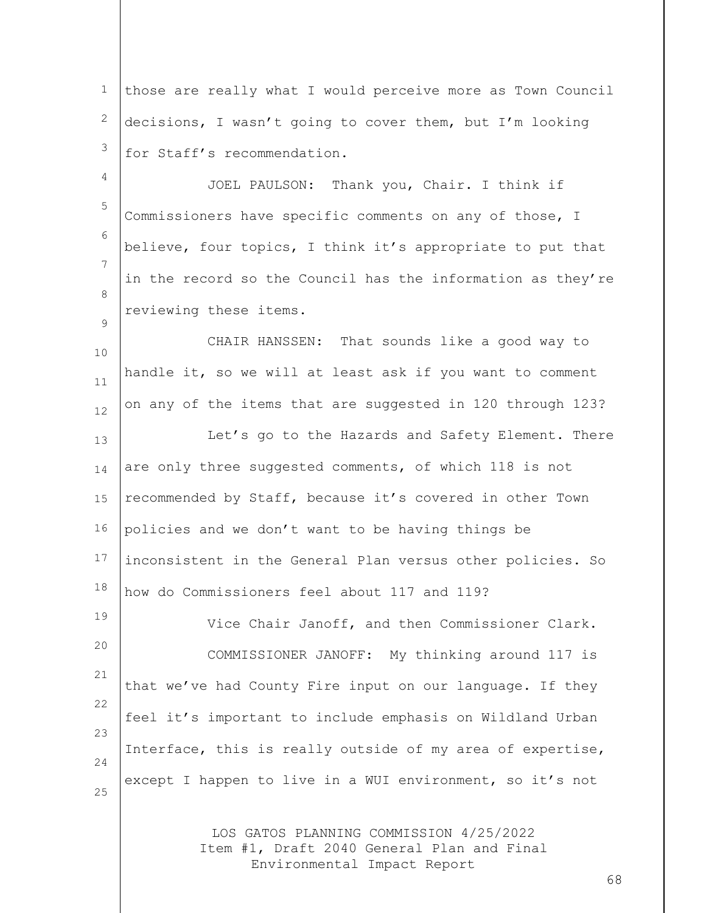1 2 3 those are really what I would perceive more as Town Council decisions, I wasn't going to cover them, but I'm looking for Staff's recommendation.

4 5 6 7 8 JOEL PAULSON: Thank you, Chair. I think if Commissioners have specific comments on any of those, I believe, four topics, I think it's appropriate to put that in the record so the Council has the information as they're reviewing these items.

 $\circ$ 

19

10 11 12 13 14 15 16 17 18 CHAIR HANSSEN: That sounds like a good way to handle it, so we will at least ask if you want to comment on any of the items that are suggested in 120 through 123? Let's go to the Hazards and Safety Element. There are only three suggested comments, of which 118 is not recommended by Staff, because it's covered in other Town policies and we don't want to be having things be inconsistent in the General Plan versus other policies. So how do Commissioners feel about 117 and 119?

20 21 22 23 24 25 Vice Chair Janoff, and then Commissioner Clark. COMMISSIONER JANOFF: My thinking around 117 is that we've had County Fire input on our language. If they feel it's important to include emphasis on Wildland Urban Interface, this is really outside of my area of expertise, except I happen to live in a WUI environment, so it's not

> LOS GATOS PLANNING COMMISSION 4/25/2022 Item #1, Draft 2040 General Plan and Final Environmental Impact Report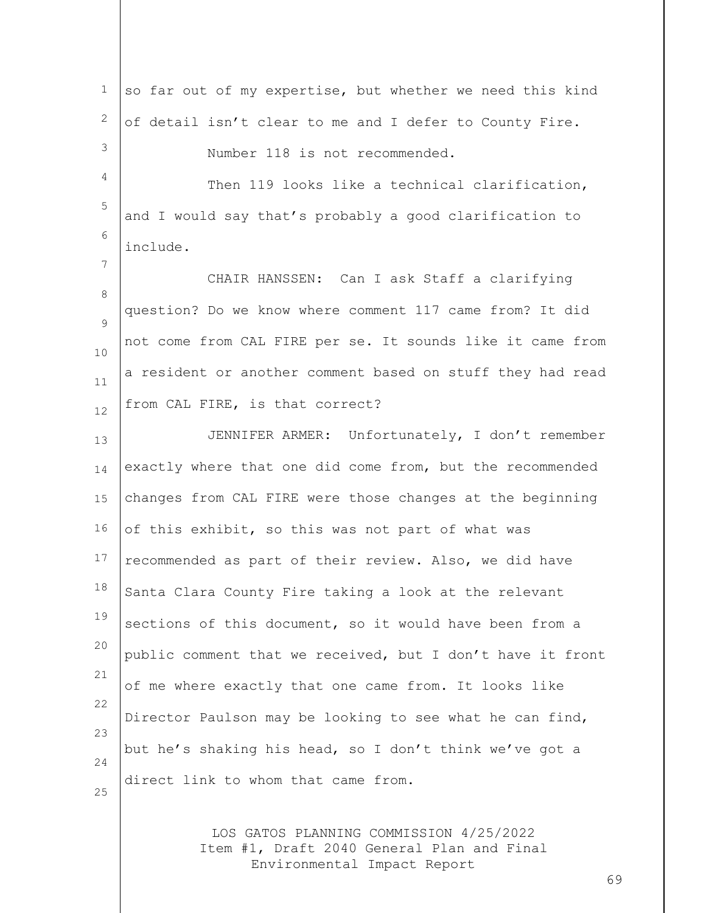| 1              | so far out of my expertise, but whether we need this kind  |
|----------------|------------------------------------------------------------|
| $\mathbf{2}$   | of detail isn't clear to me and I defer to County Fire.    |
| 3              | Number 118 is not recommended.                             |
| $\overline{4}$ | Then 119 looks like a technical clarification,             |
| 5              | and I would say that's probably a good clarification to    |
| 6              | include.                                                   |
| $\overline{7}$ | CHAIR HANSSEN: Can I ask Staff a clarifying                |
| $\,8\,$        | question? Do we know where comment 117 came from? It did   |
| 9              | not come from CAL FIRE per se. It sounds like it came from |
| 10             | a resident or another comment based on stuff they had read |
| 11<br>12       | from CAL FIRE, is that correct?                            |
| 13             | JENNIFER ARMER: Unfortunately, I don't remember            |
| 14             | exactly where that one did come from, but the recommended  |
| 15             | changes from CAL FIRE were those changes at the beginning  |
| 16             | of this exhibit, so this was not part of what was          |
| $17$           | recommended as part of their review. Also, we did have     |
| 18             | Santa Clara County Fire taking a look at the relevant      |
| 19             | sections of this document, so it would have been from a    |
| 20             | public comment that we received, but I don't have it front |
| 21             | of me where exactly that one came from. It looks like      |
| 22             | Director Paulson may be looking to see what he can find,   |
| 23             | but he's shaking his head, so I don't think we've got a    |
| 24             | direct link to whom that came from.                        |
| 25             |                                                            |
|                | LOS GATOS PLANNING COMMISSION 4/25/2022                    |

Item #1, Draft 2040 General Plan and Final Environmental Impact Report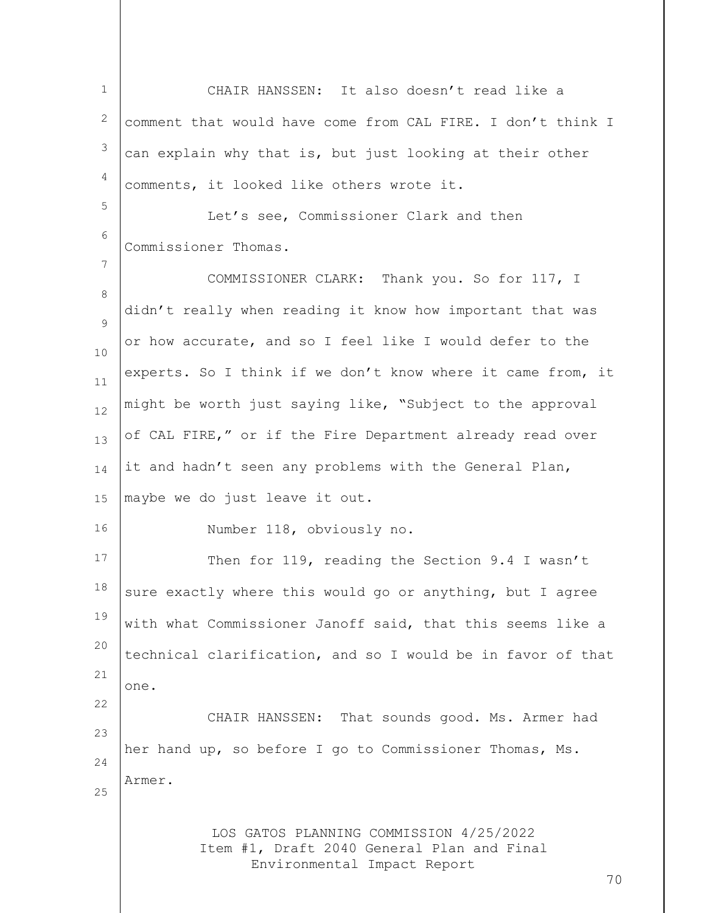LOS GATOS PLANNING COMMISSION 4/25/2022 Item #1, Draft 2040 General Plan and Final Environmental Impact Report 70 1 2 3 4 5 6 7 8  $\circ$ 10 11 12 13 14 15 16 17 18 19 20 21 22 23 24 25 CHAIR HANSSEN: It also doesn't read like a comment that would have come from CAL FIRE. I don't think I can explain why that is, but just looking at their other comments, it looked like others wrote it. Let's see, Commissioner Clark and then Commissioner Thomas. COMMISSIONER CLARK: Thank you. So for 117, I didn't really when reading it know how important that was or how accurate, and so I feel like I would defer to the experts. So I think if we don't know where it came from, it might be worth just saying like, "Subject to the approval of CAL FIRE," or if the Fire Department already read over it and hadn't seen any problems with the General Plan, maybe we do just leave it out. Number 118, obviously no. Then for 119, reading the Section 9.4 I wasn't sure exactly where this would go or anything, but I agree with what Commissioner Janoff said, that this seems like a technical clarification, and so I would be in favor of that one. CHAIR HANSSEN: That sounds good. Ms. Armer had her hand up, so before I go to Commissioner Thomas, Ms. Armer.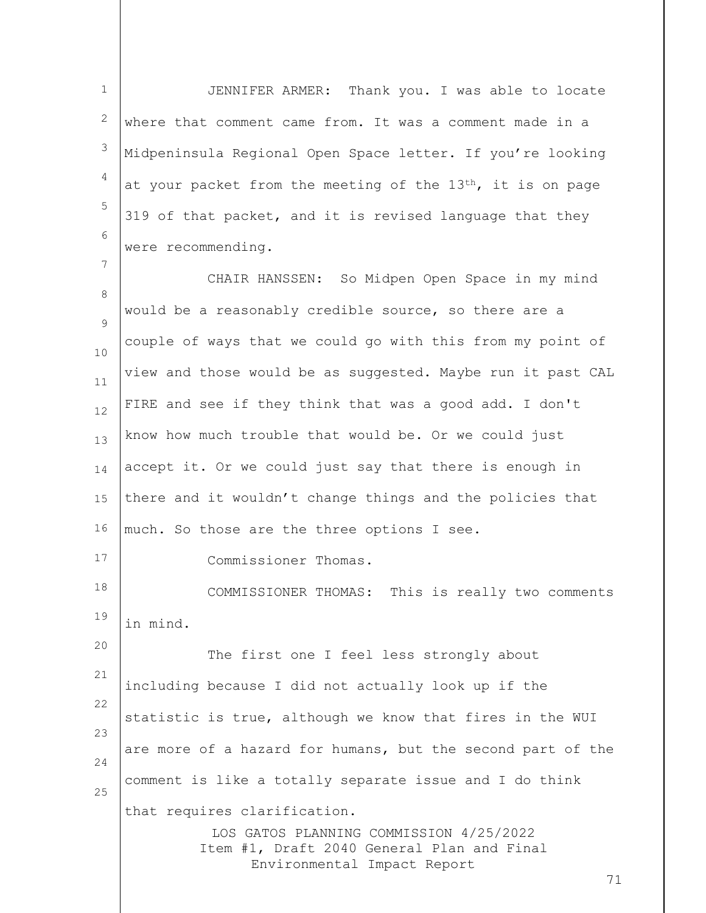1 2 3 4 5 6 JENNIFER ARMER: Thank you. I was able to locate where that comment came from. It was a comment made in a Midpeninsula Regional Open Space letter. If you're looking at your packet from the meeting of the  $13<sup>th</sup>$ , it is on page 319 of that packet, and it is revised language that they were recommending.

7

LOS GATOS PLANNING COMMISSION 4/25/2022 Item #1, Draft 2040 General Plan and Final Environmental Impact Report 71 8  $\circ$ 10 11 12 13 14 15 16 17 18 19 20 21 22 23 24 25 CHAIR HANSSEN: So Midpen Open Space in my mind would be a reasonably credible source, so there are a couple of ways that we could go with this from my point of view and those would be as suggested. Maybe run it past CAL FIRE and see if they think that was a good add. I don't know how much trouble that would be. Or we could just accept it. Or we could just say that there is enough in there and it wouldn't change things and the policies that much. So those are the three options I see. Commissioner Thomas. COMMISSIONER THOMAS: This is really two comments in mind. The first one I feel less strongly about including because I did not actually look up if the statistic is true, although we know that fires in the WUI are more of a hazard for humans, but the second part of the comment is like a totally separate issue and I do think that requires clarification.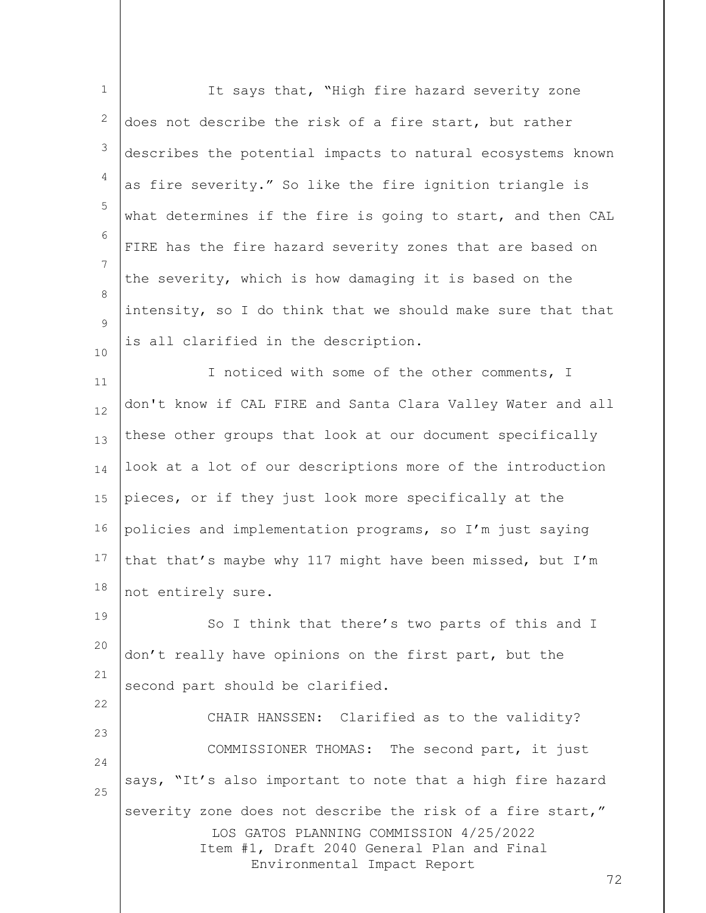| $\mathbf 1$ | It says that, "High fire hazard severity zone                                                                                                                                            |
|-------------|------------------------------------------------------------------------------------------------------------------------------------------------------------------------------------------|
| 2           | does not describe the risk of a fire start, but rather                                                                                                                                   |
| 3           | describes the potential impacts to natural ecosystems known                                                                                                                              |
| 4           | as fire severity." So like the fire ignition triangle is                                                                                                                                 |
| 5           | what determines if the fire is going to start, and then CAL                                                                                                                              |
| 6           | FIRE has the fire hazard severity zones that are based on                                                                                                                                |
| 7           | the severity, which is how damaging it is based on the                                                                                                                                   |
| 8<br>9      | intensity, so I do think that we should make sure that that                                                                                                                              |
| 10          | is all clarified in the description.                                                                                                                                                     |
| 11          | I noticed with some of the other comments, I                                                                                                                                             |
| 12          | don't know if CAL FIRE and Santa Clara Valley Water and all                                                                                                                              |
| 13          | these other groups that look at our document specifically                                                                                                                                |
| 14          | look at a lot of our descriptions more of the introduction                                                                                                                               |
| 15          | pieces, or if they just look more specifically at the                                                                                                                                    |
| 16          | policies and implementation programs, so I'm just saying                                                                                                                                 |
| 17          | that that's maybe why 117 might have been missed, but I'm                                                                                                                                |
| 18          | not entirely sure.                                                                                                                                                                       |
| 19          | So I think that there's two parts of this and I                                                                                                                                          |
| 20          | don't really have opinions on the first part, but the                                                                                                                                    |
| 21          | second part should be clarified.                                                                                                                                                         |
| 22          | CHAIR HANSSEN: Clarified as to the validity?                                                                                                                                             |
| 23<br>24    | COMMISSIONER THOMAS: The second part, it just                                                                                                                                            |
| 25          | says, "It's also important to note that a high fire hazard                                                                                                                               |
|             | severity zone does not describe the risk of a fire start,"<br>LOS GATOS PLANNING COMMISSION 4/25/2022<br>Item #1, Draft 2040 General Plan and Final<br>Environmental Impact Report<br>72 |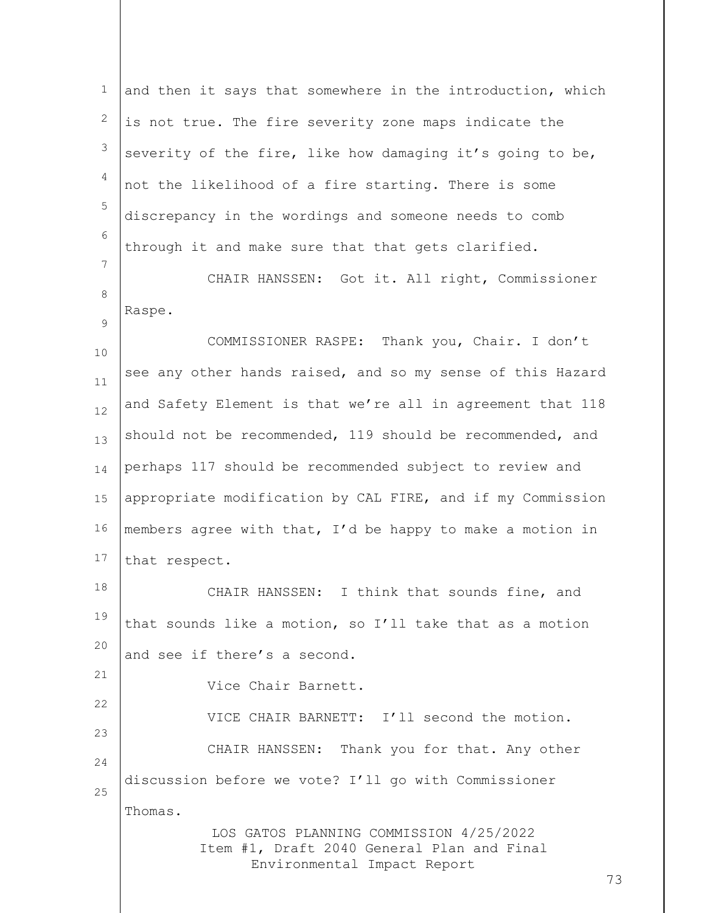LOS GATOS PLANNING COMMISSION 4/25/2022 Item #1, Draft 2040 General Plan and Final Environmental Impact Report 73 1 2 3 4 5 6 7 8  $\circ$ 10 11 12 13 14 15 16 17 18 19 20 21 22 23 24 25 and then it says that somewhere in the introduction, which is not true. The fire severity zone maps indicate the severity of the fire, like how damaging it's going to be, not the likelihood of a fire starting. There is some discrepancy in the wordings and someone needs to comb through it and make sure that that gets clarified. CHAIR HANSSEN: Got it. All right, Commissioner Raspe. COMMISSIONER RASPE: Thank you, Chair. I don't see any other hands raised, and so my sense of this Hazard and Safety Element is that we're all in agreement that 118 should not be recommended, 119 should be recommended, and perhaps 117 should be recommended subject to review and appropriate modification by CAL FIRE, and if my Commission members agree with that, I'd be happy to make a motion in that respect. CHAIR HANSSEN: I think that sounds fine, and that sounds like a motion, so I'll take that as a motion and see if there's a second. Vice Chair Barnett. VICE CHAIR BARNETT: I'll second the motion. CHAIR HANSSEN: Thank you for that. Any other discussion before we vote? I'll go with Commissioner Thomas.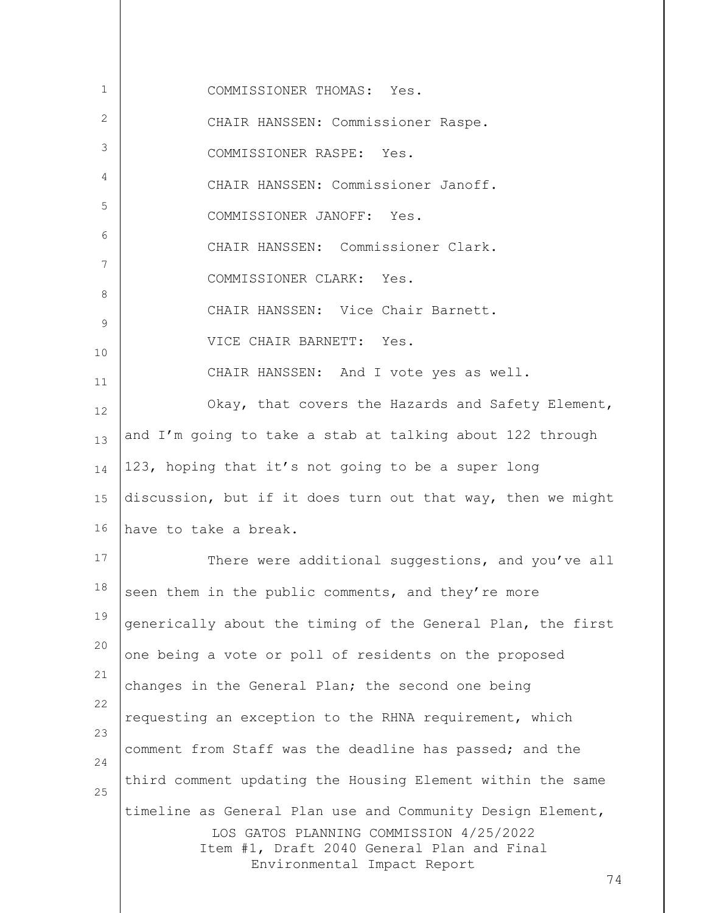| 1        | COMMISSIONER THOMAS: Yes.                                                                                                                                                                |
|----------|------------------------------------------------------------------------------------------------------------------------------------------------------------------------------------------|
| 2        | CHAIR HANSSEN: Commissioner Raspe.                                                                                                                                                       |
| 3        | COMMISSIONER RASPE: Yes.                                                                                                                                                                 |
| 4        | CHAIR HANSSEN: Commissioner Janoff.                                                                                                                                                      |
| 5        | COMMISSIONER JANOFF: Yes.                                                                                                                                                                |
| 6        | CHAIR HANSSEN: Commissioner Clark.                                                                                                                                                       |
| 7        | COMMISSIONER CLARK: Yes.                                                                                                                                                                 |
| 8        | CHAIR HANSSEN: Vice Chair Barnett.                                                                                                                                                       |
| 9        | VICE CHAIR BARNETT: Yes.                                                                                                                                                                 |
| 10<br>11 | CHAIR HANSSEN: And I vote yes as well.                                                                                                                                                   |
| 12       | Okay, that covers the Hazards and Safety Element,                                                                                                                                        |
| 13       | and I'm going to take a stab at talking about 122 through                                                                                                                                |
| 14       | 123, hoping that it's not going to be a super long                                                                                                                                       |
| 15       | discussion, but if it does turn out that way, then we might                                                                                                                              |
| 16       | have to take a break.                                                                                                                                                                    |
| 17       | There were additional suggestions, and you've all                                                                                                                                        |
| 18       | seen them in the public comments, and they're more                                                                                                                                       |
| 19       | generically about the timing of the General Plan, the first                                                                                                                              |
| 20       | one being a vote or poll of residents on the proposed                                                                                                                                    |
| 21       | changes in the General Plan; the second one being                                                                                                                                        |
| 22       | requesting an exception to the RHNA requirement, which                                                                                                                                   |
| 23       | comment from Staff was the deadline has passed; and the                                                                                                                                  |
| 24       | third comment updating the Housing Element within the same                                                                                                                               |
| 25       | timeline as General Plan use and Community Design Element,<br>LOS GATOS PLANNING COMMISSION 4/25/2022<br>Item #1, Draft 2040 General Plan and Final<br>Environmental Impact Report<br>74 |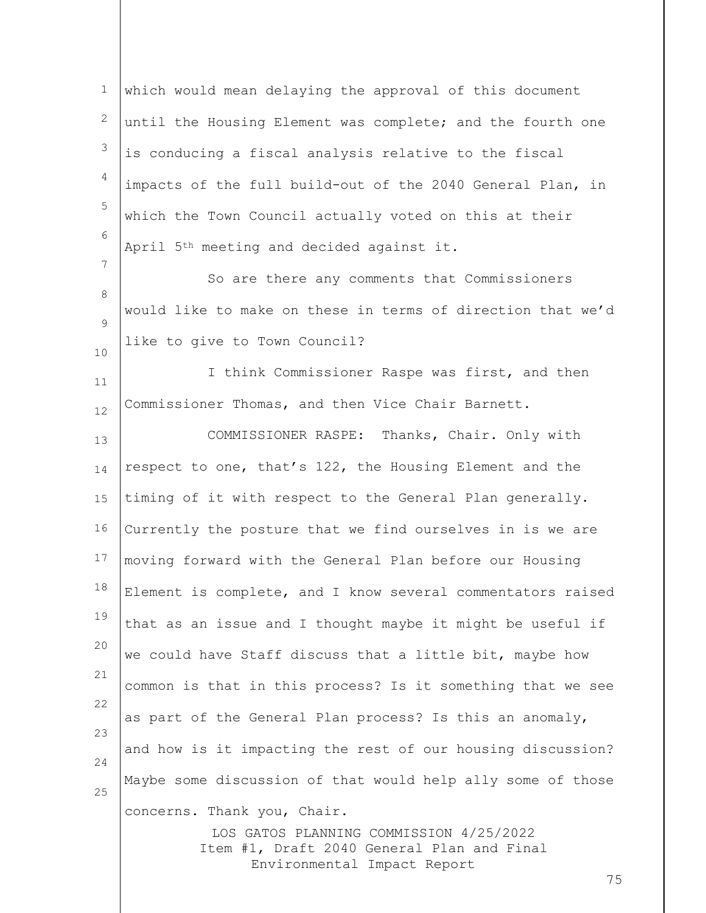LOS GATOS PLANNING COMMISSION 4/25/2022 Item #1, Draft 2040 General Plan and Final Environmental Impact Report 75 1 2 3 4 5 6 7 8  $\circ$ 10 11 12 13 14 15 16 17 18 19 20 21 22 23 24 25 which would mean delaying the approval of this document until the Housing Element was complete; and the fourth one is conducing a fiscal analysis relative to the fiscal impacts of the full build-out of the 2040 General Plan, in which the Town Council actually voted on this at their April 5th meeting and decided against it. So are there any comments that Commissioners would like to make on these in terms of direction that we'd like to give to Town Council? I think Commissioner Raspe was first, and then Commissioner Thomas, and then Vice Chair Barnett. COMMISSIONER RASPE: Thanks, Chair. Only with respect to one, that's 122, the Housing Element and the timing of it with respect to the General Plan generally. Currently the posture that we find ourselves in is we are moving forward with the General Plan before our Housing Element is complete, and I know several commentators raised that as an issue and I thought maybe it might be useful if we could have Staff discuss that a little bit, maybe how common is that in this process? Is it something that we see as part of the General Plan process? Is this an anomaly, and how is it impacting the rest of our housing discussion? Maybe some discussion of that would help ally some of those concerns. Thank you, Chair.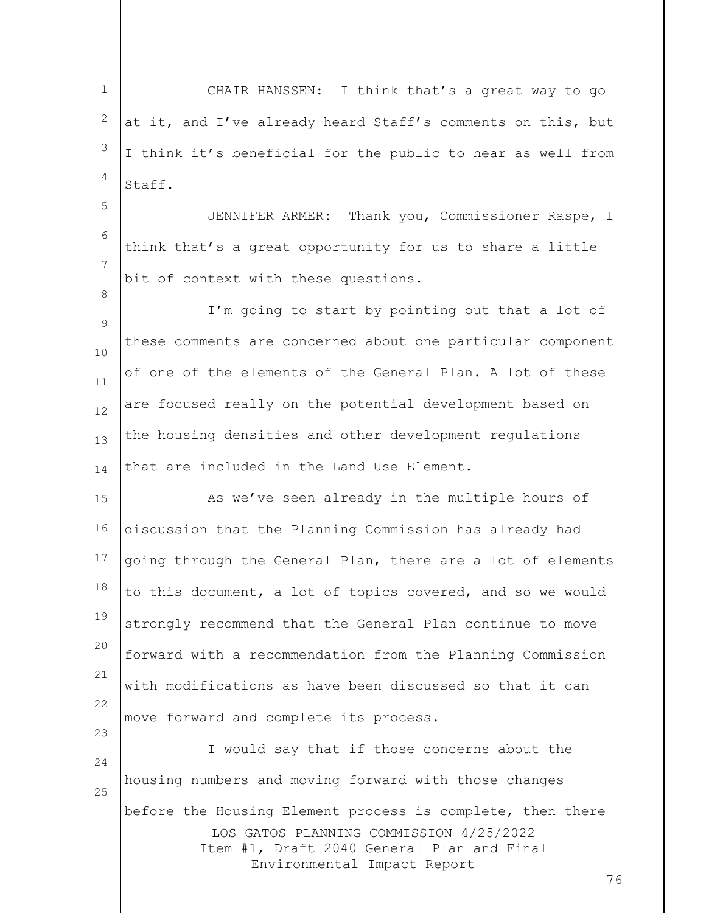1 2 3 4 CHAIR HANSSEN: I think that's a great way to go at it, and I've already heard Staff's comments on this, but I think it's beneficial for the public to hear as well from Staff.

5 6 7 JENNIFER ARMER: Thank you, Commissioner Raspe, I think that's a great opportunity for us to share a little bit of context with these questions.

8

23

9 10 11 12 13 14 I'm going to start by pointing out that a lot of these comments are concerned about one particular component of one of the elements of the General Plan. A lot of these are focused really on the potential development based on the housing densities and other development regulations that are included in the Land Use Element.

15 16 17 18 19 20 21 22 As we've seen already in the multiple hours of discussion that the Planning Commission has already had going through the General Plan, there are a lot of elements to this document, a lot of topics covered, and so we would strongly recommend that the General Plan continue to move forward with a recommendation from the Planning Commission with modifications as have been discussed so that it can move forward and complete its process.

LOS GATOS PLANNING COMMISSION 4/25/2022 Item #1, Draft 2040 General Plan and Final Environmental Impact Report 24 25 I would say that if those concerns about the housing numbers and moving forward with those changes before the Housing Element process is complete, then there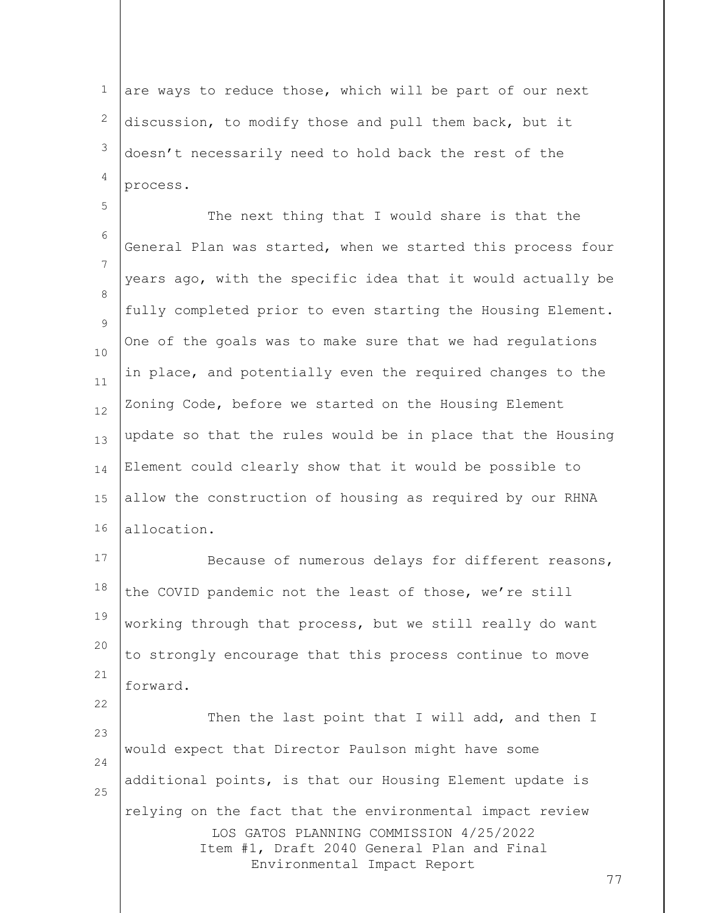1 2 3 4 are ways to reduce those, which will be part of our next discussion, to modify those and pull them back, but it doesn't necessarily need to hold back the rest of the process.

5 6 7 8  $\circ$ 10 11 12 13 14 15 16 The next thing that I would share is that the General Plan was started, when we started this process four years ago, with the specific idea that it would actually be fully completed prior to even starting the Housing Element. One of the goals was to make sure that we had regulations in place, and potentially even the required changes to the Zoning Code, before we started on the Housing Element update so that the rules would be in place that the Housing Element could clearly show that it would be possible to allow the construction of housing as required by our RHNA allocation.

17 18 19 20 21 Because of numerous delays for different reasons, the COVID pandemic not the least of those, we're still working through that process, but we still really do want to strongly encourage that this process continue to move forward.

LOS GATOS PLANNING COMMISSION 4/25/2022 Item #1, Draft 2040 General Plan and Final Environmental Impact Report 23 24 25 Then the last point that I will add, and then I would expect that Director Paulson might have some additional points, is that our Housing Element update is relying on the fact that the environmental impact review

22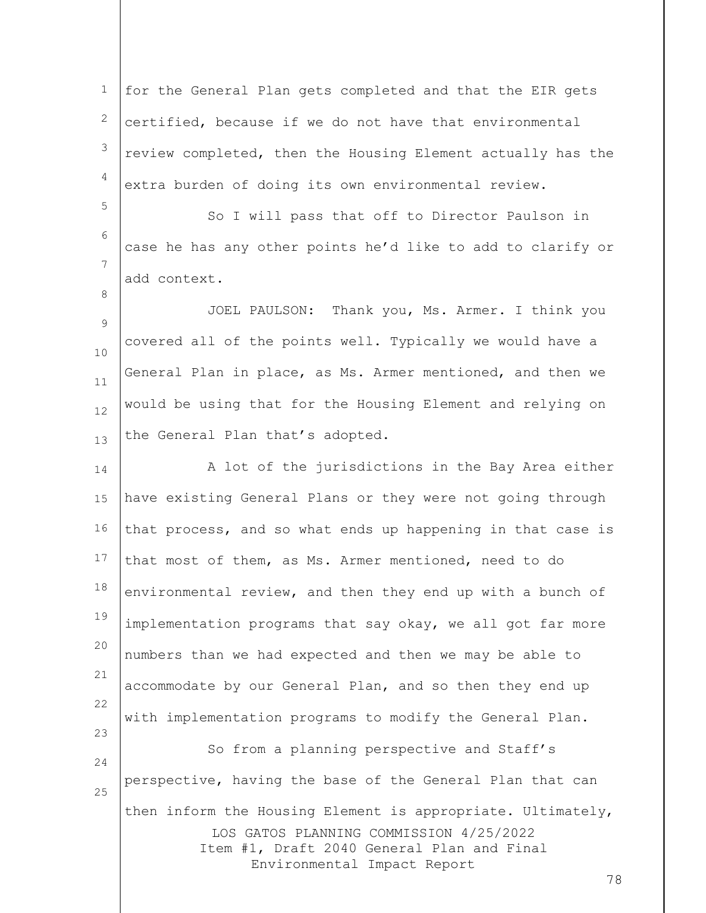1 2 3 4 for the General Plan gets completed and that the EIR gets certified, because if we do not have that environmental review completed, then the Housing Element actually has the extra burden of doing its own environmental review.

6 7 So I will pass that off to Director Paulson in case he has any other points he'd like to add to clarify or add context.

5

8

9 10 11 12 13 JOEL PAULSON: Thank you, Ms. Armer. I think you covered all of the points well. Typically we would have a General Plan in place, as Ms. Armer mentioned, and then we would be using that for the Housing Element and relying on the General Plan that's adopted.

LOS GATOS PLANNING COMMISSION 4/25/2022 Item #1, Draft 2040 General Plan and Final Environmental Impact Report 14 15 16 17 18 19 20 21 22 23 24 25 A lot of the jurisdictions in the Bay Area either have existing General Plans or they were not going through that process, and so what ends up happening in that case is that most of them, as Ms. Armer mentioned, need to do environmental review, and then they end up with a bunch of implementation programs that say okay, we all got far more numbers than we had expected and then we may be able to accommodate by our General Plan, and so then they end up with implementation programs to modify the General Plan. So from a planning perspective and Staff's perspective, having the base of the General Plan that can then inform the Housing Element is appropriate. Ultimately,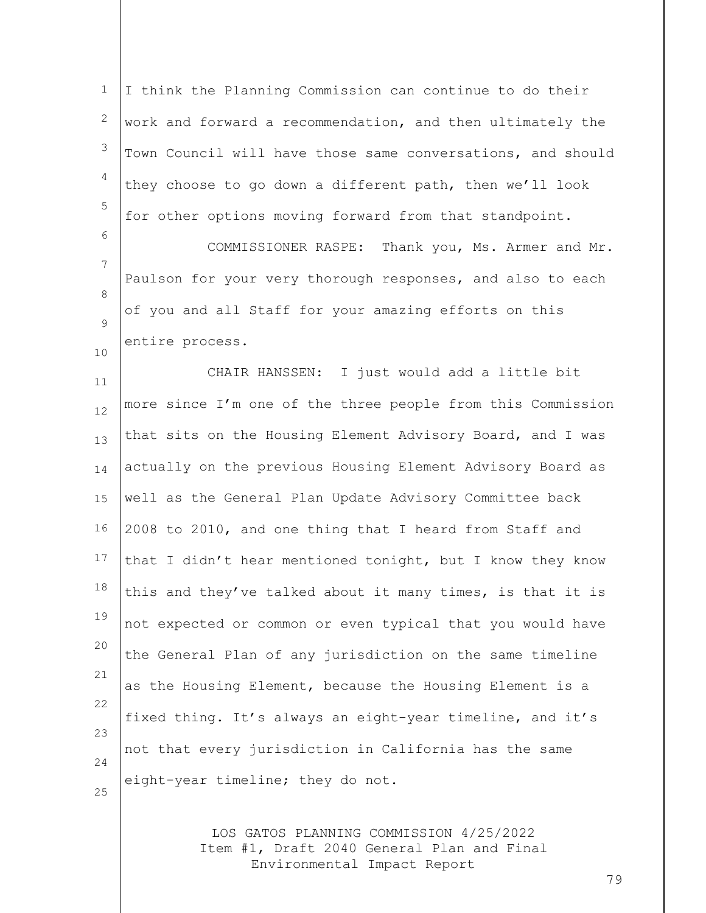| $\mathbf 1$ | I think the Planning Commission can continue to do their    |
|-------------|-------------------------------------------------------------|
| 2           | work and forward a recommendation, and then ultimately the  |
| 3           | Town Council will have those same conversations, and should |
| 4           | they choose to go down a different path, then we'll look    |
| 5           | for other options moving forward from that standpoint.      |
| 6           | COMMISSIONER RASPE:<br>Thank you, Ms. Armer and Mr.         |
| 7           | Paulson for your very thorough responses, and also to each  |
| 8<br>9      | of you and all Staff for your amazing efforts on this       |
| 10          | entire process.                                             |
| 11          | CHAIR HANSSEN: I just would add a little bit                |
| 12          | more since I'm one of the three people from this Commission |
| 13          | that sits on the Housing Element Advisory Board, and I was  |
| 14          | actually on the previous Housing Element Advisory Board as  |
| 15          | well as the General Plan Update Advisory Committee back     |
| 16          | 2008 to 2010, and one thing that I heard from Staff and     |
| 17          | that I didn't hear mentioned tonight, but I know they know  |
| 18          | this and they've talked about it many times, is that it is  |
| 19          | not expected or common or even typical that you would have  |
| 20          | the General Plan of any jurisdiction on the same timeline   |
| 21          | as the Housing Element, because the Housing Element is a    |
| 22<br>23    | fixed thing. It's always an eight-year timeline, and it's   |
| 24          | not that every jurisdiction in California has the same      |
| 25          | eight-year timeline; they do not.                           |
|             |                                                             |

LOS GATOS PLANNING COMMISSION 4/25/2022 Item #1, Draft 2040 General Plan and Final Environmental Impact Report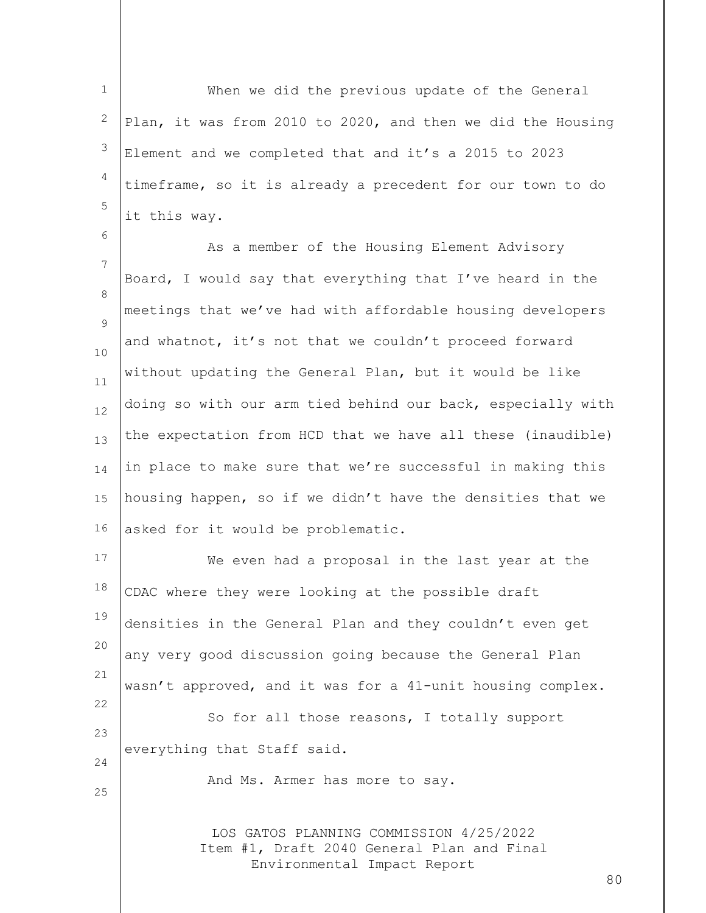1 2 3 4 5 When we did the previous update of the General Plan, it was from 2010 to 2020, and then we did the Housing Element and we completed that and it's a 2015 to 2023 timeframe, so it is already a precedent for our town to do it this way.

6 7 8  $\circ$ 10 11 12 13 14 15 16 As a member of the Housing Element Advisory Board, I would say that everything that I've heard in the meetings that we've had with affordable housing developers and whatnot, it's not that we couldn't proceed forward without updating the General Plan, but it would be like doing so with our arm tied behind our back, especially with the expectation from HCD that we have all these (inaudible) in place to make sure that we're successful in making this housing happen, so if we didn't have the densities that we asked for it would be problematic.

17 18 19 20 21 22 23 24 25 We even had a proposal in the last year at the CDAC where they were looking at the possible draft densities in the General Plan and they couldn't even get any very good discussion going because the General Plan wasn't approved, and it was for a 41-unit housing complex. So for all those reasons, I totally support everything that Staff said. And Ms. Armer has more to say.

> LOS GATOS PLANNING COMMISSION 4/25/2022 Item #1, Draft 2040 General Plan and Final Environmental Impact Report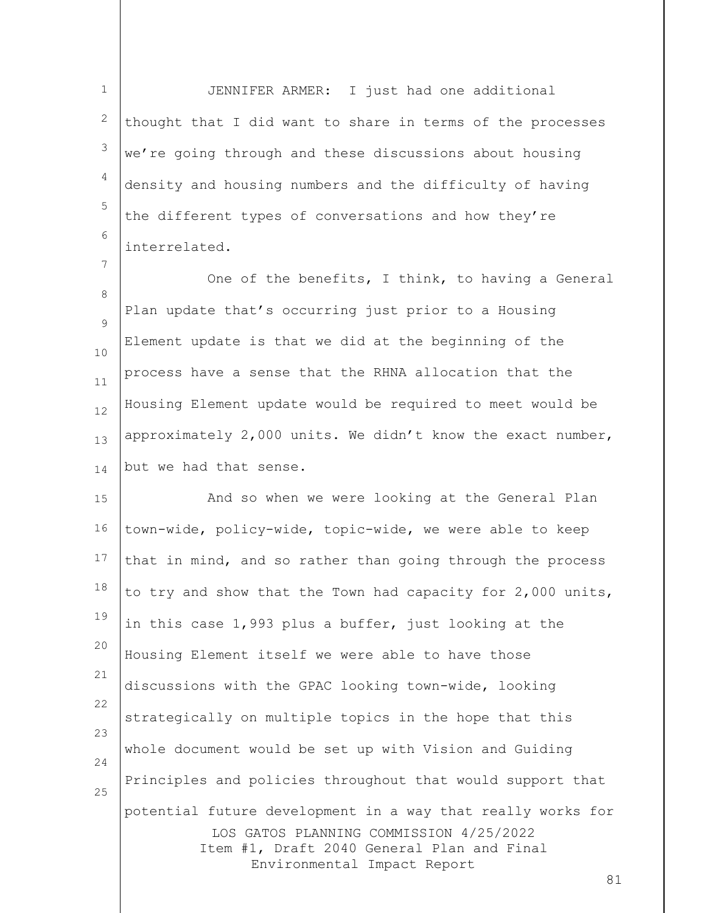1 2 3 4 5 6 JENNIFER ARMER: I just had one additional thought that I did want to share in terms of the processes we're going through and these discussions about housing density and housing numbers and the difficulty of having the different types of conversations and how they're interrelated.

7

8  $\circ$ 10 11 12 13 14 One of the benefits, I think, to having a General Plan update that's occurring just prior to a Housing Element update is that we did at the beginning of the process have a sense that the RHNA allocation that the Housing Element update would be required to meet would be approximately 2,000 units. We didn't know the exact number, but we had that sense.

LOS GATOS PLANNING COMMISSION 4/25/2022 Item #1, Draft 2040 General Plan and Final Environmental Impact Report 15 16 17 18 19 20 21 22 23 24 25 And so when we were looking at the General Plan town-wide, policy-wide, topic-wide, we were able to keep that in mind, and so rather than going through the process to try and show that the Town had capacity for 2,000 units, in this case 1,993 plus a buffer, just looking at the Housing Element itself we were able to have those discussions with the GPAC looking town-wide, looking strategically on multiple topics in the hope that this whole document would be set up with Vision and Guiding Principles and policies throughout that would support that potential future development in a way that really works for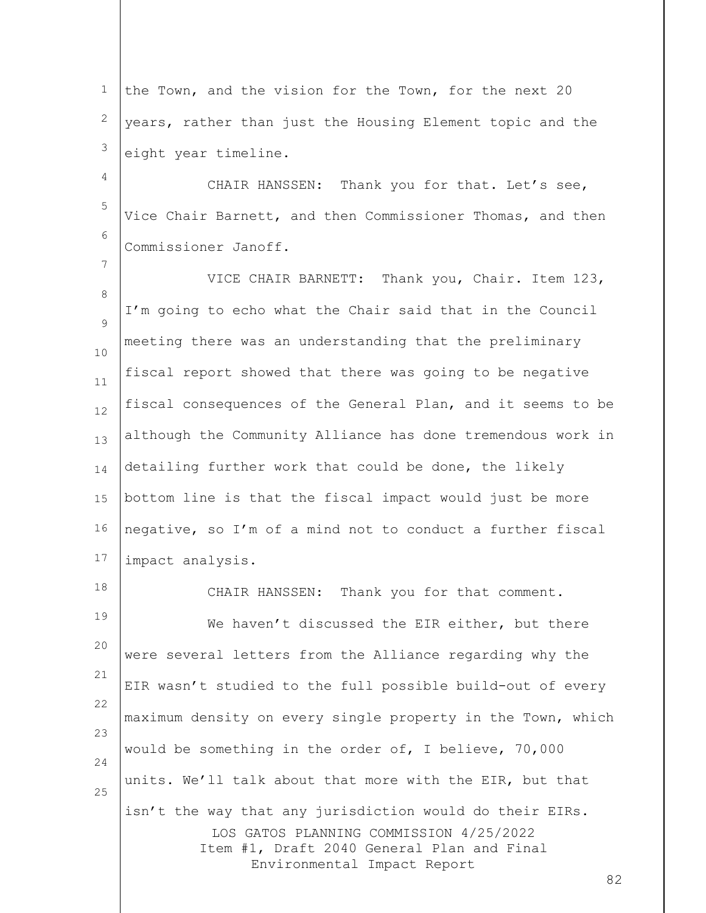1 2 3 the Town, and the vision for the Town, for the next 20 years, rather than just the Housing Element topic and the eight year timeline.

4 5 6 CHAIR HANSSEN: Thank you for that. Let's see, Vice Chair Barnett, and then Commissioner Thomas, and then Commissioner Janoff.

7

8  $\circ$ 10 11 12 13 14 15 16 17 VICE CHAIR BARNETT: Thank you, Chair. Item 123, I'm going to echo what the Chair said that in the Council meeting there was an understanding that the preliminary fiscal report showed that there was going to be negative fiscal consequences of the General Plan, and it seems to be although the Community Alliance has done tremendous work in detailing further work that could be done, the likely bottom line is that the fiscal impact would just be more negative, so I'm of a mind not to conduct a further fiscal impact analysis.

LOS GATOS PLANNING COMMISSION 4/25/2022 Item #1, Draft 2040 General Plan and Final Environmental Impact Report 18 19 20 21 22 23 24 25 CHAIR HANSSEN: Thank you for that comment. We haven't discussed the EIR either, but there were several letters from the Alliance regarding why the EIR wasn't studied to the full possible build-out of every maximum density on every single property in the Town, which would be something in the order of, I believe, 70,000 units. We'll talk about that more with the EIR, but that isn't the way that any jurisdiction would do their EIRs.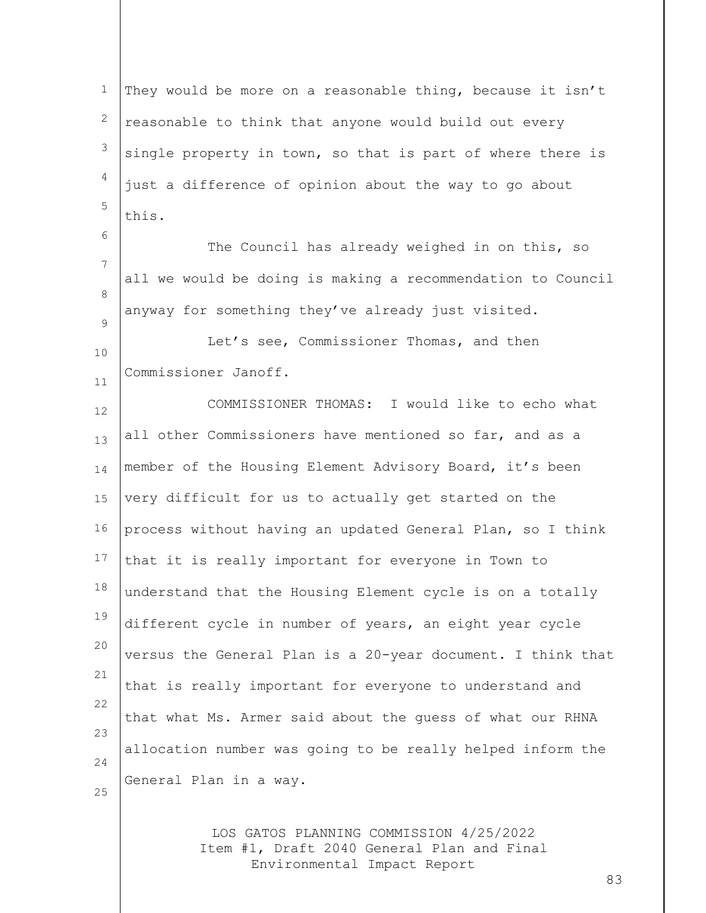1 2 3 4 5 They would be more on a reasonable thing, because it isn't reasonable to think that anyone would build out every single property in town, so that is part of where there is just a difference of opinion about the way to go about this.

The Council has already weighed in on this, so all we would be doing is making a recommendation to Council anyway for something they've already just visited.

10 11 Let's see, Commissioner Thomas, and then Commissioner Janoff.

6

7

8

 $\circ$ 

12 13 14 15 16 17 18 19 20 21 22 23 24 25 COMMISSIONER THOMAS: I would like to echo what all other Commissioners have mentioned so far, and as a member of the Housing Element Advisory Board, it's been very difficult for us to actually get started on the process without having an updated General Plan, so I think that it is really important for everyone in Town to understand that the Housing Element cycle is on a totally different cycle in number of years, an eight year cycle versus the General Plan is a 20-year document. I think that that is really important for everyone to understand and that what Ms. Armer said about the guess of what our RHNA allocation number was going to be really helped inform the General Plan in a way.

> LOS GATOS PLANNING COMMISSION 4/25/2022 Item #1, Draft 2040 General Plan and Final Environmental Impact Report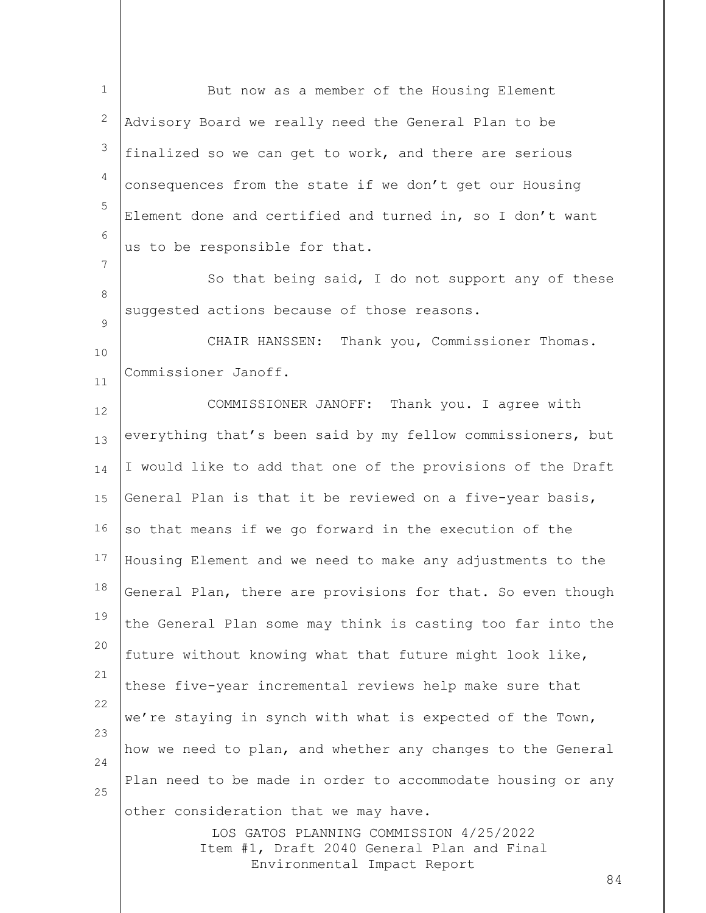LOS GATOS PLANNING COMMISSION 4/25/2022 Item #1, Draft 2040 General Plan and Final Environmental Impact Report 84 1 2 3 4 5 6 7 8  $\circ$ 10 11 12 13 14 15 16 17 18 19 20 21 22 23 24 25 But now as a member of the Housing Element Advisory Board we really need the General Plan to be finalized so we can get to work, and there are serious consequences from the state if we don't get our Housing Element done and certified and turned in, so I don't want us to be responsible for that. So that being said, I do not support any of these suggested actions because of those reasons. CHAIR HANSSEN: Thank you, Commissioner Thomas. Commissioner Janoff. COMMISSIONER JANOFF: Thank you. I agree with everything that's been said by my fellow commissioners, but I would like to add that one of the provisions of the Draft General Plan is that it be reviewed on a five-year basis, so that means if we go forward in the execution of the Housing Element and we need to make any adjustments to the General Plan, there are provisions for that. So even though the General Plan some may think is casting too far into the future without knowing what that future might look like, these five-year incremental reviews help make sure that we're staying in synch with what is expected of the Town, how we need to plan, and whether any changes to the General Plan need to be made in order to accommodate housing or any other consideration that we may have.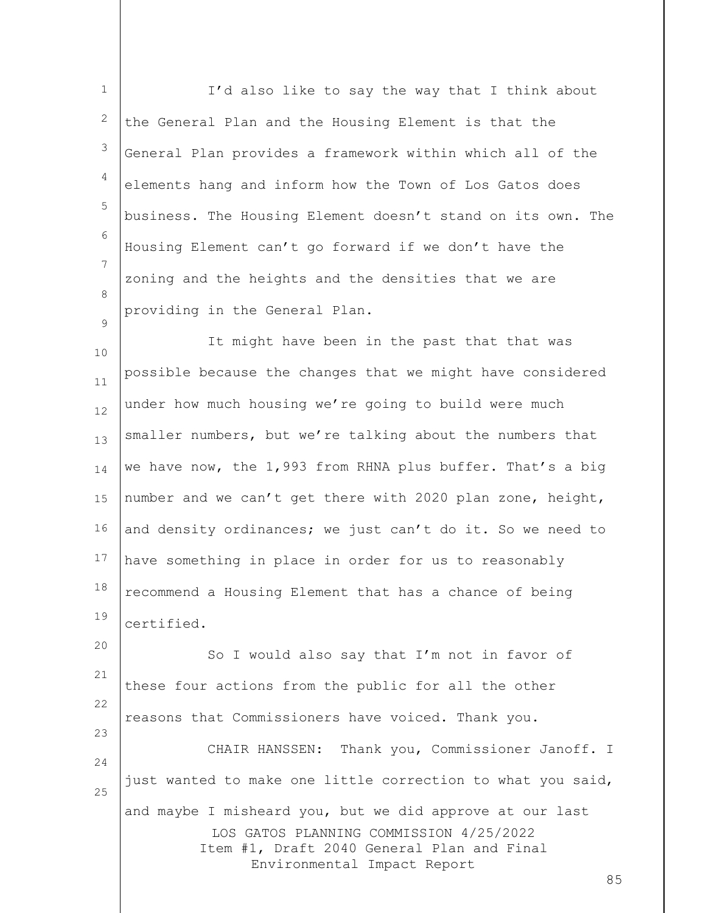1 2 3 4 5 6 7 8  $\circ$ I'd also like to say the way that I think about the General Plan and the Housing Element is that the General Plan provides a framework within which all of the elements hang and inform how the Town of Los Gatos does business. The Housing Element doesn't stand on its own. The Housing Element can't go forward if we don't have the zoning and the heights and the densities that we are providing in the General Plan.

10 11 12 13 14 15 16 17 18 19 It might have been in the past that that was possible because the changes that we might have considered under how much housing we're going to build were much smaller numbers, but we're talking about the numbers that we have now, the 1,993 from RHNA plus buffer. That's a big number and we can't get there with 2020 plan zone, height, and density ordinances; we just can't do it. So we need to have something in place in order for us to reasonably recommend a Housing Element that has a chance of being certified.

LOS GATOS PLANNING COMMISSION 4/25/2022 Item #1, Draft 2040 General Plan and Final Environmental Impact Report 20 21 22 23 24 25 So I would also say that I'm not in favor of these four actions from the public for all the other reasons that Commissioners have voiced. Thank you. CHAIR HANSSEN: Thank you, Commissioner Janoff. I just wanted to make one little correction to what you said, and maybe I misheard you, but we did approve at our last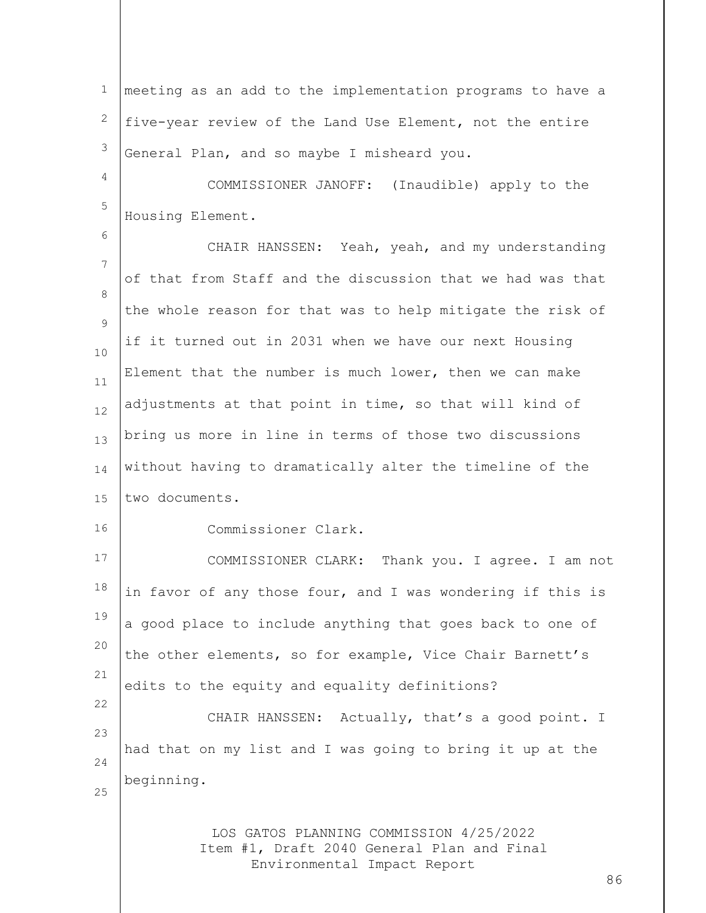1 2 3 meeting as an add to the implementation programs to have a five-year review of the Land Use Element, not the entire General Plan, and so maybe I misheard you.

4 5 COMMISSIONER JANOFF: (Inaudible) apply to the Housing Element.

7 8  $\circ$ 10 11 12 13 14 15 CHAIR HANSSEN: Yeah, yeah, and my understanding of that from Staff and the discussion that we had was that the whole reason for that was to help mitigate the risk of if it turned out in 2031 when we have our next Housing Element that the number is much lower, then we can make adjustments at that point in time, so that will kind of bring us more in line in terms of those two discussions without having to dramatically alter the timeline of the two documents.

16

6

Commissioner Clark.

17 18 19 20 21 22 COMMISSIONER CLARK: Thank you. I agree. I am not in favor of any those four, and I was wondering if this is a good place to include anything that goes back to one of the other elements, so for example, Vice Chair Barnett's edits to the equity and equality definitions? CHAIR HANSSEN: Actually, that's a good point. I

23 24 25 had that on my list and I was going to bring it up at the beginning.

> LOS GATOS PLANNING COMMISSION 4/25/2022 Item #1, Draft 2040 General Plan and Final Environmental Impact Report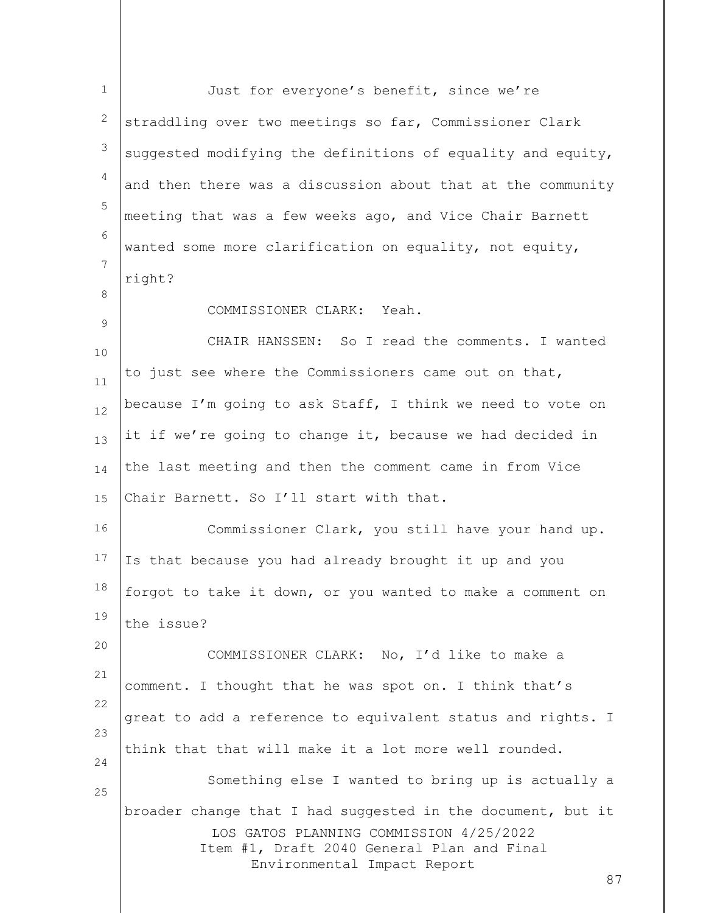| $\mathbf{1}$ | Just for everyone's benefit, since we're                                                                                                                                            |    |
|--------------|-------------------------------------------------------------------------------------------------------------------------------------------------------------------------------------|----|
| 2            | straddling over two meetings so far, Commissioner Clark                                                                                                                             |    |
| 3            | suggested modifying the definitions of equality and equity,                                                                                                                         |    |
| 4            | and then there was a discussion about that at the community                                                                                                                         |    |
| 5            | meeting that was a few weeks ago, and Vice Chair Barnett                                                                                                                            |    |
| 6            | wanted some more clarification on equality, not equity,                                                                                                                             |    |
| 7            | right?                                                                                                                                                                              |    |
| 8            | COMMISSIONER CLARK: Yeah.                                                                                                                                                           |    |
| 9            | CHAIR HANSSEN: So I read the comments. I wanted                                                                                                                                     |    |
| 10<br>11     | to just see where the Commissioners came out on that,                                                                                                                               |    |
| 12           | because I'm going to ask Staff, I think we need to vote on                                                                                                                          |    |
| 13           | it if we're going to change it, because we had decided in                                                                                                                           |    |
| 14           | the last meeting and then the comment came in from Vice                                                                                                                             |    |
| 15           | Chair Barnett. So I'll start with that.                                                                                                                                             |    |
| 16           | Commissioner Clark, you still have your hand up.                                                                                                                                    |    |
| 17           | Is that because you had already brought it up and you                                                                                                                               |    |
| 18           | forgot to take it down, or you wanted to make a comment on                                                                                                                          |    |
| 19           | the issue?                                                                                                                                                                          |    |
| 20           | COMMISSIONER CLARK: No, I'd like to make a                                                                                                                                          |    |
| 21           | comment. I thought that he was spot on. I think that's                                                                                                                              |    |
| 22           | great to add a reference to equivalent status and rights. I                                                                                                                         |    |
| 23           | think that that will make it a lot more well rounded.                                                                                                                               |    |
| 24           | Something else I wanted to bring up is actually a                                                                                                                                   |    |
| 25           | broader change that I had suggested in the document, but it<br>LOS GATOS PLANNING COMMISSION 4/25/2022<br>Item #1, Draft 2040 General Plan and Final<br>Environmental Impact Report | 87 |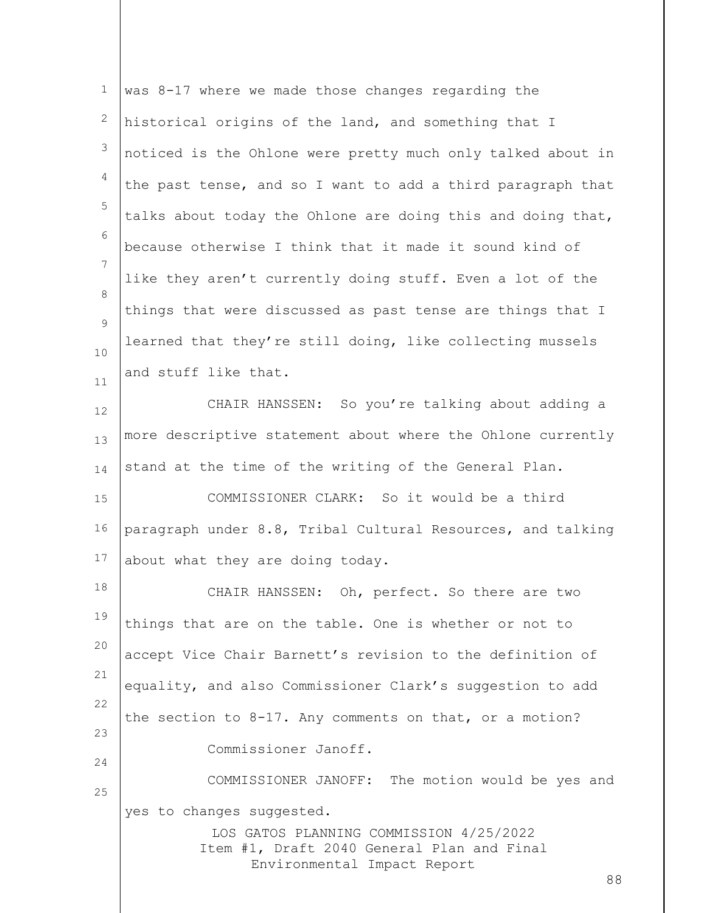| $\mathbf 1$ | was 8-17 where we made those changes regarding the                                                                                                      |
|-------------|---------------------------------------------------------------------------------------------------------------------------------------------------------|
| 2           | historical origins of the land, and something that I                                                                                                    |
| 3           | noticed is the Ohlone were pretty much only talked about in                                                                                             |
| 4           | the past tense, and so I want to add a third paragraph that                                                                                             |
| 5           | talks about today the Ohlone are doing this and doing that,                                                                                             |
| 6           | because otherwise I think that it made it sound kind of                                                                                                 |
| 7           | like they aren't currently doing stuff. Even a lot of the                                                                                               |
| 8           | things that were discussed as past tense are things that I                                                                                              |
| 9<br>10     | learned that they're still doing, like collecting mussels                                                                                               |
| 11          | and stuff like that.                                                                                                                                    |
| 12          | CHAIR HANSSEN: So you're talking about adding a                                                                                                         |
| 13          | more descriptive statement about where the Ohlone currently                                                                                             |
| 14          | stand at the time of the writing of the General Plan.                                                                                                   |
| 15          | COMMISSIONER CLARK: So it would be a third                                                                                                              |
| 16          | paragraph under 8.8, Tribal Cultural Resources, and talking                                                                                             |
| 17          | about what they are doing today.                                                                                                                        |
| 18          | CHAIR HANSSEN: Oh, perfect. So there are two                                                                                                            |
| 19          | things that are on the table. One is whether or not to                                                                                                  |
| 20          | accept Vice Chair Barnett's revision to the definition of                                                                                               |
| 21          | equality, and also Commissioner Clark's suggestion to add                                                                                               |
| 22          | the section to 8-17. Any comments on that, or a motion?                                                                                                 |
| 23          | Commissioner Janoff.                                                                                                                                    |
| 24          | COMMISSIONER JANOFF: The motion would be yes and                                                                                                        |
| 25          | yes to changes suggested.<br>LOS GATOS PLANNING COMMISSION 4/25/2022<br>Item #1, Draft 2040 General Plan and Final<br>Environmental Impact Report<br>88 |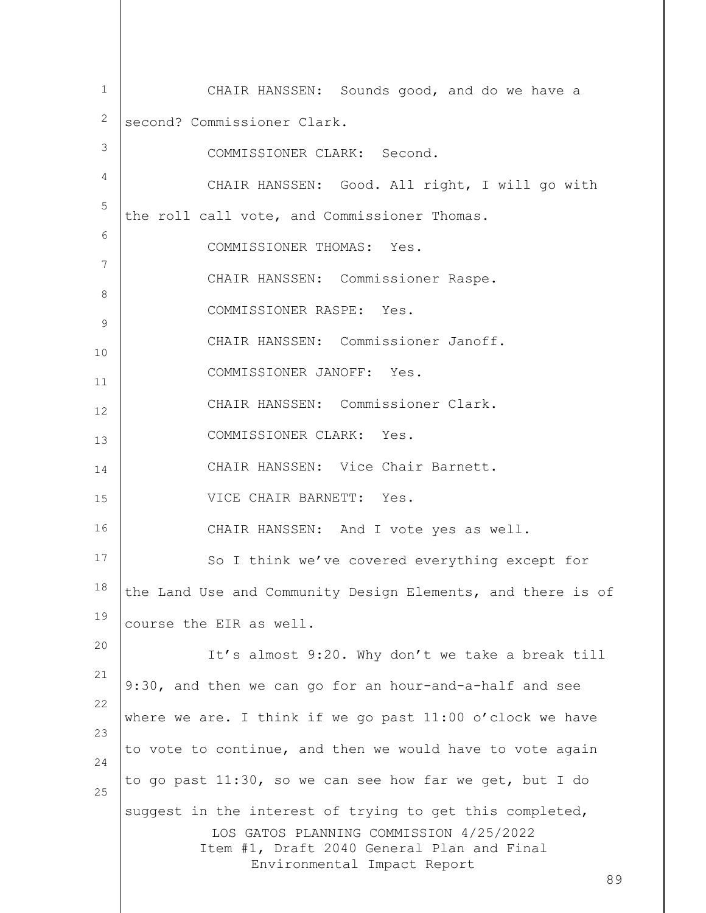LOS GATOS PLANNING COMMISSION 4/25/2022 Item #1, Draft 2040 General Plan and Final Environmental Impact Report 89 1 2 3 4 5 6 7 8 9 10 11 12 13 14 15 16 17 18 19 20 21 22 23 24 25 CHAIR HANSSEN: Sounds good, and do we have a second? Commissioner Clark. COMMISSIONER CLARK: Second. CHAIR HANSSEN: Good. All right, I will go with the roll call vote, and Commissioner Thomas. COMMISSIONER THOMAS: Yes. CHAIR HANSSEN: Commissioner Raspe. COMMISSIONER RASPE: Yes. CHAIR HANSSEN: Commissioner Janoff. COMMISSIONER JANOFF: Yes. CHAIR HANSSEN: Commissioner Clark. COMMISSIONER CLARK: Yes. CHAIR HANSSEN: Vice Chair Barnett. VICE CHAIR BARNETT: Yes. CHAIR HANSSEN: And I vote yes as well. So I think we've covered everything except for the Land Use and Community Design Elements, and there is of course the EIR as well. It's almost 9:20. Why don't we take a break till 9:30, and then we can go for an hour-and-a-half and see where we are. I think if we go past  $11:00$  o'clock we have to vote to continue, and then we would have to vote again to go past 11:30, so we can see how far we get, but I do suggest in the interest of trying to get this completed,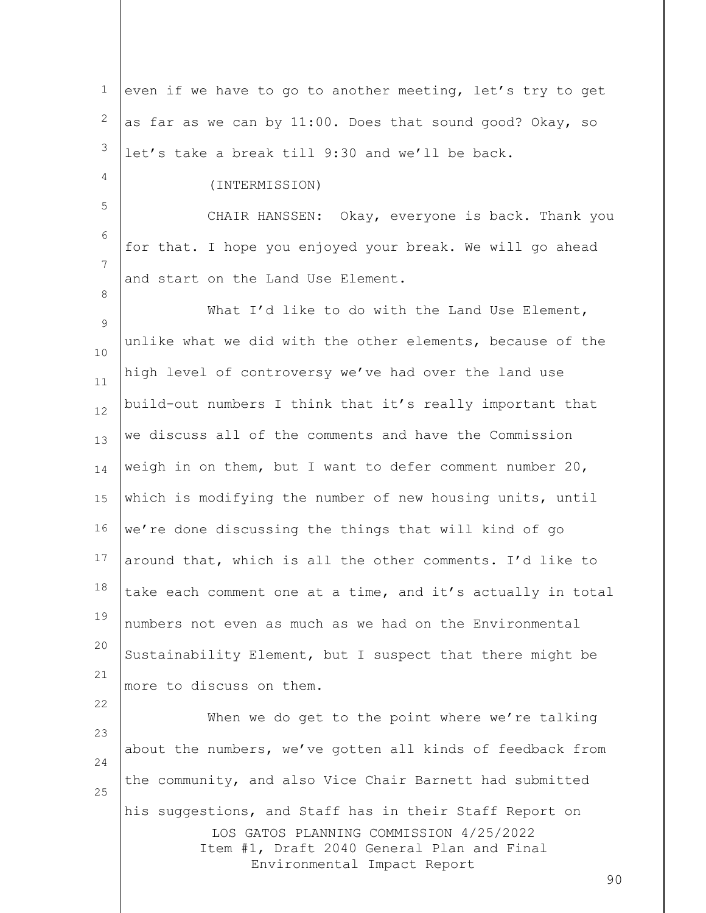| 1             | even if we have to go to another meeting, let's try to get                |    |
|---------------|---------------------------------------------------------------------------|----|
| 2             | as far as we can by 11:00. Does that sound good? Okay, so                 |    |
| 3             | let's take a break till 9:30 and we'll be back.                           |    |
| 4             | (INTERMISSION)                                                            |    |
| 5             | CHAIR HANSSEN: Okay, everyone is back. Thank you                          |    |
| 6             | for that. I hope you enjoyed your break. We will go ahead                 |    |
| 7             | and start on the Land Use Element.                                        |    |
| 8             | What I'd like to do with the Land Use Element,                            |    |
| $\mathcal{G}$ | unlike what we did with the other elements, because of the                |    |
| 10            | high level of controversy we've had over the land use                     |    |
| 11<br>12      | build-out numbers I think that it's really important that                 |    |
| 13            | we discuss all of the comments and have the Commission                    |    |
| 14            | weigh in on them, but I want to defer comment number $20$ ,               |    |
| 15            | which is modifying the number of new housing units, until                 |    |
| 16            | we're done discussing the things that will kind of go                     |    |
| 17            | around that, which is all the other comments. I'd like to                 |    |
| 18            | take each comment one at a time, and it's actually in total               |    |
| 19            | numbers not even as much as we had on the Environmental                   |    |
| 20            | Sustainability Element, but I suspect that there might be                 |    |
| 21            | more to discuss on them.                                                  |    |
| 22            | When we do get to the point where we're talking                           |    |
| 23            | about the numbers, we've gotten all kinds of feedback from                |    |
| 24            | the community, and also Vice Chair Barnett had submitted                  |    |
| 25            | his suggestions, and Staff has in their Staff Report on                   |    |
|               | LOS GATOS PLANNING COMMISSION 4/25/2022                                   |    |
|               | Item #1, Draft 2040 General Plan and Final<br>Environmental Impact Report |    |
|               |                                                                           | 90 |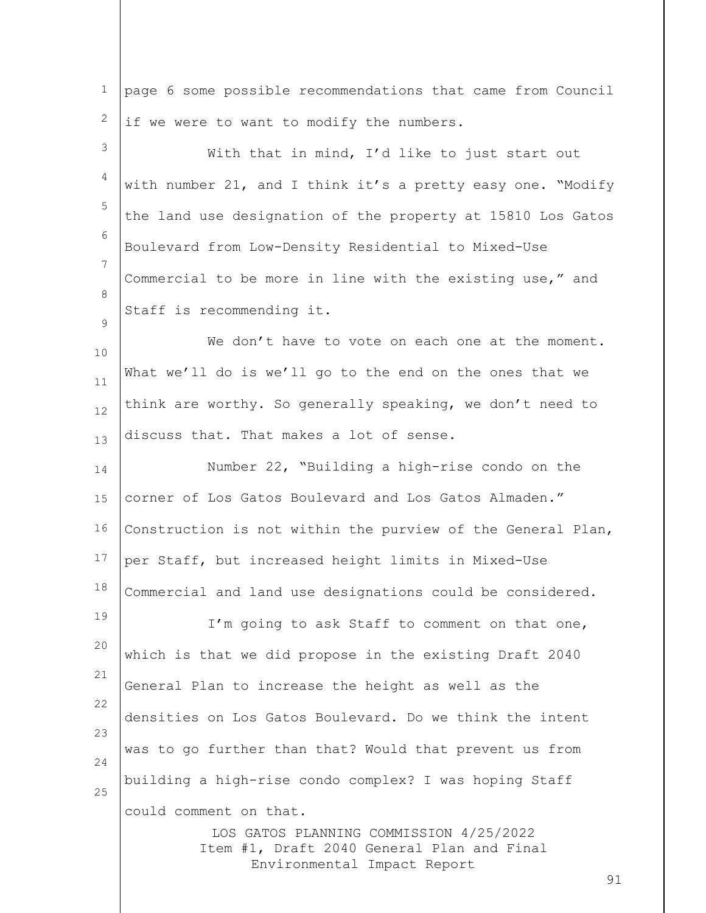1 2 3 4 5 6 7 8  $\circ$ 10 11 12 13 14 15 16 17 18 19 20 21 22 23 24 page 6 some possible recommendations that came from Council if we were to want to modify the numbers. With that in mind, I'd like to just start out with number 21, and I think it's a pretty easy one. "Modify the land use designation of the property at 15810 Los Gatos Boulevard from Low-Density Residential to Mixed-Use Commercial to be more in line with the existing use," and Staff is recommending it. We don't have to vote on each one at the moment. What we'll do is we'll go to the end on the ones that we think are worthy. So generally speaking, we don't need to discuss that. That makes a lot of sense. Number 22, "Building a high-rise condo on the corner of Los Gatos Boulevard and Los Gatos Almaden." Construction is not within the purview of the General Plan, per Staff, but increased height limits in Mixed-Use Commercial and land use designations could be considered. I'm going to ask Staff to comment on that one, which is that we did propose in the existing Draft 2040 General Plan to increase the height as well as the densities on Los Gatos Boulevard. Do we think the intent was to go further than that? Would that prevent us from building a high-rise condo complex? I was hoping Staff

could comment on that.

25

LOS GATOS PLANNING COMMISSION 4/25/2022 Item #1, Draft 2040 General Plan and Final Environmental Impact Report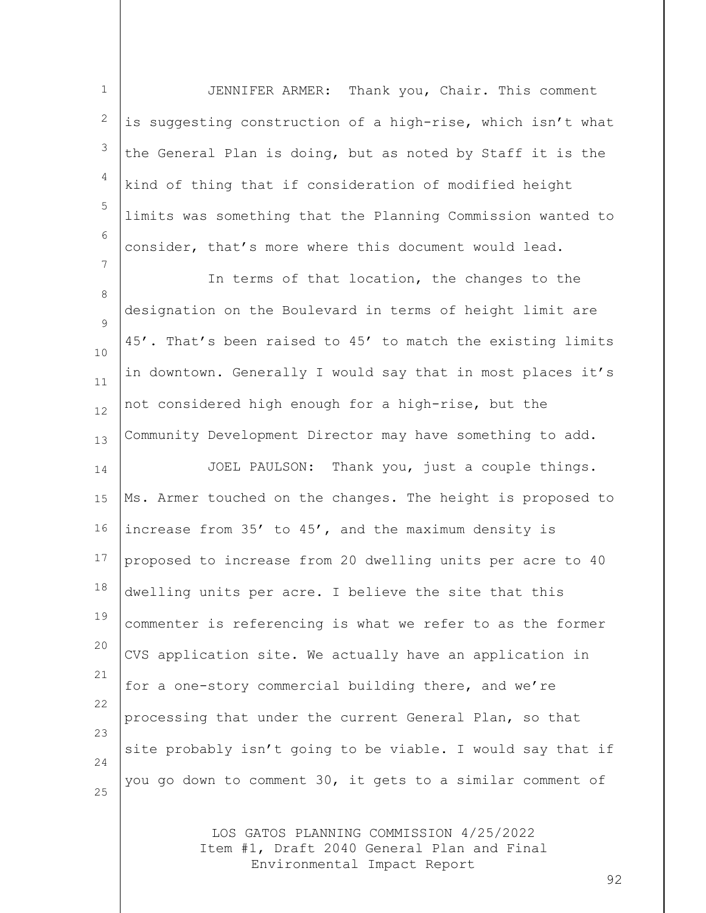1 2 3 4 5 6 JENNIFER ARMER: Thank you, Chair. This comment is suggesting construction of a high-rise, which isn't what the General Plan is doing, but as noted by Staff it is the kind of thing that if consideration of modified height limits was something that the Planning Commission wanted to consider, that's more where this document would lead.

8  $\circ$ 10 11 12 13 In terms of that location, the changes to the designation on the Boulevard in terms of height limit are 45'. That's been raised to 45' to match the existing limits in downtown. Generally I would say that in most places it's not considered high enough for a high-rise, but the Community Development Director may have something to add.

7

14 15 16 17 18 19 20 21 22 23 24 25 JOEL PAULSON: Thank you, just a couple things. Ms. Armer touched on the changes. The height is proposed to increase from 35' to 45', and the maximum density is proposed to increase from 20 dwelling units per acre to 40 dwelling units per acre. I believe the site that this commenter is referencing is what we refer to as the former CVS application site. We actually have an application in for a one-story commercial building there, and we're processing that under the current General Plan, so that site probably isn't going to be viable. I would say that if you go down to comment 30, it gets to a similar comment of

> LOS GATOS PLANNING COMMISSION 4/25/2022 Item #1, Draft 2040 General Plan and Final Environmental Impact Report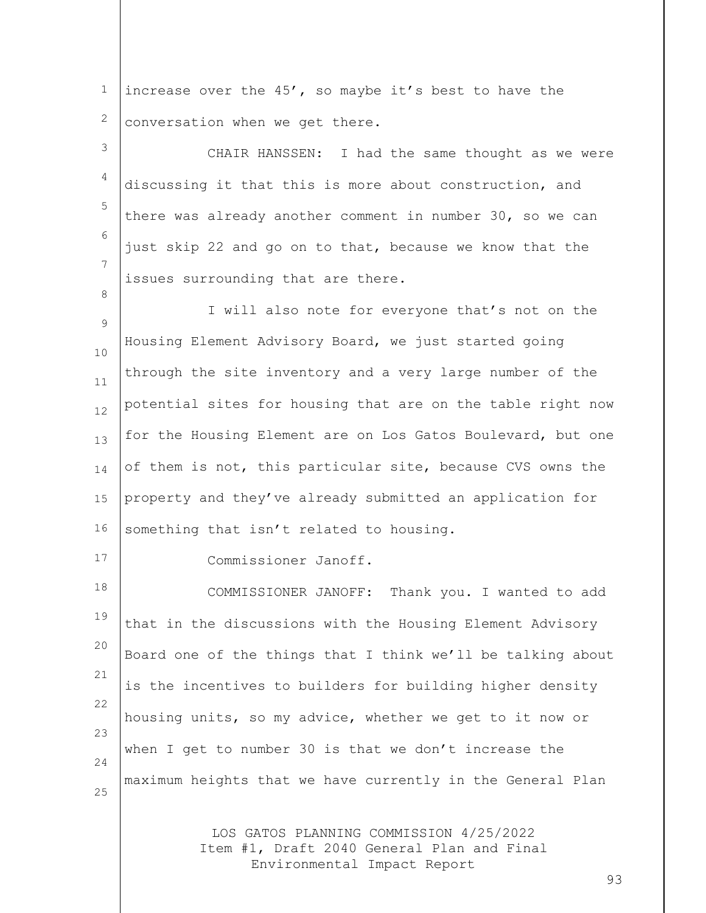1 2 increase over the 45', so maybe it's best to have the conversation when we get there.

3 4 5 6 7 CHAIR HANSSEN: I had the same thought as we were discussing it that this is more about construction, and there was already another comment in number 30, so we can just skip 22 and go on to that, because we know that the issues surrounding that are there.

 $\circ$ 10 11 12 13 14 15 16 I will also note for everyone that's not on the Housing Element Advisory Board, we just started going through the site inventory and a very large number of the potential sites for housing that are on the table right now for the Housing Element are on Los Gatos Boulevard, but one of them is not, this particular site, because CVS owns the property and they've already submitted an application for something that isn't related to housing.

17

8

Commissioner Janoff.

18 19 20 21 22 23 24 25 COMMISSIONER JANOFF: Thank you. I wanted to add that in the discussions with the Housing Element Advisory Board one of the things that I think we'll be talking about is the incentives to builders for building higher density housing units, so my advice, whether we get to it now or when I get to number 30 is that we don't increase the maximum heights that we have currently in the General Plan

> LOS GATOS PLANNING COMMISSION 4/25/2022 Item #1, Draft 2040 General Plan and Final Environmental Impact Report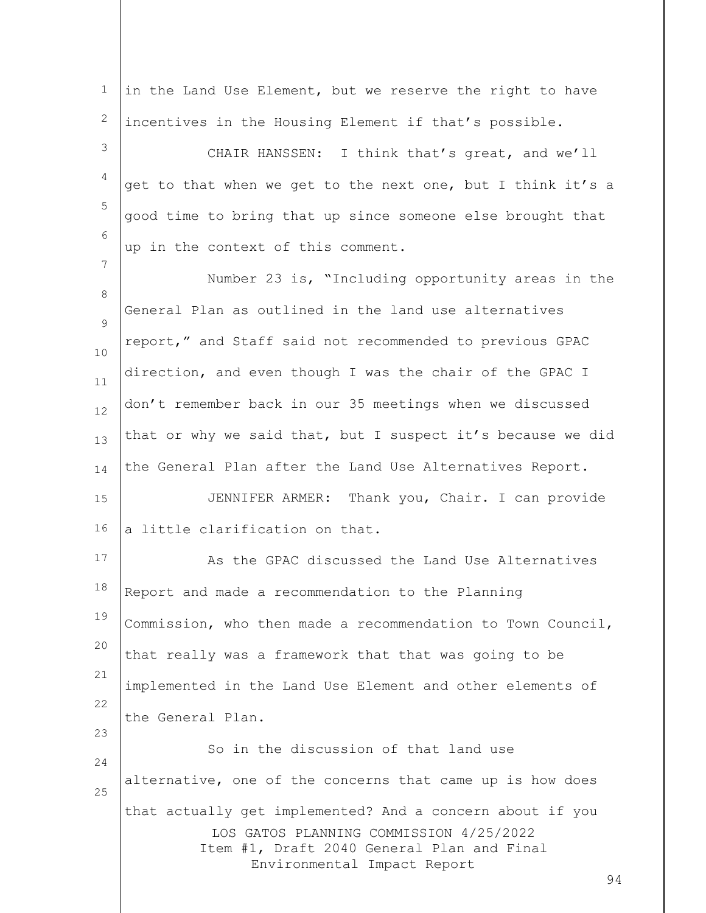| $\mathbf 1$  | in the Land Use Element, but we reserve the right to have                                                                                                                               |
|--------------|-----------------------------------------------------------------------------------------------------------------------------------------------------------------------------------------|
| $\mathbf{2}$ | incentives in the Housing Element if that's possible.                                                                                                                                   |
| 3            | CHAIR HANSSEN: I think that's great, and we'll                                                                                                                                          |
| 4            | get to that when we get to the next one, but I think it's a                                                                                                                             |
| 5            | good time to bring that up since someone else brought that                                                                                                                              |
| 6            | up in the context of this comment.                                                                                                                                                      |
| 7            | Number 23 is, "Including opportunity areas in the                                                                                                                                       |
| 8            | General Plan as outlined in the land use alternatives                                                                                                                                   |
| 9            | report," and Staff said not recommended to previous GPAC                                                                                                                                |
| 10           | direction, and even though I was the chair of the GPAC I                                                                                                                                |
| 11<br>12     | don't remember back in our 35 meetings when we discussed                                                                                                                                |
| 13           | that or why we said that, but I suspect it's because we did                                                                                                                             |
| 14           | the General Plan after the Land Use Alternatives Report.                                                                                                                                |
| 15           | JENNIFER ARMER: Thank you, Chair. I can provide                                                                                                                                         |
| 16           | a little clarification on that.                                                                                                                                                         |
| 17           | As the GPAC discussed the Land Use Alternatives                                                                                                                                         |
| 18           | Report and made a recommendation to the Planning                                                                                                                                        |
| 19           | Commission, who then made a recommendation to Town Council,                                                                                                                             |
| 20           |                                                                                                                                                                                         |
| 21           | that really was a framework that that was going to be                                                                                                                                   |
| 22           | implemented in the Land Use Element and other elements of                                                                                                                               |
| 23           | the General Plan.                                                                                                                                                                       |
| 24           | So in the discussion of that land use                                                                                                                                                   |
| 25           | alternative, one of the concerns that came up is how does                                                                                                                               |
|              | that actually get implemented? And a concern about if you<br>LOS GATOS PLANNING COMMISSION 4/25/2022<br>Item #1, Draft 2040 General Plan and Final<br>Environmental Impact Report<br>94 |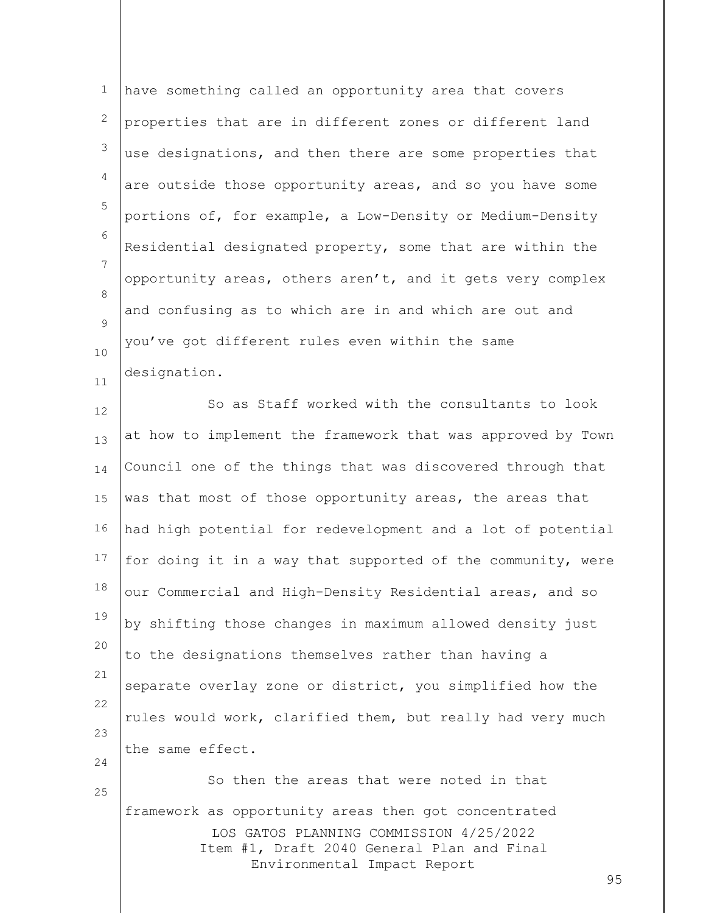1 2 3 4 5 6 7 8  $\circ$ 10 11 have something called an opportunity area that covers properties that are in different zones or different land use designations, and then there are some properties that are outside those opportunity areas, and so you have some portions of, for example, a Low-Density or Medium-Density Residential designated property, some that are within the opportunity areas, others aren't, and it gets very complex and confusing as to which are in and which are out and you've got different rules even within the same designation.

12 13 14 15 16 17 18 19 20 21 22 23 24 So as Staff worked with the consultants to look at how to implement the framework that was approved by Town Council one of the things that was discovered through that was that most of those opportunity areas, the areas that had high potential for redevelopment and a lot of potential for doing it in a way that supported of the community, were our Commercial and High-Density Residential areas, and so by shifting those changes in maximum allowed density just to the designations themselves rather than having a separate overlay zone or district, you simplified how the rules would work, clarified them, but really had very much the same effect.

LOS GATOS PLANNING COMMISSION 4/25/2022 Item #1, Draft 2040 General Plan and Final Environmental Impact Report So then the areas that were noted in that framework as opportunity areas then got concentrated

25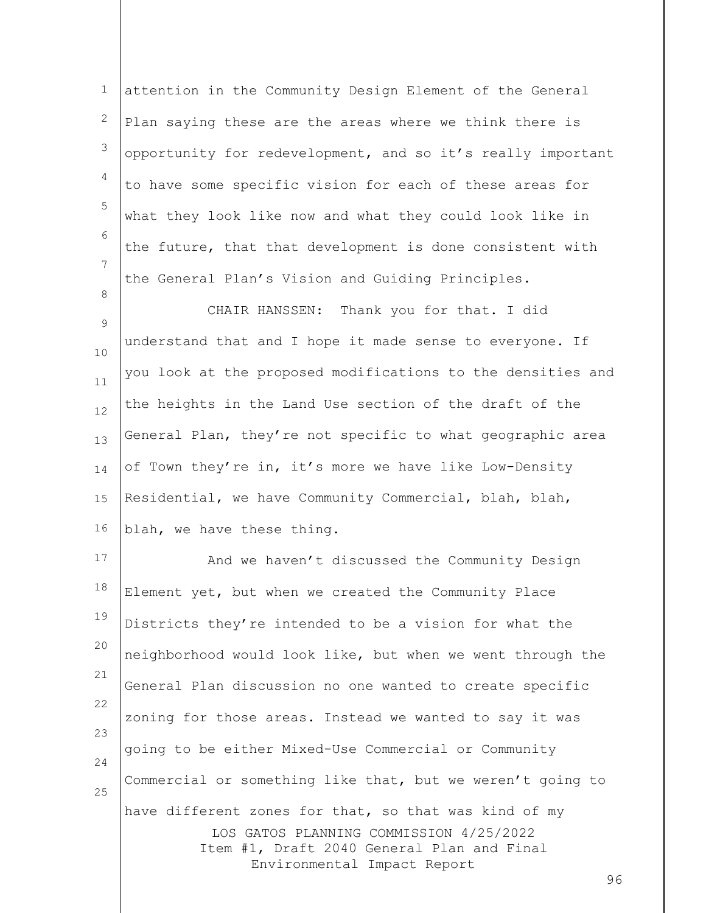1 2 3 4 5 6 7 8 attention in the Community Design Element of the General Plan saying these are the areas where we think there is opportunity for redevelopment, and so it's really important to have some specific vision for each of these areas for what they look like now and what they could look like in the future, that that development is done consistent with the General Plan's Vision and Guiding Principles.

9 10 11 12 13 14 15 16 CHAIR HANSSEN: Thank you for that. I did understand that and I hope it made sense to everyone. If you look at the proposed modifications to the densities and the heights in the Land Use section of the draft of the General Plan, they're not specific to what geographic area of Town they're in, it's more we have like Low-Density Residential, we have Community Commercial, blah, blah, blah, we have these thing.

LOS GATOS PLANNING COMMISSION 4/25/2022 Item #1, Draft 2040 General Plan and Final Environmental Impact Report 17 18 19 20 21 22 23 24 25 And we haven't discussed the Community Design Element yet, but when we created the Community Place Districts they're intended to be a vision for what the neighborhood would look like, but when we went through the General Plan discussion no one wanted to create specific zoning for those areas. Instead we wanted to say it was going to be either Mixed-Use Commercial or Community Commercial or something like that, but we weren't going to have different zones for that, so that was kind of my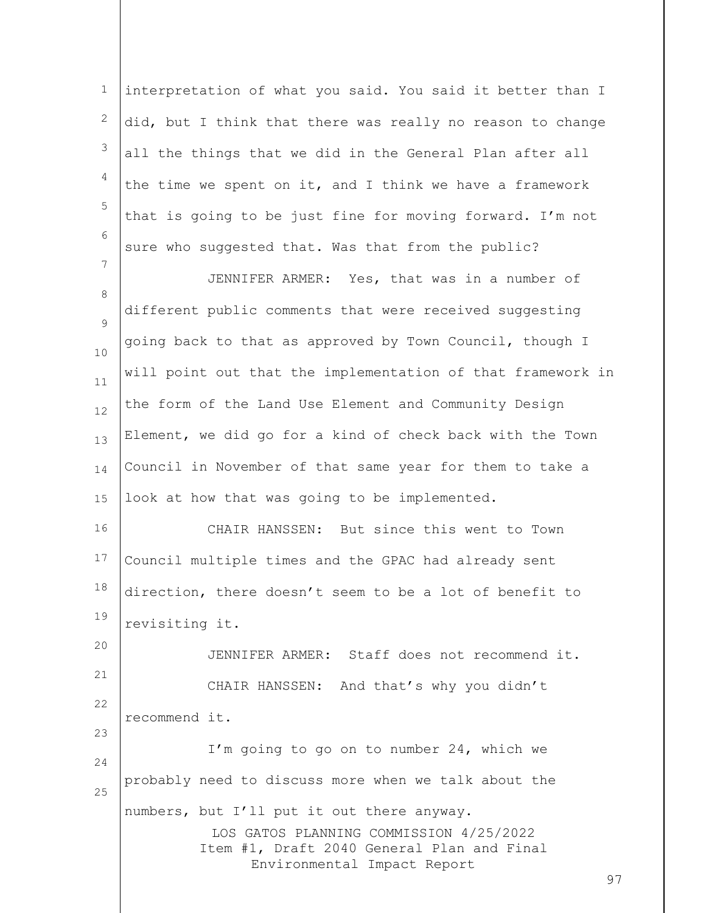1 2 3 4 5 6 7 interpretation of what you said. You said it better than I did, but I think that there was really no reason to change all the things that we did in the General Plan after all the time we spent on it, and I think we have a framework that is going to be just fine for moving forward. I'm not sure who suggested that. Was that from the public?

8  $\circ$ 10 11 12 13 14 15 JENNIFER ARMER: Yes, that was in a number of different public comments that were received suggesting going back to that as approved by Town Council, though I will point out that the implementation of that framework in the form of the Land Use Element and Community Design Element, we did go for a kind of check back with the Town Council in November of that same year for them to take a look at how that was going to be implemented.

16 17 18 19 CHAIR HANSSEN: But since this went to Town Council multiple times and the GPAC had already sent direction, there doesn't seem to be a lot of benefit to revisiting it.

20 21 22 23 24 25 JENNIFER ARMER: Staff does not recommend it. CHAIR HANSSEN: And that's why you didn't recommend it. I'm going to go on to number 24, which we probably need to discuss more when we talk about the

numbers, but I'll put it out there anyway.

LOS GATOS PLANNING COMMISSION 4/25/2022 Item #1, Draft 2040 General Plan and Final Environmental Impact Report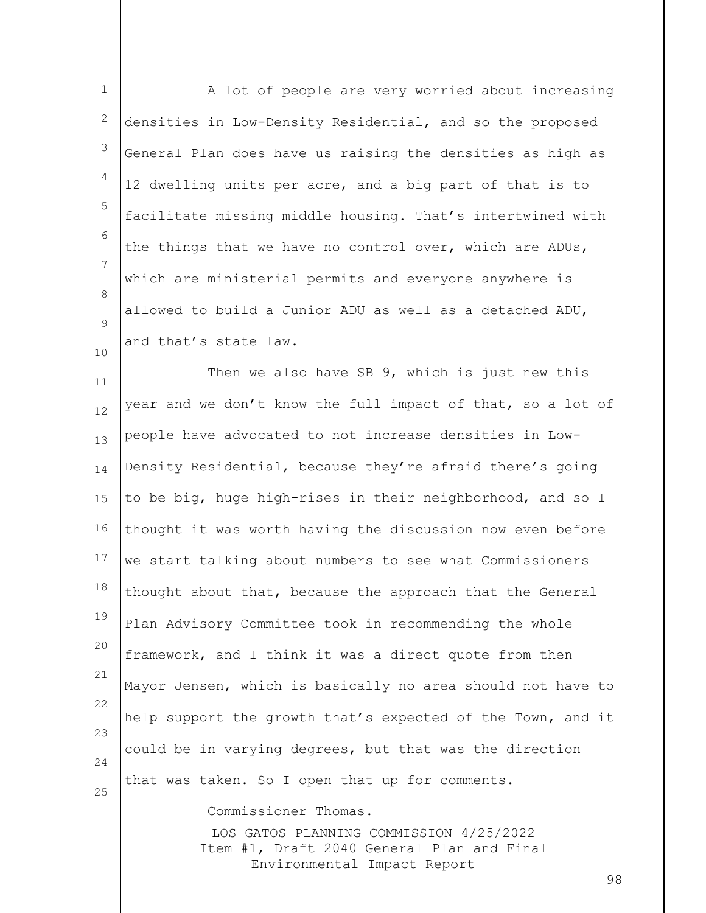| $\mathbf 1$ | A lot of people are very worried about increasing                                     |
|-------------|---------------------------------------------------------------------------------------|
| 2           | densities in Low-Density Residential, and so the proposed                             |
| 3           | General Plan does have us raising the densities as high as                            |
| 4           | 12 dwelling units per acre, and a big part of that is to                              |
| 5           | facilitate missing middle housing. That's intertwined with                            |
| 6           | the things that we have no control over, which are ADUs,                              |
| 7           | which are ministerial permits and everyone anywhere is                                |
| 8<br>9      | allowed to build a Junior ADU as well as a detached ADU,                              |
| 10          | and that's state law.                                                                 |
| 11          | Then we also have SB 9, which is just new this                                        |
| 12          | year and we don't know the full impact of that, so a lot of                           |
| 13          | people have advocated to not increase densities in Low-                               |
| 14          | Density Residential, because they're afraid there's going                             |
| 15          | to be big, huge high-rises in their neighborhood, and so I                            |
| 16          | thought it was worth having the discussion now even before                            |
| 17          | we start talking about numbers to see what Commissioners                              |
| 18          | thought about that, because the approach that the General                             |
| 19          | Plan Advisory Committee took in recommending the whole                                |
| 20          | framework, and I think it was a direct quote from then                                |
| 21          | Mayor Jensen, which is basically no area should not have to                           |
| 22          | help support the growth that's expected of the Town, and it                           |
| 23<br>24    | could be in varying degrees, but that was the direction                               |
| 25          | that was taken. So I open that up for comments.                                       |
|             | Commissioner Thomas.                                                                  |
|             | LOS GATOS PLANNING COMMISSION 4/25/2022<br>Item #1, Draft 2040 General Plan and Final |
|             | Environmental Impact Report<br>98                                                     |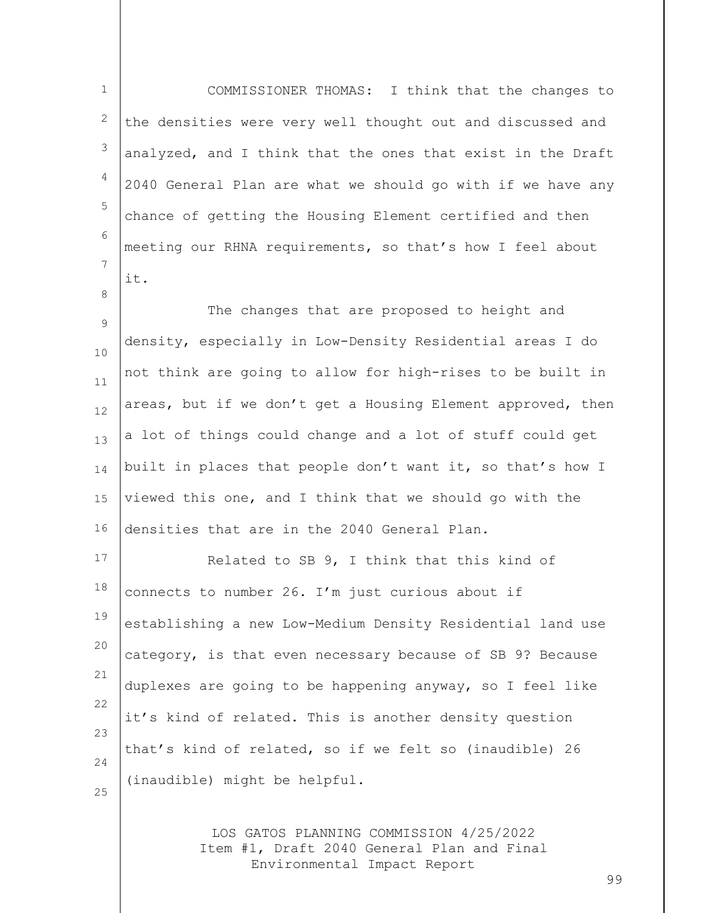LOS GATOS PLANNING COMMISSION 4/25/2022 1 2 3 4 5 6 7 8 9 10 11 12 13 14 15 16 17 18 19 20 21 22 23 24 25 COMMISSIONER THOMAS: I think that the changes to the densities were very well thought out and discussed and analyzed, and I think that the ones that exist in the Draft 2040 General Plan are what we should go with if we have any chance of getting the Housing Element certified and then meeting our RHNA requirements, so that's how I feel about it. The changes that are proposed to height and density, especially in Low-Density Residential areas I do not think are going to allow for high-rises to be built in areas, but if we don't get a Housing Element approved, then a lot of things could change and a lot of stuff could get built in places that people don't want it, so that's how I viewed this one, and I think that we should go with the densities that are in the 2040 General Plan. Related to SB 9, I think that this kind of connects to number 26. I'm just curious about if establishing a new Low-Medium Density Residential land use category, is that even necessary because of SB 9? Because duplexes are going to be happening anyway, so I feel like it's kind of related. This is another density question that's kind of related, so if we felt so (inaudible) 26 (inaudible) might be helpful.

Item #1, Draft 2040 General Plan and Final Environmental Impact Report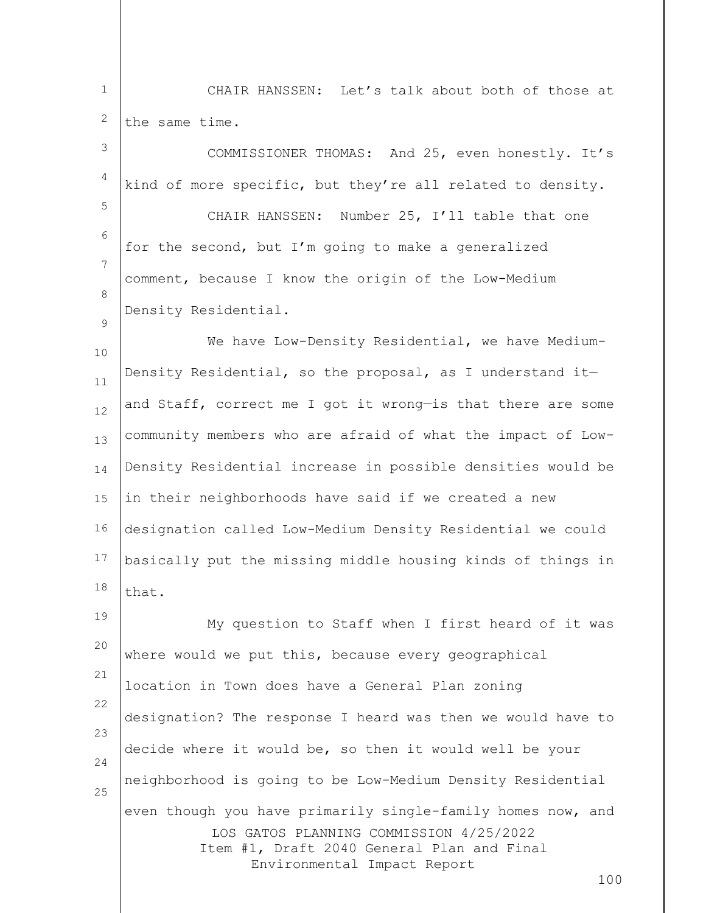1 2 CHAIR HANSSEN: Let's talk about both of those at the same time.

3 4 5 6 7 8  $\circ$ 10 11 12 13 14 15 16 17 18 19 20 21 22 COMMISSIONER THOMAS: And 25, even honestly. It's kind of more specific, but they're all related to density. CHAIR HANSSEN: Number 25, I'll table that one for the second, but I'm going to make a generalized comment, because I know the origin of the Low-Medium Density Residential. We have Low-Density Residential, we have Medium-Density Residential, so the proposal, as I understand it and Staff, correct me I got it wrong—is that there are some community members who are afraid of what the impact of Low-Density Residential increase in possible densities would be in their neighborhoods have said if we created a new designation called Low-Medium Density Residential we could basically put the missing middle housing kinds of things in that. My question to Staff when I first heard of it was where would we put this, because every geographical location in Town does have a General Plan zoning

LOS GATOS PLANNING COMMISSION 4/25/2022 Item #1, Draft 2040 General Plan and Final Environmental Impact Report 23 24 25 designation? The response I heard was then we would have to decide where it would be, so then it would well be your neighborhood is going to be Low-Medium Density Residential even though you have primarily single-family homes now, and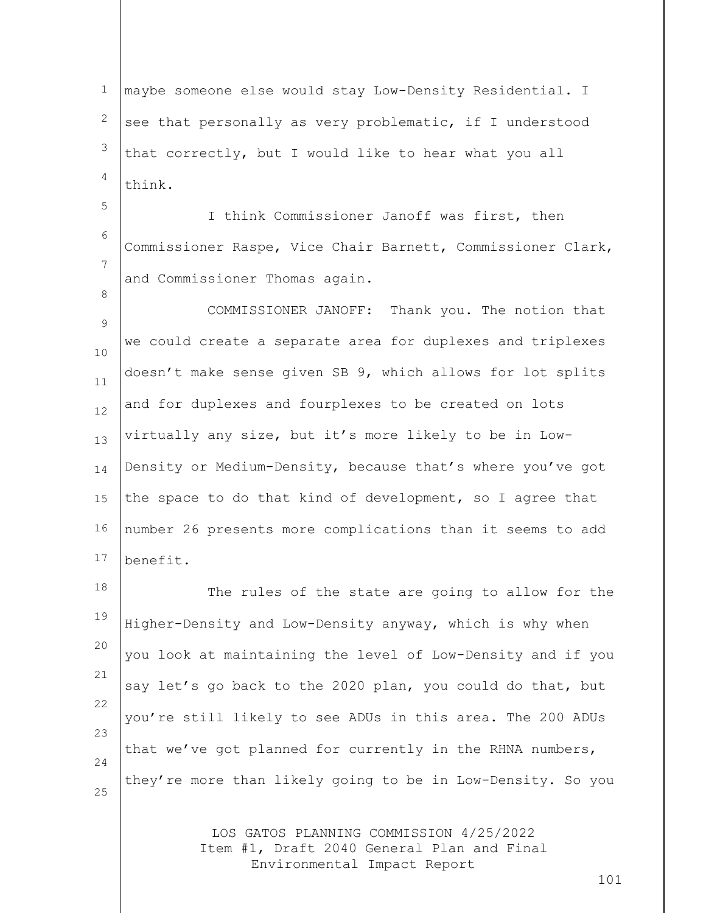1 2 3 4 maybe someone else would stay Low-Density Residential. I see that personally as very problematic, if I understood that correctly, but I would like to hear what you all think.

5

8

6 7 I think Commissioner Janoff was first, then Commissioner Raspe, Vice Chair Barnett, Commissioner Clark, and Commissioner Thomas again.

9 10 11 12 13 14 15 16 17 COMMISSIONER JANOFF: Thank you. The notion that we could create a separate area for duplexes and triplexes doesn't make sense given SB 9, which allows for lot splits and for duplexes and fourplexes to be created on lots virtually any size, but it's more likely to be in Low-Density or Medium-Density, because that's where you've got the space to do that kind of development, so I agree that number 26 presents more complications than it seems to add benefit.

18 19 20 21 22 23 24 25 The rules of the state are going to allow for the Higher-Density and Low-Density anyway, which is why when you look at maintaining the level of Low-Density and if you say let's go back to the 2020 plan, you could do that, but you're still likely to see ADUs in this area. The 200 ADUs that we've got planned for currently in the RHNA numbers, they're more than likely going to be in Low-Density. So you

> LOS GATOS PLANNING COMMISSION 4/25/2022 Item #1, Draft 2040 General Plan and Final Environmental Impact Report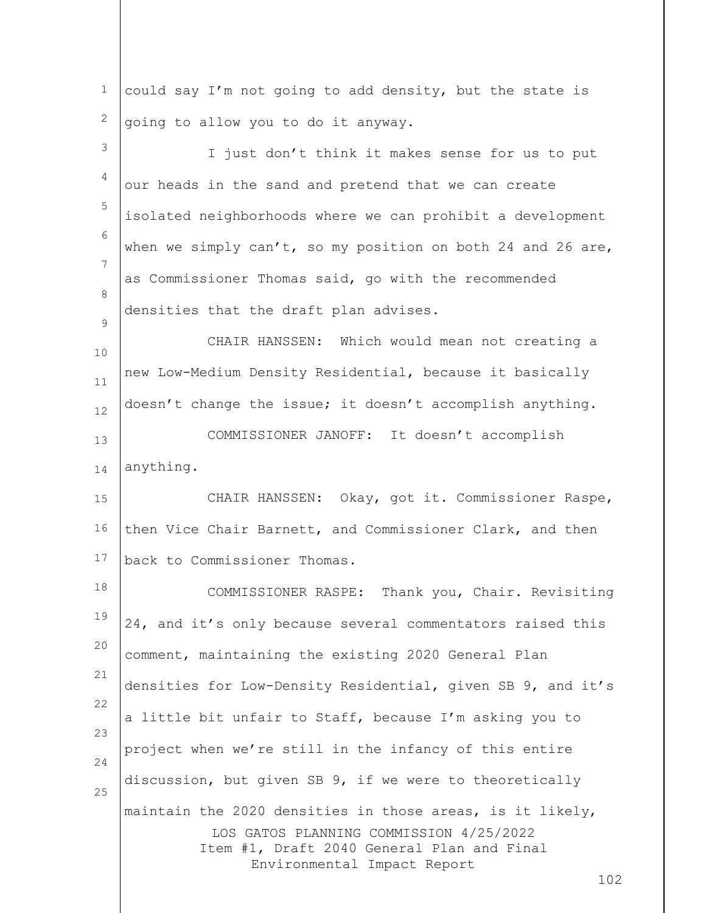| $\mathbf{1}$ | could say I'm not going to add density, but the state is                              |
|--------------|---------------------------------------------------------------------------------------|
| 2            | going to allow you to do it anyway.                                                   |
| 3            | I just don't think it makes sense for us to put                                       |
| 4            | our heads in the sand and pretend that we can create                                  |
| 5            | isolated neighborhoods where we can prohibit a development                            |
| 6            | when we simply $can't$ , so my position on both 24 and 26 are,                        |
| 7            | as Commissioner Thomas said, go with the recommended                                  |
| 8            | densities that the draft plan advises.                                                |
| 9            | CHAIR HANSSEN: Which would mean not creating a                                        |
| 10<br>11     | new Low-Medium Density Residential, because it basically                              |
| 12           | doesn't change the issue; it doesn't accomplish anything.                             |
| 13           | COMMISSIONER JANOFF: It doesn't accomplish                                            |
| 14           | anything.                                                                             |
| 15           | CHAIR HANSSEN: Okay, got it. Commissioner Raspe,                                      |
| 16           | then Vice Chair Barnett, and Commissioner Clark, and then                             |
| 17           | back to Commissioner Thomas.                                                          |
| 18           | COMMISSIONER RASPE: Thank you, Chair. Revisiting                                      |
| 19           | 24, and it's only because several commentators raised this                            |
| 20           | comment, maintaining the existing 2020 General Plan                                   |
| 21           | densities for Low-Density Residential, given SB 9, and it's                           |
| 22           | a little bit unfair to Staff, because I'm asking you to                               |
| 23           | project when we're still in the infancy of this entire                                |
| 24           | discussion, but given SB 9, if we were to theoretically                               |
| 25           | maintain the 2020 densities in those areas, is it likely,                             |
|              | LOS GATOS PLANNING COMMISSION 4/25/2022<br>Item #1, Draft 2040 General Plan and Final |
|              | Environmental Impact Report<br>102                                                    |
|              |                                                                                       |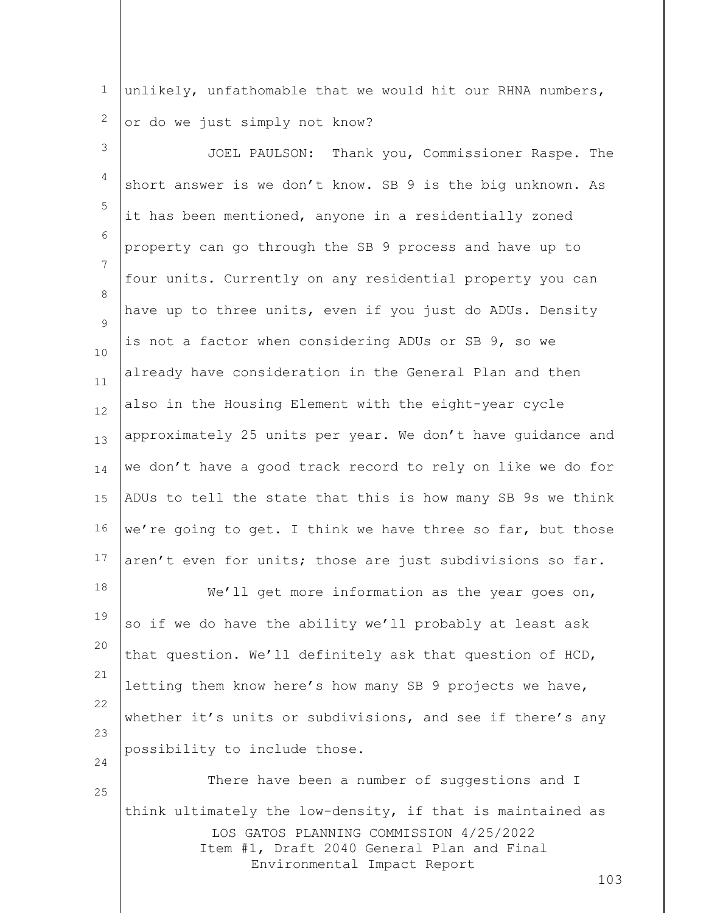1 2 unlikely, unfathomable that we would hit our RHNA numbers, or do we just simply not know?

LOS GATOS PLANNING COMMISSION 4/25/2022 Item #1, Draft 2040 General Plan and Final 3 4 5 6 7 8  $\circ$ 10 11 12 13 14 15 16 17 18 19 20 21 22 23 24 25 JOEL PAULSON: Thank you, Commissioner Raspe. The short answer is we don't know. SB 9 is the big unknown. As it has been mentioned, anyone in a residentially zoned property can go through the SB 9 process and have up to four units. Currently on any residential property you can have up to three units, even if you just do ADUs. Density is not a factor when considering ADUs or SB 9, so we already have consideration in the General Plan and then also in the Housing Element with the eight-year cycle approximately 25 units per year. We don't have guidance and we don't have a good track record to rely on like we do for ADUs to tell the state that this is how many SB 9s we think we're going to get. I think we have three so far, but those aren't even for units; those are just subdivisions so far. We'll get more information as the year goes on, so if we do have the ability we'll probably at least ask that question. We'll definitely ask that question of HCD, letting them know here's how many SB 9 projects we have, whether it's units or subdivisions, and see if there's any possibility to include those. There have been a number of suggestions and I think ultimately the low-density, if that is maintained as

Environmental Impact Report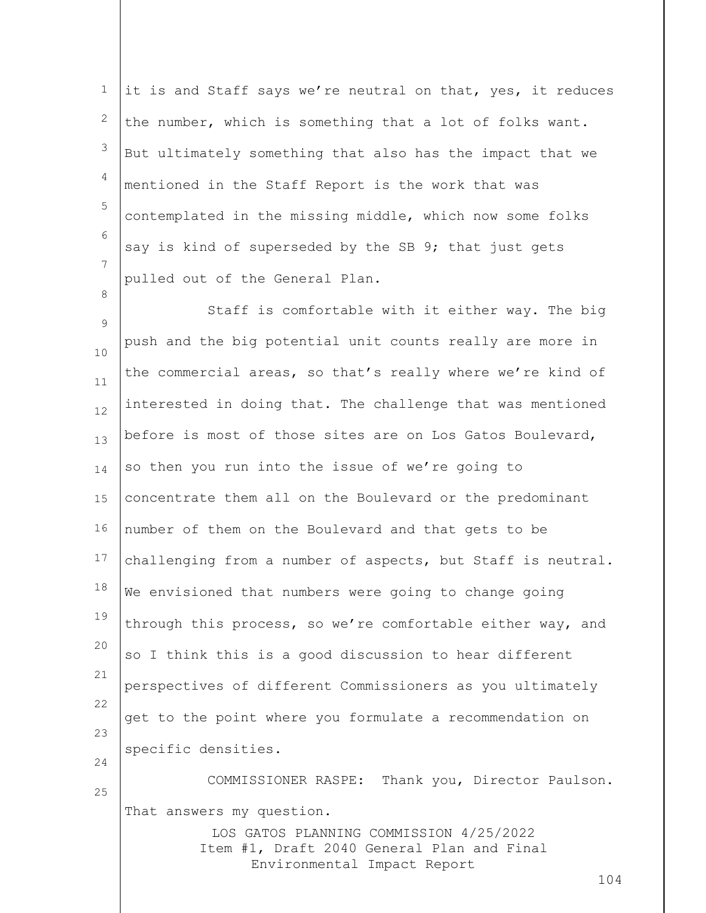1 2 3 4 5 6 7 it is and Staff says we're neutral on that, yes, it reduces the number, which is something that a lot of folks want. But ultimately something that also has the impact that we mentioned in the Staff Report is the work that was contemplated in the missing middle, which now some folks say is kind of superseded by the SB 9; that just gets pulled out of the General Plan.

8

LOS GATOS PLANNING COMMISSION 4/25/2022 9 10 11 12 13 14 15 16 17 18 19 20 21 22 23 24 25 Staff is comfortable with it either way. The big push and the big potential unit counts really are more in the commercial areas, so that's really where we're kind of interested in doing that. The challenge that was mentioned before is most of those sites are on Los Gatos Boulevard, so then you run into the issue of we're going to concentrate them all on the Boulevard or the predominant number of them on the Boulevard and that gets to be challenging from a number of aspects, but Staff is neutral. We envisioned that numbers were going to change going through this process, so we're comfortable either way, and so I think this is a good discussion to hear different perspectives of different Commissioners as you ultimately get to the point where you formulate a recommendation on specific densities. COMMISSIONER RASPE: Thank you, Director Paulson. That answers my question.

> Item #1, Draft 2040 General Plan and Final Environmental Impact Report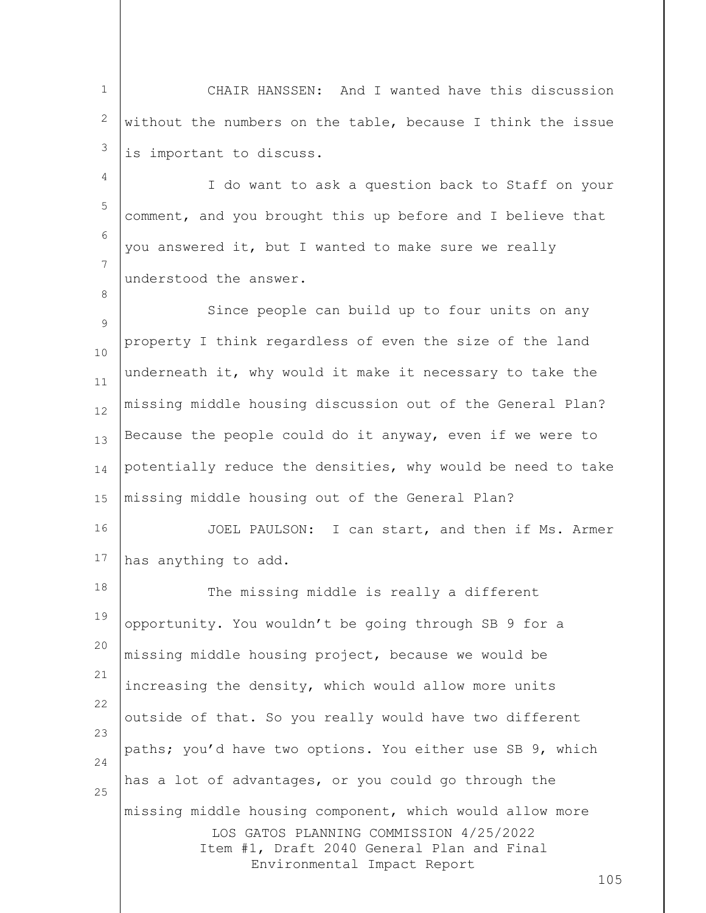1 2 3 CHAIR HANSSEN: And I wanted have this discussion without the numbers on the table, because I think the issue is important to discuss.

4 5 6 7 I do want to ask a question back to Staff on your comment, and you brought this up before and I believe that you answered it, but I wanted to make sure we really understood the answer.

8

 $\circ$ 10 11 12 13 14 15 Since people can build up to four units on any property I think regardless of even the size of the land underneath it, why would it make it necessary to take the missing middle housing discussion out of the General Plan? Because the people could do it anyway, even if we were to potentially reduce the densities, why would be need to take missing middle housing out of the General Plan?

16 17 JOEL PAULSON: I can start, and then if Ms. Armer has anything to add.

LOS GATOS PLANNING COMMISSION 4/25/2022 Item #1, Draft 2040 General Plan and Final Environmental Impact Report 18 19 20 21 22 23 24 25 The missing middle is really a different opportunity. You wouldn't be going through SB 9 for a missing middle housing project, because we would be increasing the density, which would allow more units outside of that. So you really would have two different paths; you'd have two options. You either use SB 9, which has a lot of advantages, or you could go through the missing middle housing component, which would allow more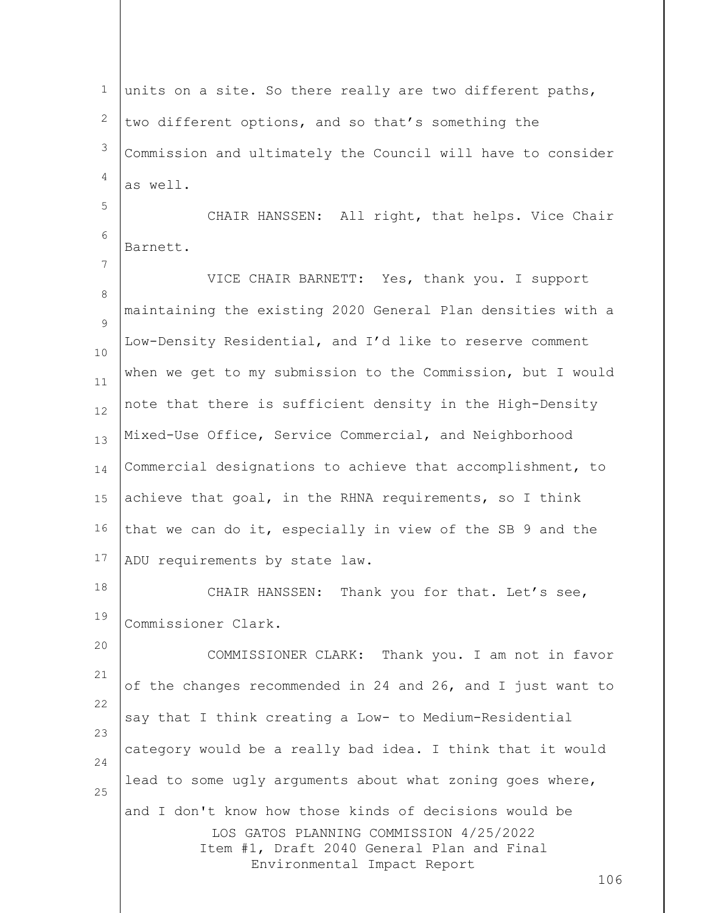LOS GATOS PLANNING COMMISSION 4/25/2022 Item #1, Draft 2040 General Plan and Final Environmental Impact Report 1 2 3 4 5 6 7 8  $\circ$ 10 11 12 13 14 15 16 17 18 19 20 21 22 23 24 25 units on a site. So there really are two different paths, two different options, and so that's something the Commission and ultimately the Council will have to consider as well. CHAIR HANSSEN: All right, that helps. Vice Chair Barnett. VICE CHAIR BARNETT: Yes, thank you. I support maintaining the existing 2020 General Plan densities with a Low-Density Residential, and I'd like to reserve comment when we get to my submission to the Commission, but I would note that there is sufficient density in the High-Density Mixed-Use Office, Service Commercial, and Neighborhood Commercial designations to achieve that accomplishment, to achieve that goal, in the RHNA requirements, so I think that we can do it, especially in view of the SB 9 and the ADU requirements by state law. CHAIR HANSSEN: Thank you for that. Let's see, Commissioner Clark. COMMISSIONER CLARK: Thank you. I am not in favor of the changes recommended in 24 and 26, and I just want to say that I think creating a Low- to Medium-Residential category would be a really bad idea. I think that it would lead to some ugly arguments about what zoning goes where, and I don't know how those kinds of decisions would be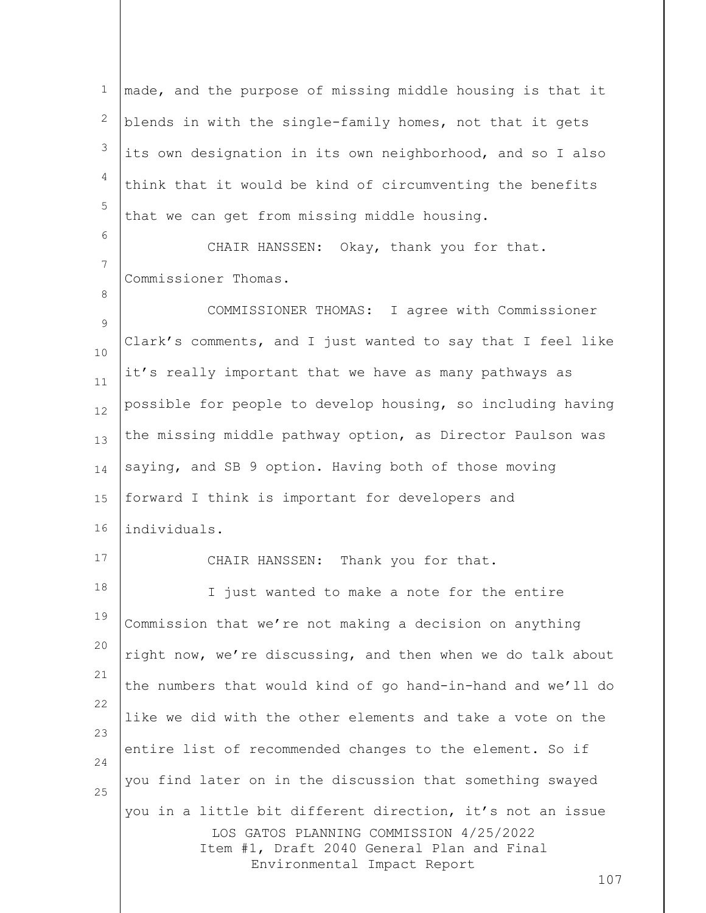1 2 3 4 5 made, and the purpose of missing middle housing is that it blends in with the single-family homes, not that it gets its own designation in its own neighborhood, and so I also think that it would be kind of circumventing the benefits that we can get from missing middle housing.

CHAIR HANSSEN: Okay, thank you for that. Commissioner Thomas.

9 10 11 12 13 14 15 16 COMMISSIONER THOMAS: I agree with Commissioner Clark's comments, and I just wanted to say that I feel like it's really important that we have as many pathways as possible for people to develop housing, so including having the missing middle pathway option, as Director Paulson was saying, and SB 9 option. Having both of those moving forward I think is important for developers and individuals.

17

6

7

8

CHAIR HANSSEN: Thank you for that.

LOS GATOS PLANNING COMMISSION 4/25/2022 Item #1, Draft 2040 General Plan and Final Environmental Impact Report 18 19 20 21 22 23 24 25 I just wanted to make a note for the entire Commission that we're not making a decision on anything right now, we're discussing, and then when we do talk about the numbers that would kind of go hand-in-hand and we'll do like we did with the other elements and take a vote on the entire list of recommended changes to the element. So if you find later on in the discussion that something swayed you in a little bit different direction, it's not an issue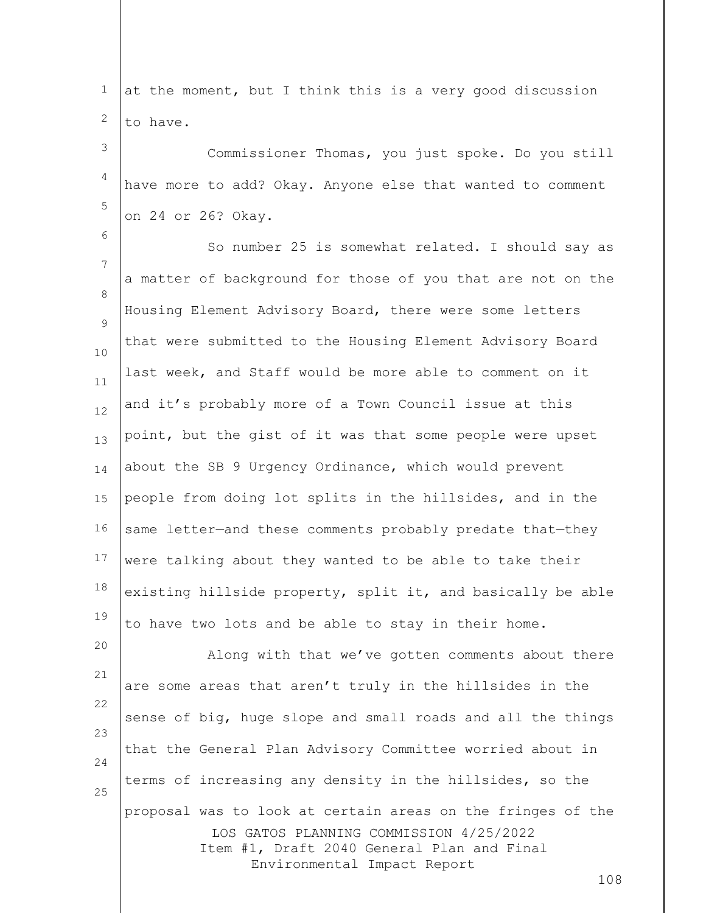| $\mathbf{1}$ | at the moment, but I think this is a very good discussion                                                                                                                                  |
|--------------|--------------------------------------------------------------------------------------------------------------------------------------------------------------------------------------------|
| 2            | to have.                                                                                                                                                                                   |
| 3            | Commissioner Thomas, you just spoke. Do you still                                                                                                                                          |
| 4            | have more to add? Okay. Anyone else that wanted to comment                                                                                                                                 |
| 5            | on 24 or 26? Okay.                                                                                                                                                                         |
| 6            | So number 25 is somewhat related. I should say as                                                                                                                                          |
| 7            | a matter of background for those of you that are not on the                                                                                                                                |
| 8            | Housing Element Advisory Board, there were some letters                                                                                                                                    |
| 9<br>10      | that were submitted to the Housing Element Advisory Board                                                                                                                                  |
| 11           | last week, and Staff would be more able to comment on it                                                                                                                                   |
| 12           | and it's probably more of a Town Council issue at this                                                                                                                                     |
| 13           | point, but the gist of it was that some people were upset                                                                                                                                  |
| 14           | about the SB 9 Urgency Ordinance, which would prevent                                                                                                                                      |
| 15           | people from doing lot splits in the hillsides, and in the                                                                                                                                  |
| 16           | same letter-and these comments probably predate that-they                                                                                                                                  |
| 17           | were talking about they wanted to be able to take their                                                                                                                                    |
| 18           | existing hillside property, split it, and basically be able                                                                                                                                |
| 19           | to have two lots and be able to stay in their home.                                                                                                                                        |
| 20           | Along with that we've gotten comments about there                                                                                                                                          |
| 21           | are some areas that aren't truly in the hillsides in the                                                                                                                                   |
| 22<br>23     | sense of big, huge slope and small roads and all the things                                                                                                                                |
| 24           | that the General Plan Advisory Committee worried about in                                                                                                                                  |
| 25           | terms of increasing any density in the hillsides, so the                                                                                                                                   |
|              | proposal was to look at certain areas on the fringes of the<br>LOS GATOS PLANNING COMMISSION 4/25/2022<br>Item #1, Draft 2040 General Plan and Final<br>Environmental Impact Report<br>108 |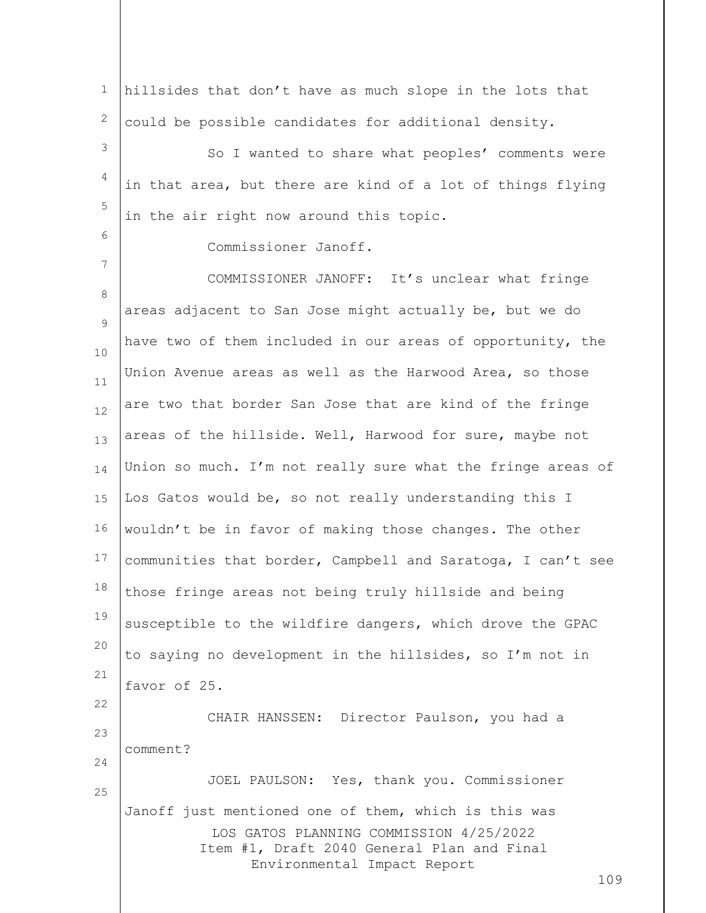1 2 hillsides that don't have as much slope in the lots that could be possible candidates for additional density.

3 4 5 So I wanted to share what peoples' comments were in that area, but there are kind of a lot of things flying in the air right now around this topic.

Commissioner Janoff.

6

7

25

8  $\circ$ 10 11 12 13 14 15 16 17 18 19 20 21 22 23 24 COMMISSIONER JANOFF: It's unclear what fringe areas adjacent to San Jose might actually be, but we do have two of them included in our areas of opportunity, the Union Avenue areas as well as the Harwood Area, so those are two that border San Jose that are kind of the fringe areas of the hillside. Well, Harwood for sure, maybe not Union so much. I'm not really sure what the fringe areas of Los Gatos would be, so not really understanding this I wouldn't be in favor of making those changes. The other communities that border, Campbell and Saratoga, I can't see those fringe areas not being truly hillside and being susceptible to the wildfire dangers, which drove the GPAC to saying no development in the hillsides, so I'm not in favor of 25. CHAIR HANSSEN: Director Paulson, you had a comment? JOEL PAULSON: Yes, thank you. Commissioner

LOS GATOS PLANNING COMMISSION 4/25/2022 Item #1, Draft 2040 General Plan and Final Environmental Impact Report Janoff just mentioned one of them, which is this was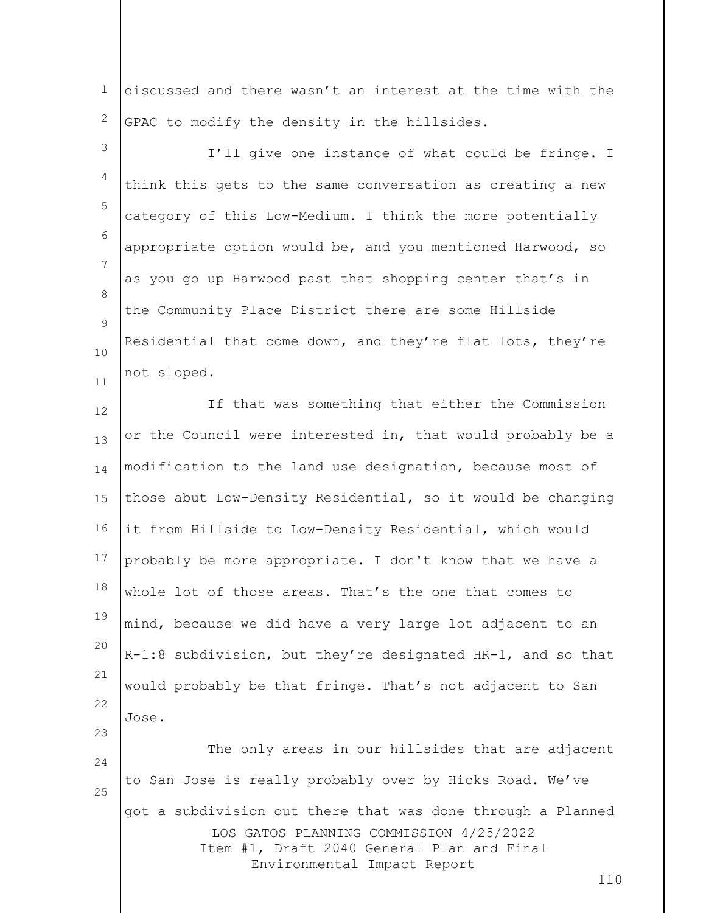1 2 discussed and there wasn't an interest at the time with the GPAC to modify the density in the hillsides.

3 4 5 6 7 8  $\circ$ 10 11 I'll give one instance of what could be fringe. I think this gets to the same conversation as creating a new category of this Low-Medium. I think the more potentially appropriate option would be, and you mentioned Harwood, so as you go up Harwood past that shopping center that's in the Community Place District there are some Hillside Residential that come down, and they're flat lots, they're not sloped.

12 13 14 15 16 17 18 19 20 21 22 23 If that was something that either the Commission or the Council were interested in, that would probably be a modification to the land use designation, because most of those abut Low-Density Residential, so it would be changing it from Hillside to Low-Density Residential, which would probably be more appropriate. I don't know that we have a whole lot of those areas. That's the one that comes to mind, because we did have a very large lot adjacent to an R-1:8 subdivision, but they're designated HR-1, and so that would probably be that fringe. That's not adjacent to San Jose.

LOS GATOS PLANNING COMMISSION 4/25/2022 Item #1, Draft 2040 General Plan and Final Environmental Impact Report 24 25 The only areas in our hillsides that are adjacent to San Jose is really probably over by Hicks Road. We've got a subdivision out there that was done through a Planned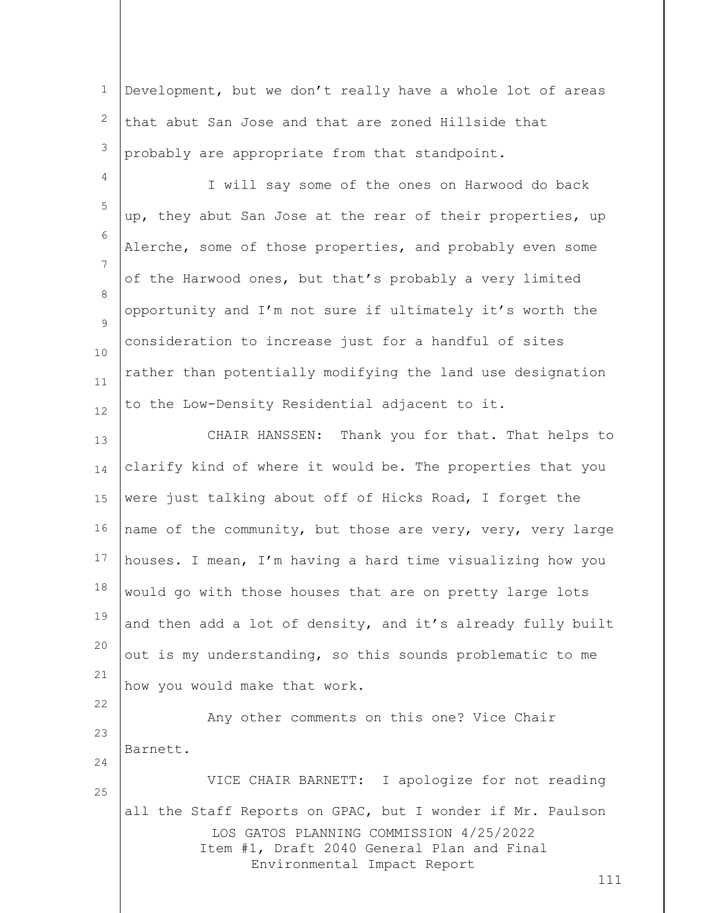1 2 3 Development, but we don't really have a whole lot of areas that abut San Jose and that are zoned Hillside that probably are appropriate from that standpoint.

4 5 6 7 8  $\circ$ 10 11 12 I will say some of the ones on Harwood do back up, they abut San Jose at the rear of their properties, up Alerche, some of those properties, and probably even some of the Harwood ones, but that's probably a very limited opportunity and I'm not sure if ultimately it's worth the consideration to increase just for a handful of sites rather than potentially modifying the land use designation to the Low-Density Residential adjacent to it.

13 14 15 16 17 18 19 20 21 CHAIR HANSSEN: Thank you for that. That helps to clarify kind of where it would be. The properties that you were just talking about off of Hicks Road, I forget the name of the community, but those are very, very, very large houses. I mean, I'm having a hard time visualizing how you would go with those houses that are on pretty large lots and then add a lot of density, and it's already fully built out is my understanding, so this sounds problematic to me how you would make that work.

LOS GATOS PLANNING COMMISSION 4/25/2022 Item #1, Draft 2040 General Plan and Final Environmental Impact Report 22 23 24 25 Any other comments on this one? Vice Chair Barnett. VICE CHAIR BARNETT: I apologize for not reading all the Staff Reports on GPAC, but I wonder if Mr. Paulson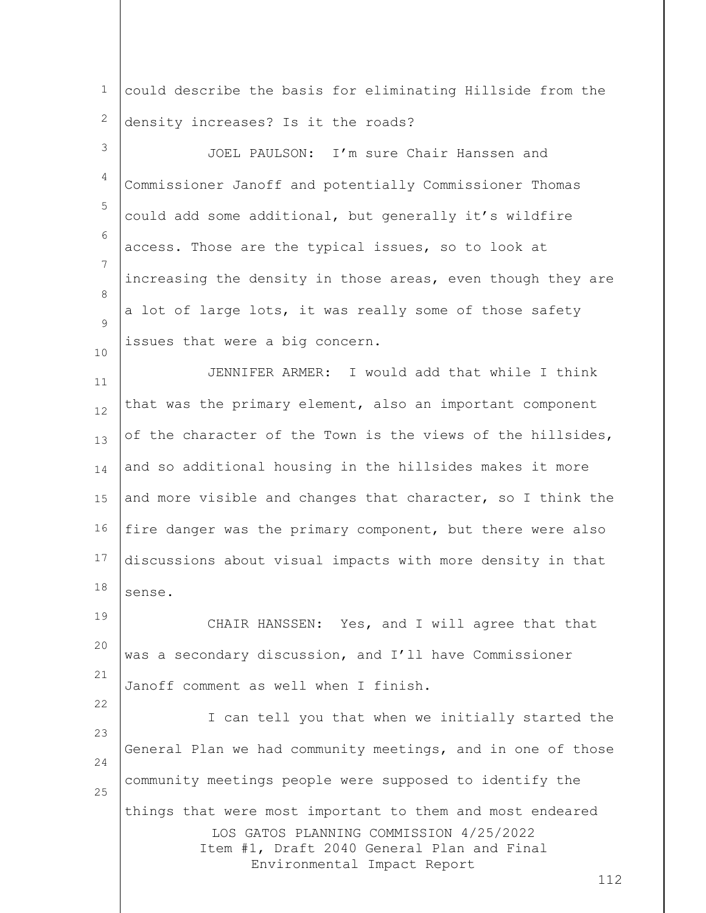1 2 could describe the basis for eliminating Hillside from the density increases? Is it the roads?

3 4 5 6 7 8  $\circ$ 10 JOEL PAULSON: I'm sure Chair Hanssen and Commissioner Janoff and potentially Commissioner Thomas could add some additional, but generally it's wildfire access. Those are the typical issues, so to look at increasing the density in those areas, even though they are a lot of large lots, it was really some of those safety issues that were a big concern.

11 12 13 14 15 16 17 18 JENNIFER ARMER: I would add that while I think that was the primary element, also an important component of the character of the Town is the views of the hillsides, and so additional housing in the hillsides makes it more and more visible and changes that character, so I think the fire danger was the primary component, but there were also discussions about visual impacts with more density in that sense.

19 20 21 CHAIR HANSSEN: Yes, and I will agree that that was a secondary discussion, and I'll have Commissioner Janoff comment as well when I finish.

22

LOS GATOS PLANNING COMMISSION 4/25/2022 Item #1, Draft 2040 General Plan and Final Environmental Impact Report 23 24 25 I can tell you that when we initially started the General Plan we had community meetings, and in one of those community meetings people were supposed to identify the things that were most important to them and most endeared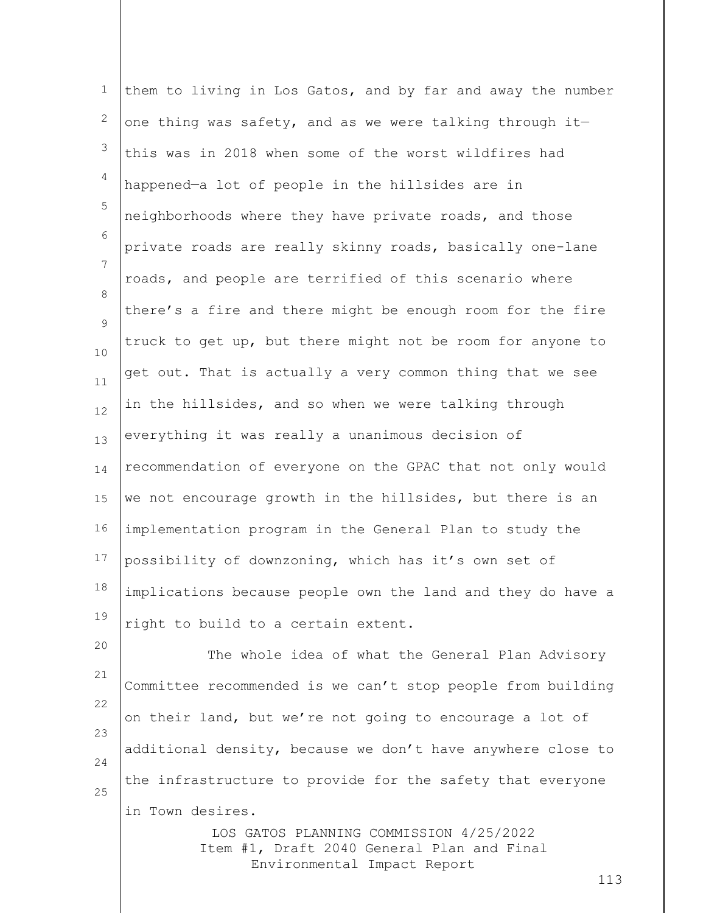1 2 3 4 5 6 7 8  $\circ$ 10 11 12 13 14 15 16 17 18 19 20 them to living in Los Gatos, and by far and away the number one thing was safety, and as we were talking through it this was in 2018 when some of the worst wildfires had happened—a lot of people in the hillsides are in neighborhoods where they have private roads, and those private roads are really skinny roads, basically one-lane roads, and people are terrified of this scenario where there's a fire and there might be enough room for the fire truck to get up, but there might not be room for anyone to get out. That is actually a very common thing that we see in the hillsides, and so when we were talking through everything it was really a unanimous decision of recommendation of everyone on the GPAC that not only would we not encourage growth in the hillsides, but there is an implementation program in the General Plan to study the possibility of downzoning, which has it's own set of implications because people own the land and they do have a right to build to a certain extent.

21 22 23 24 25 The whole idea of what the General Plan Advisory Committee recommended is we can't stop people from building on their land, but we're not going to encourage a lot of additional density, because we don't have anywhere close to the infrastructure to provide for the safety that everyone in Town desires.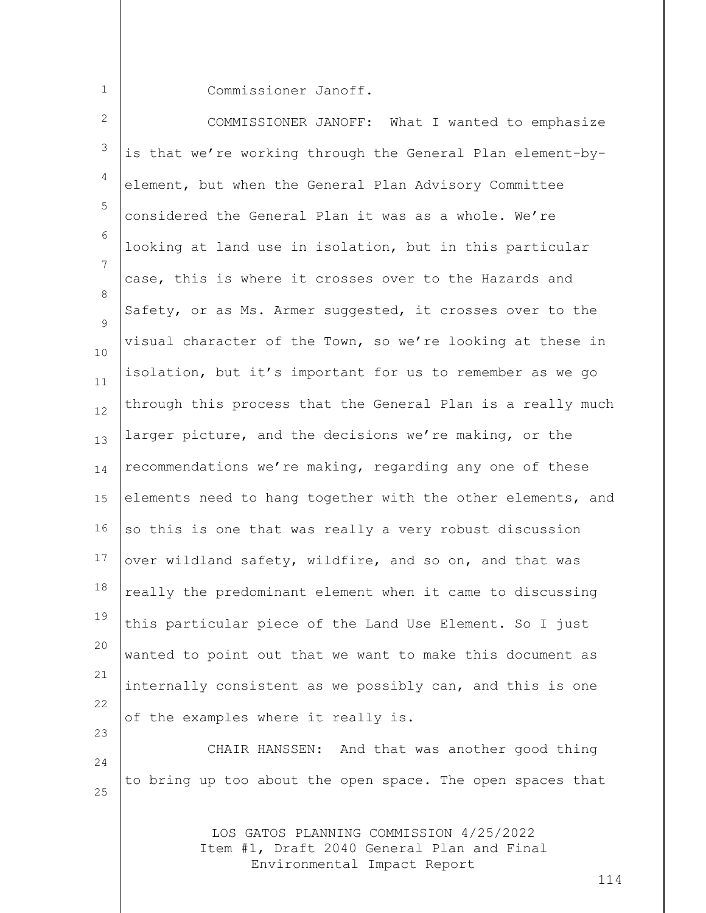1

Commissioner Janoff.

LOS GATOS PLANNING COMMISSION 4/25/2022 2 3 4 5 6 7 8  $\circ$ 10 11 12 13 14 15 16 17 18 19 20 21 22 23 24 25 COMMISSIONER JANOFF: What I wanted to emphasize is that we're working through the General Plan element-byelement, but when the General Plan Advisory Committee considered the General Plan it was as a whole. We're looking at land use in isolation, but in this particular case, this is where it crosses over to the Hazards and Safety, or as Ms. Armer suggested, it crosses over to the visual character of the Town, so we're looking at these in isolation, but it's important for us to remember as we go through this process that the General Plan is a really much larger picture, and the decisions we're making, or the recommendations we're making, regarding any one of these elements need to hang together with the other elements, and so this is one that was really a very robust discussion over wildland safety, wildfire, and so on, and that was really the predominant element when it came to discussing this particular piece of the Land Use Element. So I just wanted to point out that we want to make this document as internally consistent as we possibly can, and this is one of the examples where it really is. CHAIR HANSSEN: And that was another good thing to bring up too about the open space. The open spaces that

> Item #1, Draft 2040 General Plan and Final Environmental Impact Report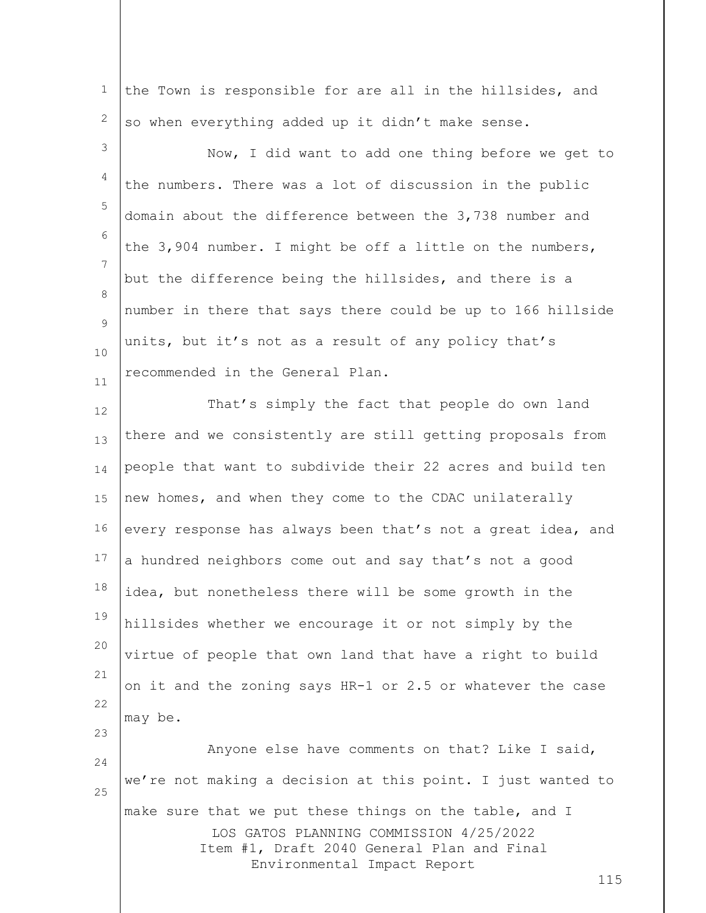1 2 the Town is responsible for are all in the hillsides, and so when everything added up it didn't make sense.

3 4 5 6 7 8  $\circ$ 10 11 Now, I did want to add one thing before we get to the numbers. There was a lot of discussion in the public domain about the difference between the 3,738 number and the 3,904 number. I might be off a little on the numbers, but the difference being the hillsides, and there is a number in there that says there could be up to 166 hillside units, but it's not as a result of any policy that's recommended in the General Plan.

12 13 14 15 16 17 18 19 20 21 22 23 That's simply the fact that people do own land there and we consistently are still getting proposals from people that want to subdivide their 22 acres and build ten new homes, and when they come to the CDAC unilaterally every response has always been that's not a great idea, and a hundred neighbors come out and say that's not a good idea, but nonetheless there will be some growth in the hillsides whether we encourage it or not simply by the virtue of people that own land that have a right to build on it and the zoning says HR-1 or 2.5 or whatever the case may be.

LOS GATOS PLANNING COMMISSION 4/25/2022 Item #1, Draft 2040 General Plan and Final Environmental Impact Report 24 25 Anyone else have comments on that? Like I said, we're not making a decision at this point. I just wanted to make sure that we put these things on the table, and I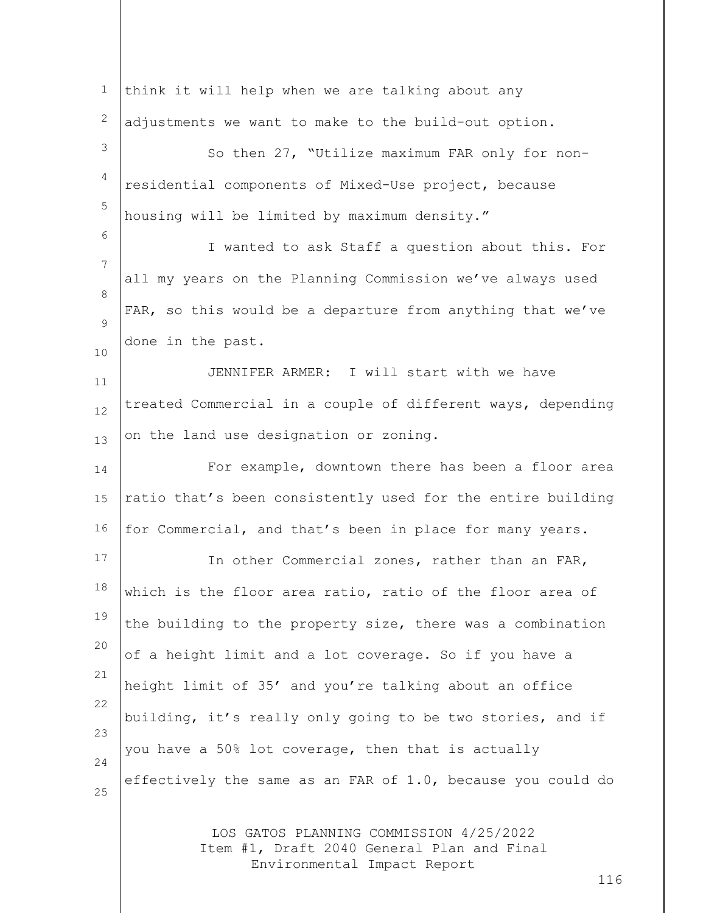| $\mathbf 1$ | think it will help when we are talking about any                                                                            |
|-------------|-----------------------------------------------------------------------------------------------------------------------------|
| 2           | adjustments we want to make to the build-out option.                                                                        |
| 3           | So then 27, "Utilize maximum FAR only for non-                                                                              |
| 4           | residential components of Mixed-Use project, because                                                                        |
| 5           | housing will be limited by maximum density."                                                                                |
| 6           | I wanted to ask Staff a question about this. For                                                                            |
| 7           | all my years on the Planning Commission we've always used                                                                   |
| 8<br>9      | FAR, so this would be a departure from anything that we've                                                                  |
| 10          | done in the past.                                                                                                           |
| 11          | JENNIFER ARMER: I will start with we have                                                                                   |
| 12          | treated Commercial in a couple of different ways, depending                                                                 |
| 13          | on the land use designation or zoning.                                                                                      |
| 14          | For example, downtown there has been a floor area                                                                           |
| 15          | ratio that's been consistently used for the entire building                                                                 |
| 16          | for Commercial, and that's been in place for many years.                                                                    |
| 17          | In other Commercial zones, rather than an FAR,                                                                              |
| 18          | which is the floor area ratio, ratio of the floor area of                                                                   |
| 19          | the building to the property size, there was a combination                                                                  |
| 20          | of a height limit and a lot coverage. So if you have a                                                                      |
| 21          | height limit of 35' and you're talking about an office                                                                      |
| 22<br>23    | building, it's really only going to be two stories, and if                                                                  |
| 24          | you have a 50% lot coverage, then that is actually                                                                          |
| 25          | effectively the same as an FAR of 1.0, because you could do                                                                 |
|             | LOS GATOS PLANNING COMMISSION 4/25/2022<br>Item #1, Draft 2040 General Plan and Final<br>Environmental Impact Report<br>116 |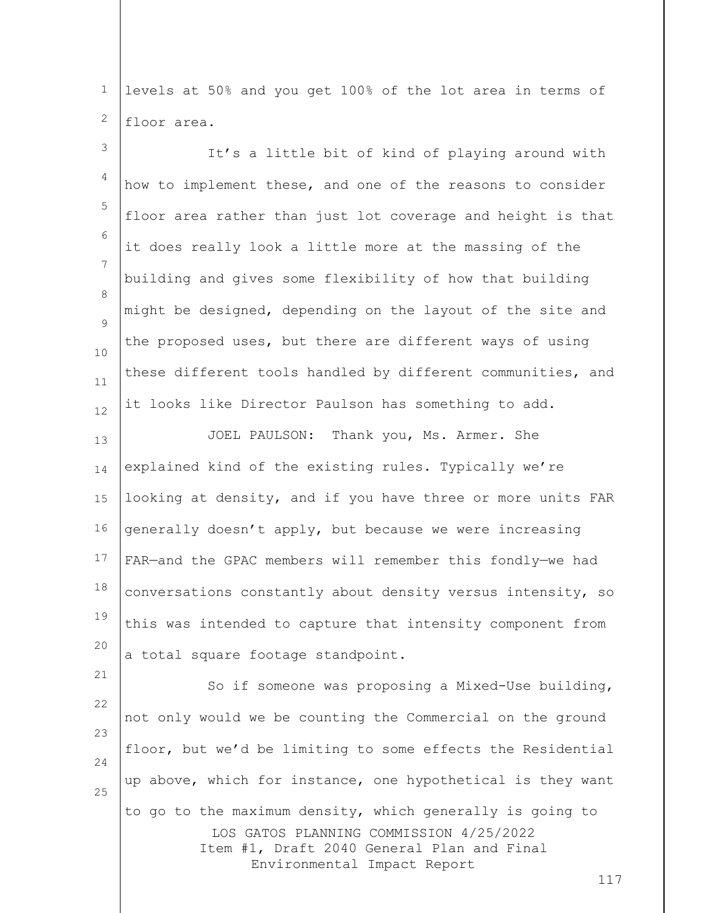1 2 levels at 50% and you get 100% of the lot area in terms of floor area.

| $\mathfrak{Z}$ | It's a little bit of kind of playing around with            |
|----------------|-------------------------------------------------------------|
| 4              | how to implement these, and one of the reasons to consider  |
| 5              | floor area rather than just lot coverage and height is that |
| 6              | it does really look a little more at the massing of the     |
| 7              | building and gives some flexibility of how that building    |
| 8<br>9         | might be designed, depending on the layout of the site and  |
| 10             | the proposed uses, but there are different ways of using    |
| $11\,$         | these different tools handled by different communities, and |
| 12             | it looks like Director Paulson has something to add.        |
| 13             | JOEL PAULSON:<br>Thank you, Ms. Armer. She                  |
| 14             | explained kind of the existing rules. Typically we're       |
| 15             | looking at density, and if you have three or more units FAR |
| 16             | generally doesn't apply, but because we were increasing     |
| 17             | FAR-and the GPAC members will remember this fondly-we had   |
| 18             | conversations constantly about density versus intensity, so |
| 19             | this was intended to capture that intensity component from  |
| 20             | a total square footage standpoint.                          |
| 21<br>22       | So if someone was proposing a Mixed-Use building,           |
| 23             | not only would we be counting the Commercial on the ground  |
| 24             | floor, but we'd be limiting to some effects the Residential |
| 25             | up above, which for instance, one hypothetical is they want |
|                |                                                             |

LOS GATOS PLANNING COMMISSION 4/25/2022 Item #1, Draft 2040 General Plan and Final Environmental Impact Report to go to the maximum density, which generally is going to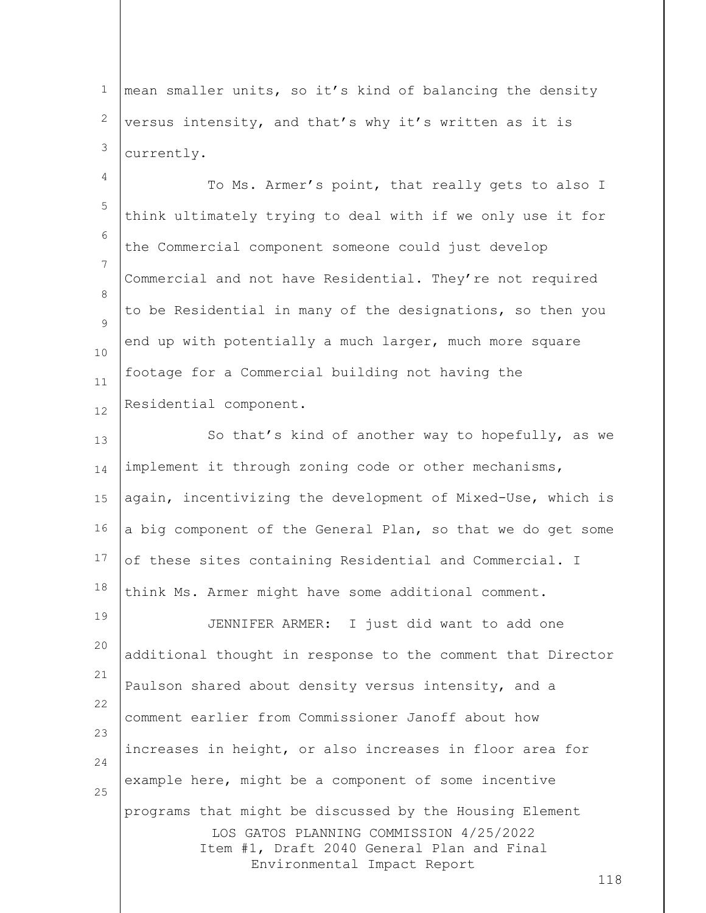1 2 3 mean smaller units, so it's kind of balancing the density versus intensity, and that's why it's written as it is currently.

4 5 6 7 8  $\circ$ 10 11 12 To Ms. Armer's point, that really gets to also I think ultimately trying to deal with if we only use it for the Commercial component someone could just develop Commercial and not have Residential. They're not required to be Residential in many of the designations, so then you end up with potentially a much larger, much more square footage for a Commercial building not having the Residential component.

LOS GATOS PLANNING COMMISSION 4/25/2022 Item #1, Draft 2040 General Plan and Final Environmental Impact Report 13 14 15 16 17 18 19 20 21 22 23 24 25 So that's kind of another way to hopefully, as we implement it through zoning code or other mechanisms, again, incentivizing the development of Mixed-Use, which is a big component of the General Plan, so that we do get some of these sites containing Residential and Commercial. I think Ms. Armer might have some additional comment. JENNIFER ARMER: I just did want to add one additional thought in response to the comment that Director Paulson shared about density versus intensity, and a comment earlier from Commissioner Janoff about how increases in height, or also increases in floor area for example here, might be a component of some incentive programs that might be discussed by the Housing Element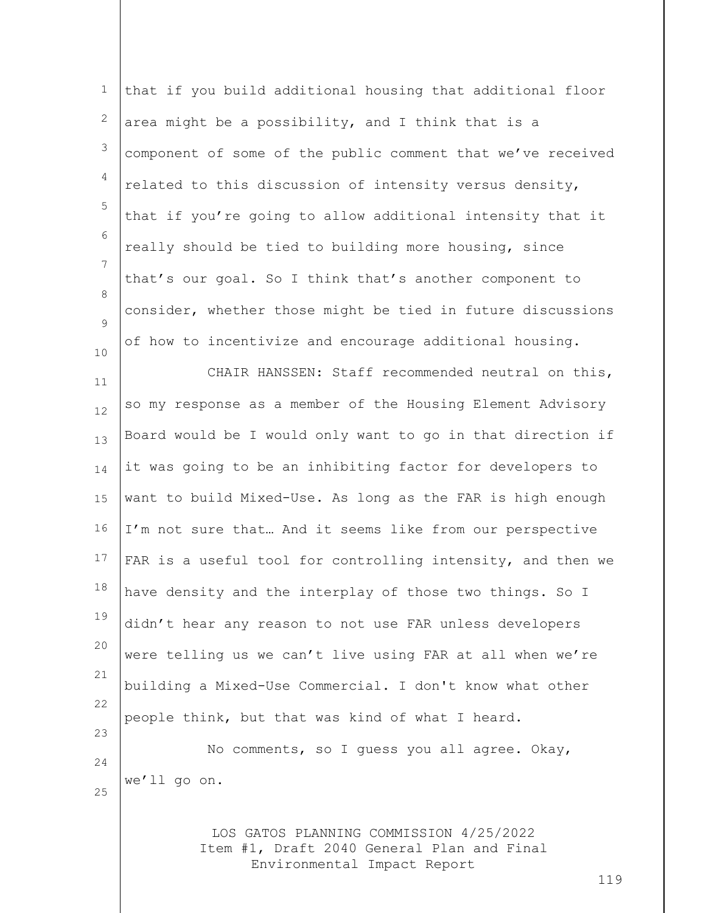| $\mathbf 1$    | that if you build additional housing that additional floor                            |     |
|----------------|---------------------------------------------------------------------------------------|-----|
| $\mathbf{2}$   | area might be a possibility, and I think that is a                                    |     |
| $\mathsf 3$    | component of some of the public comment that we've received                           |     |
| $\overline{4}$ | related to this discussion of intensity versus density,                               |     |
| 5              | that if you're going to allow additional intensity that it                            |     |
| 6              | really should be tied to building more housing, since                                 |     |
| 7              | that's our goal. So I think that's another component to                               |     |
| 8              | consider, whether those might be tied in future discussions                           |     |
| 9<br>$10$      | of how to incentivize and encourage additional housing.                               |     |
| 11             | CHAIR HANSSEN: Staff recommended neutral on this,                                     |     |
| 12             | so my response as a member of the Housing Element Advisory                            |     |
| 13             | Board would be I would only want to go in that direction if                           |     |
| 14             | it was going to be an inhibiting factor for developers to                             |     |
| 15             | want to build Mixed-Use. As long as the FAR is high enough                            |     |
| 16             | I'm not sure that And it seems like from our perspective                              |     |
| 17             | FAR is a useful tool for controlling intensity, and then we                           |     |
| 18             | have density and the interplay of those two things. So I                              |     |
| 19             | didn't hear any reason to not use FAR unless developers                               |     |
| 20             | were telling us we can't live using FAR at all when we're                             |     |
| 21             | building a Mixed-Use Commercial. I don't know what other                              |     |
| 22             | people think, but that was kind of what I heard.                                      |     |
| 23             | No comments, so I guess you all agree. Okay,                                          |     |
| 24<br>25       | we'll go on.                                                                          |     |
|                |                                                                                       |     |
|                | LOS GATOS PLANNING COMMISSION 4/25/2022<br>Item #1, Draft 2040 General Plan and Final |     |
|                | Environmental Impact Report                                                           | 119 |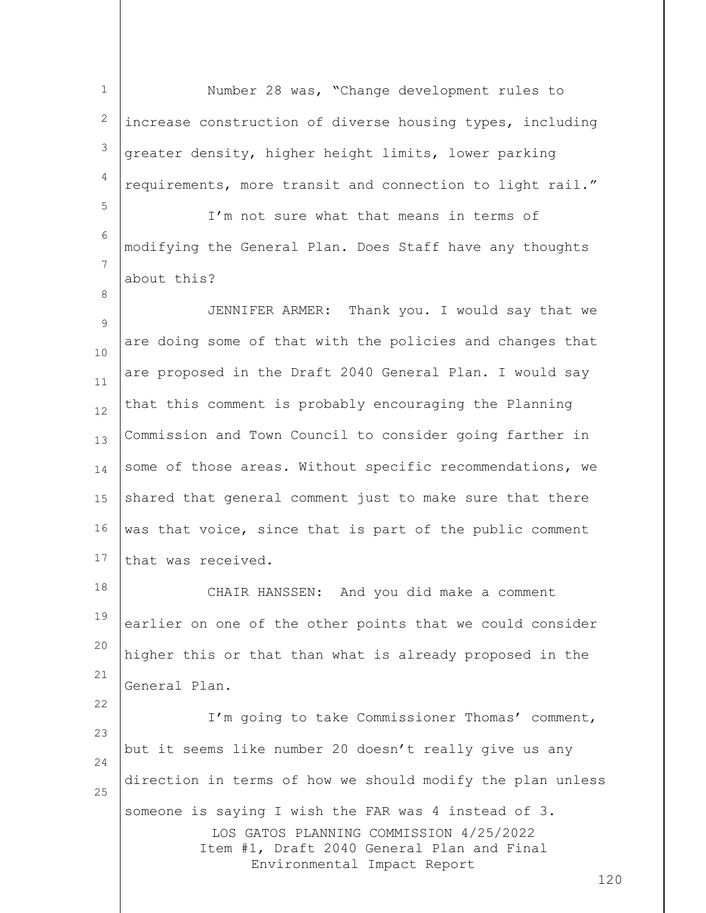1 2 3 4 5 Number 28 was, "Change development rules to increase construction of diverse housing types, including greater density, higher height limits, lower parking requirements, more transit and connection to light rail."

6 7 I'm not sure what that means in terms of modifying the General Plan. Does Staff have any thoughts about this?

8

22

9 10 11 12 13 14 15 16 17 JENNIFER ARMER: Thank you. I would say that we are doing some of that with the policies and changes that are proposed in the Draft 2040 General Plan. I would say that this comment is probably encouraging the Planning Commission and Town Council to consider going farther in some of those areas. Without specific recommendations, we shared that general comment just to make sure that there was that voice, since that is part of the public comment that was received.

18 19 20 21 CHAIR HANSSEN: And you did make a comment earlier on one of the other points that we could consider higher this or that than what is already proposed in the General Plan.

LOS GATOS PLANNING COMMISSION 4/25/2022 Item #1, Draft 2040 General Plan and Final Environmental Impact Report 23 24 25 I'm going to take Commissioner Thomas' comment, but it seems like number 20 doesn't really give us any direction in terms of how we should modify the plan unless someone is saying I wish the FAR was 4 instead of 3.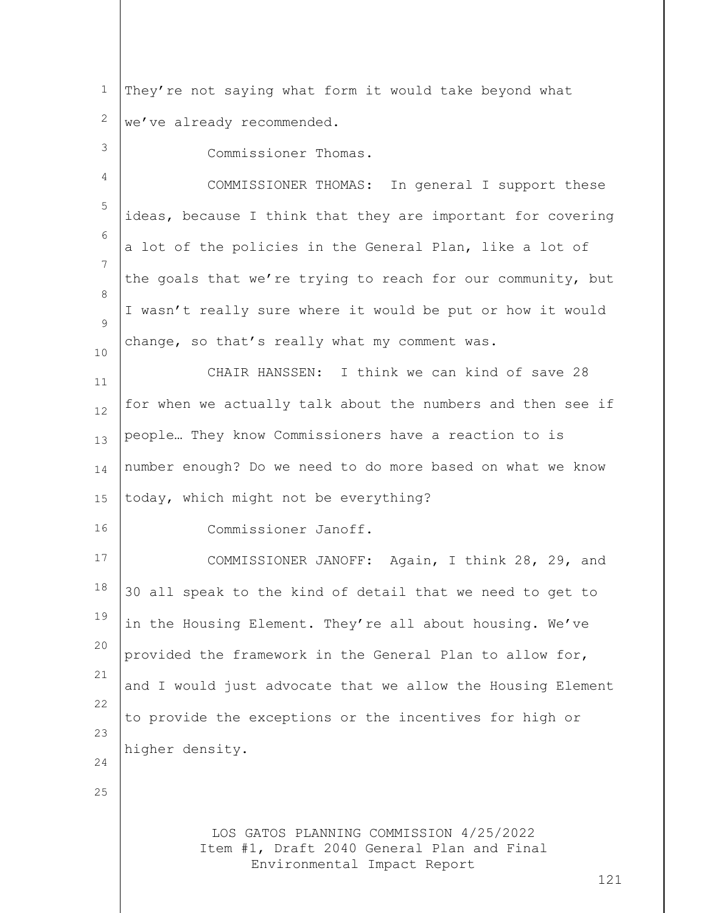LOS GATOS PLANNING COMMISSION 4/25/2022 Item #1, Draft 2040 General Plan and Final Environmental Impact Report 121 1 2 3 4 5 6 7 8  $\circ$ 10 11 12 13 14 15 16 17 18 19 20 21 22 23 24 25 They're not saying what form it would take beyond what we've already recommended. Commissioner Thomas. COMMISSIONER THOMAS: In general I support these ideas, because I think that they are important for covering a lot of the policies in the General Plan, like a lot of the goals that we're trying to reach for our community, but I wasn't really sure where it would be put or how it would change, so that's really what my comment was. CHAIR HANSSEN: I think we can kind of save 28 for when we actually talk about the numbers and then see if people… They know Commissioners have a reaction to is number enough? Do we need to do more based on what we know today, which might not be everything? Commissioner Janoff. COMMISSIONER JANOFF: Again, I think 28, 29, and 30 all speak to the kind of detail that we need to get to in the Housing Element. They're all about housing. We've provided the framework in the General Plan to allow for, and I would just advocate that we allow the Housing Element to provide the exceptions or the incentives for high or higher density.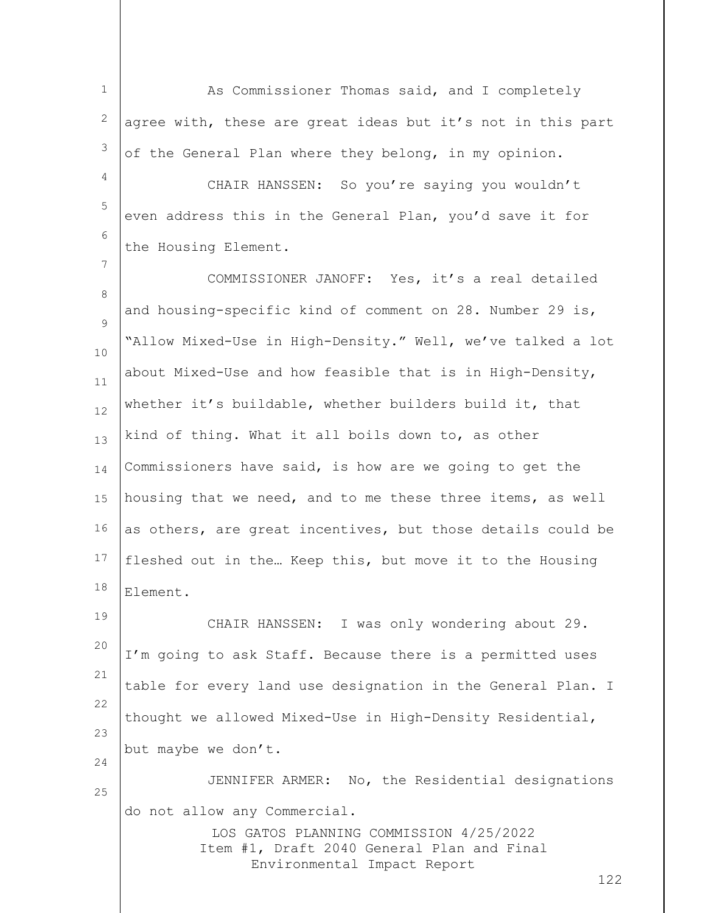1 2 3 As Commissioner Thomas said, and I completely agree with, these are great ideas but it's not in this part of the General Plan where they belong, in my opinion.

4 5 6 CHAIR HANSSEN: So you're saying you wouldn't even address this in the General Plan, you'd save it for the Housing Element.

7

19

8  $\circ$ 10 11 12 13 14 15 16 17 18 COMMISSIONER JANOFF: Yes, it's a real detailed and housing-specific kind of comment on 28. Number 29 is, "Allow Mixed-Use in High-Density." Well, we've talked a lot about Mixed-Use and how feasible that is in High-Density, whether it's buildable, whether builders build it, that kind of thing. What it all boils down to, as other Commissioners have said, is how are we going to get the housing that we need, and to me these three items, as well as others, are great incentives, but those details could be fleshed out in the… Keep this, but move it to the Housing Element.

20 21 22 23 24 CHAIR HANSSEN: I was only wondering about 29. I'm going to ask Staff. Because there is a permitted uses table for every land use designation in the General Plan. I thought we allowed Mixed-Use in High-Density Residential, but maybe we don't.

25 JENNIFER ARMER: No, the Residential designations do not allow any Commercial.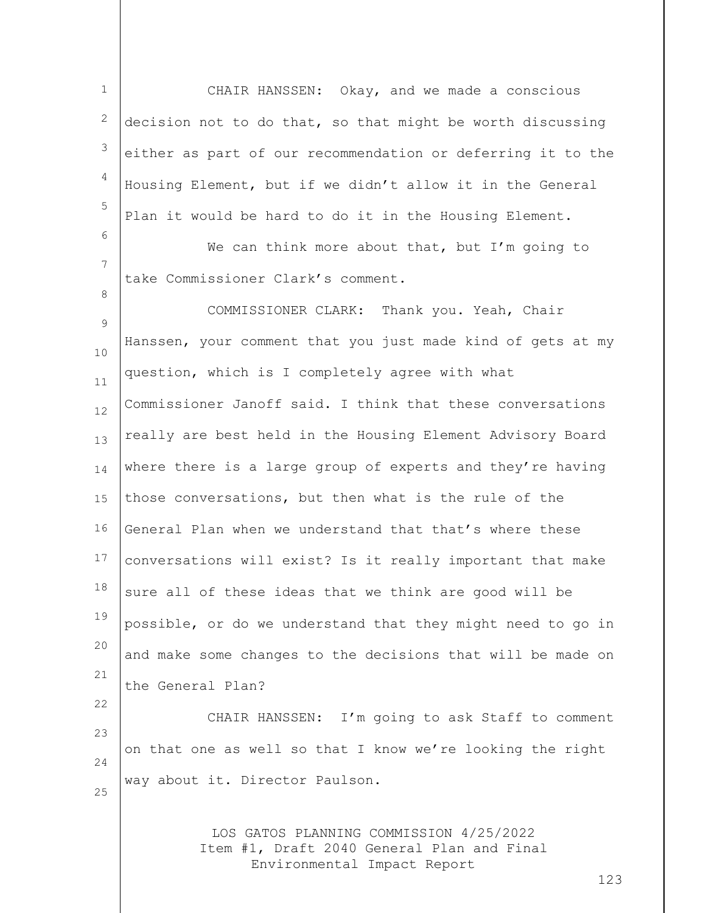1 2 3 4 5 CHAIR HANSSEN: Okay, and we made a conscious decision not to do that, so that might be worth discussing either as part of our recommendation or deferring it to the Housing Element, but if we didn't allow it in the General Plan it would be hard to do it in the Housing Element.

7 We can think more about that, but I'm going to take Commissioner Clark's comment.

6

8

22

 $\circ$ 10 11 12 13 14 15 16 17 18 19 20 21 COMMISSIONER CLARK: Thank you. Yeah, Chair Hanssen, your comment that you just made kind of gets at my question, which is I completely agree with what Commissioner Janoff said. I think that these conversations really are best held in the Housing Element Advisory Board where there is a large group of experts and they're having those conversations, but then what is the rule of the General Plan when we understand that that's where these conversations will exist? Is it really important that make sure all of these ideas that we think are good will be possible, or do we understand that they might need to go in and make some changes to the decisions that will be made on the General Plan?

 $23$ 24 25 CHAIR HANSSEN: I'm going to ask Staff to comment on that one as well so that I know we're looking the right way about it. Director Paulson.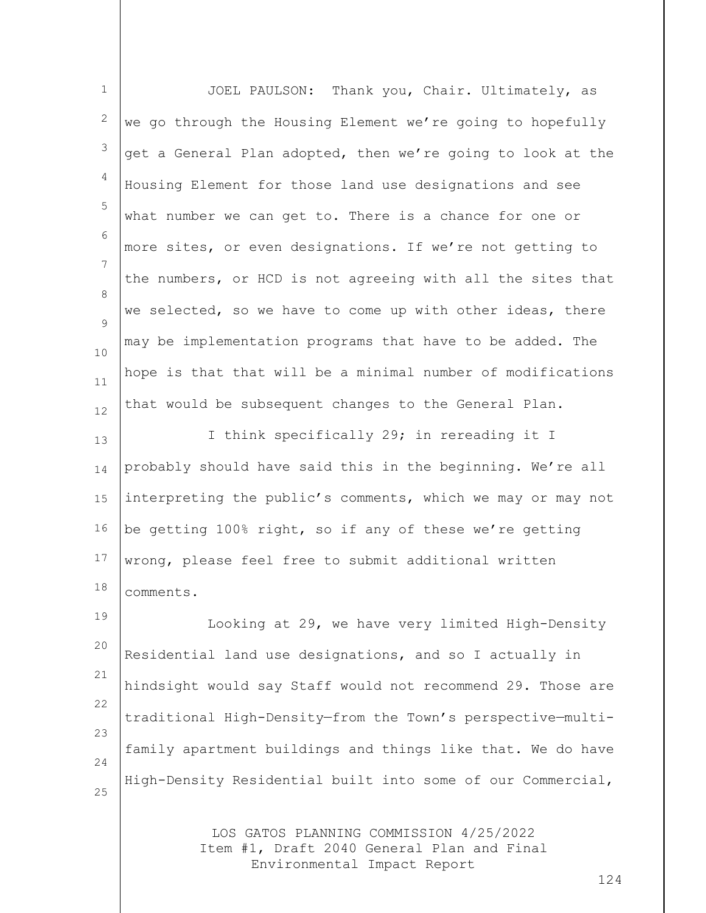| $\mathbf 1$ | Thank you, Chair. Ultimately, as<br>JOEL PAULSON:           |
|-------------|-------------------------------------------------------------|
| 2           | we go through the Housing Element we're going to hopefully  |
| 3           | get a General Plan adopted, then we're going to look at the |
| 4           | Housing Element for those land use designations and see     |
| 5           | what number we can get to. There is a chance for one or     |
| 6           | more sites, or even designations. If we're not getting to   |
| 7           | the numbers, or HCD is not agreeing with all the sites that |
| 8<br>9      | we selected, so we have to come up with other ideas, there  |
| $10\,$      | may be implementation programs that have to be added. The   |
| 11          | hope is that that will be a minimal number of modifications |
| 12          | that would be subsequent changes to the General Plan.       |
| 13          | I think specifically 29; in rereading it I                  |
| 14          | probably should have said this in the beginning. We're all  |
| 15          | interpreting the public's comments, which we may or may not |
| 16          | be getting 100% right, so if any of these we're getting     |
| 17          | wrong, please feel free to submit additional written        |
| 18          | comments.                                                   |
| 19          | Looking at 29, we have very limited High-Density            |
| 20          | Residential land use designations, and so I actually in     |
| 21          | hindsight would say Staff would not recommend 29. Those are |
| 22          | traditional High-Density-from the Town's perspective-multi- |
| 23<br>24    | family apartment buildings and things like that. We do have |
| 25          | High-Density Residential built into some of our Commercial, |
|             | LOS GATOS PLANNING COMMISSION 4/25/2022                     |

Item #1, Draft 2040 General Plan and Final Environmental Impact Report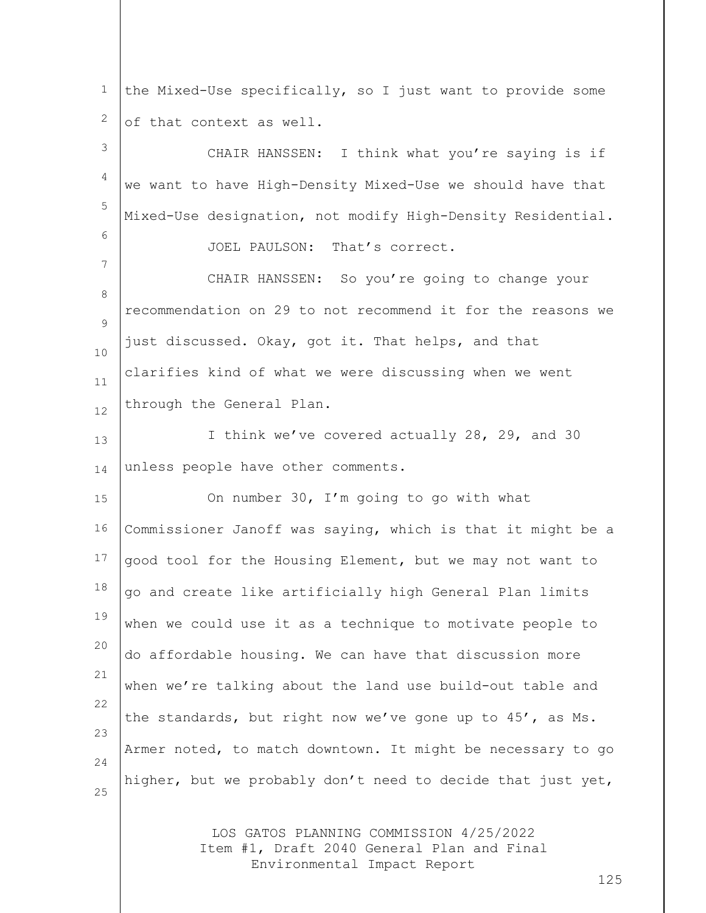1 2 the Mixed-Use specifically, so I just want to provide some of that context as well.

3 4 5 6 7 8  $\circ$ 10 11 12 13 14 15 16 17 18 19 20 21 22 23 24 25 CHAIR HANSSEN: I think what you're saying is if we want to have High-Density Mixed-Use we should have that Mixed-Use designation, not modify High-Density Residential. JOEL PAULSON: That's correct. CHAIR HANSSEN: So you're going to change your recommendation on 29 to not recommend it for the reasons we just discussed. Okay, got it. That helps, and that clarifies kind of what we were discussing when we went through the General Plan. I think we've covered actually 28, 29, and 30 unless people have other comments. On number 30, I'm going to go with what Commissioner Janoff was saying, which is that it might be a good tool for the Housing Element, but we may not want to go and create like artificially high General Plan limits when we could use it as a technique to motivate people to do affordable housing. We can have that discussion more when we're talking about the land use build-out table and the standards, but right now we've gone up to 45', as Ms. Armer noted, to match downtown. It might be necessary to go higher, but we probably don't need to decide that just yet,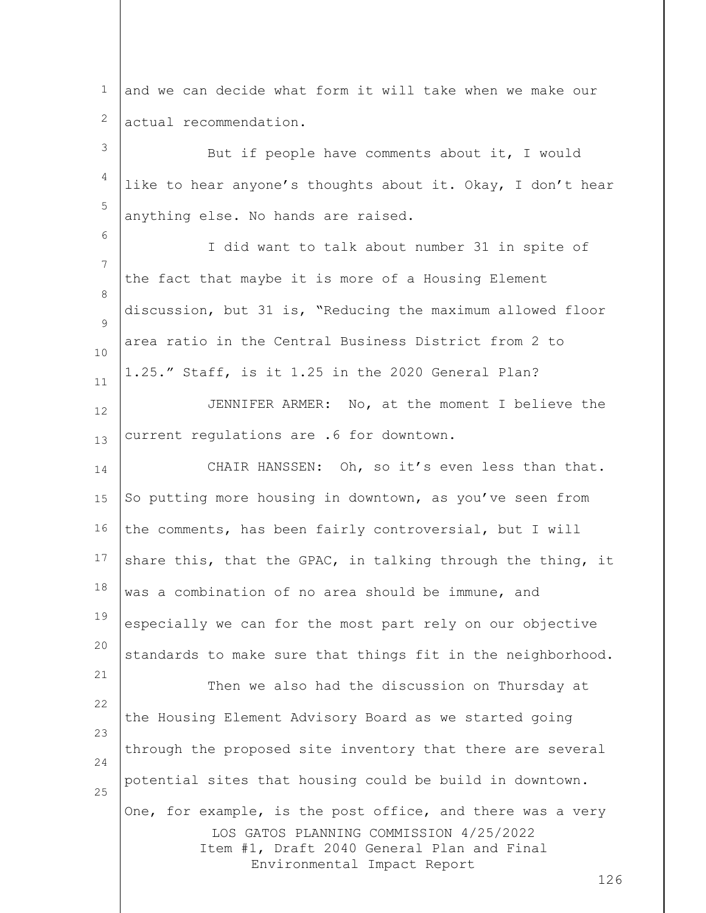1 2 and we can decide what form it will take when we make our actual recommendation.

3 4 5 But if people have comments about it, I would like to hear anyone's thoughts about it. Okay, I don't hear anything else. No hands are raised.

7 8  $\circ$ 10 11 I did want to talk about number 31 in spite of the fact that maybe it is more of a Housing Element discussion, but 31 is, "Reducing the maximum allowed floor area ratio in the Central Business District from 2 to 1.25." Staff, is it 1.25 in the 2020 General Plan?

6

12 13 JENNIFER ARMER: No, at the moment I believe the current regulations are .6 for downtown.

14 15 16 17 18 19 20 21 22 23 24 25 CHAIR HANSSEN: Oh, so it's even less than that. So putting more housing in downtown, as you've seen from the comments, has been fairly controversial, but I will share this, that the GPAC, in talking through the thing, it was a combination of no area should be immune, and especially we can for the most part rely on our objective standards to make sure that things fit in the neighborhood. Then we also had the discussion on Thursday at the Housing Element Advisory Board as we started going through the proposed site inventory that there are several potential sites that housing could be build in downtown. One, for example, is the post office, and there was a very

LOS GATOS PLANNING COMMISSION 4/25/2022 Item #1, Draft 2040 General Plan and Final Environmental Impact Report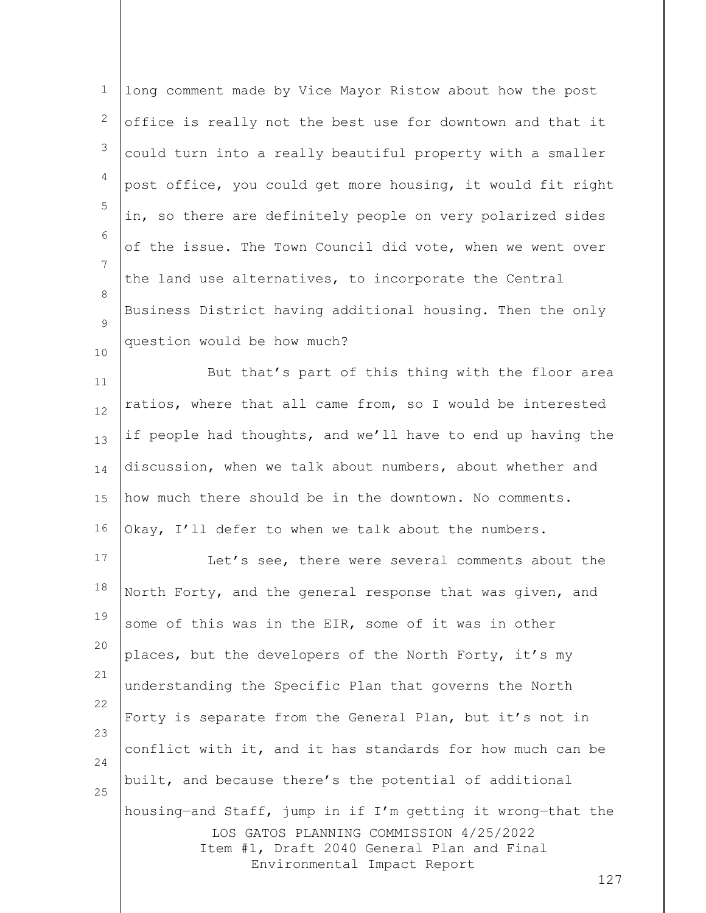| $\mathbf 1$  | long comment made by Vice Mayor Ristow about how the post                                                                                                                                  |
|--------------|--------------------------------------------------------------------------------------------------------------------------------------------------------------------------------------------|
| $\mathbf{2}$ | office is really not the best use for downtown and that it                                                                                                                                 |
| 3            | could turn into a really beautiful property with a smaller                                                                                                                                 |
| 4            | post office, you could get more housing, it would fit right                                                                                                                                |
| 5            | in, so there are definitely people on very polarized sides                                                                                                                                 |
| 6            | of the issue. The Town Council did vote, when we went over                                                                                                                                 |
| 7            | the land use alternatives, to incorporate the Central                                                                                                                                      |
| 8<br>9       | Business District having additional housing. Then the only                                                                                                                                 |
| 10           | question would be how much?                                                                                                                                                                |
| 11           | But that's part of this thing with the floor area                                                                                                                                          |
| 12           | ratios, where that all came from, so I would be interested                                                                                                                                 |
| 13           | if people had thoughts, and we'll have to end up having the                                                                                                                                |
| 14           | discussion, when we talk about numbers, about whether and                                                                                                                                  |
| 15           | how much there should be in the downtown. No comments.                                                                                                                                     |
| 16           | Okay, I'll defer to when we talk about the numbers.                                                                                                                                        |
| 17           | Let's see, there were several comments about the                                                                                                                                           |
| 18           | North Forty, and the general response that was given, and                                                                                                                                  |
| 19           | some of this was in the EIR, some of it was in other                                                                                                                                       |
| 20           | places, but the developers of the North Forty, it's my                                                                                                                                     |
| 21           | understanding the Specific Plan that governs the North                                                                                                                                     |
| 22           | Forty is separate from the General Plan, but it's not in                                                                                                                                   |
| 23<br>24     | conflict with it, and it has standards for how much can be                                                                                                                                 |
| 25           | built, and because there's the potential of additional                                                                                                                                     |
|              | housing-and Staff, jump in if I'm getting it wrong-that the<br>LOS GATOS PLANNING COMMISSION 4/25/2022<br>Item #1, Draft 2040 General Plan and Final<br>Environmental Impact Report<br>127 |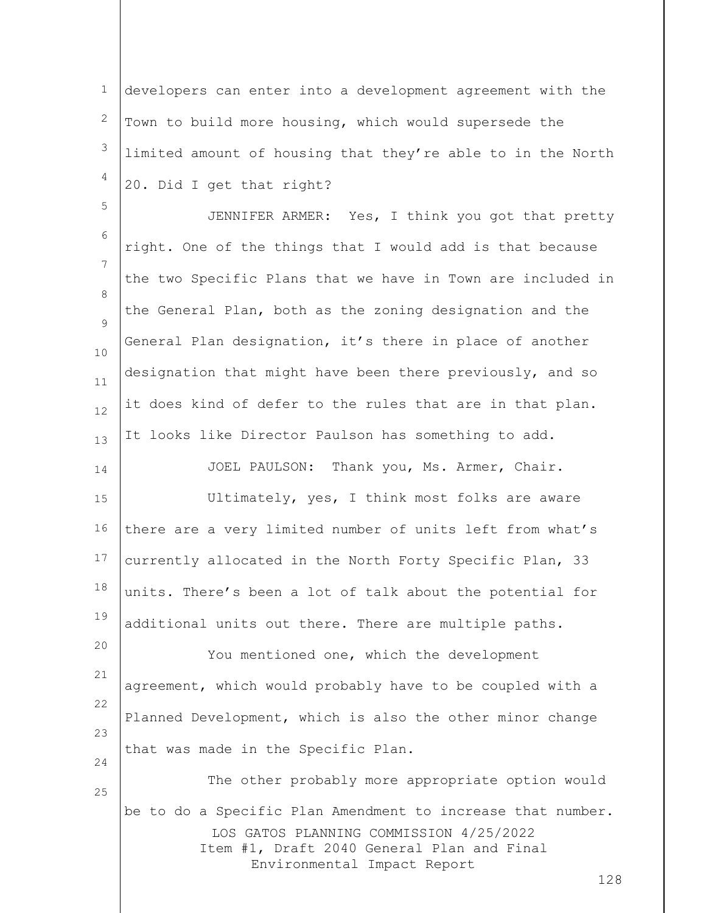1 2 3 4 developers can enter into a development agreement with the Town to build more housing, which would supersede the limited amount of housing that they're able to in the North 20. Did I get that right?

5

14

24

25

6 7 8  $\circ$ 10 11 12 13 JENNIFER ARMER: Yes, I think you got that pretty right. One of the things that I would add is that because the two Specific Plans that we have in Town are included in the General Plan, both as the zoning designation and the General Plan designation, it's there in place of another designation that might have been there previously, and so it does kind of defer to the rules that are in that plan. It looks like Director Paulson has something to add.

JOEL PAULSON: Thank you, Ms. Armer, Chair.

15 16 17 18 19 Ultimately, yes, I think most folks are aware there are a very limited number of units left from what's currently allocated in the North Forty Specific Plan, 33 units. There's been a lot of talk about the potential for additional units out there. There are multiple paths.

20 21 22 23 You mentioned one, which the development agreement, which would probably have to be coupled with a Planned Development, which is also the other minor change that was made in the Specific Plan.

LOS GATOS PLANNING COMMISSION 4/25/2022 Item #1, Draft 2040 General Plan and Final Environmental Impact Report The other probably more appropriate option would be to do a Specific Plan Amendment to increase that number.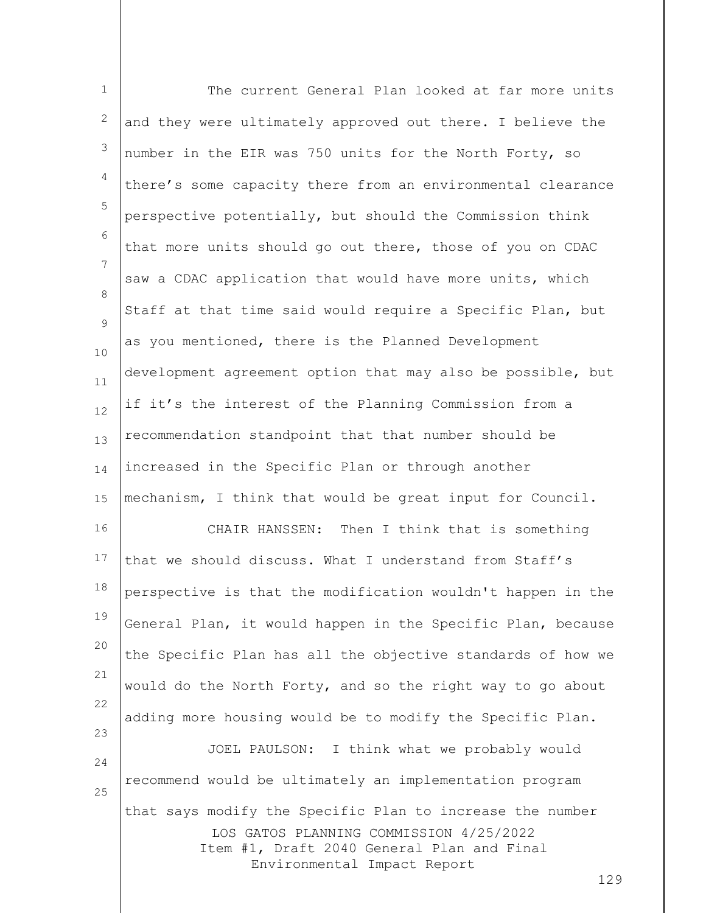| $\mathbf 1$    | The current General Plan looked at far more units                                                                                                                                        |
|----------------|------------------------------------------------------------------------------------------------------------------------------------------------------------------------------------------|
| $\overline{c}$ | and they were ultimately approved out there. I believe the                                                                                                                               |
| 3              | number in the EIR was 750 units for the North Forty, so                                                                                                                                  |
| 4              | there's some capacity there from an environmental clearance                                                                                                                              |
| 5              | perspective potentially, but should the Commission think                                                                                                                                 |
| 6              | that more units should go out there, those of you on CDAC                                                                                                                                |
| 7              | saw a CDAC application that would have more units, which                                                                                                                                 |
| 8<br>9         | Staff at that time said would require a Specific Plan, but                                                                                                                               |
| 10             | as you mentioned, there is the Planned Development                                                                                                                                       |
| 11             | development agreement option that may also be possible, but                                                                                                                              |
| 12             | if it's the interest of the Planning Commission from a                                                                                                                                   |
| 13             | recommendation standpoint that that number should be                                                                                                                                     |
| 14             | increased in the Specific Plan or through another                                                                                                                                        |
| 15             | mechanism, I think that would be great input for Council.                                                                                                                                |
| 16             | CHAIR HANSSEN: Then I think that is something                                                                                                                                            |
| 17             | that we should discuss. What I understand from Staff's                                                                                                                                   |
| 18             | perspective is that the modification wouldn't happen in the                                                                                                                              |
| 19             | General Plan, it would happen in the Specific Plan, because                                                                                                                              |
| 20             | the Specific Plan has all the objective standards of how we                                                                                                                              |
| 21             | would do the North Forty, and so the right way to go about                                                                                                                               |
| 22<br>23       | adding more housing would be to modify the Specific Plan.                                                                                                                                |
| 24             | JOEL PAULSON: I think what we probably would                                                                                                                                             |
| 25             | recommend would be ultimately an implementation program                                                                                                                                  |
|                | that says modify the Specific Plan to increase the number<br>LOS GATOS PLANNING COMMISSION 4/25/2022<br>Item #1, Draft 2040 General Plan and Final<br>Environmental Impact Report<br>129 |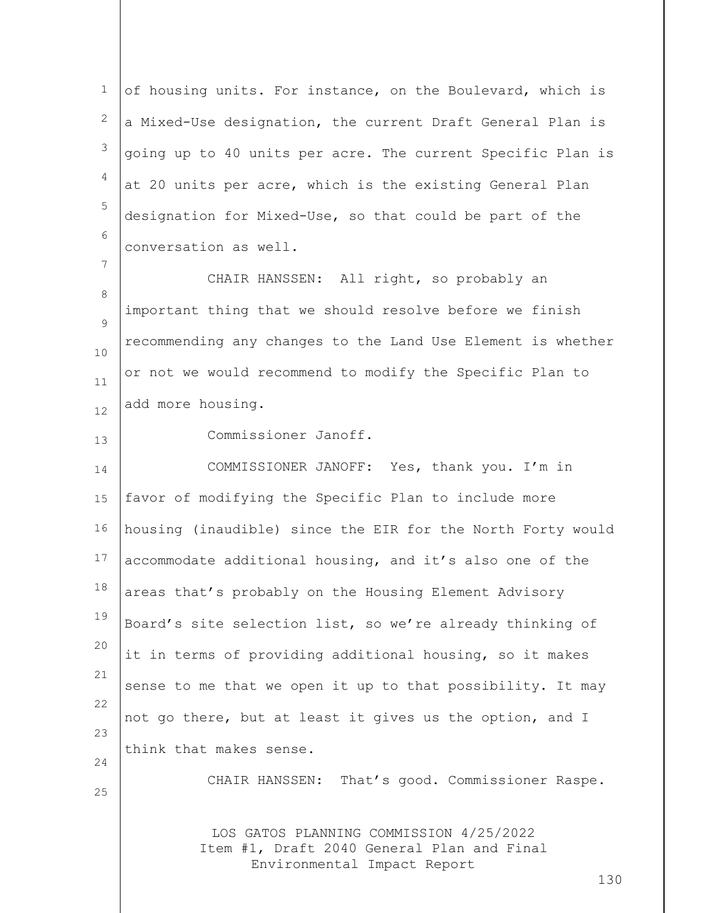1 2 3 4 5 6 of housing units. For instance, on the Boulevard, which is a Mixed-Use designation, the current Draft General Plan is going up to 40 units per acre. The current Specific Plan is at 20 units per acre, which is the existing General Plan designation for Mixed-Use, so that could be part of the conversation as well.

8  $\circ$ 10 11 12 CHAIR HANSSEN: All right, so probably an important thing that we should resolve before we finish recommending any changes to the Land Use Element is whether or not we would recommend to modify the Specific Plan to add more housing.

Commissioner Janoff.

14 15 16 17 18 19 20 21 22 23 24 COMMISSIONER JANOFF: Yes, thank you. I'm in favor of modifying the Specific Plan to include more housing (inaudible) since the EIR for the North Forty would accommodate additional housing, and it's also one of the areas that's probably on the Housing Element Advisory Board's site selection list, so we're already thinking of it in terms of providing additional housing, so it makes sense to me that we open it up to that possibility. It may not go there, but at least it gives us the option, and I think that makes sense.

25

7

13

CHAIR HANSSEN: That's good. Commissioner Raspe.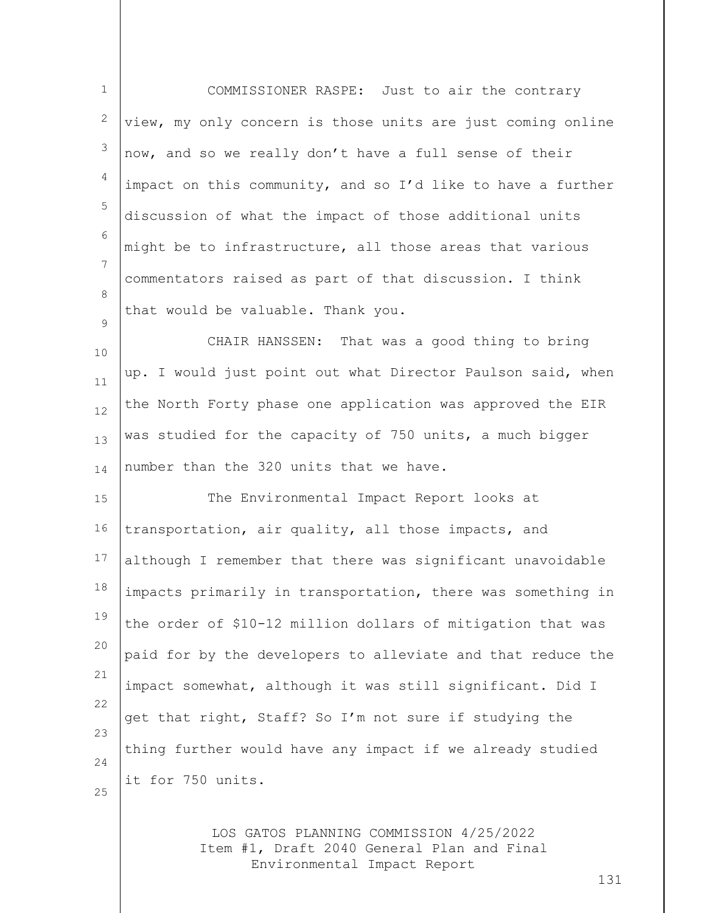| $\mathbf{1}$ | COMMISSIONER RASPE: Just to air the contrary                |
|--------------|-------------------------------------------------------------|
| 2            | view, my only concern is those units are just coming online |
| 3            | now, and so we really don't have a full sense of their      |
| 4            | impact on this community, and so I'd like to have a further |
| 5            | discussion of what the impact of those additional units     |
| 6            | might be to infrastructure, all those areas that various    |
| 7            | commentators raised as part of that discussion. I think     |
| 8            | that would be valuable. Thank you.                          |
| 9            | CHAIR HANSSEN: That was a good thing to bring               |
| 10           | up. I would just point out what Director Paulson said, when |
| 11<br>12     | the North Forty phase one application was approved the EIR  |
| 13           | was studied for the capacity of 750 units, a much bigger    |
| 14           | number than the 320 units that we have.                     |
| 15           | The Environmental Impact Report looks at                    |
| 16           | transportation, air quality, all those impacts, and         |
| 17           | although I remember that there was significant unavoidable  |
| 18           | impacts primarily in transportation, there was something in |
| 19           | the order of \$10-12 million dollars of mitigation that was |
| 20           | paid for by the developers to alleviate and that reduce the |
| 21           |                                                             |
| 22           | impact somewhat, although it was still significant. Did I   |
| 23           | get that right, Staff? So I'm not sure if studying the      |
| 24           | thing further would have any impact if we already studied   |
| 25           | it for 750 units.                                           |
|              |                                                             |

LOS GATOS PLANNING COMMISSION 4/25/2022 Item #1, Draft 2040 General Plan and Final Environmental Impact Report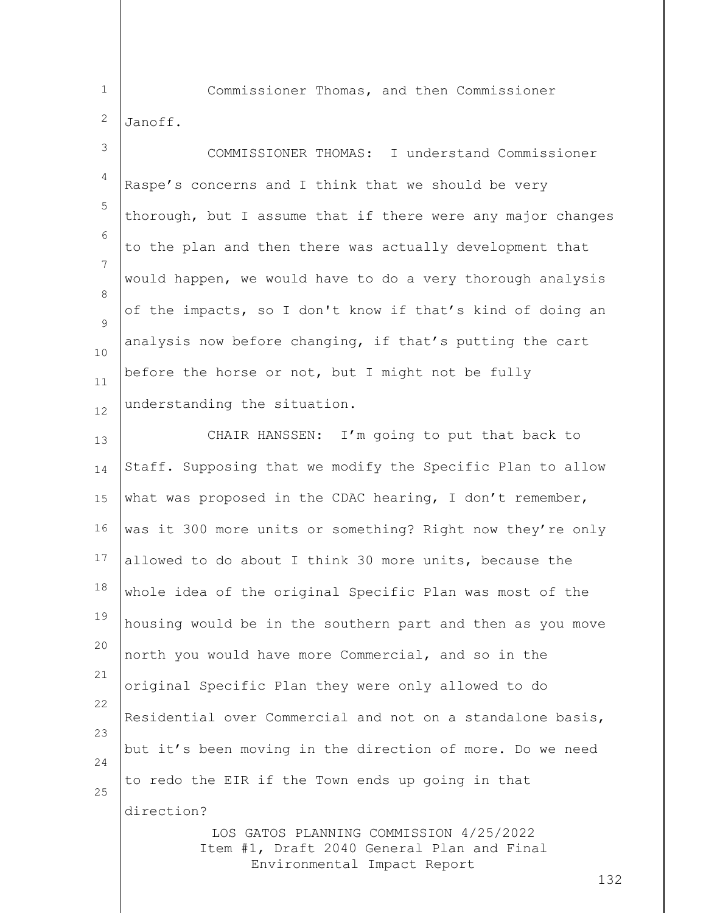1

Commissioner Thomas, and then Commissioner

2 Janoff.

3 4 5 6 7 8  $\circ$ 10 11 12 COMMISSIONER THOMAS: I understand Commissioner Raspe's concerns and I think that we should be very thorough, but I assume that if there were any major changes to the plan and then there was actually development that would happen, we would have to do a very thorough analysis of the impacts, so I don't know if that's kind of doing an analysis now before changing, if that's putting the cart before the horse or not, but I might not be fully understanding the situation.

13 14 15 16 17 18 19 20 21 22 23 24 25 CHAIR HANSSEN: I'm going to put that back to Staff. Supposing that we modify the Specific Plan to allow what was proposed in the CDAC hearing, I don't remember, was it 300 more units or something? Right now they're only allowed to do about I think 30 more units, because the whole idea of the original Specific Plan was most of the housing would be in the southern part and then as you move north you would have more Commercial, and so in the original Specific Plan they were only allowed to do Residential over Commercial and not on a standalone basis, but it's been moving in the direction of more. Do we need to redo the EIR if the Town ends up going in that direction?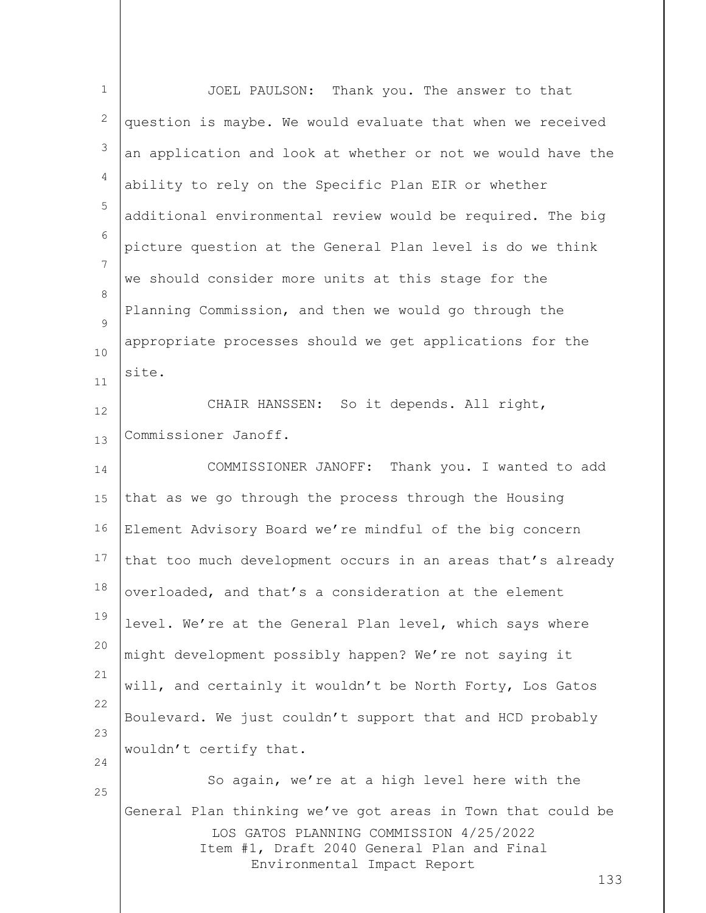| $\mathbf{1}$   | JOEL PAULSON: Thank you. The answer to that                                                                                                                                                |
|----------------|--------------------------------------------------------------------------------------------------------------------------------------------------------------------------------------------|
| 2              | question is maybe. We would evaluate that when we received                                                                                                                                 |
| 3              | an application and look at whether or not we would have the                                                                                                                                |
| $\overline{4}$ | ability to rely on the Specific Plan EIR or whether                                                                                                                                        |
| 5              | additional environmental review would be required. The big                                                                                                                                 |
| 6              | picture question at the General Plan level is do we think                                                                                                                                  |
| 7              | we should consider more units at this stage for the                                                                                                                                        |
| 8              | Planning Commission, and then we would go through the                                                                                                                                      |
| 9<br>10        | appropriate processes should we get applications for the                                                                                                                                   |
| 11             | site.                                                                                                                                                                                      |
| 12             | CHAIR HANSSEN: So it depends. All right,                                                                                                                                                   |
| 13             | Commissioner Janoff.                                                                                                                                                                       |
| 14             | COMMISSIONER JANOFF: Thank you. I wanted to add                                                                                                                                            |
| 15             | that as we go through the process through the Housing                                                                                                                                      |
| 16             | Element Advisory Board we're mindful of the big concern                                                                                                                                    |
| 17             | that too much development occurs in an areas that's already                                                                                                                                |
| 18             | overloaded, and that's a consideration at the element                                                                                                                                      |
| 19             | level. We're at the General Plan level, which says where                                                                                                                                   |
| 20             | might development possibly happen? We're not saying it                                                                                                                                     |
| 21             | will, and certainly it wouldn't be North Forty, Los Gatos                                                                                                                                  |
| 22             | Boulevard. We just couldn't support that and HCD probably                                                                                                                                  |
| 23<br>24       | wouldn't certify that.                                                                                                                                                                     |
| 25             | So again, we're at a high level here with the                                                                                                                                              |
|                | General Plan thinking we've got areas in Town that could be<br>LOS GATOS PLANNING COMMISSION 4/25/2022<br>Item #1, Draft 2040 General Plan and Final<br>Environmental Impact Report<br>133 |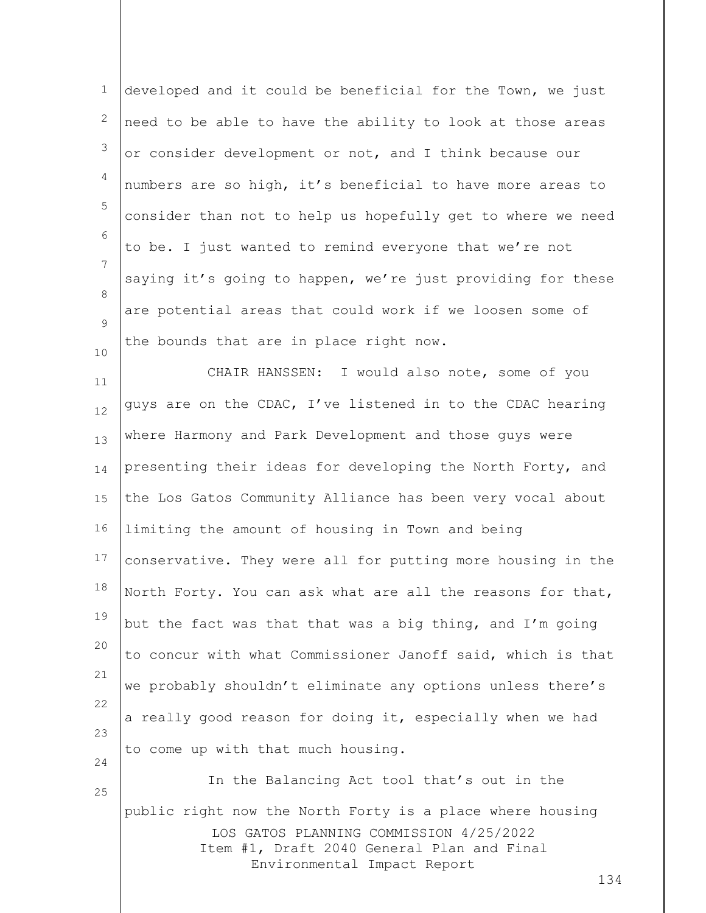| $\mathbf 1$ | developed and it could be beneficial for the Town, we just                                                                                         |
|-------------|----------------------------------------------------------------------------------------------------------------------------------------------------|
| 2           | need to be able to have the ability to look at those areas                                                                                         |
| $\mathsf 3$ | or consider development or not, and I think because our                                                                                            |
| 4           | numbers are so high, it's beneficial to have more areas to                                                                                         |
| 5           | consider than not to help us hopefully get to where we need                                                                                        |
| 6           | to be. I just wanted to remind everyone that we're not                                                                                             |
| 7           | saying it's going to happen, we're just providing for these                                                                                        |
| 8           | are potential areas that could work if we loosen some of                                                                                           |
| 9<br>10     | the bounds that are in place right now.                                                                                                            |
| 11          | CHAIR HANSSEN: I would also note, some of you                                                                                                      |
| 12          | guys are on the CDAC, I've listened in to the CDAC hearing                                                                                         |
| 13          | where Harmony and Park Development and those guys were                                                                                             |
| 14          | presenting their ideas for developing the North Forty, and                                                                                         |
| 15          | the Los Gatos Community Alliance has been very vocal about                                                                                         |
| 16          | limiting the amount of housing in Town and being                                                                                                   |
| 17          | conservative. They were all for putting more housing in the                                                                                        |
| 18          | North Forty. You can ask what are all the reasons for that,                                                                                        |
| 19          | but the fact was that that was a big thing, and I'm going                                                                                          |
| 20          | to concur with what Commissioner Janoff said, which is that                                                                                        |
| 21          | we probably shouldn't eliminate any options unless there's                                                                                         |
| 22          | a really good reason for doing it, especially when we had                                                                                          |
| 23<br>24    | to come up with that much housing.                                                                                                                 |
| 25          | In the Balancing Act tool that's out in the                                                                                                        |
|             | public right now the North Forty is a place where housing<br>LOS GATOS PLANNING COMMISSION 4/25/2022<br>Item #1, Draft 2040 General Plan and Final |
|             | Environmental Impact Report                                                                                                                        |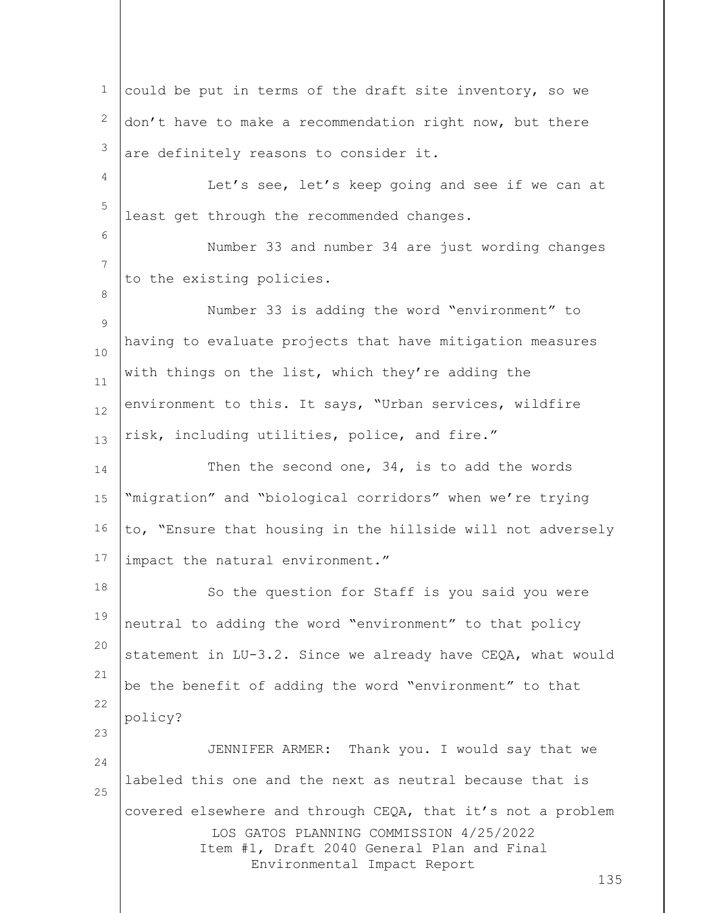LOS GATOS PLANNING COMMISSION 4/25/2022 Item #1, Draft 2040 General Plan and Final Environmental Impact Report 135 1 2 3 4 5 6 7 8 9 10 11 12 13 14 15 16 17 18 19 20 21 22 23 24 25 could be put in terms of the draft site inventory, so we don't have to make a recommendation right now, but there are definitely reasons to consider it. Let's see, let's keep going and see if we can at least get through the recommended changes. Number 33 and number 34 are just wording changes to the existing policies. Number 33 is adding the word "environment" to having to evaluate projects that have mitigation measures with things on the list, which they're adding the environment to this. It says, "Urban services, wildfire risk, including utilities, police, and fire." Then the second one, 34, is to add the words "migration" and "biological corridors" when we're trying to, "Ensure that housing in the hillside will not adversely impact the natural environment." So the question for Staff is you said you were neutral to adding the word "environment" to that policy statement in LU-3.2. Since we already have CEQA, what would be the benefit of adding the word "environment" to that policy? JENNIFER ARMER: Thank you. I would say that we labeled this one and the next as neutral because that is covered elsewhere and through CEQA, that it's not a problem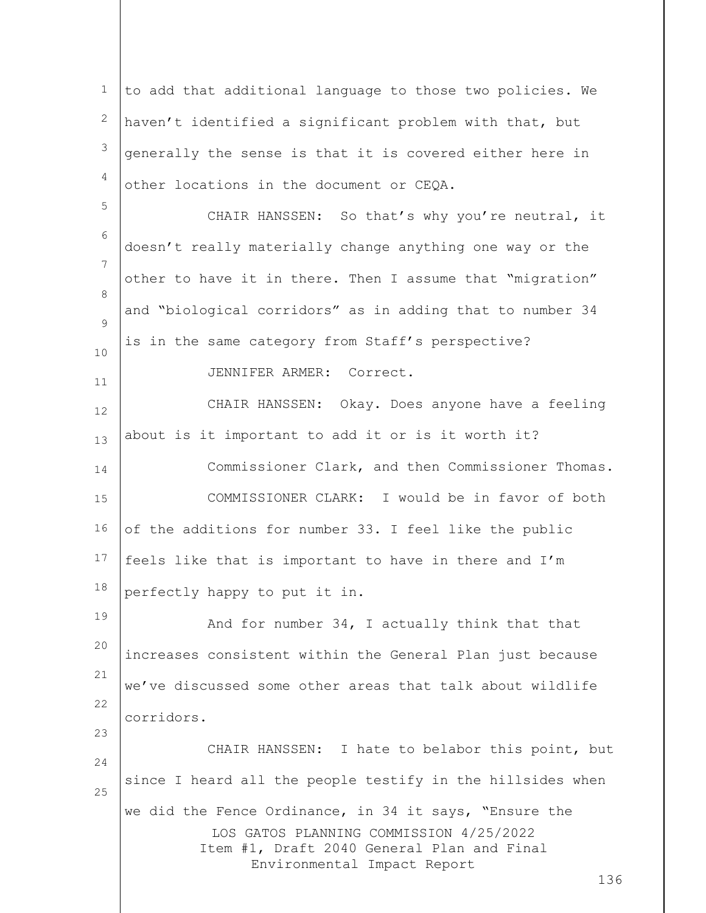LOS GATOS PLANNING COMMISSION 4/25/2022 Item #1, Draft 2040 General Plan and Final Environmental Impact Report 136 1 2 3 4 5 6 7 8  $\circ$ 10 11 12 13 14 15 16 17 18 19 20 21 22 23 24 25 to add that additional language to those two policies. We haven't identified a significant problem with that, but generally the sense is that it is covered either here in other locations in the document or CEQA. CHAIR HANSSEN: So that's why you're neutral, it doesn't really materially change anything one way or the other to have it in there. Then I assume that "migration" and "biological corridors" as in adding that to number 34 is in the same category from Staff's perspective? JENNIFER ARMER: Correct. CHAIR HANSSEN: Okay. Does anyone have a feeling about is it important to add it or is it worth it? Commissioner Clark, and then Commissioner Thomas. COMMISSIONER CLARK: I would be in favor of both of the additions for number 33. I feel like the public feels like that is important to have in there and I'm perfectly happy to put it in. And for number 34, I actually think that that increases consistent within the General Plan just because we've discussed some other areas that talk about wildlife corridors. CHAIR HANSSEN: I hate to belabor this point, but since I heard all the people testify in the hillsides when we did the Fence Ordinance, in 34 it says, "Ensure the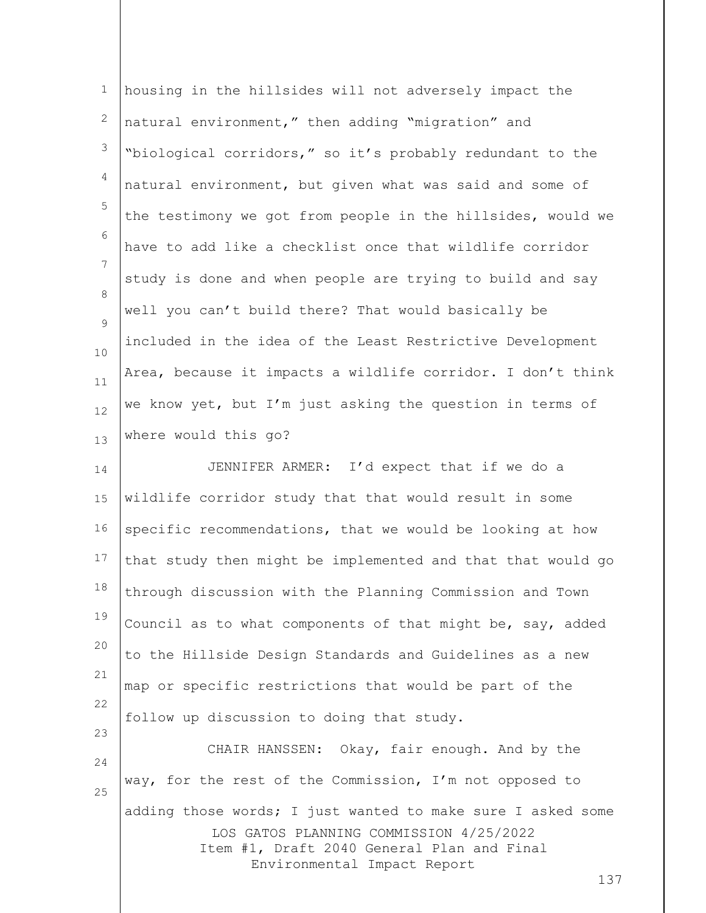| $\mathbf 1$        | housing in the hillsides will not adversely impact the                                                                                                                                     |
|--------------------|--------------------------------------------------------------------------------------------------------------------------------------------------------------------------------------------|
| $\overline{c}$     | natural environment," then adding "migration" and                                                                                                                                          |
| 3                  | "biological corridors," so it's probably redundant to the                                                                                                                                  |
| 4                  | natural environment, but given what was said and some of                                                                                                                                   |
| 5                  | the testimony we got from people in the hillsides, would we                                                                                                                                |
| 6                  | have to add like a checklist once that wildlife corridor                                                                                                                                   |
| 7                  | study is done and when people are trying to build and say                                                                                                                                  |
| 8<br>$\mathcal{G}$ | well you can't build there? That would basically be                                                                                                                                        |
| 10                 | included in the idea of the Least Restrictive Development                                                                                                                                  |
| 11                 | Area, because it impacts a wildlife corridor. I don't think                                                                                                                                |
| 12                 | we know yet, but I'm just asking the question in terms of                                                                                                                                  |
| 13                 | where would this go?                                                                                                                                                                       |
| 14                 | JENNIFER ARMER: I'd expect that if we do a                                                                                                                                                 |
| 15                 | wildlife corridor study that that would result in some                                                                                                                                     |
| 16                 | specific recommendations, that we would be looking at how                                                                                                                                  |
| 17                 | that study then might be implemented and that that would go                                                                                                                                |
| 18                 | through discussion with the Planning Commission and Town                                                                                                                                   |
| 19                 | Council as to what components of that might be, say, added                                                                                                                                 |
| 20                 | to the Hillside Design Standards and Guidelines as a new                                                                                                                                   |
| 21                 | map or specific restrictions that would be part of the                                                                                                                                     |
| 22                 | follow up discussion to doing that study.                                                                                                                                                  |
| 23<br>24           | CHAIR HANSSEN: Okay, fair enough. And by the                                                                                                                                               |
| 25                 | way, for the rest of the Commission, I'm not opposed to                                                                                                                                    |
|                    | adding those words; I just wanted to make sure I asked some<br>LOS GATOS PLANNING COMMISSION 4/25/2022<br>Item #1, Draft 2040 General Plan and Final<br>Environmental Impact Report<br>137 |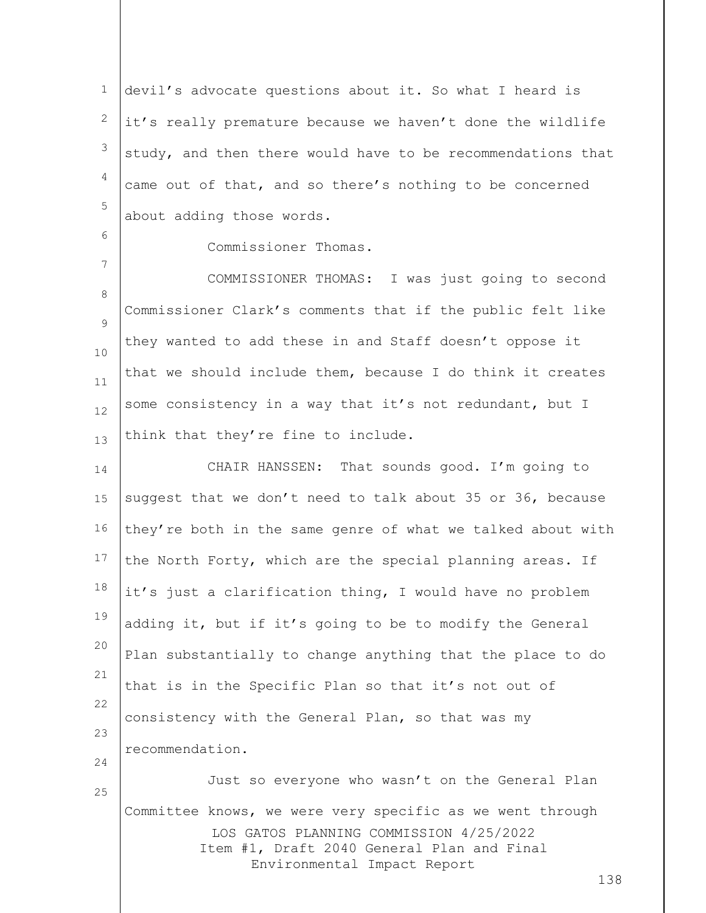1 2 3 4 5 devil's advocate questions about it. So what I heard is it's really premature because we haven't done the wildlife study, and then there would have to be recommendations that came out of that, and so there's nothing to be concerned about adding those words.

6

7

Commissioner Thomas.

8  $\circ$ 10 11 12 13 COMMISSIONER THOMAS: I was just going to second Commissioner Clark's comments that if the public felt like they wanted to add these in and Staff doesn't oppose it that we should include them, because I do think it creates some consistency in a way that it's not redundant, but I think that they're fine to include.

14 15 16 17 18 19 20 21 22 23 24 25 CHAIR HANSSEN: That sounds good. I'm going to suggest that we don't need to talk about 35 or 36, because they're both in the same genre of what we talked about with the North Forty, which are the special planning areas. If it's just a clarification thing, I would have no problem adding it, but if it's going to be to modify the General Plan substantially to change anything that the place to do that is in the Specific Plan so that it's not out of consistency with the General Plan, so that was my recommendation. Just so everyone who wasn't on the General Plan

LOS GATOS PLANNING COMMISSION 4/25/2022 Item #1, Draft 2040 General Plan and Final Environmental Impact Report Committee knows, we were very specific as we went through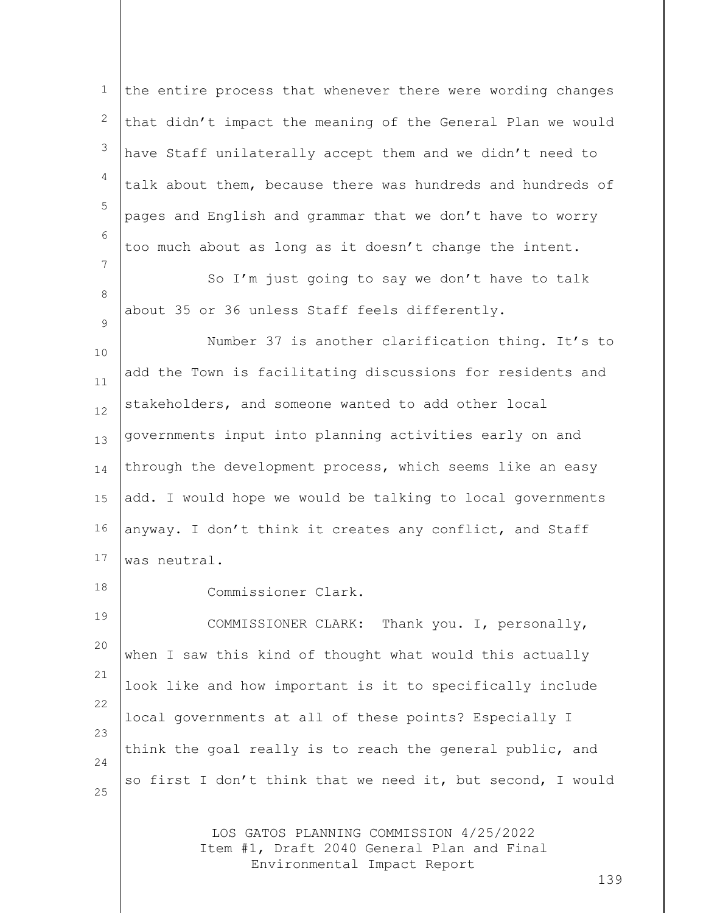1 2 3 4 5 6 7 8  $\circ$ 10 the entire process that whenever there were wording changes that didn't impact the meaning of the General Plan we would have Staff unilaterally accept them and we didn't need to talk about them, because there was hundreds and hundreds of pages and English and grammar that we don't have to worry too much about as long as it doesn't change the intent. So I'm just going to say we don't have to talk about 35 or 36 unless Staff feels differently. Number 37 is another clarification thing. It's to

11 12 13 14 15 16 17 add the Town is facilitating discussions for residents and stakeholders, and someone wanted to add other local governments input into planning activities early on and through the development process, which seems like an easy add. I would hope we would be talking to local governments anyway. I don't think it creates any conflict, and Staff was neutral.

18

Commissioner Clark.

19 20 21 22 23 24 25 COMMISSIONER CLARK: Thank you. I, personally, when I saw this kind of thought what would this actually look like and how important is it to specifically include local governments at all of these points? Especially I think the goal really is to reach the general public, and so first I don't think that we need it, but second, I would

> LOS GATOS PLANNING COMMISSION 4/25/2022 Item #1, Draft 2040 General Plan and Final Environmental Impact Report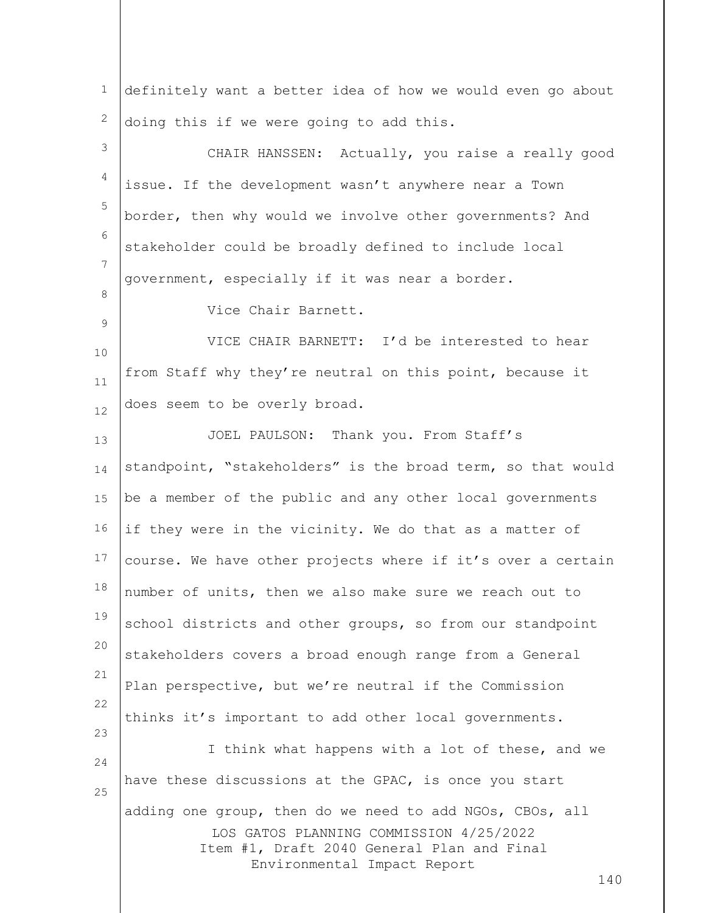LOS GATOS PLANNING COMMISSION 4/25/2022 Item #1, Draft 2040 General Plan and Final Environmental Impact Report 140 1 2 3 4 5 6 7 8 9 10 11 12 13 14 15 16 17 18 19 20 21 22 23 24 25 definitely want a better idea of how we would even go about doing this if we were going to add this. CHAIR HANSSEN: Actually, you raise a really good issue. If the development wasn't anywhere near a Town border, then why would we involve other governments? And stakeholder could be broadly defined to include local government, especially if it was near a border. Vice Chair Barnett. VICE CHAIR BARNETT: I'd be interested to hear from Staff why they're neutral on this point, because it does seem to be overly broad. JOEL PAULSON: Thank you. From Staff's standpoint, "stakeholders" is the broad term, so that would be a member of the public and any other local governments if they were in the vicinity. We do that as a matter of course. We have other projects where if it's over a certain number of units, then we also make sure we reach out to school districts and other groups, so from our standpoint stakeholders covers a broad enough range from a General Plan perspective, but we're neutral if the Commission thinks it's important to add other local governments. I think what happens with a lot of these, and we have these discussions at the GPAC, is once you start adding one group, then do we need to add NGOs, CBOs, all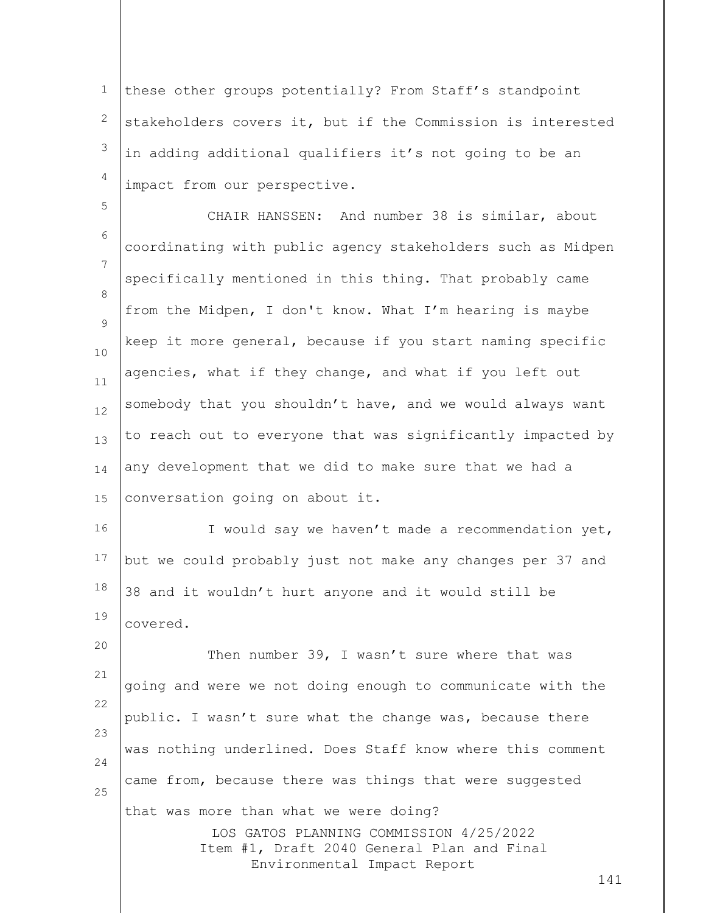1 2 3 4 these other groups potentially? From Staff's standpoint stakeholders covers it, but if the Commission is interested in adding additional qualifiers it's not going to be an impact from our perspective.

5 6 7 8  $\circ$ 10 11 12 13 14 15 CHAIR HANSSEN: And number 38 is similar, about coordinating with public agency stakeholders such as Midpen specifically mentioned in this thing. That probably came from the Midpen, I don't know. What I'm hearing is maybe keep it more general, because if you start naming specific agencies, what if they change, and what if you left out somebody that you shouldn't have, and we would always want to reach out to everyone that was significantly impacted by any development that we did to make sure that we had a conversation going on about it.

16 17 18 19 I would say we haven't made a recommendation yet, but we could probably just not make any changes per 37 and 38 and it wouldn't hurt anyone and it would still be covered.

LOS GATOS PLANNING COMMISSION 4/25/2022 Item #1, Draft 2040 General Plan and Final Environmental Impact Report 20 21 22 23 24 25 Then number 39, I wasn't sure where that was going and were we not doing enough to communicate with the public. I wasn't sure what the change was, because there was nothing underlined. Does Staff know where this comment came from, because there was things that were suggested that was more than what we were doing?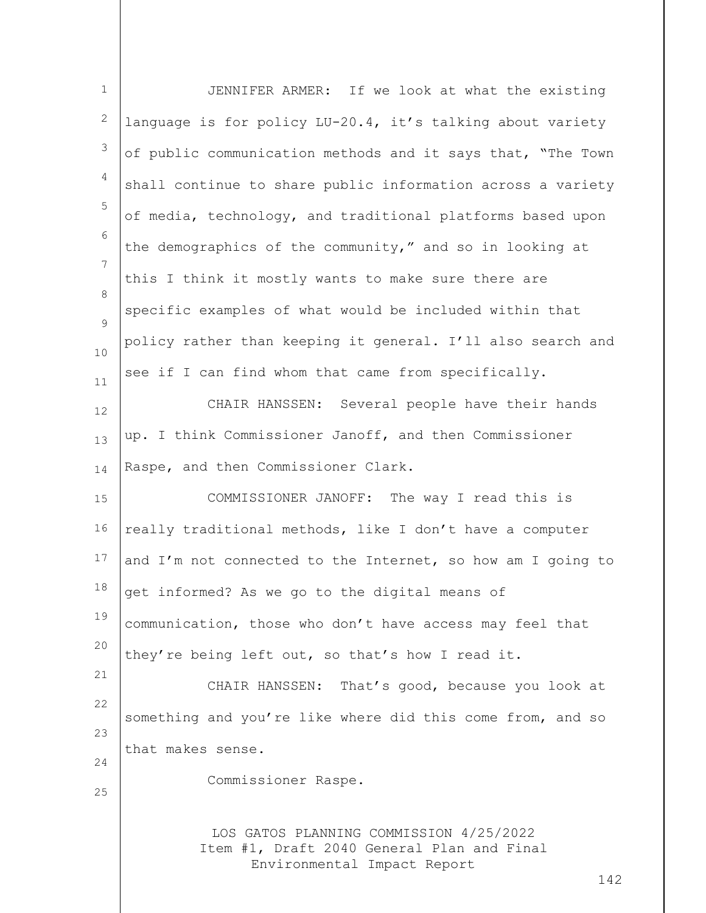| $\mathbf 1$ | JENNIFER ARMER: If we look at what the existing                                                                             |
|-------------|-----------------------------------------------------------------------------------------------------------------------------|
| 2           | language is for policy LU-20.4, it's talking about variety                                                                  |
| 3           | of public communication methods and it says that, "The Town                                                                 |
| 4           | shall continue to share public information across a variety                                                                 |
| 5           | of media, technology, and traditional platforms based upon                                                                  |
| 6           | the demographics of the community," and so in looking at                                                                    |
| 7           | this I think it mostly wants to make sure there are                                                                         |
| 8           | specific examples of what would be included within that                                                                     |
| 9<br>10     | policy rather than keeping it general. I'll also search and                                                                 |
| 11          | see if I can find whom that came from specifically.                                                                         |
| 12          | CHAIR HANSSEN: Several people have their hands                                                                              |
| 13          | up. I think Commissioner Janoff, and then Commissioner                                                                      |
| 14          | Raspe, and then Commissioner Clark.                                                                                         |
| 15          | COMMISSIONER JANOFF: The way I read this is                                                                                 |
| 16          | really traditional methods, like I don't have a computer                                                                    |
| 17          | and I'm not connected to the Internet, so how am I going to                                                                 |
| 18          | get informed? As we go to the digital means of                                                                              |
| 19          | communication, those who don't have access may feel that                                                                    |
| 20          | they're being left out, so that's how I read it.                                                                            |
| 21          | CHAIR HANSSEN: That's good, because you look at                                                                             |
| 22          | something and you're like where did this come from, and so                                                                  |
| 23<br>24    | that makes sense.                                                                                                           |
| 25          | Commissioner Raspe.                                                                                                         |
|             | LOS GATOS PLANNING COMMISSION 4/25/2022<br>Item #1, Draft 2040 General Plan and Final<br>Environmental Impact Report<br>142 |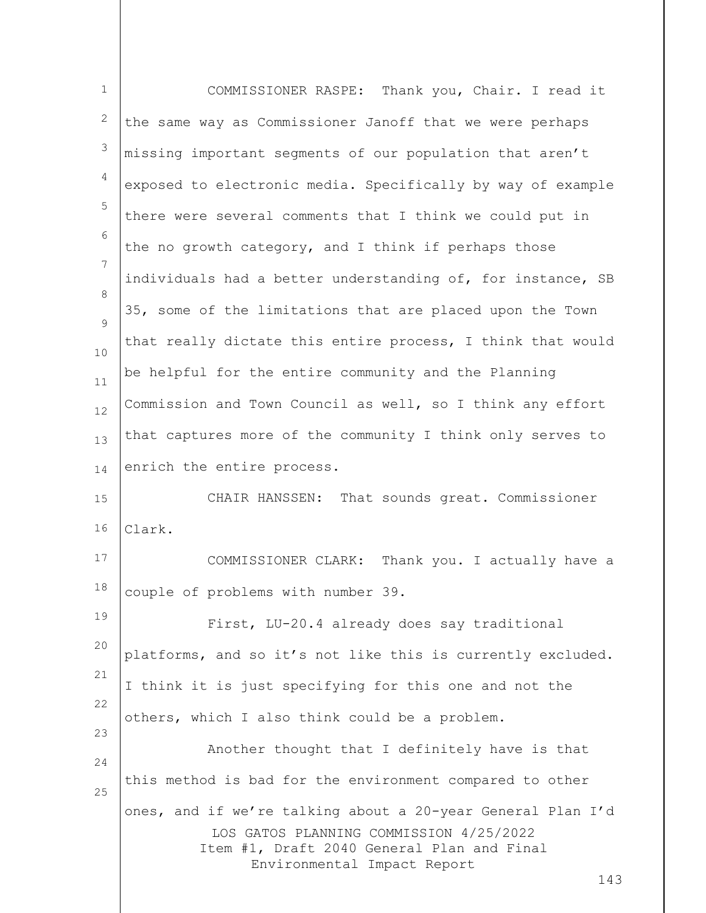| $\mathbf{1}$   | COMMISSIONER RASPE: Thank you, Chair. I read it                                                                                                                                            |
|----------------|--------------------------------------------------------------------------------------------------------------------------------------------------------------------------------------------|
| 2              | the same way as Commissioner Janoff that we were perhaps                                                                                                                                   |
| $\mathfrak{Z}$ | missing important segments of our population that aren't                                                                                                                                   |
| $\overline{4}$ | exposed to electronic media. Specifically by way of example                                                                                                                                |
| 5              | there were several comments that I think we could put in                                                                                                                                   |
| 6              | the no growth category, and I think if perhaps those                                                                                                                                       |
| $\overline{7}$ | individuals had a better understanding of, for instance, SB                                                                                                                                |
| 8<br>9         | 35, some of the limitations that are placed upon the Town                                                                                                                                  |
| 10             | that really dictate this entire process, I think that would                                                                                                                                |
| 11             | be helpful for the entire community and the Planning                                                                                                                                       |
| 12             | Commission and Town Council as well, so I think any effort                                                                                                                                 |
| 13             | that captures more of the community I think only serves to                                                                                                                                 |
| 14             | enrich the entire process.                                                                                                                                                                 |
| 15             | CHAIR HANSSEN: That sounds great. Commissioner                                                                                                                                             |
| 16             | Clark.                                                                                                                                                                                     |
| 17             | COMMISSIONER CLARK: Thank you. I actually have a                                                                                                                                           |
| 18             | couple of problems with number 39.                                                                                                                                                         |
| 19             | First, LU-20.4 already does say traditional                                                                                                                                                |
| 20             | platforms, and so it's not like this is currently excluded.                                                                                                                                |
| 21             | I think it is just specifying for this one and not the                                                                                                                                     |
| 22             | others, which I also think could be a problem.                                                                                                                                             |
| 23<br>24       | Another thought that I definitely have is that                                                                                                                                             |
| 25             | this method is bad for the environment compared to other                                                                                                                                   |
|                | ones, and if we're talking about a 20-year General Plan I'd<br>LOS GATOS PLANNING COMMISSION 4/25/2022<br>Item #1, Draft 2040 General Plan and Final<br>Environmental Impact Report<br>143 |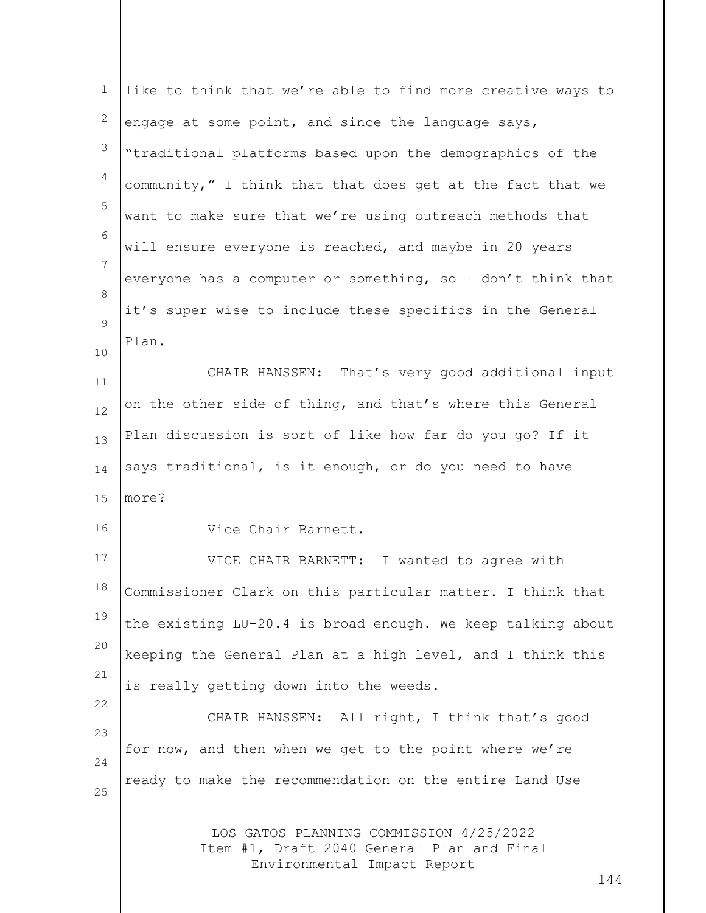| $\mathbf{1}$   | like to think that we're able to find more creative ways to                                                                 |
|----------------|-----------------------------------------------------------------------------------------------------------------------------|
| 2              | engage at some point, and since the language says,                                                                          |
| $\mathfrak{Z}$ | "traditional platforms based upon the demographics of the                                                                   |
| 4              | community," I think that that does get at the fact that we                                                                  |
| 5              | want to make sure that we're using outreach methods that                                                                    |
| 6              | will ensure everyone is reached, and maybe in 20 years                                                                      |
| 7              | everyone has a computer or something, so I don't think that                                                                 |
| 8<br>9         | it's super wise to include these specifics in the General                                                                   |
| 10             | Plan.                                                                                                                       |
| 11             | CHAIR HANSSEN: That's very good additional input                                                                            |
| 12             | on the other side of thing, and that's where this General                                                                   |
| 13             | Plan discussion is sort of like how far do you go? If it                                                                    |
| 14             | says traditional, is it enough, or do you need to have                                                                      |
| 15             | more?                                                                                                                       |
| 16             | Vice Chair Barnett.                                                                                                         |
| 17             | VICE CHAIR BARNETT: I wanted to agree with                                                                                  |
| 18             | Commissioner Clark on this particular matter. I think that                                                                  |
| 19             | the existing LU-20.4 is broad enough. We keep talking about                                                                 |
| 20             | keeping the General Plan at a high level, and I think this                                                                  |
| 21             | is really getting down into the weeds.                                                                                      |
| 22<br>23       | CHAIR HANSSEN: All right, I think that's good                                                                               |
| 24             | for now, and then when we get to the point where we're                                                                      |
| 25             | ready to make the recommendation on the entire Land Use                                                                     |
|                | LOS GATOS PLANNING COMMISSION 4/25/2022<br>Item #1, Draft 2040 General Plan and Final<br>Environmental Impact Report<br>144 |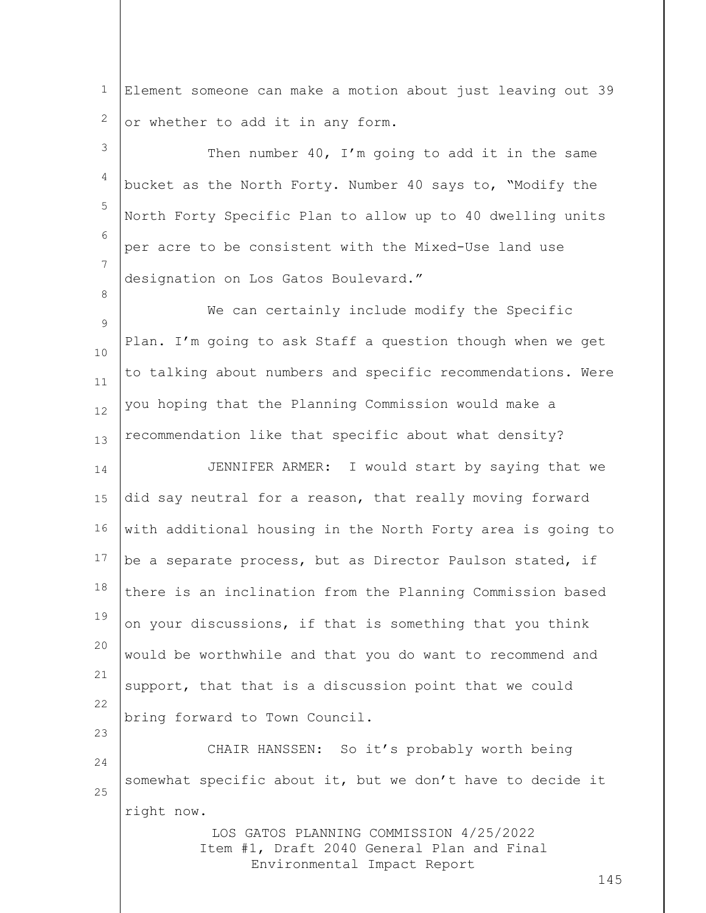1 2 Element someone can make a motion about just leaving out 39 or whether to add it in any form.

3 4 5 6 7 Then number 40, I'm going to add it in the same bucket as the North Forty. Number 40 says to, "Modify the North Forty Specific Plan to allow up to 40 dwelling units per acre to be consistent with the Mixed-Use land use designation on Los Gatos Boulevard."

8

23

9 10 11 12 13 We can certainly include modify the Specific Plan. I'm going to ask Staff a question though when we get to talking about numbers and specific recommendations. Were you hoping that the Planning Commission would make a recommendation like that specific about what density?

14 15 16 17 18 19 20 21 22 JENNIFER ARMER: I would start by saying that we did say neutral for a reason, that really moving forward with additional housing in the North Forty area is going to be a separate process, but as Director Paulson stated, if there is an inclination from the Planning Commission based on your discussions, if that is something that you think would be worthwhile and that you do want to recommend and support, that that is a discussion point that we could bring forward to Town Council.

24 25 CHAIR HANSSEN: So it's probably worth being somewhat specific about it, but we don't have to decide it right now.

> LOS GATOS PLANNING COMMISSION 4/25/2022 Item #1, Draft 2040 General Plan and Final Environmental Impact Report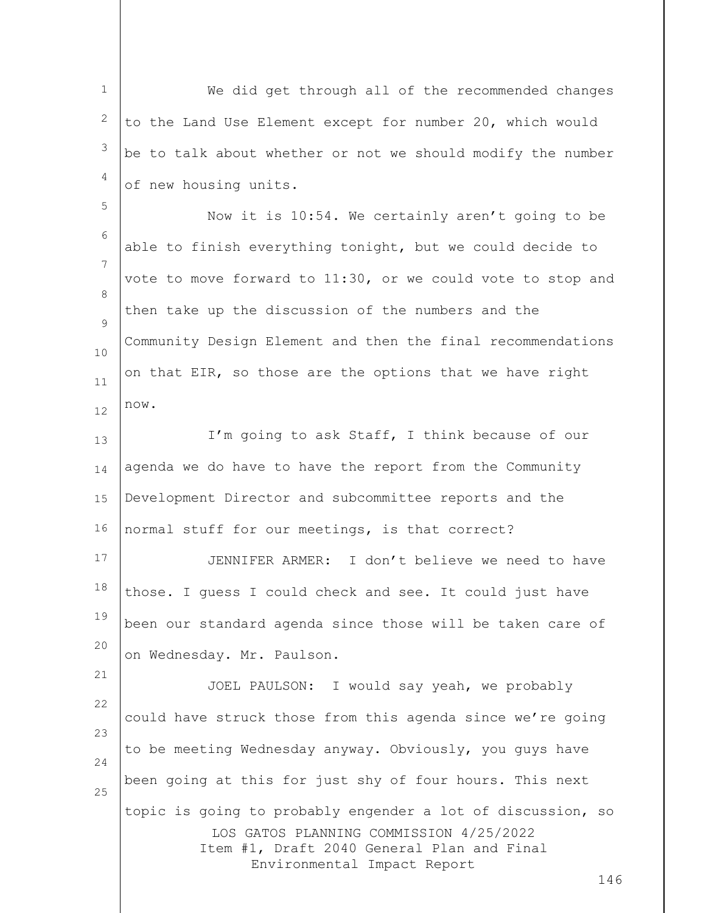1 2 3 4 5 6 7 8  $\circ$ 10 11 12 13 14 15 16 17 18 19 20 21 22 23 24 25 We did get through all of the recommended changes to the Land Use Element except for number 20, which would be to talk about whether or not we should modify the number of new housing units. Now it is 10:54. We certainly aren't going to be able to finish everything tonight, but we could decide to vote to move forward to 11:30, or we could vote to stop and then take up the discussion of the numbers and the Community Design Element and then the final recommendations on that EIR, so those are the options that we have right now. I'm going to ask Staff, I think because of our agenda we do have to have the report from the Community Development Director and subcommittee reports and the normal stuff for our meetings, is that correct? JENNIFER ARMER: I don't believe we need to have those. I guess I could check and see. It could just have been our standard agenda since those will be taken care of on Wednesday. Mr. Paulson. JOEL PAULSON: I would say yeah, we probably could have struck those from this agenda since we're going to be meeting Wednesday anyway. Obviously, you guys have been going at this for just shy of four hours. This next topic is going to probably engender a lot of discussion, so

> LOS GATOS PLANNING COMMISSION 4/25/2022 Item #1, Draft 2040 General Plan and Final Environmental Impact Report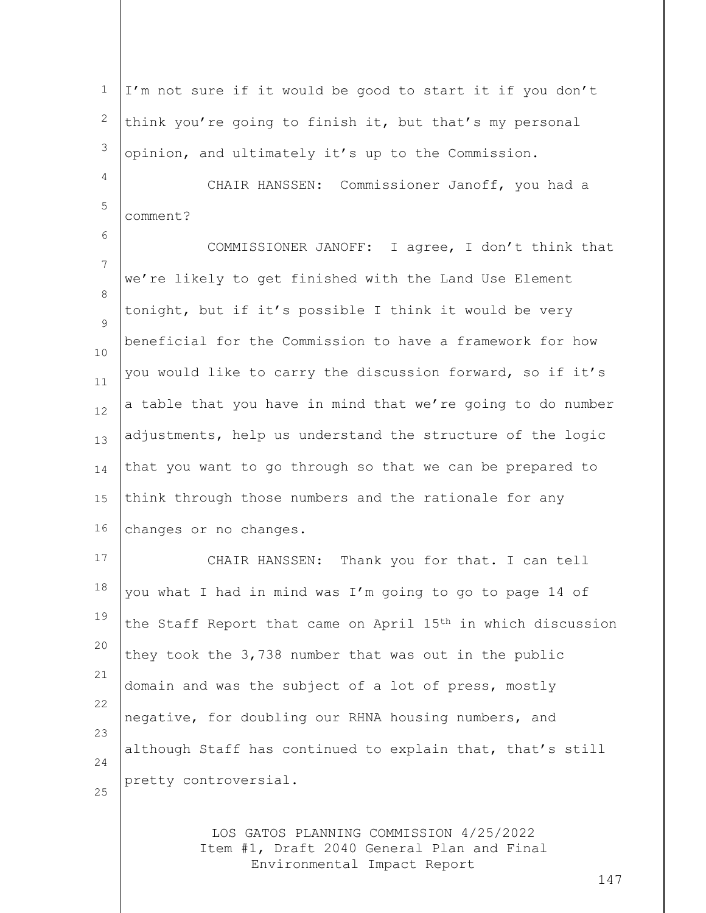LOS GATOS PLANNING COMMISSION 4/25/2022 Item #1, Draft 2040 General Plan and Final Environmental Impact Report 1 2 3 4 5 6 7 8  $\circ$ 10 11 12 13 14 15 16 17 18 19 20 21 22 23 24 25 I'm not sure if it would be good to start it if you don't think you're going to finish it, but that's my personal opinion, and ultimately it's up to the Commission. CHAIR HANSSEN: Commissioner Janoff, you had a comment? COMMISSIONER JANOFF: I agree, I don't think that we're likely to get finished with the Land Use Element tonight, but if it's possible I think it would be very beneficial for the Commission to have a framework for how you would like to carry the discussion forward, so if it's a table that you have in mind that we're going to do number adjustments, help us understand the structure of the logic that you want to go through so that we can be prepared to think through those numbers and the rationale for any changes or no changes. CHAIR HANSSEN: Thank you for that. I can tell you what I had in mind was I'm going to go to page 14 of the Staff Report that came on April 15th in which discussion they took the 3,738 number that was out in the public domain and was the subject of a lot of press, mostly negative, for doubling our RHNA housing numbers, and although Staff has continued to explain that, that's still pretty controversial.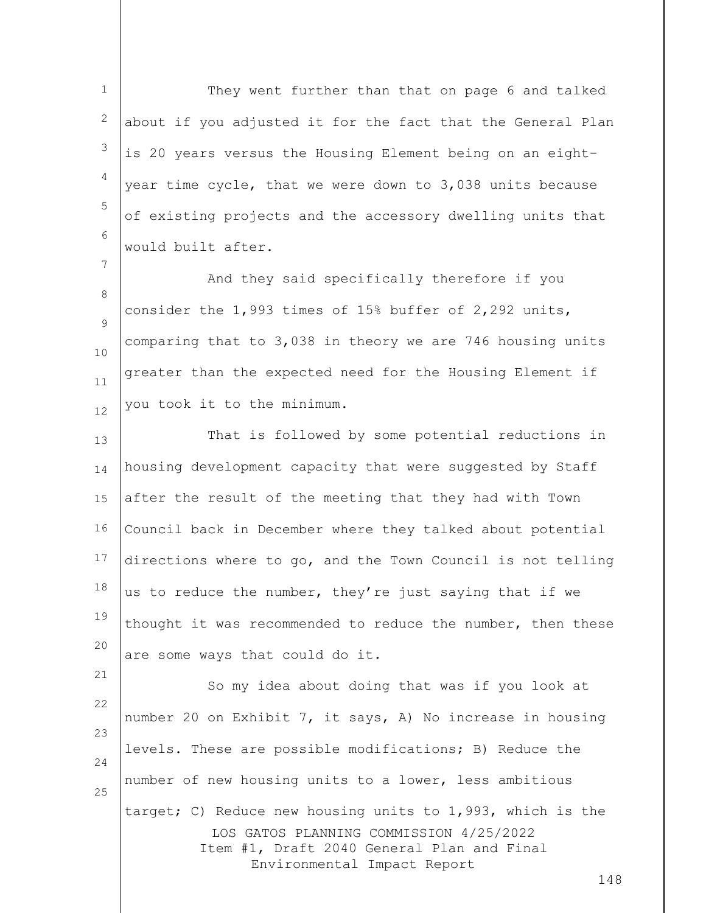1 2 3 4 5 6 They went further than that on page 6 and talked about if you adjusted it for the fact that the General Plan is 20 years versus the Housing Element being on an eightyear time cycle, that we were down to 3,038 units because of existing projects and the accessory dwelling units that would built after.

8  $\circ$ 10 11 12 And they said specifically therefore if you consider the 1,993 times of 15% buffer of 2,292 units, comparing that to 3,038 in theory we are 746 housing units greater than the expected need for the Housing Element if you took it to the minimum.

7

13 14 15 16 17 18 19 20 That is followed by some potential reductions in housing development capacity that were suggested by Staff after the result of the meeting that they had with Town Council back in December where they talked about potential directions where to go, and the Town Council is not telling us to reduce the number, they're just saying that if we thought it was recommended to reduce the number, then these are some ways that could do it.

LOS GATOS PLANNING COMMISSION 4/25/2022 Item #1, Draft 2040 General Plan and Final Environmental Impact Report 21 22 23 24 25 So my idea about doing that was if you look at number 20 on Exhibit 7, it says, A) No increase in housing levels. These are possible modifications; B) Reduce the number of new housing units to a lower, less ambitious target; C) Reduce new housing units to 1,993, which is the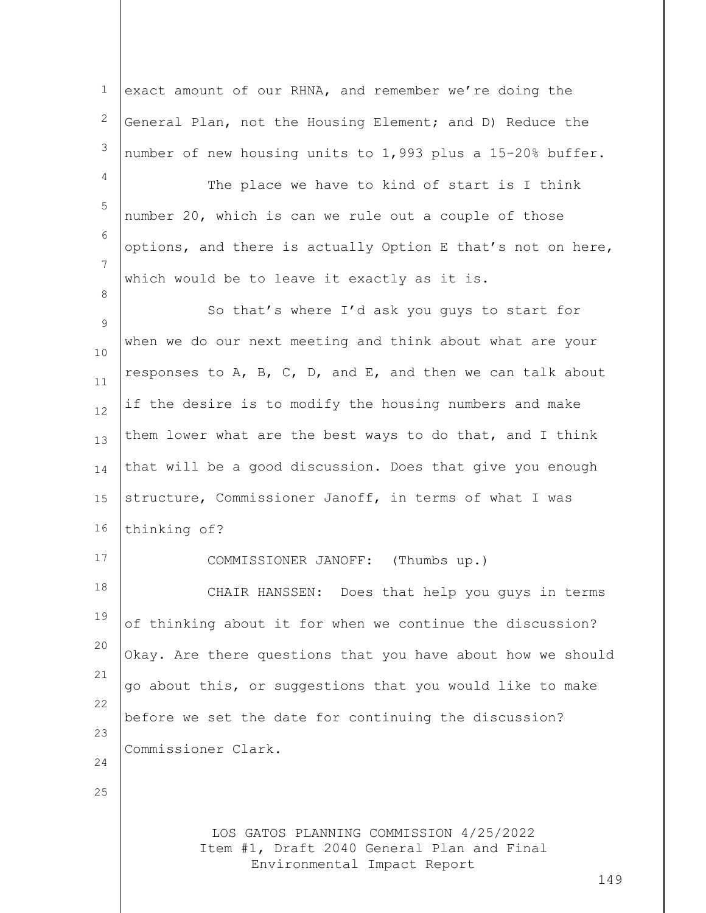LOS GATOS PLANNING COMMISSION 4/25/2022 Item #1, Draft 2040 General Plan and Final Environmental Impact Report 149 1 2 3 4 5 6 7 8  $\circ$ 10 11 12 13 14 15 16 17 18 19 20 21 22 23 24 25 exact amount of our RHNA, and remember we're doing the General Plan, not the Housing Element; and D) Reduce the number of new housing units to 1,993 plus a 15-20% buffer. The place we have to kind of start is I think number 20, which is can we rule out a couple of those options, and there is actually Option E that's not on here, which would be to leave it exactly as it is. So that's where I'd ask you guys to start for when we do our next meeting and think about what are your responses to A, B, C, D, and E, and then we can talk about if the desire is to modify the housing numbers and make them lower what are the best ways to do that, and I think that will be a good discussion. Does that give you enough structure, Commissioner Janoff, in terms of what I was thinking of? COMMISSIONER JANOFF: (Thumbs up.) CHAIR HANSSEN: Does that help you guys in terms of thinking about it for when we continue the discussion? Okay. Are there questions that you have about how we should go about this, or suggestions that you would like to make before we set the date for continuing the discussion? Commissioner Clark.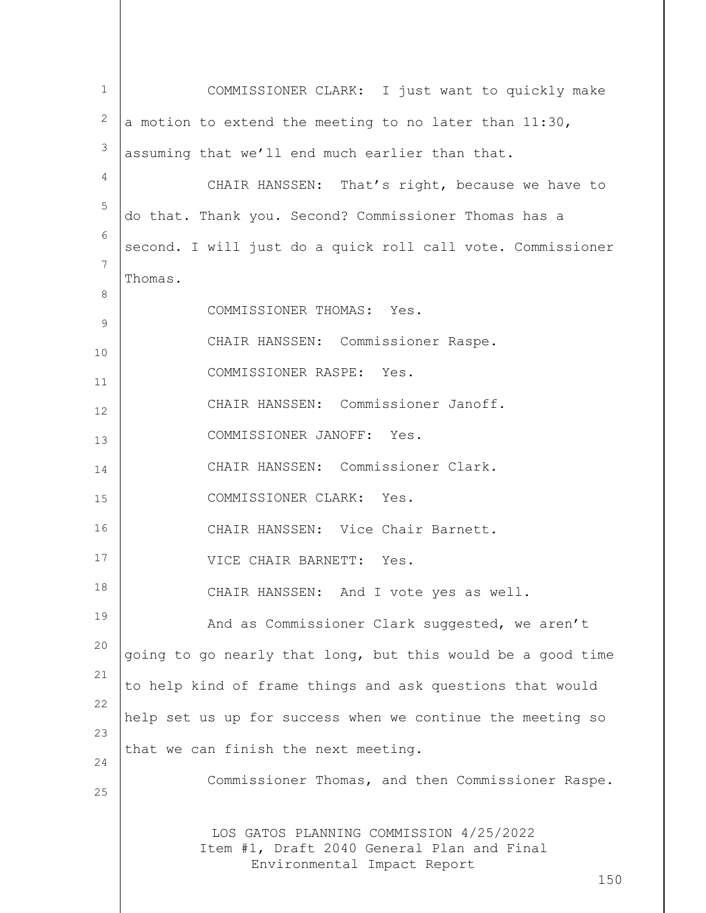LOS GATOS PLANNING COMMISSION 4/25/2022 Item #1, Draft 2040 General Plan and Final Environmental Impact Report 150 1 2 3 4 5 6 7 8 9 10 11 12 13 14 15 16 17 18 19 20 21 22 23 24 25 COMMISSIONER CLARK: I just want to quickly make a motion to extend the meeting to no later than 11:30, assuming that we'll end much earlier than that. CHAIR HANSSEN: That's right, because we have to do that. Thank you. Second? Commissioner Thomas has a second. I will just do a quick roll call vote. Commissioner Thomas. COMMISSIONER THOMAS: Yes. CHAIR HANSSEN: Commissioner Raspe. COMMISSIONER RASPE: Yes. CHAIR HANSSEN: Commissioner Janoff. COMMISSIONER JANOFF: Yes. CHAIR HANSSEN: Commissioner Clark. COMMISSIONER CLARK: Yes. CHAIR HANSSEN: Vice Chair Barnett. VICE CHAIR BARNETT: Yes. CHAIR HANSSEN: And I vote yes as well. And as Commissioner Clark suggested, we aren't going to go nearly that long, but this would be a good time to help kind of frame things and ask questions that would help set us up for success when we continue the meeting so that we can finish the next meeting. Commissioner Thomas, and then Commissioner Raspe.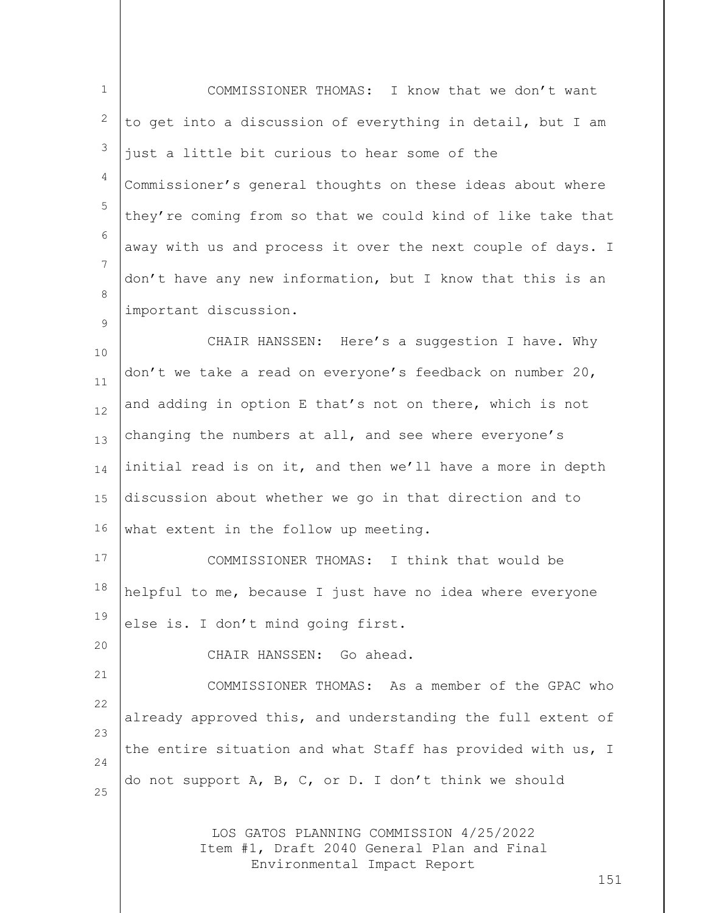| $\mathbf 1$    | COMMISSIONER THOMAS: I know that we don't want                                                                       |
|----------------|----------------------------------------------------------------------------------------------------------------------|
| $\mathbf{2}$   | to get into a discussion of everything in detail, but I am                                                           |
| $\mathfrak{Z}$ | just a little bit curious to hear some of the                                                                        |
| 4              | Commissioner's general thoughts on these ideas about where                                                           |
| $\mathsf S$    | they're coming from so that we could kind of like take that                                                          |
| $\epsilon$     | away with us and process it over the next couple of days. I                                                          |
| 7              | don't have any new information, but I know that this is an                                                           |
| 8              | important discussion.                                                                                                |
| 9              | CHAIR HANSSEN: Here's a suggestion I have. Why                                                                       |
| $10$           | don't we take a read on everyone's feedback on number 20,                                                            |
| 11<br>12       | and adding in option E that's not on there, which is not                                                             |
| 13             | changing the numbers at all, and see where everyone's                                                                |
| 14             | initial read is on it, and then we'll have a more in depth                                                           |
| 15             | discussion about whether we go in that direction and to                                                              |
| 16             | what extent in the follow up meeting.                                                                                |
| 17             | COMMISSIONER THOMAS: I think that would be                                                                           |
| 18             | helpful to me, because I just have no idea where everyone                                                            |
| 19             | else is. I don't mind going first.                                                                                   |
| 20             | CHAIR HANSSEN: Go ahead.                                                                                             |
| 21             | COMMISSIONER THOMAS: As a member of the GPAC who                                                                     |
| 22             |                                                                                                                      |
| 23             | already approved this, and understanding the full extent of                                                          |
| 24             | the entire situation and what Staff has provided with us, I                                                          |
| 25             | do not support A, B, C, or D. I don't think we should                                                                |
|                | LOS GATOS PLANNING COMMISSION 4/25/2022<br>Item #1, Draft 2040 General Plan and Final<br>Environmental Impact Report |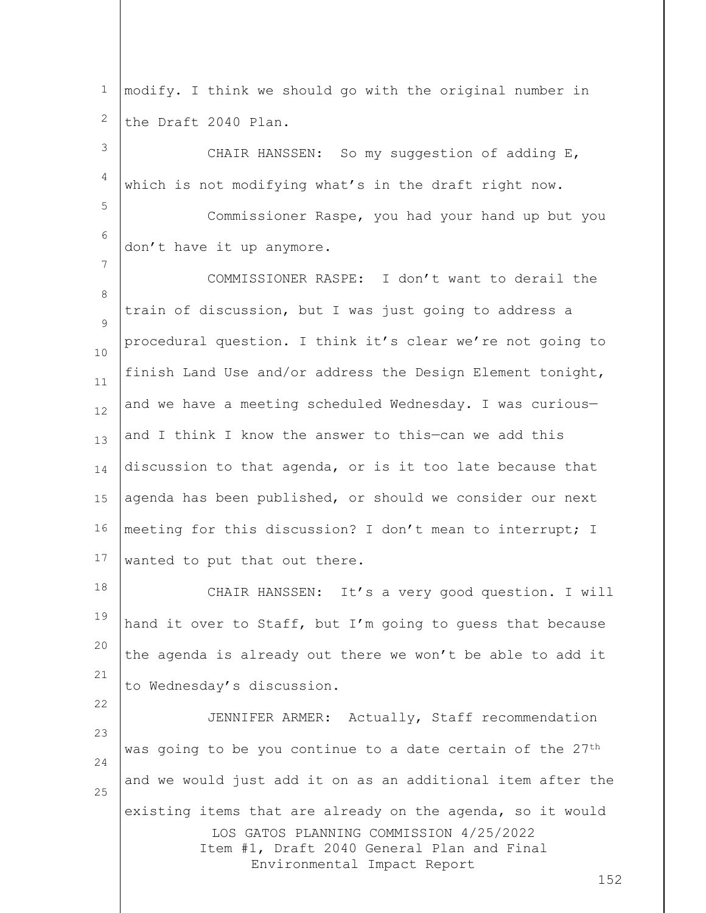1 2 modify. I think we should go with the original number in the Draft 2040 Plan.

3 4 CHAIR HANSSEN: So my suggestion of adding E, which is not modifying what's in the draft right now.

5

7

22

6 Commissioner Raspe, you had your hand up but you don't have it up anymore.

8  $\circ$ 10 11 12 13 14 15 16 17 COMMISSIONER RASPE: I don't want to derail the train of discussion, but I was just going to address a procedural question. I think it's clear we're not going to finish Land Use and/or address the Design Element tonight, and we have a meeting scheduled Wednesday. I was curious and I think I know the answer to this—can we add this discussion to that agenda, or is it too late because that agenda has been published, or should we consider our next meeting for this discussion? I don't mean to interrupt; I wanted to put that out there.

18 19 20 21 CHAIR HANSSEN: It's a very good question. I will hand it over to Staff, but I'm going to guess that because the agenda is already out there we won't be able to add it to Wednesday's discussion.

LOS GATOS PLANNING COMMISSION 4/25/2022 Item #1, Draft 2040 General Plan and Final Environmental Impact Report 23 24 25 JENNIFER ARMER: Actually, Staff recommendation was going to be you continue to a date certain of the 27<sup>th</sup> and we would just add it on as an additional item after the existing items that are already on the agenda, so it would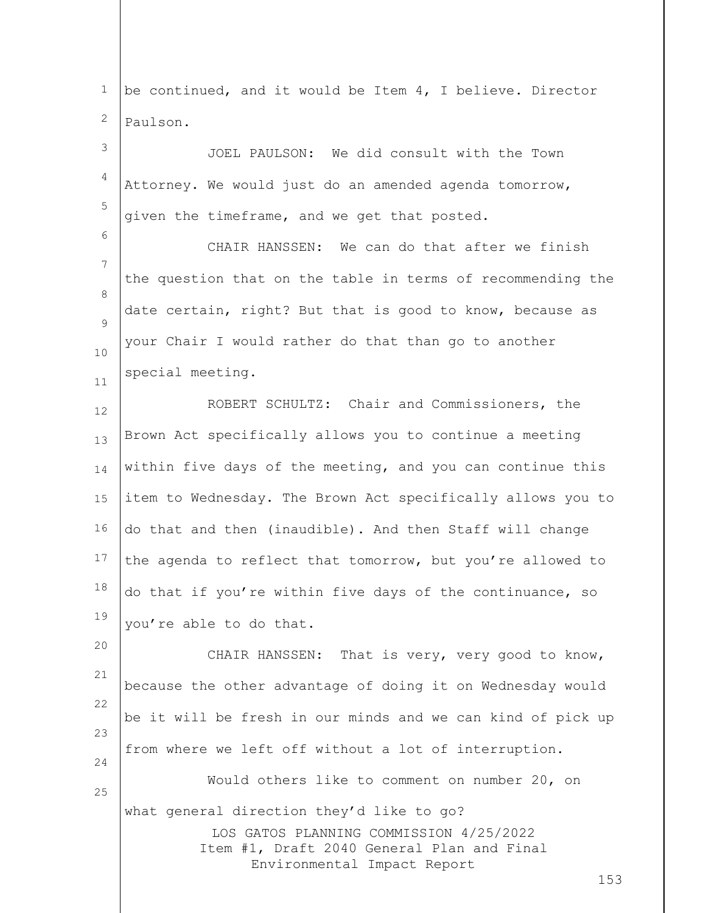LOS GATOS PLANNING COMMISSION 4/25/2022 Item #1, Draft 2040 General Plan and Final Environmental Impact Report 153 1 2 3 4 5 6 7 8  $\circ$ 10 11 12 13 14 15 16 17 18 19 20 21 22 23 24 25 be continued, and it would be Item 4, I believe. Director Paulson. JOEL PAULSON: We did consult with the Town Attorney. We would just do an amended agenda tomorrow, given the timeframe, and we get that posted. CHAIR HANSSEN: We can do that after we finish the question that on the table in terms of recommending the date certain, right? But that is good to know, because as your Chair I would rather do that than go to another special meeting. ROBERT SCHULTZ: Chair and Commissioners, the Brown Act specifically allows you to continue a meeting within five days of the meeting, and you can continue this item to Wednesday. The Brown Act specifically allows you to do that and then (inaudible). And then Staff will change the agenda to reflect that tomorrow, but you're allowed to do that if you're within five days of the continuance, so you're able to do that. CHAIR HANSSEN: That is very, very good to know, because the other advantage of doing it on Wednesday would be it will be fresh in our minds and we can kind of pick up from where we left off without a lot of interruption. Would others like to comment on number 20, on what general direction they'd like to go?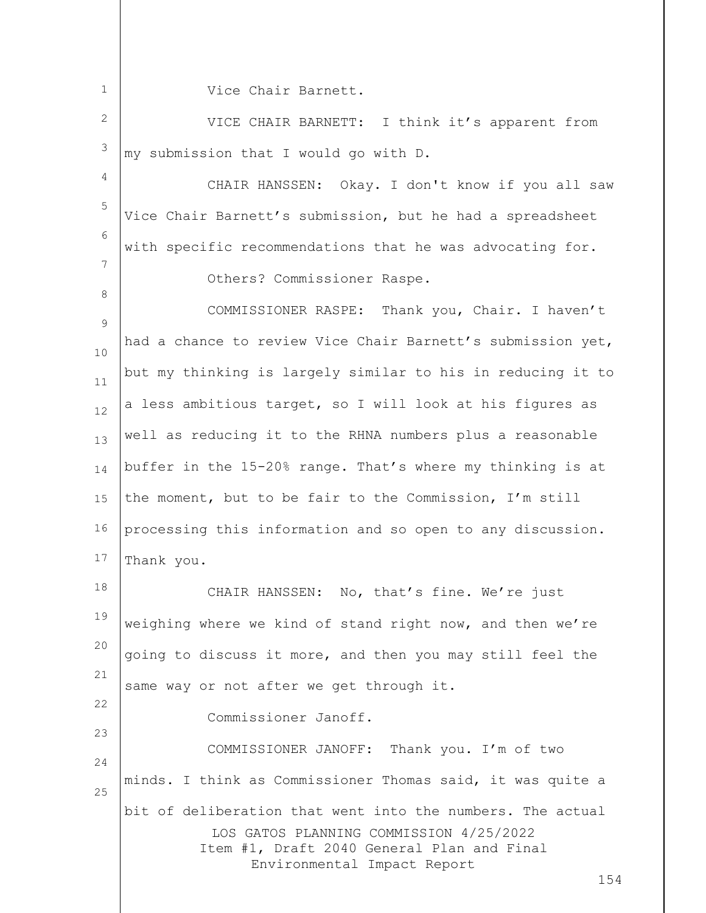Vice Chair Barnett.

1

8

22

23

2 3 VICE CHAIR BARNETT: I think it's apparent from my submission that I would go with D.

4 5 6 7 CHAIR HANSSEN: Okay. I don't know if you all saw Vice Chair Barnett's submission, but he had a spreadsheet with specific recommendations that he was advocating for. Others? Commissioner Raspe.

 $\circ$ 10 11 12 13 14 15 16 17 COMMISSIONER RASPE: Thank you, Chair. I haven't had a chance to review Vice Chair Barnett's submission yet, but my thinking is largely similar to his in reducing it to a less ambitious target, so I will look at his figures as well as reducing it to the RHNA numbers plus a reasonable buffer in the 15-20% range. That's where my thinking is at the moment, but to be fair to the Commission, I'm still processing this information and so open to any discussion. Thank you.

18 19 20 21 CHAIR HANSSEN: No, that's fine. We're just weighing where we kind of stand right now, and then we're going to discuss it more, and then you may still feel the same way or not after we get through it.

Commissioner Janoff.

LOS GATOS PLANNING COMMISSION 4/25/2022 Item #1, Draft 2040 General Plan and Final Environmental Impact Report 24 25 COMMISSIONER JANOFF: Thank you. I'm of two minds. I think as Commissioner Thomas said, it was quite a bit of deliberation that went into the numbers. The actual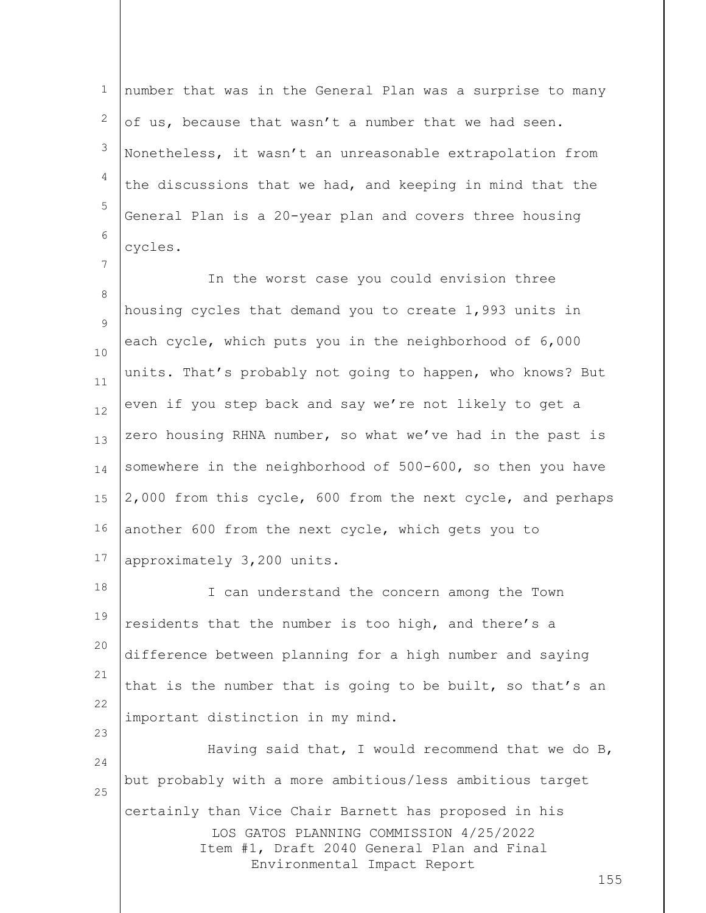1 2 3 4 5 6 number that was in the General Plan was a surprise to many of us, because that wasn't a number that we had seen. Nonetheless, it wasn't an unreasonable extrapolation from the discussions that we had, and keeping in mind that the General Plan is a 20-year plan and covers three housing cycles.

7

23

8  $\circ$ 10 11 12 13 14 15 16 17 In the worst case you could envision three housing cycles that demand you to create 1,993 units in each cycle, which puts you in the neighborhood of 6,000 units. That's probably not going to happen, who knows? But even if you step back and say we're not likely to get a zero housing RHNA number, so what we've had in the past is somewhere in the neighborhood of 500-600, so then you have 2,000 from this cycle, 600 from the next cycle, and perhaps another 600 from the next cycle, which gets you to approximately 3,200 units.

18 19 20 21 22 I can understand the concern among the Town residents that the number is too high, and there's a difference between planning for a high number and saying that is the number that is going to be built, so that's an important distinction in my mind.

LOS GATOS PLANNING COMMISSION 4/25/2022 Item #1, Draft 2040 General Plan and Final Environmental Impact Report 24 25 Having said that, I would recommend that we do B, but probably with a more ambitious/less ambitious target certainly than Vice Chair Barnett has proposed in his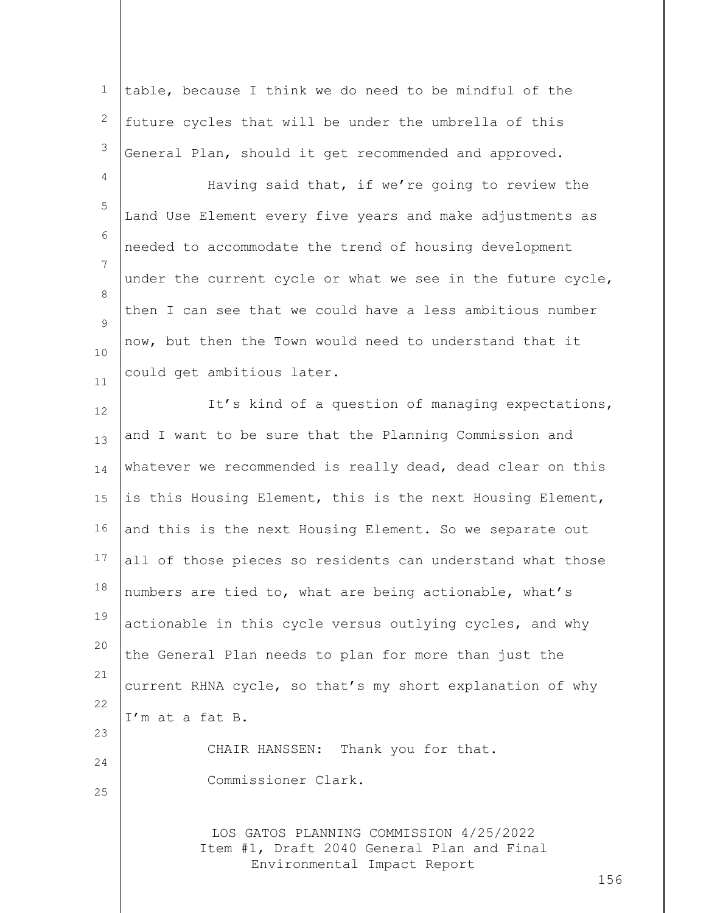| $\mathbf 1$        | table, because I think we do need to be mindful of the                                                                      |
|--------------------|-----------------------------------------------------------------------------------------------------------------------------|
| 2                  | future cycles that will be under the umbrella of this                                                                       |
| $\mathsf 3$        | General Plan, should it get recommended and approved.                                                                       |
| 4                  | Having said that, if we're going to review the                                                                              |
| $\mathsf S$        | Land Use Element every five years and make adjustments as                                                                   |
| 6                  | needed to accommodate the trend of housing development                                                                      |
| 7                  | under the current cycle or what we see in the future cycle,                                                                 |
| 8<br>$\mathcal{G}$ | then I can see that we could have a less ambitious number                                                                   |
| 10                 | now, but then the Town would need to understand that it                                                                     |
| 11                 | could get ambitious later.                                                                                                  |
| 12                 | It's kind of a question of managing expectations,                                                                           |
| 13                 | and I want to be sure that the Planning Commission and                                                                      |
| 14                 | whatever we recommended is really dead, dead clear on this                                                                  |
| 15                 | is this Housing Element, this is the next Housing Element,                                                                  |
| 16                 | and this is the next Housing Element. So we separate out                                                                    |
| 17                 | all of those pieces so residents can understand what those                                                                  |
| 18                 | numbers are tied to, what are being actionable, what's                                                                      |
| 19                 | actionable in this cycle versus outlying cycles, and why                                                                    |
| 20                 | the General Plan needs to plan for more than just the                                                                       |
| 21                 | current RHNA cycle, so that's my short explanation of why                                                                   |
| 22                 | I'm at a fat B.                                                                                                             |
| 23<br>24           | CHAIR HANSSEN: Thank you for that.                                                                                          |
| 25                 | Commissioner Clark.                                                                                                         |
|                    | LOS GATOS PLANNING COMMISSION 4/25/2022<br>Item #1, Draft 2040 General Plan and Final<br>Environmental Impact Report<br>156 |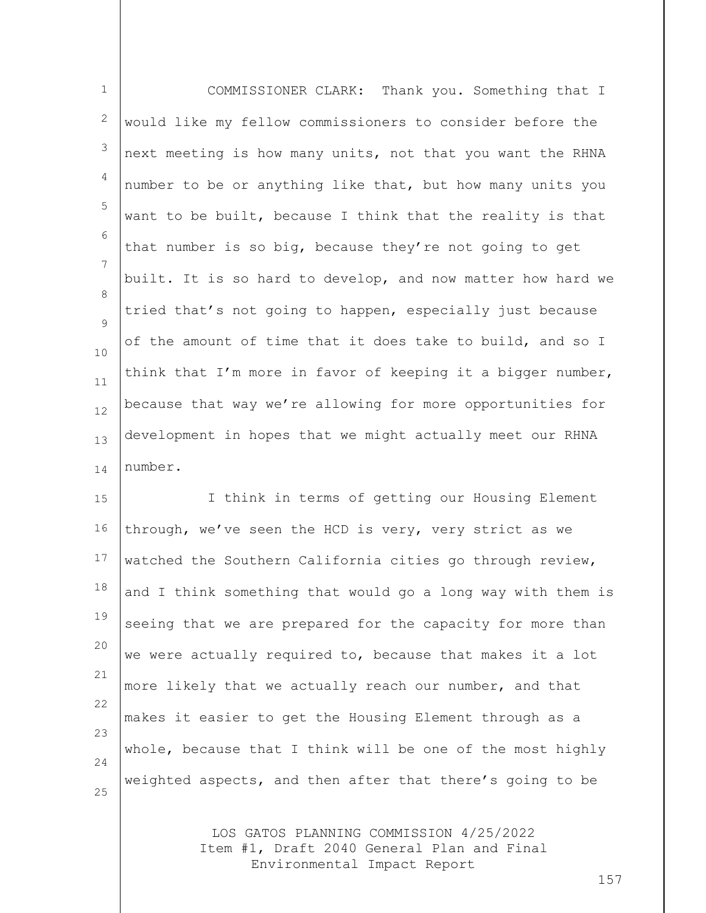| $\mathbf{1}$       | COMMISSIONER CLARK: Thank you. Something that I             |
|--------------------|-------------------------------------------------------------|
| 2                  | would like my fellow commissioners to consider before the   |
| 3                  | next meeting is how many units, not that you want the RHNA  |
| $\overline{4}$     | number to be or anything like that, but how many units you  |
| 5                  | want to be built, because I think that the reality is that  |
| 6                  | that number is so big, because they're not going to get     |
| 7                  | built. It is so hard to develop, and now matter how hard we |
| $\mathcal{B}$<br>9 | tried that's not going to happen, especially just because   |
| 10                 | of the amount of time that it does take to build, and so I  |
| 11                 | think that I'm more in favor of keeping it a bigger number, |
| 12                 | because that way we're allowing for more opportunities for  |
| 13                 | development in hopes that we might actually meet our RHNA   |
| 14                 | number.                                                     |

15 16 17 18 19 20 21 22 23 24 25 I think in terms of getting our Housing Element through, we've seen the HCD is very, very strict as we watched the Southern California cities go through review, and I think something that would go a long way with them is seeing that we are prepared for the capacity for more than we were actually required to, because that makes it a lot more likely that we actually reach our number, and that makes it easier to get the Housing Element through as a whole, because that I think will be one of the most highly weighted aspects, and then after that there's going to be

> LOS GATOS PLANNING COMMISSION 4/25/2022 Item #1, Draft 2040 General Plan and Final Environmental Impact Report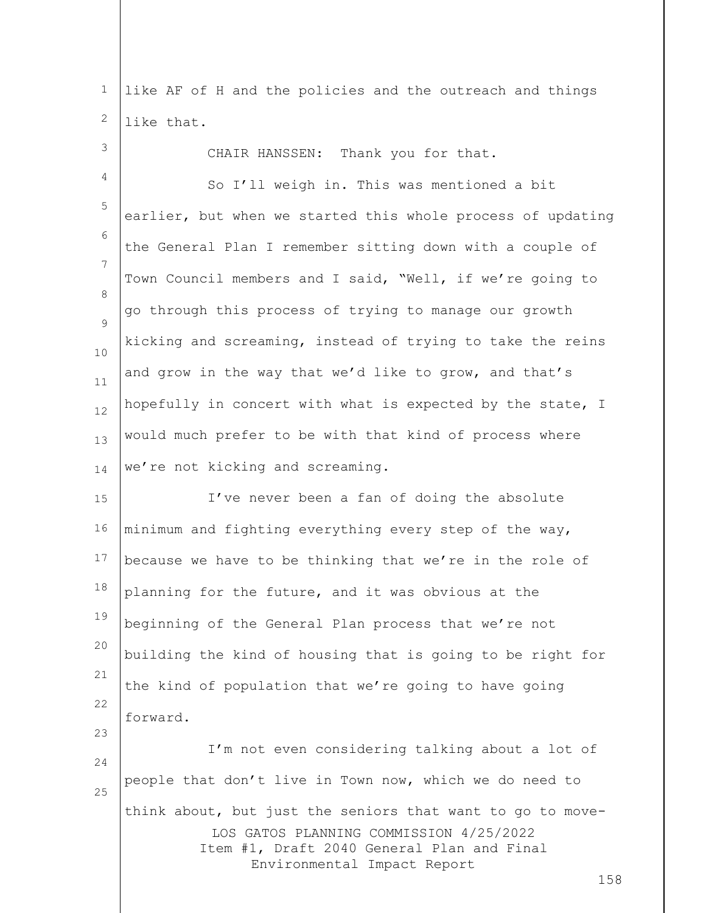1 2 like AF of H and the policies and the outreach and things like that.

3 4 5 6 7 8  $\circ$ 10 11 12 13 14 CHAIR HANSSEN: Thank you for that. So I'll weigh in. This was mentioned a bit earlier, but when we started this whole process of updating the General Plan I remember sitting down with a couple of Town Council members and I said, "Well, if we're going to go through this process of trying to manage our growth kicking and screaming, instead of trying to take the reins and grow in the way that we'd like to grow, and that's hopefully in concert with what is expected by the state, I would much prefer to be with that kind of process where we're not kicking and screaming.

15 16 17 18 19 20 21 22 I've never been a fan of doing the absolute minimum and fighting everything every step of the way, because we have to be thinking that we're in the role of planning for the future, and it was obvious at the beginning of the General Plan process that we're not building the kind of housing that is going to be right for the kind of population that we're going to have going forward.

LOS GATOS PLANNING COMMISSION 4/25/2022 Item #1, Draft 2040 General Plan and Final Environmental Impact Report 24 25 I'm not even considering talking about a lot of people that don't live in Town now, which we do need to think about, but just the seniors that want to go to move-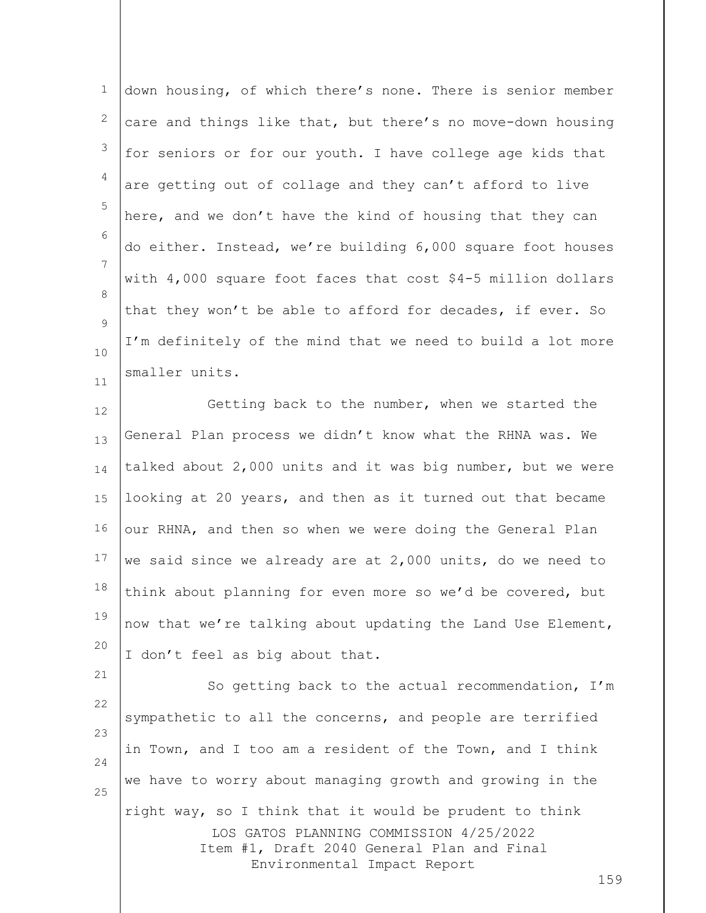1 2 3 4 5 6 7 8  $\circ$ 10 11 down housing, of which there's none. There is senior member care and things like that, but there's no move-down housing for seniors or for our youth. I have college age kids that are getting out of collage and they can't afford to live here, and we don't have the kind of housing that they can do either. Instead, we're building 6,000 square foot houses with 4,000 square foot faces that cost \$4-5 million dollars that they won't be able to afford for decades, if ever. So I'm definitely of the mind that we need to build a lot more smaller units.

12 13 14 15 16 17 18 19 20 Getting back to the number, when we started the General Plan process we didn't know what the RHNA was. We talked about 2,000 units and it was big number, but we were looking at 20 years, and then as it turned out that became our RHNA, and then so when we were doing the General Plan we said since we already are at 2,000 units, do we need to think about planning for even more so we'd be covered, but now that we're talking about updating the Land Use Element, I don't feel as big about that.

LOS GATOS PLANNING COMMISSION 4/25/2022 Item #1, Draft 2040 General Plan and Final Environmental Impact Report 22 23 24 25 So getting back to the actual recommendation, I'm sympathetic to all the concerns, and people are terrified in Town, and I too am a resident of the Town, and I think we have to worry about managing growth and growing in the right way, so I think that it would be prudent to think

21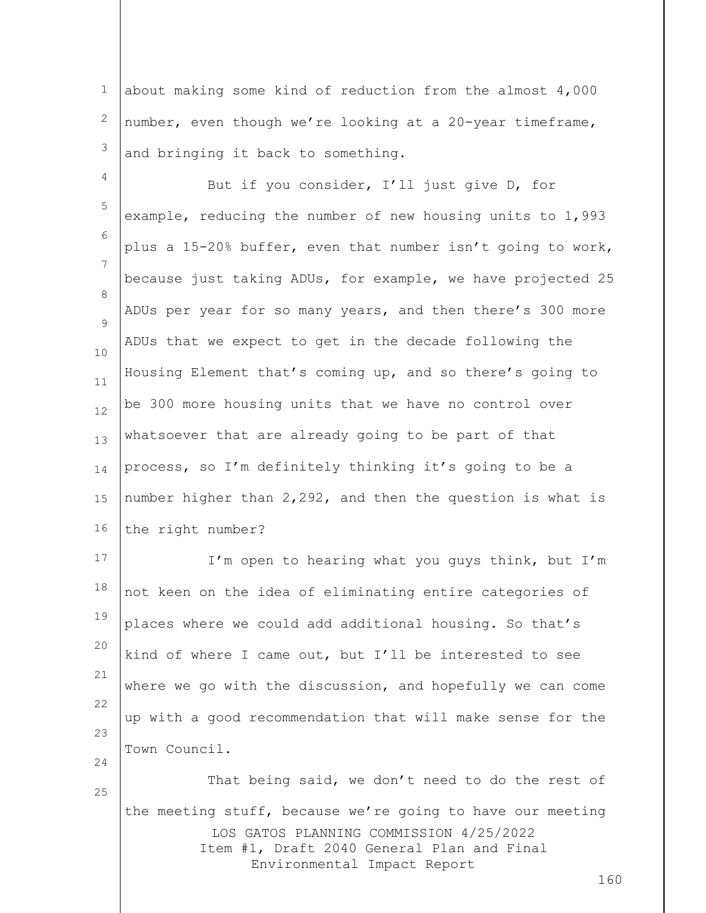1 2 3 about making some kind of reduction from the almost 4,000 number, even though we're looking at a 20-year timeframe, and bringing it back to something.

4 5 6 7 8  $\circ$ 10 11 12 13 14 15 16 But if you consider, I'll just give D, for example, reducing the number of new housing units to 1,993 plus a 15-20% buffer, even that number isn't going to work, because just taking ADUs, for example, we have projected 25 ADUs per year for so many years, and then there's 300 more ADUs that we expect to get in the decade following the Housing Element that's coming up, and so there's going to be 300 more housing units that we have no control over whatsoever that are already going to be part of that process, so I'm definitely thinking it's going to be a number higher than 2,292, and then the question is what is the right number?

17 18 19 20 21 22 23 24 I'm open to hearing what you guys think, but I'm not keen on the idea of eliminating entire categories of places where we could add additional housing. So that's kind of where I came out, but I'll be interested to see where we go with the discussion, and hopefully we can come up with a good recommendation that will make sense for the Town Council.

LOS GATOS PLANNING COMMISSION 4/25/2022 Item #1, Draft 2040 General Plan and Final Environmental Impact Report That being said, we don't need to do the rest of the meeting stuff, because we're going to have our meeting

25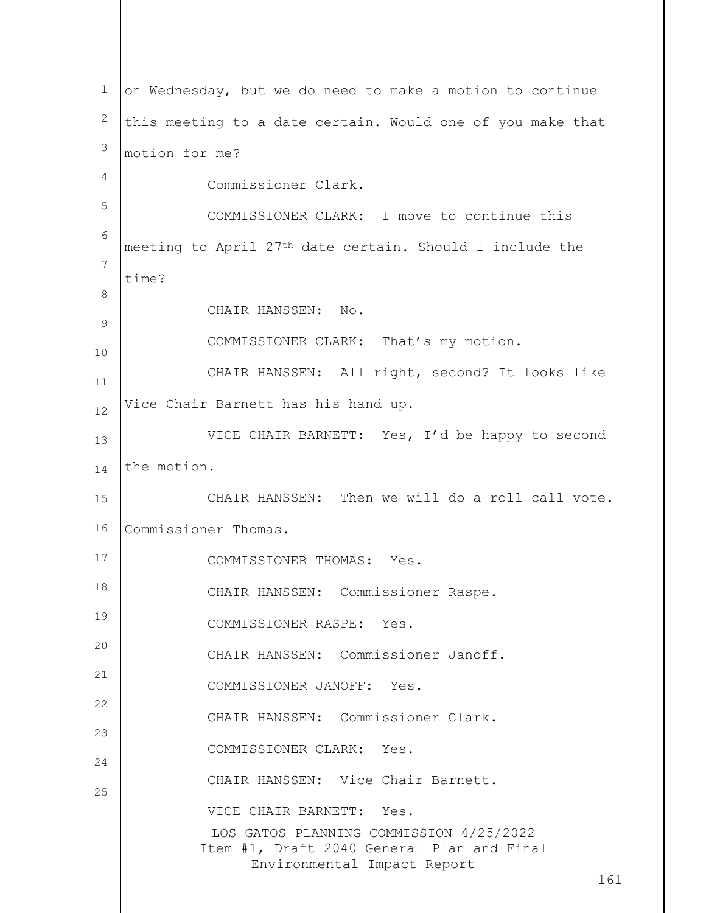LOS GATOS PLANNING COMMISSION 4/25/2022 Item #1, Draft 2040 General Plan and Final Environmental Impact Report 161 1 2 3 4 5 6 7 8 9 10 11 12 13 14 15 16 17 18 19 20 21 22 23 24 25 on Wednesday, but we do need to make a motion to continue this meeting to a date certain. Would one of you make that motion for me? Commissioner Clark. COMMISSIONER CLARK: I move to continue this meeting to April 27th date certain. Should I include the time? CHAIR HANSSEN: No. COMMISSIONER CLARK: That's my motion. CHAIR HANSSEN: All right, second? It looks like Vice Chair Barnett has his hand up. VICE CHAIR BARNETT: Yes, I'd be happy to second the motion. CHAIR HANSSEN: Then we will do a roll call vote. Commissioner Thomas. COMMISSIONER THOMAS: Yes. CHAIR HANSSEN: Commissioner Raspe. COMMISSIONER RASPE: Yes. CHAIR HANSSEN: Commissioner Janoff. COMMISSIONER JANOFF: Yes. CHAIR HANSSEN: Commissioner Clark. COMMISSIONER CLARK: Yes. CHAIR HANSSEN: Vice Chair Barnett. VICE CHAIR BARNETT: Yes.